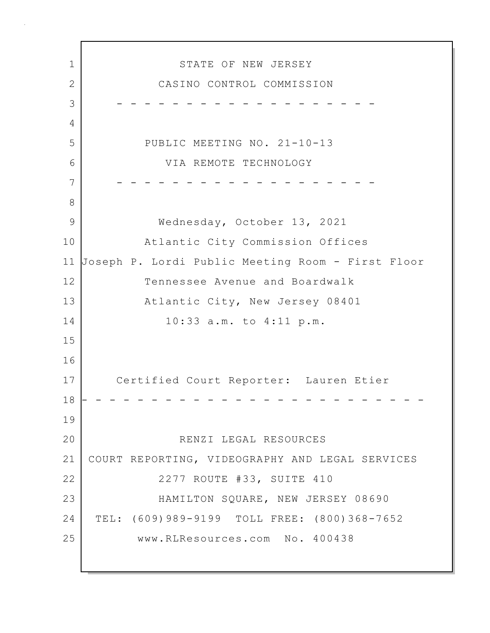1 STATE OF NEW JERSEY 2 CASINO CONTROL COMMISSION 3 - - - - - - - - - - - - - - - - - - - 4 5 PUBLIC MEETING NO. 21-10-13 6 VIA REMOTE TECHNOLOGY 7 - - - - - - - - - - - - - - - - - - - 8 9 Wednesday, October 13, 2021 10 Atlantic City Commission Offices 11 Joseph P. Lordi Public Meeting Room - First Floor 12 Tennessee Avenue and Boardwalk 13 Atlantic City, New Jersey 08401 14 10:33 a.m. to 4:11 p.m. 15 16 17 Certified Court Reporter: Lauren Etier 18 - - - - - - - - - - - - - - - - - - - - - - - - - 19 20 RENZI LEGAL RESOURCES 21 COURT REPORTING, VIDEOGRAPHY AND LEGAL SERVICES 22 | 2277 ROUTE #33, SUITE 410 23 HAMILTON SQUARE, NEW JERSEY 08690 24 TEL: (609)989-9199 TOLL FREE: (800)368-7652 25 www.RLResources.com No. 400438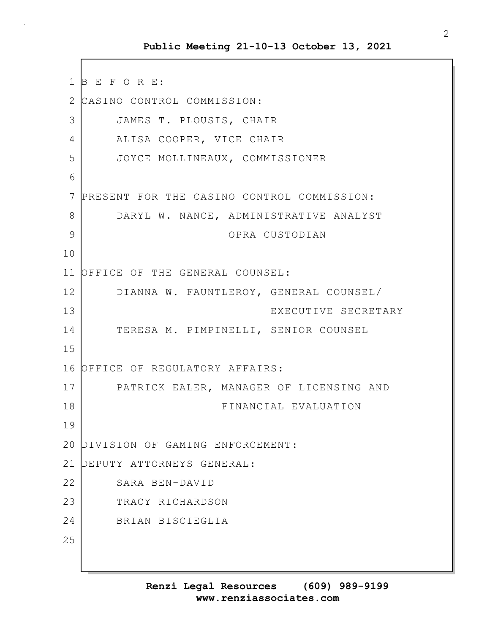1 B E F O R E: 2 CASINO CONTROL COMMISSION: 3 JAMES T. PLOUSIS, CHAIR 4 ALISA COOPER, VICE CHAIR 5 JOYCE MOLLINEAUX, COMMISSIONER 6 7 PRESENT FOR THE CASINO CONTROL COMMISSION: 8 DARYL W. NANCE, ADMINISTRATIVE ANALYST 9 OPRA CUSTODIAN 10 11 OFFICE OF THE GENERAL COUNSEL: 12 DIANNA W. FAUNTLEROY, GENERAL COUNSEL/ 13 EXECUTIVE SECRETARY 14 TERESA M. PIMPINELLI, SENIOR COUNSEL 15 16 OFFICE OF REGULATORY AFFAIRS: 17 PATRICK EALER, MANAGER OF LICENSING AND 18 FINANCIAL EVALUATION 19 20 DIVISION OF GAMING ENFORCEMENT: 21 DEPUTY ATTORNEYS GENERAL: 22 SARA BEN-DAVID 23 TRACY RICHARDSON 24 BRIAN BISCIEGLIA 25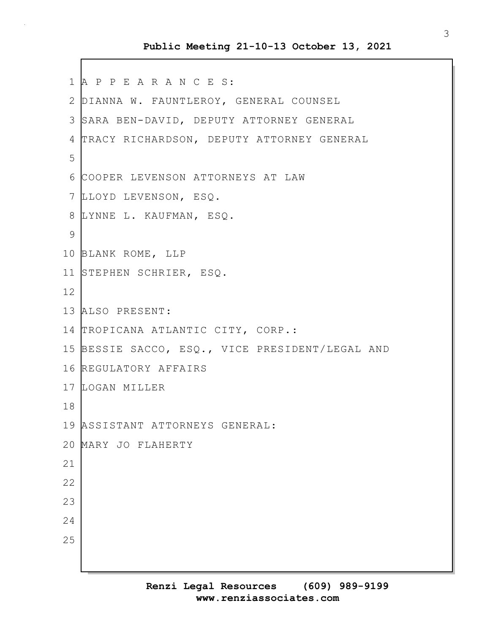```
1 A P P E A R A N C E S:
2 DIANNA W. FAUNTLEROY, GENERAL COUNSEL
3 SARA BEN-DAVID, DEPUTY ATTORNEY GENERAL
4 TRACY RICHARDSON, DEPUTY ATTORNEY GENERAL
5
6 COOPER LEVENSON ATTORNEYS AT LAW
7 LLOYD LEVENSON, ESQ.
8 LYNNE L. KAUFMAN, ESQ.
9
10 BLANK ROME, LLP
11 STEPHEN SCHRIER, ESQ.
12
13 ALSO PRESENT:
14 TROPICANA ATLANTIC CITY, CORP.:
15 BESSIE SACCO, ESQ., VICE PRESIDENT/LEGAL AND
16 REGULATORY AFFAIRS
17 LOGAN MILLER
18
19 ASSISTANT ATTORNEYS GENERAL:
20 MARY JO FLAHERTY
21
22
23
24
25
```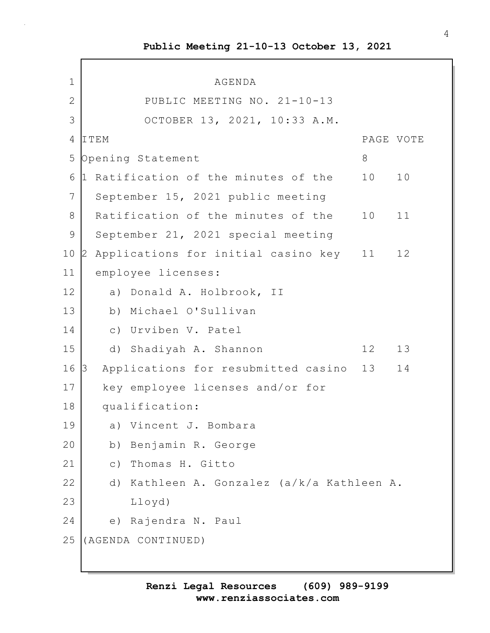$\Gamma$ 

| 1            | AGENDA                                       |                                         |           |    |
|--------------|----------------------------------------------|-----------------------------------------|-----------|----|
| $\mathbf{2}$ |                                              | PUBLIC MEETING NO. 21-10-13             |           |    |
| 3            |                                              | OCTOBER 13, 2021, 10:33 A.M.            |           |    |
| 4            | ITEM                                         |                                         | PAGE VOTE |    |
| 5            | Opening Statement                            |                                         | 8         |    |
| 6            | Ratification of the minutes of the<br>1      |                                         | 10        | 10 |
| 7            | September 15, 2021 public meeting            |                                         |           |    |
| 8            | Ratification of the minutes of the           |                                         | 10        | 11 |
| 9            | September 21, 2021 special meeting           |                                         |           |    |
| 10           | Applications for initial casino key 11<br>12 |                                         |           | 12 |
| 11           | employee licenses:                           |                                         |           |    |
| 12           | a) Donald A. Holbrook, II                    |                                         |           |    |
| 13           | b) Michael O'Sullivan                        |                                         |           |    |
| 14           | c) Urviben V. Patel                          |                                         |           |    |
| 15           | d) Shadiyah A. Shannon                       |                                         | 12        | 13 |
| 16           | Applications for resubmitted casino<br>IЗ    |                                         | 13        | 14 |
| 17           | key employee licenses and/or for             |                                         |           |    |
| 18           | qualification:                               |                                         |           |    |
| 19           | a) Vincent J. Bombara                        |                                         |           |    |
| 20           | Benjamin R. George<br>b)                     |                                         |           |    |
| 21           | Thomas H. Gitto<br>$\circ$ )                 |                                         |           |    |
| 22           | d)                                           | Kathleen A. Gonzalez (a/k/a Kathleen A. |           |    |
| 23           | $L$ loyd)                                    |                                         |           |    |
| 24           | Rajendra N. Paul<br>e)                       |                                         |           |    |
| 25           | (AGENDA CONTINUED)                           |                                         |           |    |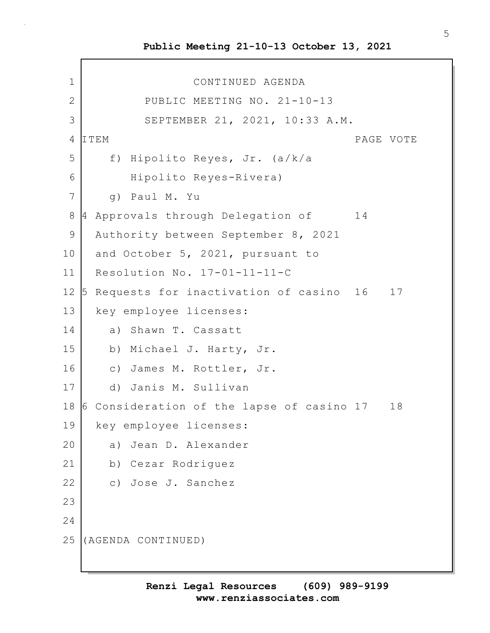1 CONTINUED AGENDA 2 PUBLIC MEETING NO. 21-10-13 3 SEPTEMBER 21, 2021, 10:33 A.M. 4 ITEM PAGE VOTE 5 f) Hipolito Reyes, Jr. (a/k/a 6 Hipolito Reyes-Rivera) 7 g) Paul M. Yu 8 4 Approvals through Delegation of 14 9 Authority between September 8, 2021 10 and October 5, 2021, pursuant to 11 Resolution No. 17-01-11-11-C 12 5 Requests for inactivation of casino 16 17 13 | key employee licenses: 14 a) Shawn T. Cassatt 15 b) Michael J. Harty, Jr. 16 c) James M. Rottler, Jr. 17 d) Janis M. Sullivan 18 6 Consideration of the lapse of casino 17 18 19 key employee licenses: 20 a) Jean D. Alexander 21 b) Cezar Rodriguez 22 c) Jose J. Sanchez 23 24 25 (AGENDA CONTINUED)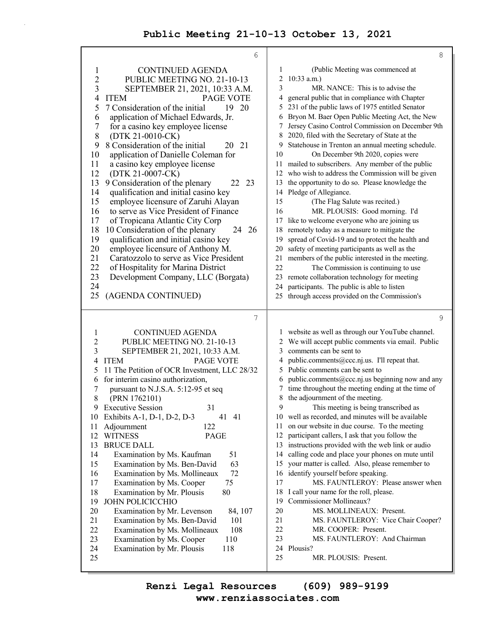$\bar{z}$ 

|                | 6                                                                 | 8                                                                                    |
|----------------|-------------------------------------------------------------------|--------------------------------------------------------------------------------------|
| 1              | <b>CONTINUED AGENDA</b>                                           | (Public Meeting was commenced at<br>1                                                |
| $\overline{c}$ | PUBLIC MEETING NO. 21-10-13                                       | 2<br>$10:33$ a.m.)                                                                   |
| 3              | SEPTEMBER 21, 2021, 10:33 A.M.                                    | 3<br>MR. NANCE: This is to advise the                                                |
| 4              | <b>PAGE VOTE</b><br><b>ITEM</b>                                   | general public that in compliance with Chapter<br>4                                  |
| 5              | 7 Consideration of the initial<br>19 20                           | 231 of the public laws of 1975 entitled Senator<br>5                                 |
| 6              | application of Michael Edwards, Jr.                               | Bryon M. Baer Open Public Meeting Act, the New<br>6                                  |
| 7              | for a casino key employee license                                 | Jersey Casino Control Commission on December 9th<br>7                                |
| 8              | (DTK 21-0010-CK)                                                  | 2020, filed with the Secretary of State at the<br>8                                  |
| 9              | 8 Consideration of the initial<br>21<br>20                        | Statehouse in Trenton an annual meeting schedule.<br>9                               |
| 10             | application of Danielle Coleman for                               | 10<br>On December 9th 2020, copies were                                              |
| 11             | a casino key employee license                                     | mailed to subscribers. Any member of the public<br>11                                |
| 12             | (DTK 21-0007-CK)                                                  | who wish to address the Commission will be given<br>12                               |
| 13             | 9 Consideration of the plenary<br>23<br>22                        | the opportunity to do so. Please knowledge the<br>13                                 |
| 14             | qualification and initial casino key                              | Pledge of Allegiance.<br>14                                                          |
| 15             | employee licensure of Zaruhi Alayan                               | 15<br>(The Flag Salute was recited.)                                                 |
| 16             | to serve as Vice President of Finance                             | MR. PLOUSIS: Good morning. I'd<br>16                                                 |
| 17             | of Tropicana Atlantic City Corp                                   | like to welcome everyone who are joining us<br>17                                    |
| 18             | 26<br>10 Consideration of the plenary<br>24                       | remotely today as a measure to mitigate the<br>18                                    |
| 19             | qualification and initial casino key                              | spread of Covid-19 and to protect the health and<br>19                               |
| 20             | employee licensure of Anthony M.                                  | safety of meeting participants as well as the<br>20                                  |
| 21             | Caratozzolo to serve as Vice President                            | members of the public interested in the meeting.<br>21                               |
| 22             | of Hospitality for Marina District                                | 22<br>The Commission is continuing to use                                            |
| 23             | Development Company, LLC (Borgata)                                | remote collaboration technology for meeting<br>23                                    |
| 24<br>25       | (AGENDA CONTINUED)                                                | participants. The public is able to listen<br>24                                     |
|                |                                                                   | through access provided on the Commission's<br>25                                    |
|                |                                                                   |                                                                                      |
|                |                                                                   |                                                                                      |
|                | 7                                                                 | 9                                                                                    |
| 1              | <b>CONTINUED AGENDA</b>                                           | website as well as through our YouTube channel.<br>1                                 |
| $\overline{c}$ | PUBLIC MEETING NO. 21-10-13                                       | We will accept public comments via email. Public<br>2                                |
| 3              | SEPTEMBER 21, 2021, 10:33 A.M.                                    | comments can be sent to<br>3                                                         |
| 4              | <b>ITEM</b><br>PAGE VOTE                                          | public.comments@ccc.nj.us. I'll repeat that.<br>4                                    |
| 5              | 11 The Petition of OCR Investment, LLC 28/32                      | Public comments can be sent to<br>5                                                  |
| 6              | for interim casino authorization,                                 | public.comments@ccc.nj.us beginning now and any<br>6                                 |
| 7              | pursuant to N.J.S.A. 5:12-95 et seq                               | time throughout the meeting ending at the time of<br>7                               |
| 8              | (PRN 1762101)                                                     | 8<br>the adjournment of the meeting.                                                 |
| 9              | <b>Executive Session</b><br>31                                    | 9<br>This meeting is being transcribed as                                            |
| 10             | Exhibits A-1, D-1, D-2, D-3<br>41<br>41                           | 10 well as recorded, and minutes will be available                                   |
| 11             | 122<br>Adjournment                                                | 11<br>on our website in due course. To the meeting                                   |
| 12             | <b>WITNESS</b><br>PAGE                                            | 12<br>participant callers, I ask that you follow the                                 |
| 13             | <b>BRUCE DALL</b>                                                 | instructions provided with the web link or audio<br>13                               |
| 14             | 51<br>Examination by Ms. Kaufman                                  | calling code and place your phones on mute until<br>14                               |
| 15             | 63<br>Examination by Ms. Ben-David                                | your matter is called. Also, please remember to<br>15                                |
| 16             | 72<br>Examination by Ms. Mollineaux                               | identify yourself before speaking.<br>16<br>17<br>MS. FAUNTLEROY: Please answer when |
| 17             | 75<br>Examination by Ms. Cooper                                   |                                                                                      |
| 18             | Examination by Mr. Plousis<br>80                                  | 18<br>I call your name for the roll, please.<br>19                                   |
| 19             | JOHN POLICICCHIO                                                  | Commissioner Mollineaux?<br>20<br>MS. MOLLINEAUX: Present.                           |
| 20<br>21       | Examination by Mr. Levenson<br>84, 107<br>101                     | 21<br>MS. FAUNTLEROY: Vice Chair Cooper?                                             |
| 22             | Examination by Ms. Ben-David<br>108                               | 22<br>MR. COOPER: Present.                                                           |
| 23             | Examination by Ms. Mollineaux<br>Examination by Ms. Cooper<br>110 | 23<br>MS. FAUNTLEROY: And Chairman                                                   |
| 24             | 118<br>Examination by Mr. Plousis                                 | 24<br>Plousis?                                                                       |
| 25             |                                                                   | 25<br>MR. PLOUSIS: Present.                                                          |

**www.renziassociates.com Renzi Legal Resources (609) 989-9199**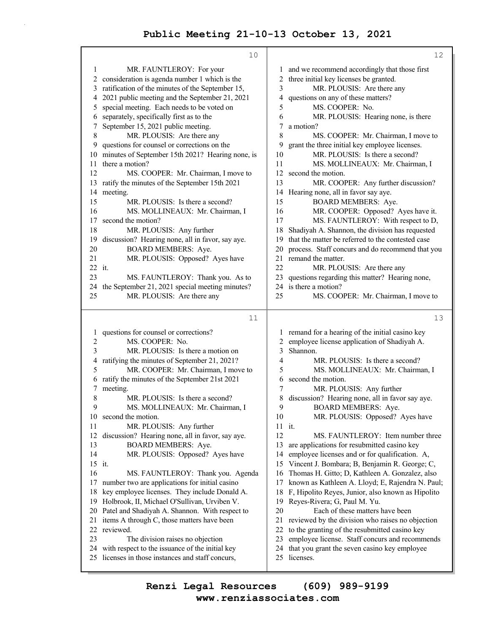| $\mathbf{1}$<br>MR. FAUNTLEROY: For your<br>and we recommend accordingly that those first<br>1<br>consideration is agenda number 1 which is the<br>three initial key licenses be granted.<br>2<br>$\overline{2}$<br>ratification of the minutes of the September 15,<br>3<br>MR. PLOUSIS: Are there any<br>3<br>2021 public meeting and the September 21, 2021<br>questions on any of these matters?<br>4<br>4<br>5<br>special meeting. Each needs to be voted on<br>MS. COOPER: No.<br>5<br>separately, specifically first as to the<br>6<br>MR. PLOUSIS: Hearing none, is there<br>6<br>September 15, 2021 public meeting.<br>7<br>a motion?<br>7<br>8<br>8<br>MR. PLOUSIS: Are there any<br>MS. COOPER: Mr. Chairman, I move to<br>questions for counsel or corrections on the<br>9<br>grant the three initial key employee licenses.<br>9<br>MR. PLOUSIS: Is there a second?<br>10<br>minutes of September 15th 2021? Hearing none, is<br>10<br>there a motion?<br>11<br>MS. MOLLINEAUX: Mr. Chairman, I<br>11<br>12<br>12<br>MS. COOPER: Mr. Chairman, I move to<br>second the motion. |    |
|---------------------------------------------------------------------------------------------------------------------------------------------------------------------------------------------------------------------------------------------------------------------------------------------------------------------------------------------------------------------------------------------------------------------------------------------------------------------------------------------------------------------------------------------------------------------------------------------------------------------------------------------------------------------------------------------------------------------------------------------------------------------------------------------------------------------------------------------------------------------------------------------------------------------------------------------------------------------------------------------------------------------------------------------------------------------------------------------|----|
|                                                                                                                                                                                                                                                                                                                                                                                                                                                                                                                                                                                                                                                                                                                                                                                                                                                                                                                                                                                                                                                                                             |    |
|                                                                                                                                                                                                                                                                                                                                                                                                                                                                                                                                                                                                                                                                                                                                                                                                                                                                                                                                                                                                                                                                                             |    |
|                                                                                                                                                                                                                                                                                                                                                                                                                                                                                                                                                                                                                                                                                                                                                                                                                                                                                                                                                                                                                                                                                             |    |
|                                                                                                                                                                                                                                                                                                                                                                                                                                                                                                                                                                                                                                                                                                                                                                                                                                                                                                                                                                                                                                                                                             |    |
|                                                                                                                                                                                                                                                                                                                                                                                                                                                                                                                                                                                                                                                                                                                                                                                                                                                                                                                                                                                                                                                                                             |    |
|                                                                                                                                                                                                                                                                                                                                                                                                                                                                                                                                                                                                                                                                                                                                                                                                                                                                                                                                                                                                                                                                                             |    |
|                                                                                                                                                                                                                                                                                                                                                                                                                                                                                                                                                                                                                                                                                                                                                                                                                                                                                                                                                                                                                                                                                             |    |
|                                                                                                                                                                                                                                                                                                                                                                                                                                                                                                                                                                                                                                                                                                                                                                                                                                                                                                                                                                                                                                                                                             |    |
|                                                                                                                                                                                                                                                                                                                                                                                                                                                                                                                                                                                                                                                                                                                                                                                                                                                                                                                                                                                                                                                                                             |    |
|                                                                                                                                                                                                                                                                                                                                                                                                                                                                                                                                                                                                                                                                                                                                                                                                                                                                                                                                                                                                                                                                                             |    |
|                                                                                                                                                                                                                                                                                                                                                                                                                                                                                                                                                                                                                                                                                                                                                                                                                                                                                                                                                                                                                                                                                             |    |
| 13                                                                                                                                                                                                                                                                                                                                                                                                                                                                                                                                                                                                                                                                                                                                                                                                                                                                                                                                                                                                                                                                                          |    |
| ratify the minutes of the September 15th 2021<br>MR. COOPER: Any further discussion?<br>13<br>Hearing none, all in favor say aye.<br>14<br>meeting.<br>14                                                                                                                                                                                                                                                                                                                                                                                                                                                                                                                                                                                                                                                                                                                                                                                                                                                                                                                                   |    |
| <b>BOARD MEMBERS: Aye.</b><br>15<br>MR. PLOUSIS: Is there a second?<br>15                                                                                                                                                                                                                                                                                                                                                                                                                                                                                                                                                                                                                                                                                                                                                                                                                                                                                                                                                                                                                   |    |
| 16<br>MS. MOLLINEAUX: Mr. Chairman, I<br>MR. COOPER: Opposed? Ayes have it.<br>16                                                                                                                                                                                                                                                                                                                                                                                                                                                                                                                                                                                                                                                                                                                                                                                                                                                                                                                                                                                                           |    |
| second the motion?<br>MS. FAUNTLEROY: With respect to D,<br>17<br>17                                                                                                                                                                                                                                                                                                                                                                                                                                                                                                                                                                                                                                                                                                                                                                                                                                                                                                                                                                                                                        |    |
| Shadiyah A. Shannon, the division has requested<br>18<br>MR. PLOUSIS: Any further<br>18                                                                                                                                                                                                                                                                                                                                                                                                                                                                                                                                                                                                                                                                                                                                                                                                                                                                                                                                                                                                     |    |
| discussion? Hearing none, all in favor, say aye.<br>that the matter be referred to the contested case<br>19<br>19                                                                                                                                                                                                                                                                                                                                                                                                                                                                                                                                                                                                                                                                                                                                                                                                                                                                                                                                                                           |    |
| <b>BOARD MEMBERS: Aye.</b><br>20<br>20<br>process. Staff concurs and do recommend that you                                                                                                                                                                                                                                                                                                                                                                                                                                                                                                                                                                                                                                                                                                                                                                                                                                                                                                                                                                                                  |    |
| MR. PLOUSIS: Opposed? Ayes have<br>remand the matter.<br>21<br>21                                                                                                                                                                                                                                                                                                                                                                                                                                                                                                                                                                                                                                                                                                                                                                                                                                                                                                                                                                                                                           |    |
| 22 it.<br>22<br>MR. PLOUSIS: Are there any                                                                                                                                                                                                                                                                                                                                                                                                                                                                                                                                                                                                                                                                                                                                                                                                                                                                                                                                                                                                                                                  |    |
| questions regarding this matter? Hearing none,<br>23<br>MS. FAUNTLEROY: Thank you. As to<br>23                                                                                                                                                                                                                                                                                                                                                                                                                                                                                                                                                                                                                                                                                                                                                                                                                                                                                                                                                                                              |    |
| is there a motion?<br>the September 21, 2021 special meeting minutes?<br>24<br>24                                                                                                                                                                                                                                                                                                                                                                                                                                                                                                                                                                                                                                                                                                                                                                                                                                                                                                                                                                                                           |    |
| MR. PLOUSIS: Are there any<br>25<br>25<br>MS. COOPER: Mr. Chairman, I move to                                                                                                                                                                                                                                                                                                                                                                                                                                                                                                                                                                                                                                                                                                                                                                                                                                                                                                                                                                                                               |    |
| 11                                                                                                                                                                                                                                                                                                                                                                                                                                                                                                                                                                                                                                                                                                                                                                                                                                                                                                                                                                                                                                                                                          | 13 |
| questions for counsel or corrections?                                                                                                                                                                                                                                                                                                                                                                                                                                                                                                                                                                                                                                                                                                                                                                                                                                                                                                                                                                                                                                                       |    |
| remand for a hearing of the initial casino key<br>1<br>1<br>$\overline{c}$<br>MS. COOPER: No.<br>employee license application of Shadiyah A.<br>2                                                                                                                                                                                                                                                                                                                                                                                                                                                                                                                                                                                                                                                                                                                                                                                                                                                                                                                                           |    |
| 3<br>MR. PLOUSIS: Is there a motion on<br>3<br>Shannon.                                                                                                                                                                                                                                                                                                                                                                                                                                                                                                                                                                                                                                                                                                                                                                                                                                                                                                                                                                                                                                     |    |
| ratifying the minutes of September 21, 2021?<br>$\overline{4}$<br>MR. PLOUSIS: Is there a second?<br>4                                                                                                                                                                                                                                                                                                                                                                                                                                                                                                                                                                                                                                                                                                                                                                                                                                                                                                                                                                                      |    |
| 5<br>MR. COOPER: Mr. Chairman, I move to<br>5<br>MS. MOLLINEAUX: Mr. Chairman, I                                                                                                                                                                                                                                                                                                                                                                                                                                                                                                                                                                                                                                                                                                                                                                                                                                                                                                                                                                                                            |    |
| ratify the minutes of the September 21st 2021<br>second the motion.<br>6<br>6                                                                                                                                                                                                                                                                                                                                                                                                                                                                                                                                                                                                                                                                                                                                                                                                                                                                                                                                                                                                               |    |
| 7<br>meeting.<br>MR. PLOUSIS: Any further<br>7                                                                                                                                                                                                                                                                                                                                                                                                                                                                                                                                                                                                                                                                                                                                                                                                                                                                                                                                                                                                                                              |    |
| 8<br>MR. PLOUSIS: Is there a second?<br>discussion? Hearing none, all in favor say aye.<br>8                                                                                                                                                                                                                                                                                                                                                                                                                                                                                                                                                                                                                                                                                                                                                                                                                                                                                                                                                                                                |    |
| 9<br>MS. MOLLINEAUX: Mr. Chairman, I<br>9<br><b>BOARD MEMBERS: Aye.</b>                                                                                                                                                                                                                                                                                                                                                                                                                                                                                                                                                                                                                                                                                                                                                                                                                                                                                                                                                                                                                     |    |
| 10<br>MR. PLOUSIS: Opposed? Ayes have<br>10<br>second the motion.                                                                                                                                                                                                                                                                                                                                                                                                                                                                                                                                                                                                                                                                                                                                                                                                                                                                                                                                                                                                                           |    |
| 11<br>MR. PLOUSIS: Any further<br>11 it.                                                                                                                                                                                                                                                                                                                                                                                                                                                                                                                                                                                                                                                                                                                                                                                                                                                                                                                                                                                                                                                    |    |
| 12<br>12<br>discussion? Hearing none, all in favor, say aye.<br>MS. FAUNTLEROY: Item number three                                                                                                                                                                                                                                                                                                                                                                                                                                                                                                                                                                                                                                                                                                                                                                                                                                                                                                                                                                                           |    |
| 13<br>BOARD MEMBERS: Aye.<br>13<br>are applications for resubmitted casino key                                                                                                                                                                                                                                                                                                                                                                                                                                                                                                                                                                                                                                                                                                                                                                                                                                                                                                                                                                                                              |    |
| 14<br>MR. PLOUSIS: Opposed? Ayes have<br>employee licenses and or for qualification. A,<br>14                                                                                                                                                                                                                                                                                                                                                                                                                                                                                                                                                                                                                                                                                                                                                                                                                                                                                                                                                                                               |    |
| 15 it.<br>Vincent J. Bombara; B, Benjamin R. George; C,<br>15                                                                                                                                                                                                                                                                                                                                                                                                                                                                                                                                                                                                                                                                                                                                                                                                                                                                                                                                                                                                                               |    |
| 16<br>MS. FAUNTLEROY: Thank you. Agenda<br>Thomas H. Gitto; D, Kathleen A. Gonzalez, also<br>16                                                                                                                                                                                                                                                                                                                                                                                                                                                                                                                                                                                                                                                                                                                                                                                                                                                                                                                                                                                             |    |
| 17<br>number two are applications for initial casino<br>known as Kathleen A. Lloyd; E, Rajendra N. Paul;<br>17<br>key employee licenses. They include Donald A.<br>18<br>F, Hipolito Reyes, Junior, also known as Hipolito<br>18                                                                                                                                                                                                                                                                                                                                                                                                                                                                                                                                                                                                                                                                                                                                                                                                                                                            |    |
| 19 Holbrook, II, Michael O'Sullivan, Urviben V.<br>19<br>Reyes-Rivera; G, Paul M. Yu.                                                                                                                                                                                                                                                                                                                                                                                                                                                                                                                                                                                                                                                                                                                                                                                                                                                                                                                                                                                                       |    |
| 20<br>Each of these matters have been<br>20 Patel and Shadiyah A. Shannon. With respect to                                                                                                                                                                                                                                                                                                                                                                                                                                                                                                                                                                                                                                                                                                                                                                                                                                                                                                                                                                                                  |    |
| items A through C, those matters have been<br>21<br>reviewed by the division who raises no objection<br>21                                                                                                                                                                                                                                                                                                                                                                                                                                                                                                                                                                                                                                                                                                                                                                                                                                                                                                                                                                                  |    |
| 22 reviewed.<br>22<br>to the granting of the resubmitted casino key                                                                                                                                                                                                                                                                                                                                                                                                                                                                                                                                                                                                                                                                                                                                                                                                                                                                                                                                                                                                                         |    |
|                                                                                                                                                                                                                                                                                                                                                                                                                                                                                                                                                                                                                                                                                                                                                                                                                                                                                                                                                                                                                                                                                             |    |
| 23<br>23                                                                                                                                                                                                                                                                                                                                                                                                                                                                                                                                                                                                                                                                                                                                                                                                                                                                                                                                                                                                                                                                                    |    |
| The division raises no objection<br>employee license. Staff concurs and recommends<br>24 with respect to the issuance of the initial key<br>24<br>that you grant the seven casino key employee                                                                                                                                                                                                                                                                                                                                                                                                                                                                                                                                                                                                                                                                                                                                                                                                                                                                                              |    |

**www.renziassociates.com Renzi Legal Resources (609) 989-9199**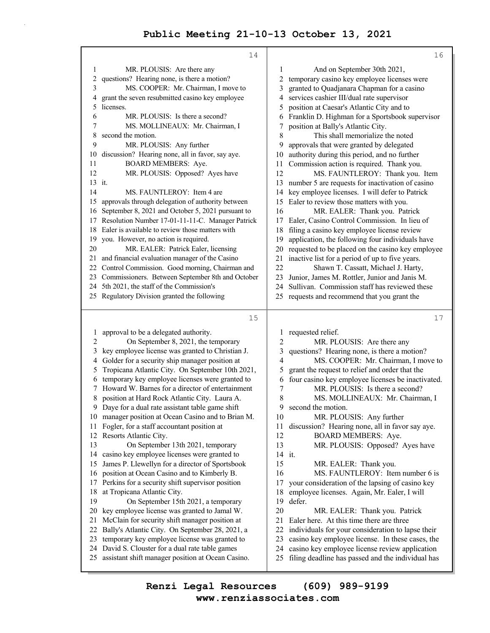|          | 14                                                                                                  |                     | 16                                                                                                  |
|----------|-----------------------------------------------------------------------------------------------------|---------------------|-----------------------------------------------------------------------------------------------------|
| 1        | MR. PLOUSIS: Are there any                                                                          | 1                   | And on September 30th 2021,                                                                         |
| 2        | questions? Hearing none, is there a motion?                                                         | 2                   | temporary casino key employee licenses were                                                         |
| 3        | MS. COOPER: Mr. Chairman, I move to                                                                 | 3                   | granted to Quadjanara Chapman for a casino                                                          |
| 4        | grant the seven resubmitted casino key employee                                                     | 4                   | services cashier III/dual rate supervisor                                                           |
| 5        | licenses.                                                                                           | 5                   | position at Caesar's Atlantic City and to                                                           |
| 6        | MR. PLOUSIS: Is there a second?                                                                     | 6                   | Franklin D. Highman for a Sportsbook supervisor                                                     |
| 7        | MS. MOLLINEAUX: Mr. Chairman, I                                                                     | 7                   | position at Bally's Atlantic City.                                                                  |
| 8        | second the motion.                                                                                  | 8                   | This shall memorialize the noted                                                                    |
| 9        | MR. PLOUSIS: Any further                                                                            | 9                   | approvals that were granted by delegated                                                            |
| 10       | discussion? Hearing none, all in favor, say aye.                                                    | 10                  | authority during this period, and no further                                                        |
| 11       | <b>BOARD MEMBERS: Aye.</b>                                                                          | 11                  | Commission action is required. Thank you.                                                           |
| 12       | MR. PLOUSIS: Opposed? Ayes have                                                                     | 12                  | MS. FAUNTLEROY: Thank you. Item                                                                     |
| 13 it.   |                                                                                                     | 13                  | number 5 are requests for inactivation of casino                                                    |
| 14       | MS. FAUNTLEROY: Item 4 are                                                                          | 14                  | key employee licenses. I will defer to Patrick                                                      |
| 15       | approvals through delegation of authority between                                                   | 15                  | Ealer to review those matters with you.                                                             |
| 16       | September 8, 2021 and October 5, 2021 pursuant to                                                   | 16                  | MR. EALER: Thank you. Patrick                                                                       |
| 17       | Resolution Number 17-01-11-11-C. Manager Patrick                                                    | 17                  | Ealer, Casino Control Commission. In lieu of                                                        |
|          | 18 Ealer is available to review those matters with                                                  | 18                  | filing a casino key employee license review                                                         |
|          | 19 you. However, no action is required.                                                             | 19                  | application, the following four individuals have                                                    |
| 20       | MR. EALER: Patrick Ealer, licensing                                                                 | 20                  | requested to be placed on the casino key employee                                                   |
| 21       | and financial evaluation manager of the Casino                                                      | 21                  | inactive list for a period of up to five years.                                                     |
|          | 22 Control Commission. Good morning, Chairman and                                                   | 22                  | Shawn T. Cassatt, Michael J. Harty,                                                                 |
|          | 23 Commissioners. Between September 8th and October<br>24 5th 2021, the staff of the Commission's   | 23                  | Junior, James M. Rottler, Junior and Janis M.<br>Sullivan. Commission staff has reviewed these      |
|          | 25 Regulatory Division granted the following                                                        | 24<br>25            |                                                                                                     |
|          |                                                                                                     |                     | requests and recommend that you grant the                                                           |
|          | 15                                                                                                  |                     | 17                                                                                                  |
|          |                                                                                                     |                     |                                                                                                     |
|          |                                                                                                     |                     |                                                                                                     |
| 1        | approval to be a delegated authority.                                                               |                     | 1 requested relief.                                                                                 |
| 2        | On September 8, 2021, the temporary                                                                 | 2                   | MR. PLOUSIS: Are there any                                                                          |
| 3        | key employee license was granted to Christian J.                                                    | 3<br>$\overline{4}$ | questions? Hearing none, is there a motion?                                                         |
| 4<br>5   | Golder for a security ship manager position at                                                      | 5                   | MS. COOPER: Mr. Chairman, I move to                                                                 |
| 6        | Tropicana Atlantic City. On September 10th 2021,                                                    | 6                   | grant the request to relief and order that the                                                      |
| 7        | temporary key employee licenses were granted to<br>Howard W. Barnes for a director of entertainment | 7                   | four casino key employee licenses be inactivated.<br>MR. PLOUSIS: Is there a second?                |
|          | 8 position at Hard Rock Atlantic City. Laura A.                                                     | 8                   | MS. MOLLINEAUX: Mr. Chairman, I                                                                     |
|          | 9 Daye for a dual rate assistant table game shift                                                   | 9                   | second the motion.                                                                                  |
|          | 10 manager position at Ocean Casino and to Brian M.                                                 | 10                  | MR. PLOUSIS: Any further                                                                            |
| 11       | Fogler, for a staff accountant position at                                                          | 11                  | discussion? Hearing none, all in favor say aye.                                                     |
|          | 12 Resorts Atlantic City.                                                                           | 12                  | BOARD MEMBERS: Aye.                                                                                 |
| 13       | On September 13th 2021, temporary                                                                   | 13                  | MR. PLOUSIS: Opposed? Ayes have                                                                     |
| 14       | casino key employee licenses were granted to                                                        | 14 it.              |                                                                                                     |
| 15       | James P. Llewellyn for a director of Sportsbook                                                     | 15                  | MR. EALER: Thank you.                                                                               |
| 16       | position at Ocean Casino and to Kimberly B.                                                         | 16                  | MS. FAUNTLEROY: Item number 6 is                                                                    |
| 17       | Perkins for a security shift supervisor position                                                    | 17                  | your consideration of the lapsing of casino key                                                     |
| 18       | at Tropicana Atlantic City.                                                                         | 18                  | employee licenses. Again, Mr. Ealer, I will                                                         |
| 19       | On September 15th 2021, a temporary                                                                 | 19                  | defer.                                                                                              |
| 20       | key employee license was granted to Jamal W.                                                        | 20                  | MR. EALER: Thank you. Patrick                                                                       |
| 21       | McClain for security shift manager position at                                                      | 21                  | Ealer here. At this time there are three                                                            |
| 22       | Bally's Atlantic City. On September 28, 2021, a                                                     | 22                  | individuals for your consideration to lapse their                                                   |
| 23       | temporary key employee license was granted to                                                       | 23                  | casino key employee license. In these cases, the                                                    |
| 24<br>25 | David S. Clouster for a dual rate table games<br>assistant shift manager position at Ocean Casino.  | 24<br>25            | casino key employee license review application<br>filing deadline has passed and the individual has |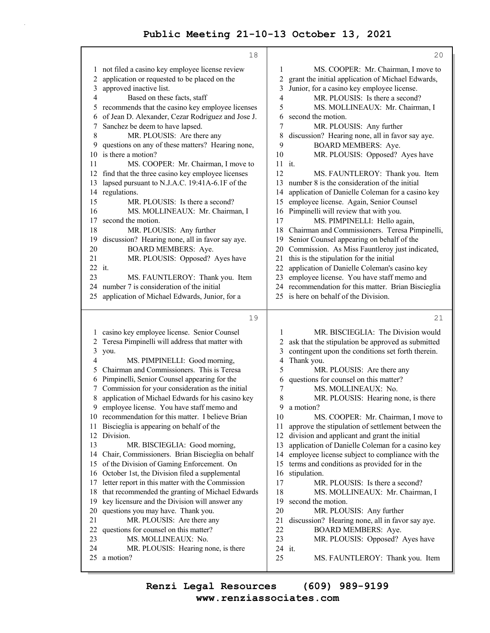|    | 18                                                 |    | 20                                                  |
|----|----------------------------------------------------|----|-----------------------------------------------------|
| 1  | not filed a casino key employee license review     | 1  | MS. COOPER: Mr. Chairman, I move to                 |
| 2  | application or requested to be placed on the       | 2  | grant the initial application of Michael Edwards,   |
| 3  | approved inactive list.                            | 3  | Junior, for a casino key employee license.          |
| 4  | Based on these facts, staff                        | 4  | MR. PLOUSIS: Is there a second?                     |
| 5  | recommends that the casino key employee licenses   | 5  | MS. MOLLINEAUX: Mr. Chairman, I                     |
| 6  | of Jean D. Alexander, Cezar Rodriguez and Jose J.  | 6  | second the motion.                                  |
| 7  | Sanchez be deem to have lapsed.                    | 7  | MR. PLOUSIS: Any further                            |
| 8  | MR. PLOUSIS: Are there any                         | 8  | discussion? Hearing none, all in favor say aye.     |
| 9  | questions on any of these matters? Hearing none,   | 9  | <b>BOARD MEMBERS: Aye.</b>                          |
| 10 | is there a motion?                                 | 10 | MR. PLOUSIS: Opposed? Ayes have                     |
| 11 | MS. COOPER: Mr. Chairman, I move to                |    | 11 it.                                              |
| 12 | find that the three casino key employee licenses   | 12 | MS. FAUNTLEROY: Thank you. Item                     |
| 13 | lapsed pursuant to N.J.A.C. 19:41A-6.1F of the     | 13 | number 8 is the consideration of the initial        |
| 14 | regulations.                                       | 14 | application of Danielle Coleman for a casino key    |
| 15 | MR. PLOUSIS: Is there a second?                    | 15 | employee license. Again, Senior Counsel             |
| 16 | MS. MOLLINEAUX: Mr. Chairman, I                    | 16 | Pimpinelli will review that with you.               |
| 17 | second the motion.                                 | 17 | MS. PIMPINELLI: Hello again,                        |
| 18 | MR. PLOUSIS: Any further                           |    | 18 Chairman and Commissioners. Teresa Pimpinelli,   |
| 19 | discussion? Hearing none, all in favor say aye.    | 19 | Senior Counsel appearing on behalf of the           |
| 20 | <b>BOARD MEMBERS: Aye.</b>                         | 20 | Commission. As Miss Fauntleroy just indicated,      |
| 21 | MR. PLOUSIS: Opposed? Ayes have                    | 21 | this is the stipulation for the initial             |
|    | 22 it.                                             | 22 | application of Danielle Coleman's casino key        |
| 23 | MS. FAUNTLEROY: Thank you. Item                    | 23 | employee license. You have staff memo and           |
| 24 | number 7 is consideration of the initial           |    | 24 recommendation for this matter. Brian Biscieglia |
| 25 | application of Michael Edwards, Junior, for a      |    | 25 is here on behalf of the Division.               |
|    |                                                    |    |                                                     |
|    | 19                                                 |    | 21                                                  |
| 1  | casino key employee license. Senior Counsel        | 1  |                                                     |
|    |                                                    |    | MR. BISCIEGLIA: The Division would                  |
| 2  | Teresa Pimpinelli will address that matter with    | 2  | ask that the stipulation be approved as submitted   |
| 3  | you.                                               | 3  | contingent upon the conditions set forth therein.   |
| 4  | MS. PIMPINELLI: Good morning,                      | 4  | Thank you.                                          |
| 5  | Chairman and Commissioners. This is Teresa         | 5  | MR. PLOUSIS: Are there any                          |
| 6  | Pimpinelli, Senior Counsel appearing for the       | 6  | questions for counsel on this matter?               |
| 7  | Commission for your consideration as the initial   | 7  | MS. MOLLINEAUX: No.                                 |
| 8  | application of Michael Edwards for his casino key  | 8  | MR. PLOUSIS: Hearing none, is there                 |
| 9  | employee license. You have staff memo and          | 9  | a motion?                                           |
|    | 10 recommendation for this matter. I believe Brian | 10 | MS. COOPER: Mr. Chairman, I move to                 |
| 11 | Biscieglia is appearing on behalf of the           | 11 | approve the stipulation of settlement between the   |
| 12 | Division.                                          | 12 | division and applicant and grant the initial        |
| 13 | MR. BISCIEGLIA: Good morning,                      | 13 | application of Danielle Coleman for a casino key    |
| 14 | Chair, Commissioners. Brian Biscieglia on behalf   | 14 | employee license subject to compliance with the     |
| 15 | of the Division of Gaming Enforcement. On          | 15 | terms and conditions as provided for in the         |
| 16 | October 1st, the Division filed a supplemental     | 16 | stipulation.                                        |
| 17 | letter report in this matter with the Commission   | 17 | MR. PLOUSIS: Is there a second?                     |
| 18 | that recommended the granting of Michael Edwards   | 18 | MS. MOLLINEAUX: Mr. Chairman, I                     |
| 19 | key licensure and the Division will answer any     | 19 | second the motion.                                  |
| 20 | questions you may have. Thank you.                 | 20 | MR. PLOUSIS: Any further                            |
| 21 | MR. PLOUSIS: Are there any                         | 21 | discussion? Hearing none, all in favor say aye.     |
| 22 | questions for counsel on this matter?              | 22 | <b>BOARD MEMBERS: Aye.</b>                          |
| 23 | MS. MOLLINEAUX: No.                                | 23 | MR. PLOUSIS: Opposed? Ayes have                     |
| 24 | MR. PLOUSIS: Hearing none, is there                |    | 24 it.                                              |
| 25 | a motion?                                          | 25 | MS. FAUNTLEROY: Thank you. Item                     |

**www.renziassociates.com Renzi Legal Resources (609) 989-9199**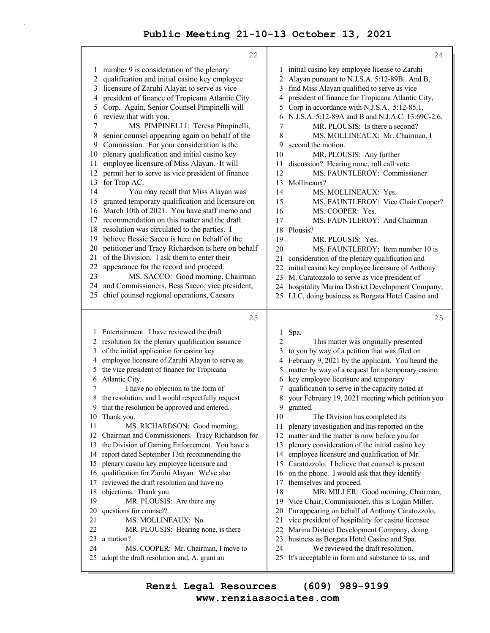|          | 22                                                                                              |          | 24                                                                                      |
|----------|-------------------------------------------------------------------------------------------------|----------|-----------------------------------------------------------------------------------------|
| 1        | number 9 is consideration of the plenary                                                        | 1        | initial casino key employee license to Zaruhi                                           |
| 2        | qualification and initial casino key employee                                                   | 2        | Alayan pursuant to N.J.S.A. 5:12-89B. And B,                                            |
| 3        | licensure of Zaruhi Alayan to serve as vice                                                     | 3        | find Miss Alayan qualified to serve as vice                                             |
| 4        | president of finance of Tropicana Atlantic City                                                 | 4        | president of finance for Tropicana Atlantic City,                                       |
| 5        | Corp. Again, Senior Counsel Pimpinelli will                                                     | 5        | Corp in accordance with N.J.S.A. 5:12-85.1,                                             |
| 6        | review that with you.                                                                           | 6        | N.J.S.A. 5:12-89A and B and N.J.A.C. 13:69C-2.6.                                        |
| 7        | MS. PIMPINELLI: Teresa Pimpinelli,                                                              | 7        | MR. PLOUSIS: Is there a second?                                                         |
| 8        | senior counsel appearing again on behalf of the                                                 | 8        | MS. MOLLINEAUX: Mr. Chairman, I                                                         |
| 9        | Commission. For your consideration is the                                                       | 9        | second the motion.                                                                      |
| 10       | plenary qualification and initial casino key                                                    | 10       | MR. PLOUSIS: Any further                                                                |
| 11       | employee licensure of Miss Alayan. It will                                                      | 11       | discussion? Hearing none, roll call vote.                                               |
| 12       | permit her to serve as vice president of finance                                                | 12       | MS. FAUNTLEROY: Commissioner                                                            |
| 13       | for Trop AC.                                                                                    | 13       | Mollineaux?                                                                             |
| 14       | You may recall that Miss Alayan was                                                             | 14       | MS. MOLLINEAUX: Yes.                                                                    |
| 15<br>16 | granted temporary qualification and licensure on<br>March 10th of 2021. You have staff memo and | 15<br>16 | MS. FAUNTLEROY: Vice Chair Cooper?                                                      |
| 17       | recommendation on this matter and the draft                                                     | 17       | MS. COOPER: Yes.<br>MS. FAUNTLEROY: And Chairman                                        |
| 18       | resolution was circulated to the parties. I                                                     | 18       | Plousis?                                                                                |
| 19       | believe Bessie Sacco is here on behalf of the                                                   | 19       | MR. PLOUSIS: Yes.                                                                       |
| 20       | petitioner and Tracy Richardson is here on behalf                                               | 20       | MS. FAUNTLEROY: Item number 10 is                                                       |
| 21       | of the Division. I ask them to enter their                                                      | 21       | consideration of the plenary qualification and                                          |
| 22       | appearance for the record and proceed.                                                          | 22       | initial casino key employee licensure of Anthony                                        |
| 23       | MS. SACCO: Good morning, Chairman                                                               | 23       | M. Caratozzolo to serve as vice president of                                            |
| 24       | and Commissioners, Bess Sacco, vice president,                                                  | 24       | hospitality Marina District Development Company,                                        |
| 25       | chief counsel regional operations, Caesars                                                      | 25       | LLC, doing business as Borgata Hotel Casino and                                         |
|          |                                                                                                 |          |                                                                                         |
|          |                                                                                                 |          |                                                                                         |
|          | 23                                                                                              |          | 25                                                                                      |
|          | 1 Entertainment. I have reviewed the draft                                                      | 1        | Spa.                                                                                    |
|          | 2 resolution for the plenary qualification issuance                                             | 2        | This matter was originally presented                                                    |
| 3        | of the initial application for casino key                                                       | 3        | to you by way of a petition that was filed on                                           |
| 4        | employee licensure of Zaruhi Alayan to serve as                                                 | 4        | February 9, 2021 by the applicant. You heard the                                        |
| 5        | the vice president of finance for Tropicana                                                     | 5        | matter by way of a request for a temporary casino                                       |
| 6        | Atlantic City.                                                                                  | 6        | key employee licensure and temporary                                                    |
| 7        | I have no objection to the form of                                                              | 7        | qualification to serve in the capacity noted at                                         |
| 8        | the resolution, and I would respectfully request                                                | 8        | your February 19, 2021 meeting which petition you                                       |
| 9        | that the resolution be approved and entered.                                                    | 9        | granted.                                                                                |
| 10       | Thank you.                                                                                      | 10       | The Division has completed its                                                          |
| 11       | MS. RICHARDSON: Good morning,                                                                   | 11       | plenary investigation and has reported on the                                           |
| 12       | Chairman and Commissioners. Tracy Richardson for                                                | 12       | matter and the matter is now before you for                                             |
| 13       | the Division of Gaming Enforcement. You have a                                                  | 13       | plenary consideration of the initial casino key                                         |
| 14       | report dated September 13th recommending the                                                    | 14       | employee licensure and qualification of Mr.                                             |
| 15       | plenary casino key employee licensure and                                                       | 15       | Caratozzolo. I believe that counsel is present                                          |
| 16       | qualification for Zaruhi Alayan. We've also                                                     | 16       | on the phone. I would ask that they identify                                            |
| 17       | reviewed the draft resolution and have no                                                       | 17       | themselves and proceed.                                                                 |
| 18       | objections. Thank you.                                                                          | 18       | MR. MILLER: Good morning, Chairman,                                                     |
| 19       | MR. PLOUSIS: Are there any                                                                      | 19<br>20 | Vice Chair, Commissioner, this is Logan Miller.                                         |
| 20<br>21 | questions for counsel?<br>MS. MOLLINEAUX: No.                                                   | 21       | I'm appearing on behalf of Anthony Caratozzolo,                                         |
| 22       | MR. PLOUSIS: Hearing none, is there                                                             | 22       | vice president of hospitality for casino licensee                                       |
| 23       | a motion?                                                                                       | 23       | Marina District Development Company, doing<br>business as Borgata Hotel Casino and Spa. |
| 24       | MS. COOPER: Mr. Chairman, I move to                                                             | 24       | We reviewed the draft resolution.                                                       |
| 25       | adopt the draft resolution and, A, grant an                                                     | 25       | It's acceptable in form and substance to us, and                                        |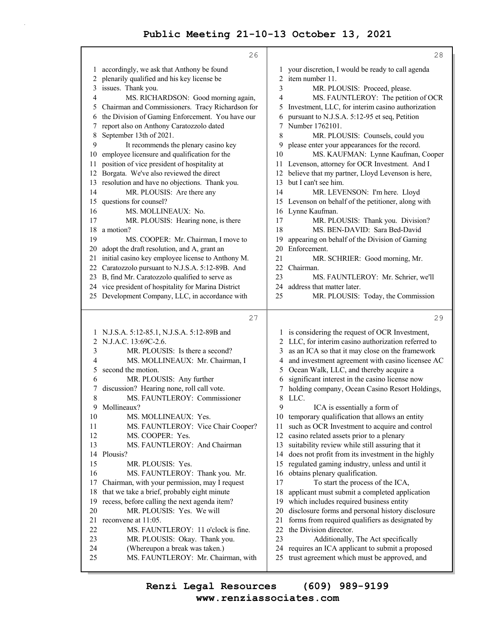|        | 26                                                                    |          | 28                                                                                               |
|--------|-----------------------------------------------------------------------|----------|--------------------------------------------------------------------------------------------------|
| 1      | accordingly, we ask that Anthony be found                             | 1        | your discretion, I would be ready to call agenda                                                 |
| 2      | plenarily qualified and his key license be                            | 2        | item number 11.                                                                                  |
| 3      | issues. Thank you.                                                    | 3        | MR. PLOUSIS: Proceed, please.                                                                    |
| 4      | MS. RICHARDSON: Good morning again,                                   | 4        | MS. FAUNTLEROY: The petition of OCR                                                              |
| 5      | Chairman and Commissioners. Tracy Richardson for                      | 5        | Investment, LLC, for interim casino authorization                                                |
| 6      | the Division of Gaming Enforcement. You have our                      |          | pursuant to N.J.S.A. 5:12-95 et seq, Petition                                                    |
| 7      | report also on Anthony Caratozzolo dated                              | 7        | Number 1762101.                                                                                  |
| 8      | September 13th of 2021.                                               | 8        | MR. PLOUSIS: Counsels, could you                                                                 |
| 9      | It recommends the plenary casino key                                  | 9        | please enter your appearances for the record.                                                    |
| 10     | employee licensure and qualification for the                          | 10       | MS. KAUFMAN: Lynne Kaufman, Cooper                                                               |
| 11     | position of vice president of hospitality at                          | 11       | Levenson, attorney for OCR Investment. And I                                                     |
| 12     | Borgata. We've also reviewed the direct                               | 12       | believe that my partner, Lloyd Levenson is here,                                                 |
| 13     | resolution and have no objections. Thank you.                         | 13       | but I can't see him.                                                                             |
| 14     | MR. PLOUSIS: Are there any                                            | 14       | MR. LEVENSON: I'm here. Lloyd                                                                    |
| 15     | questions for counsel?                                                |          | 15 Levenson on behalf of the petitioner, along with                                              |
| 16     | MS. MOLLINEAUX: No.                                                   |          | 16 Lynne Kaufman.                                                                                |
| 17     | MR. PLOUSIS: Hearing none, is there                                   | 17       | MR. PLOUSIS: Thank you. Division?                                                                |
| 18     | a motion?                                                             | 18       | MS. BEN-DAVID: Sara Bed-David                                                                    |
| 19     | MS. COOPER: Mr. Chairman, I move to                                   | 19       | appearing on behalf of the Division of Gaming                                                    |
| 20     | adopt the draft resolution, and A, grant an                           | 20       | Enforcement.                                                                                     |
|        | 21 initial casino key employee license to Anthony M.                  | 21       | MR. SCHRIER: Good morning, Mr.                                                                   |
|        | 22 Caratozzolo pursuant to N.J.S.A. 5:12-89B. And                     | 22       | Chairman.                                                                                        |
|        | 23 B, find Mr. Caratozzolo qualified to serve as                      | 23       | MS. FAUNTLEROY: Mr. Schrier, we'll                                                               |
|        | 24 vice president of hospitality for Marina District                  | 24       | address that matter later.                                                                       |
|        | 25 Development Company, LLC, in accordance with                       | 25       | MR. PLOUSIS: Today, the Commission                                                               |
|        | 27                                                                    |          | 29                                                                                               |
|        |                                                                       |          |                                                                                                  |
|        | N.J.S.A. 5:12-85.1, N.J.S.A. 5:12-89B and                             |          | 1 is considering the request of OCR Investment,                                                  |
| 2      | N.J.A.C. 13:69C-2.6.                                                  | 2        | LLC, for interim casino authorization referred to                                                |
| 3      | MR. PLOUSIS: Is there a second?                                       | 3        | as an ICA so that it may close on the framework                                                  |
| 4      | MS. MOLLINEAUX: Mr. Chairman, I                                       | 4        | and investment agreement with casino licensee AC                                                 |
| 5      | second the motion.                                                    | 5        | Ocean Walk, LLC, and thereby acquire a                                                           |
| 6      | MR. PLOUSIS: Any further<br>discussion? Hearing none, roll call vote. |          | significant interest in the casino license now<br>holding company, Ocean Casino Resort Holdings, |
| 7<br>8 | MS. FAUNTLEROY: Commissioner                                          | 7<br>8   | LLC.                                                                                             |
|        | 9 Mollineaux?                                                         | 9        | ICA is essentially a form of                                                                     |
| 10     | MS. MOLLINEAUX: Yes.                                                  |          | 10 temporary qualification that allows an entity                                                 |
| 11     | MS. FAUNTLEROY: Vice Chair Cooper?                                    | 11       | such as OCR Investment to acquire and control                                                    |
| 12     | MS. COOPER: Yes.                                                      | 12       | casino related assets prior to a plenary                                                         |
| 13     | MS. FAUNTLEROY: And Chairman                                          | 13       | suitability review while still assuring that it                                                  |
| 14     | Plousis?                                                              | 14       | does not profit from its investment in the highly                                                |
| 15     | MR. PLOUSIS: Yes.                                                     | 15       | regulated gaming industry, unless and until it                                                   |
| 16     | MS. FAUNTLEROY: Thank you. Mr.                                        | 16       | obtains plenary qualification.                                                                   |
| 17     | Chairman, with your permission, may I request                         | 17       | To start the process of the ICA,                                                                 |
| 18     | that we take a brief, probably eight minute                           | 18       | applicant must submit a completed application                                                    |
| 19     | recess, before calling the next agenda item?                          | 19       | which includes required business entity                                                          |
| 20     | MR. PLOUSIS: Yes. We will                                             | 20       | disclosure forms and personal history disclosure                                                 |
| 21     | reconvene at 11:05.                                                   | 21       | forms from required qualifiers as designated by                                                  |
| 22     | MS. FAUNTLEROY: 11 o'clock is fine.                                   | 22       | the Division director.                                                                           |
| 23     | MR. PLOUSIS: Okay. Thank you.                                         | 23       | Additionally, The Act specifically                                                               |
| 24     |                                                                       |          |                                                                                                  |
| 25     | (Whereupon a break was taken.)<br>MS. FAUNTLEROY: Mr. Chairman, with  | 24<br>25 | requires an ICA applicant to submit a proposed<br>trust agreement which must be approved, and    |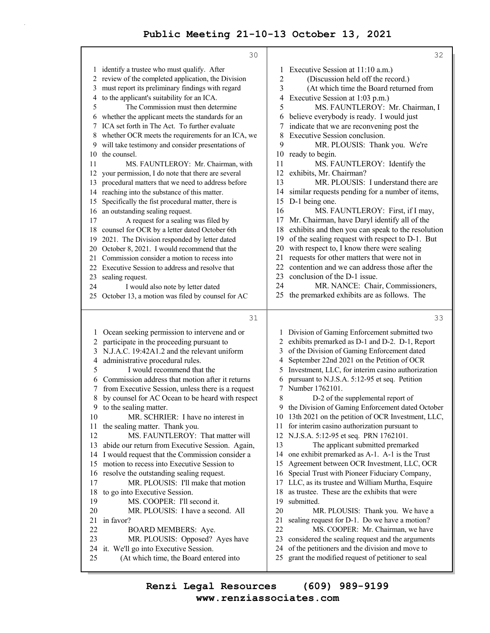|          | 30                                                                                     |        | 32                                                                                    |
|----------|----------------------------------------------------------------------------------------|--------|---------------------------------------------------------------------------------------|
|          | 1 identify a trustee who must qualify. After                                           | 1      | Executive Session at 11:10 a.m.)                                                      |
|          | 2 review of the completed application, the Division                                    | 2      | (Discussion held off the record.)                                                     |
| 3        | must report its preliminary findings with regard                                       | 3      | (At which time the Board returned from                                                |
| 4        | to the applicant's suitability for an ICA.                                             | 4      | Executive Session at 1:03 p.m.)                                                       |
| 5        | The Commission must then determine                                                     | 5      | MS. FAUNTLEROY: Mr. Chairman, I                                                       |
| 6        | whether the applicant meets the standards for an                                       | 6      | believe everybody is ready. I would just                                              |
|          | 7 ICA set forth in The Act. To further evaluate                                        |        | indicate that we are reconvening post the                                             |
|          | 8 whether OCR meets the requirements for an ICA, we                                    | 8      | Executive Session conclusion.                                                         |
| 9.       | will take testimony and consider presentations of                                      | 9      | MR. PLOUSIS: Thank you. We're                                                         |
| 10       | the counsel.                                                                           | 10     | ready to begin.                                                                       |
| 11       | MS. FAUNTLEROY: Mr. Chairman, with                                                     | 11     | MS. FAUNTLEROY: Identify the                                                          |
| 12       | your permission, I do note that there are several                                      | 12     | exhibits, Mr. Chairman?                                                               |
| 13       | procedural matters that we need to address before                                      | 13     | MR. PLOUSIS: I understand there are                                                   |
| 14       | reaching into the substance of this matter.                                            | 14     | similar requests pending for a number of items,                                       |
| 15       | Specifically the fist procedural matter, there is                                      | 15     | D-1 being one.                                                                        |
| 16       | an outstanding sealing request.                                                        | 16     | MS. FAUNTLEROY: First, if I may,                                                      |
| 17       | A request for a sealing was filed by                                                   | 17     | Mr. Chairman, have Daryl identify all of the                                          |
| 18       | counsel for OCR by a letter dated October 6th                                          | 18     | exhibits and then you can speak to the resolution                                     |
| 19       | 2021. The Division responded by letter dated                                           | 19     | of the sealing request with respect to D-1. But                                       |
| 20       | October 8, 2021. I would recommend that the                                            | 20     | with respect to, I know there were sealing                                            |
| 21       | Commission consider a motion to recess into                                            | 21     | requests for other matters that were not in                                           |
|          | 22 Executive Session to address and resolve that                                       | 22     | contention and we can address those after the                                         |
| 23       | sealing request.                                                                       | 23     | conclusion of the D-1 issue.                                                          |
| 24       | I would also note by letter dated                                                      | 24     | MR. NANCE: Chair, Commissioners,                                                      |
|          | 25 October 13, a motion was filed by counsel for AC                                    |        | 25 the premarked exhibits are as follows. The                                         |
|          |                                                                                        |        |                                                                                       |
|          |                                                                                        |        |                                                                                       |
|          | 31                                                                                     |        | 33                                                                                    |
|          |                                                                                        |        |                                                                                       |
| 1        | Ocean seeking permission to intervene and or                                           |        | 1 Division of Gaming Enforcement submitted two                                        |
| 2        | participate in the proceeding pursuant to                                              | 2      | exhibits premarked as D-1 and D-2. D-1, Report                                        |
| 3        | N.J.A.C. 19:42A1.2 and the relevant uniform                                            | 3      | of the Division of Gaming Enforcement dated                                           |
| 4        | administrative procedural rules.                                                       | 4      | September 22nd 2021 on the Petition of OCR                                            |
| 5        | I would recommend that the                                                             | 5      | Investment, LLC, for interim casino authorization                                     |
| 6        | Commission address that motion after it returns                                        | 6<br>7 | pursuant to N.J.S.A. 5:12-95 et seq. Petition                                         |
| 7        | from Executive Session, unless there is a request                                      |        | Number 1762101.                                                                       |
| 8        | by counsel for AC Ocean to be heard with respect                                       | 8<br>9 | D-2 of the supplemental report of                                                     |
| 9        | to the sealing matter.                                                                 |        | the Division of Gaming Enforcement dated October                                      |
| 10<br>11 | MR. SCHRIER: I have no interest in                                                     | 11     | 10 13th 2021 on the petition of OCR Investment, LLC,                                  |
| 12       | the sealing matter. Thank you.<br>MS. FAUNTLEROY: That matter will                     | 12     | for interim casino authorization pursuant to<br>N.J.S.A. 5:12-95 et seq. PRN 1762101. |
| 13       |                                                                                        | 13     |                                                                                       |
| 14       | abide our return from Executive Session. Again,                                        | 14     | The applicant submitted premarked<br>one exhibit premarked as A-1. A-1 is the Trust   |
| 15       | I would request that the Commission consider a                                         | 15     | Agreement between OCR Investment, LLC, OCR                                            |
| 16       | motion to recess into Executive Session to<br>resolve the outstanding sealing request. | 16     | Special Trust with Pioneer Fiduciary Company,                                         |
| 17       | MR. PLOUSIS: I'll make that motion                                                     | 17     | LLC, as its trustee and William Murtha, Esquire                                       |
| 18       | to go into Executive Session.                                                          | 18     | as trustee. These are the exhibits that were                                          |
| 19       | MS. COOPER: I'll second it.                                                            | 19     | submitted.                                                                            |
| 20       | MR. PLOUSIS: I have a second. All                                                      | 20     | MR. PLOUSIS: Thank you. We have a                                                     |
| 21       | in favor?                                                                              | 21     | sealing request for D-1. Do we have a motion?                                         |
| 22       | <b>BOARD MEMBERS: Aye.</b>                                                             | 22     | MS. COOPER: Mr. Chairman, we have                                                     |
| 23       | MR. PLOUSIS: Opposed? Ayes have                                                        | 23     | considered the sealing request and the arguments                                      |
| 24       | it. We'll go into Executive Session.                                                   | 24     | of the petitioners and the division and move to                                       |
| 25       | (At which time, the Board entered into                                                 | 25     | grant the modified request of petitioner to seal                                      |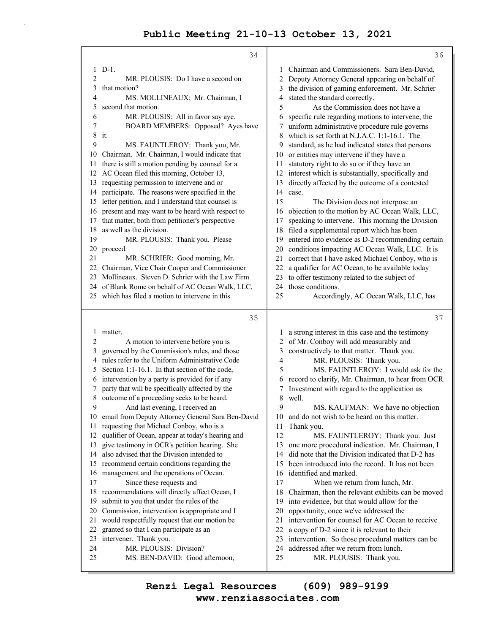|          | 34                                                       |          | 36                                                                                        |
|----------|----------------------------------------------------------|----------|-------------------------------------------------------------------------------------------|
|          | $1$ D-1.                                                 | 1        | Chairman and Commissioners. Sara Ben-David,                                               |
| 2        | MR. PLOUSIS: Do I have a second on                       | 2        | Deputy Attorney General appearing on behalf of                                            |
| 3        | that motion?                                             | 3        | the division of gaming enforcement. Mr. Schrier                                           |
| 4        | MS. MOLLINEAUX: Mr. Chairman, I                          | 4        | stated the standard correctly.                                                            |
| 5        | second that motion.                                      | 5        | As the Commission does not have a                                                         |
| 6        | MR. PLOUSIS: All in favor say aye.                       | 6        | specific rule regarding motions to intervene, the                                         |
| 7        | BOARD MEMBERS: Opposed? Ayes have                        | 7        | uniform administrative procedure rule governs                                             |
| 8        | it.                                                      | 8        | which is set forth at N.J.A.C. 1:1-16.1. The                                              |
| 9        | MS. FAUNTLEROY: Thank you, Mr.                           | 9        | standard, as he had indicated states that persons                                         |
| 10       | Chairman. Mr. Chairman, I would indicate that            | 10       | or entities may intervene if they have a                                                  |
| 11       | there is still a motion pending by counsel for a         | 11       | statutory right to do so or if they have an                                               |
| 12       | AC Ocean filed this morning, October 13,                 | 12       | interest which is substantially, specifically and                                         |
| 13       | requesting permission to intervene and or                | 13       | directly affected by the outcome of a contested                                           |
| 14       | participate. The reasons were specified in the           | 14       | case.                                                                                     |
| 15       | letter petition, and I understand that counsel is        | 15       | The Division does not interpose an                                                        |
| 16       | present and may want to be heard with respect to         | 16       | objection to the motion by AC Ocean Walk, LLC,                                            |
| 17       | that matter, both from petitioner's perspective          | 17       | speaking to intervene. This morning the Division                                          |
| 18       | as well as the division.                                 | 18       | filed a supplemental report which has been                                                |
| 19       | MR. PLOUSIS: Thank you. Please                           | 19       | entered into evidence as D-2 recommending certain                                         |
| 20       | proceed.                                                 | 20       | conditions impacting AC Ocean Walk, LLC. It is                                            |
| 21       | MR. SCHRIER: Good morning, Mr.                           | 21       | correct that I have asked Michael Conboy, who is                                          |
| 22       | Chairman, Vice Chair Cooper and Commissioner             | 22       | a qualifier for AC Ocean, to be available today                                           |
| 23       | Mollineaux. Steven D. Schrier with the Law Firm          | 23       | to offer testimony related to the subject of                                              |
| 24       | of Blank Rome on behalf of AC Ocean Walk, LLC,           | 24       | those conditions.                                                                         |
|          | 25 which has filed a motion to intervene in this         | 25       | Accordingly, AC Ocean Walk, LLC, has                                                      |
|          |                                                          |          |                                                                                           |
|          |                                                          |          |                                                                                           |
|          | 35                                                       |          | 37                                                                                        |
| 1        | matter.                                                  | 1        |                                                                                           |
| 2        | A motion to intervene before you is                      | 2        | a strong interest in this case and the testimony<br>of Mr. Conboy will add measurably and |
| 3        | governed by the Commission's rules, and those            | 3        | constructively to that matter. Thank you.                                                 |
| 4        | rules refer to the Uniform Administrative Code           | 4        | MR. PLOUSIS: Thank you.                                                                   |
| 5        | Section 1:1-16.1. In that section of the code,           | 5        | MS. FAUNTLEROY: I would ask for the                                                       |
| 6        | intervention by a party is provided for if any           | 6        | record to clarify, Mr. Chairman, to hear from OCR                                         |
|          | party that will be specifically affected by the          | 7        | Investment with regard to the application as                                              |
| 8        | outcome of a proceeding seeks to be heard.               | 8        | well.                                                                                     |
| 9        | And last evening, I received an                          | 9        | MS. KAUFMAN: We have no objection                                                         |
|          | 10 email from Deputy Attorney General Sara Ben-David     | 10       | and do not wish to be heard on this matter.                                               |
| 11       | requesting that Michael Conboy, who is a                 | 11       | Thank you.                                                                                |
| 12       | qualifier of Ocean, appear at today's hearing and        | 12       | MS. FAUNTLEROY: Thank you. Just                                                           |
| 13       | give testimony in OCR's petition hearing. She            | 13       | one more procedural indication. Mr. Chairman, I                                           |
| 14       | also advised that the Division intended to               | 14       | did note that the Division indicated that D-2 has                                         |
| 15       | recommend certain conditions regarding the               | 15       | been introduced into the record. It has not been                                          |
| 16       | management and the operations of Ocean.                  | 16       | identified and marked.                                                                    |
| 17       | Since these requests and                                 | 17       | When we return from lunch, Mr.                                                            |
| 18       | recommendations will directly affect Ocean, I            | 18       | Chairman, then the relevant exhibits can be moved                                         |
| 19       | submit to you that under the rules of the                | 19       | into evidence, but that would allow for the                                               |
| 20       | Commission, intervention is appropriate and I            | 20       | opportunity, once we've addressed the                                                     |
| 21       | would respectfully request that our motion be            | 21       | intervention for counsel for AC Ocean to receive                                          |
| 22       | granted so that I can participate as an                  | 22       | a copy of D-2 since it is relevant to their                                               |
| 23       | intervener. Thank you.                                   | 23       | intervention. So those procedural matters can be                                          |
| 24<br>25 | MR. PLOUSIS: Division?<br>MS. BEN-DAVID: Good afternoon, | 24<br>25 | addressed after we return from lunch.<br>MR. PLOUSIS: Thank you.                          |

**www.renziassociates.com Renzi Legal Resources (609) 989-9199**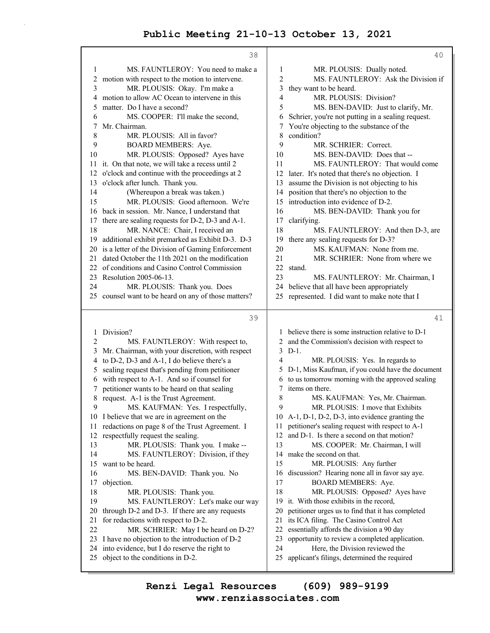|              | 38                                                                                    |                | 40                                                                                  |
|--------------|---------------------------------------------------------------------------------------|----------------|-------------------------------------------------------------------------------------|
| 1            | MS. FAUNTLEROY: You need to make a                                                    | 1              | MR. PLOUSIS: Dually noted.                                                          |
| $\mathbf{2}$ | motion with respect to the motion to intervene.                                       | $\overline{c}$ | MS. FAUNTLEROY: Ask the Division if                                                 |
| 3            | MR. PLOUSIS: Okay. I'm make a                                                         | 3              | they want to be heard.                                                              |
| 4            | motion to allow AC Ocean to intervene in this                                         | 4              | MR. PLOUSIS: Division?                                                              |
| 5            | matter. Do I have a second?                                                           | 5              | MS. BEN-DAVID: Just to clarify, Mr.                                                 |
| 6            | MS. COOPER: I'll make the second,                                                     | 6              | Schrier, you're not putting in a sealing request.                                   |
| 7            | Mr. Chairman.                                                                         | 7              | You're objecting to the substance of the                                            |
| $\,8\,$      | MR. PLOUSIS: All in favor?                                                            | 8              | condition?                                                                          |
| 9            | BOARD MEMBERS: Aye.                                                                   | 9              | MR. SCHRIER: Correct.                                                               |
| 10           | MR. PLOUSIS: Opposed? Ayes have                                                       | 10             | MS. BEN-DAVID: Does that --                                                         |
|              | 11 it. On that note, we will take a recess until 2                                    | 11             | MS. FAUNTLEROY: That would come                                                     |
| 12           | o'clock and continue with the proceedings at 2                                        | 12             | later. It's noted that there's no objection. I                                      |
| 13           | o'clock after lunch. Thank you.                                                       | 13             | assume the Division is not objecting to his                                         |
| 14           | (Whereupon a break was taken.)                                                        | 14             | position that there's no objection to the                                           |
| 15           | MR. PLOUSIS: Good afternoon. We're                                                    | 15             | introduction into evidence of D-2.                                                  |
| 16           | back in session. Mr. Nance, I understand that                                         | 16             | MS. BEN-DAVID: Thank you for                                                        |
| 17           | there are sealing requests for D-2, D-3 and A-1.                                      | 17             | clarifying.                                                                         |
| 18           | MR. NANCE: Chair, I received an                                                       | 18             | MS. FAUNTLEROY: And then D-3, are                                                   |
| 19           | additional exhibit premarked as Exhibit D-3. D-3                                      | 19             | there any sealing requests for D-3?                                                 |
| 20           | is a letter of the Division of Gaming Enforcement                                     | 20             | MS. KAUFMAN: None from me.                                                          |
| 21           | dated October the 11th 2021 on the modification                                       | 21             | MR. SCHRIER: None from where we                                                     |
| 22           | of conditions and Casino Control Commission                                           | 22             | stand.                                                                              |
| 23           | Resolution 2005-06-13.                                                                | 23             | MS. FAUNTLEROY: Mr. Chairman, I                                                     |
| 24           | MR. PLOUSIS: Thank you. Does                                                          | 24             | believe that all have been appropriately                                            |
|              | 25 counsel want to be heard on any of those matters?                                  | 25             | represented. I did want to make note that I                                         |
|              |                                                                                       |                |                                                                                     |
|              |                                                                                       |                |                                                                                     |
|              | 39                                                                                    |                | 41                                                                                  |
| 1            | Division?                                                                             | 1              | believe there is some instruction relative to D-1                                   |
| 2            | MS. FAUNTLEROY: With respect to,                                                      | 2              | and the Commission's decision with respect to                                       |
| 3            | Mr. Chairman, with your discretion, with respect                                      | 3              | $D-1$ .                                                                             |
| 4            | to D-2, D-3 and A-1, I do believe there's a                                           | 4              | MR. PLOUSIS: Yes. In regards to                                                     |
| 5            | sealing request that's pending from petitioner                                        | 5              | D-1, Miss Kaufman, if you could have the document                                   |
| 6            | with respect to A-1. And so if counsel for                                            | 6              | to us tomorrow morning with the approved sealing                                    |
| 7            | petitioner wants to be heard on that sealing                                          | 7              | items on there.                                                                     |
| 8            | request. A-1 is the Trust Agreement.                                                  | 8              | MS. KAUFMAN: Yes, Mr. Chairman.                                                     |
| 9            | MS. KAUFMAN: Yes. I respectfully,                                                     | 9              | MR. PLOUSIS: I move that Exhibits                                                   |
|              | 10 I believe that we are in agreement on the                                          |                | 10 A-1, D-1, D-2, D-3, into evidence granting the                                   |
| 11           | redactions on page 8 of the Trust Agreement. I                                        | 11             | petitioner's sealing request with respect to A-1                                    |
| 12           | respectfully request the sealing.                                                     | 12             | and D-1. Is there a second on that motion?                                          |
| 13           | MR. PLOUSIS: Thank you. I make --                                                     | 13             | MS. COOPER: Mr. Chairman, I will                                                    |
| 14           | MS. FAUNTLEROY: Division, if they                                                     | 14             | make the second on that.                                                            |
| 15           | want to be heard.                                                                     | 15             | MR. PLOUSIS: Any further                                                            |
| 16           | MS. BEN-DAVID: Thank you. No                                                          | 16             | discussion? Hearing none all in favor say aye.                                      |
| 17<br>18     | objection.                                                                            | 17<br>18       | BOARD MEMBERS: Aye.                                                                 |
| 19           | MR. PLOUSIS: Thank you.                                                               | 19             | MR. PLOUSIS: Opposed? Ayes have<br>it. With those exhibits in the record,           |
| 20           | MS. FAUNTLEROY: Let's make our way<br>through D-2 and D-3. If there are any requests  | 20             | petitioner urges us to find that it has completed                                   |
| 21           |                                                                                       | 21             |                                                                                     |
| 22           | for redactions with respect to D-2.                                                   | 22             | its ICA filing. The Casino Control Act<br>essentially affords the division a 90 day |
| 23           | MR. SCHRIER: May I be heard on D-2?<br>I have no objection to the introduction of D-2 | 23             | opportunity to review a completed application.                                      |
| 24           | into evidence, but I do reserve the right to                                          | 24             | Here, the Division reviewed the                                                     |
|              | 25 object to the conditions in D-2.                                                   | 25             | applicant's filings, determined the required                                        |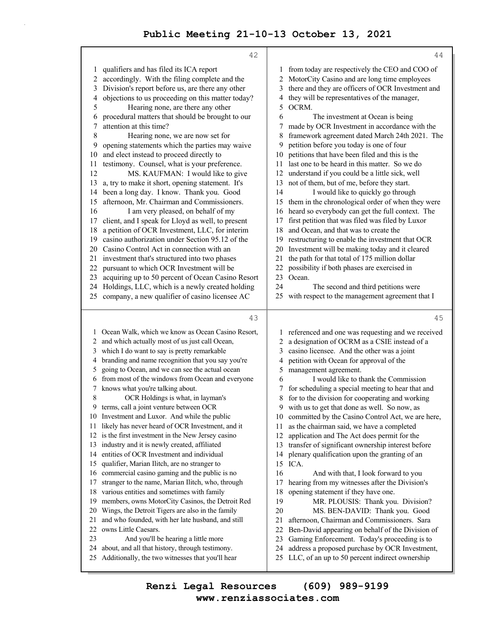|    | 42                                                |    | 44                                                   |
|----|---------------------------------------------------|----|------------------------------------------------------|
| 1  | qualifiers and has filed its ICA report           | 1  | from today are respectively the CEO and COO of       |
| 2  | accordingly. With the filing complete and the     | 2  | MotorCity Casino and are long time employees         |
| 3  | Division's report before us, are there any other  | 3  | there and they are officers of OCR Investment and    |
| 4  | objections to us proceeding on this matter today? | 4  | they will be representatives of the manager,         |
| 5  | Hearing none, are there any other                 | 5  | OCRM.                                                |
| 6  | procedural matters that should be brought to our  | 6  | The investment at Ocean is being                     |
| 7  | attention at this time?                           | 7  | made by OCR Investment in accordance with the        |
| 8  | Hearing none, we are now set for                  | 8  | framework agreement dated March 24th 2021. The       |
|    | opening statements which the parties may waive    | 9  | petition before you today is one of four             |
| 9  | and elect instead to proceed directly to          |    | petitions that have been filed and this is the       |
| 10 |                                                   | 10 | last one to be heard in this matter. So we do        |
| 11 | testimony. Counsel, what is your preference.      | 11 |                                                      |
| 12 | MS. KAUFMAN: I would like to give                 | 12 | understand if you could be a little sick, well       |
| 13 | a, try to make it short, opening statement. It's  | 13 | not of them, but of me, before they start.           |
| 14 | been a long day. I know. Thank you. Good          | 14 | I would like to quickly go through                   |
| 15 | afternoon, Mr. Chairman and Commissioners.        | 15 | them in the chronological order of when they were    |
| 16 | I am very pleased, on behalf of my                | 16 | heard so everybody can get the full context. The     |
| 17 | client, and I speak for Lloyd as well, to present | 17 | first petition that was filed was filed by Luxor     |
| 18 | a petition of OCR Investment, LLC, for interim    | 18 | and Ocean, and that was to create the                |
| 19 | casino authorization under Section 95.12 of the   | 19 | restructuring to enable the investment that OCR      |
| 20 | Casino Control Act in connection with an          | 20 | Investment will be making today and it cleared       |
| 21 | investment that's structured into two phases      | 21 | the path for that total of 175 million dollar        |
| 22 | pursuant to which OCR Investment will be          | 22 | possibility if both phases are exercised in          |
| 23 | acquiring up to 50 percent of Ocean Casino Resort | 23 | Ocean.                                               |
| 24 | Holdings, LLC, which is a newly created holding   | 24 | The second and third petitions were                  |
| 25 | company, a new qualifier of casino licensee AC    | 25 | with respect to the management agreement that I      |
|    |                                                   |    |                                                      |
|    |                                                   |    |                                                      |
|    | 43                                                |    | 45                                                   |
| 1  | Ocean Walk, which we know as Ocean Casino Resort, | 1  | referenced and one was requesting and we received    |
| 2  | and which actually most of us just call Ocean,    | 2  | a designation of OCRM as a CSIE instead of a         |
| 3  | which I do want to say is pretty remarkable       | 3  | casino licensee. And the other was a joint           |
| 4  | branding and name recognition that you say you're | 4  | petition with Ocean for approval of the              |
| 5  | going to Ocean, and we can see the actual ocean   | 5  | management agreement.                                |
| 6  | from most of the windows from Ocean and everyone  | 6  | I would like to thank the Commission                 |
| 7  | knows what you're talking about.                  |    | for scheduling a special meeting to hear that and    |
| 8  | OCR Holdings is what, in layman's                 | 8  | for to the division for cooperating and working      |
| 9  | terms, call a joint venture between OCR           | 9  | with us to get that done as well. So now, as         |
|    | 10 Investment and Luxor. And while the public     |    | 10 committed by the Casino Control Act, we are here, |
| 11 | likely has never heard of OCR Investment, and it  | 11 | as the chairman said, we have a completed            |
| 12 | is the first investment in the New Jersey casino  | 12 | application and The Act does permit for the          |
| 13 | industry and it is newly created, affiliated      | 13 | transfer of significant ownership interest before    |
| 14 | entities of OCR Investment and individual         | 14 | plenary qualification upon the granting of an        |
| 15 | qualifier, Marian Ilitch, are no stranger to      | 15 | ICA.                                                 |
| 16 | commercial casino gaming and the public is no     | 16 | And with that, I look forward to you                 |
| 17 | stranger to the name, Marian Ilitch, who, through | 17 | hearing from my witnesses after the Division's       |
| 18 | various entities and sometimes with family        | 18 | opening statement if they have one.                  |
| 19 | members, owns MotorCity Casinos, the Detroit Red  | 19 | MR. PLOUSIS: Thank you. Division?                    |
| 20 | Wings, the Detroit Tigers are also in the family  | 20 | MS. BEN-DAVID: Thank you. Good                       |
| 21 | and who founded, with her late husband, and still | 21 | afternoon, Chairman and Commissioners. Sara          |
| 22 | owns Little Caesars.                              | 22 | Ben-David appearing on behalf of the Division of     |
| 23 | And you'll be hearing a little more               | 23 | Gaming Enforcement. Today's proceeding is to         |
| 24 | about, and all that history, through testimony.   | 24 | address a proposed purchase by OCR Investment,       |
| 25 | Additionally, the two witnesses that you'll hear  | 25 | LLC, of an up to 50 percent indirect ownership       |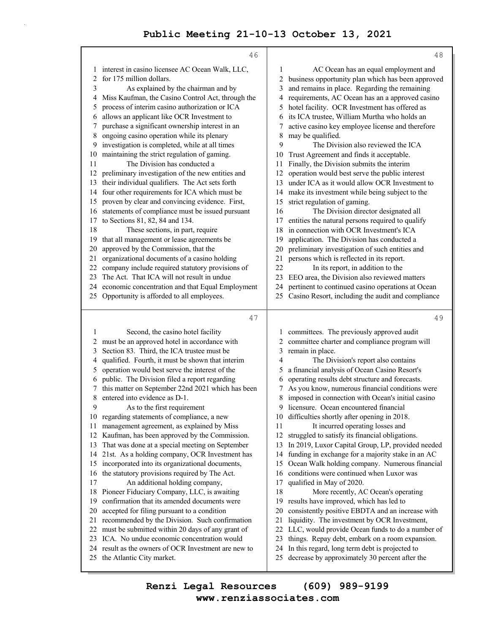|           | 46                                                                                                 |          | 48                                                                                               |
|-----------|----------------------------------------------------------------------------------------------------|----------|--------------------------------------------------------------------------------------------------|
|           | interest in casino licensee AC Ocean Walk, LLC,                                                    | 1        | AC Ocean has an equal employment and                                                             |
| 2         | for 175 million dollars.                                                                           | 2        | business opportunity plan which has been approved                                                |
| 3         | As explained by the chairman and by                                                                | 3        | and remains in place. Regarding the remaining                                                    |
| 4         | Miss Kaufman, the Casino Control Act, through the                                                  | 4        | requirements, AC Ocean has an a approved casino                                                  |
| 5         | process of interim casino authorization or ICA                                                     | 5        | hotel facility. OCR Investment has offered as                                                    |
| 6         | allows an applicant like OCR Investment to                                                         | 6        | its ICA trustee, William Murtha who holds an                                                     |
| 7         | purchase a significant ownership interest in an                                                    | 7        | active casino key employee license and therefore                                                 |
| 8         | ongoing casino operation while its plenary                                                         | 8        | may be qualified.                                                                                |
| 9         | investigation is completed, while at all times                                                     | 9        | The Division also reviewed the ICA                                                               |
| 10        | maintaining the strict regulation of gaming.                                                       | 10       | Trust Agreement and finds it acceptable.                                                         |
| 11        | The Division has conducted a                                                                       | 11       | Finally, the Division submits the interim                                                        |
| 12        | preliminary investigation of the new entities and                                                  | 12       | operation would best serve the public interest                                                   |
| 13        | their individual qualifiers. The Act sets forth                                                    | 13       | under ICA as it would allow OCR Investment to                                                    |
| 14        | four other requirements for ICA which must be                                                      | 14       | make its investment while being subject to the                                                   |
| 15        | proven by clear and convincing evidence. First,                                                    | 15       | strict regulation of gaming.                                                                     |
| 16        | statements of compliance must be issued pursuant                                                   | 16       | The Division director designated all                                                             |
| 17        | to Sections 81, 82, 84 and 134.                                                                    | 17       | entities the natural persons required to qualify                                                 |
| 18        | These sections, in part, require                                                                   | 18       | in connection with OCR Investment's ICA                                                          |
| 19        | that all management or lease agreements be                                                         | 19       | application. The Division has conducted a                                                        |
| 20        | approved by the Commission, that the<br>organizational documents of a casino holding               | 20       | preliminary investigation of such entities and                                                   |
| 21<br>22. | company include required statutory provisions of                                                   | 21<br>22 | persons which is reflected in its report.<br>In its report, in addition to the                   |
| 23        | The Act. That ICA will not result in undue                                                         | 23       | EEO area, the Division also reviewed matters                                                     |
| 24 -      | economic concentration and that Equal Employment                                                   | 24       | pertinent to continued casino operations at Ocean                                                |
|           | 25 Opportunity is afforded to all employees.                                                       | 25       | Casino Resort, including the audit and compliance                                                |
|           |                                                                                                    |          |                                                                                                  |
|           |                                                                                                    |          |                                                                                                  |
|           | 47                                                                                                 |          | 49                                                                                               |
|           |                                                                                                    |          |                                                                                                  |
| 1         | Second, the casino hotel facility                                                                  | 1        | committees. The previously approved audit                                                        |
| 2<br>3    | must be an approved hotel in accordance with                                                       | 2<br>3   | committee charter and compliance program will                                                    |
| 4         | Section 83. Third, the ICA trustee must be                                                         | 4        | remain in place.                                                                                 |
| 5         | qualified. Fourth, it must be shown that interim<br>operation would best serve the interest of the | 5        | The Division's report also contains<br>a financial analysis of Ocean Casino Resort's             |
| 6         | public. The Division filed a report regarding                                                      | 6        | operating results debt structure and forecasts.                                                  |
| 7         | this matter on September 22nd 2021 which has been                                                  | 7        | As you know, numerous financial conditions were                                                  |
| 8         | entered into evidence as D-1.                                                                      | 8        | imposed in connection with Ocean's initial casino                                                |
| 9         | As to the first requirement                                                                        |          | 9 licensure. Ocean encountered financial                                                         |
|           | 10 regarding statements of compliance, a new                                                       |          | 10 difficulties shortly after opening in 2018.                                                   |
| 11        | management agreement, as explained by Miss                                                         | 11       | It incurred operating losses and                                                                 |
| 12        | Kaufman, has been approved by the Commission.                                                      | 12       | struggled to satisfy its financial obligations.                                                  |
| 13        | That was done at a special meeting on September                                                    | 13       | In 2019, Luxor Capital Group, LP, provided needed                                                |
| 14        | 21st. As a holding company, OCR Investment has                                                     | 14       | funding in exchange for a majority stake in an AC                                                |
| 15        | incorporated into its organizational documents,                                                    | 15       | Ocean Walk holding company. Numerous financial                                                   |
| 16        | the statutory provisions required by The Act.                                                      | 16       | conditions were continued when Luxor was                                                         |
| 17        | An additional holding company,                                                                     | 17       | qualified in May of 2020.                                                                        |
| 18        | Pioneer Fiduciary Company, LLC, is awaiting                                                        | 18       | More recently, AC Ocean's operating                                                              |
| 19        | confirmation that its amended documents were                                                       | 19       | results have improved, which has led to                                                          |
| 20        | accepted for filing pursuant to a condition                                                        | 20       | consistently positive EBDTA and an increase with                                                 |
| 21        | recommended by the Division. Such confirmation                                                     | 21       | liquidity. The investment by OCR Investment,                                                     |
| 22        | must be submitted within 20 days of any grant of                                                   | 22       | LLC, would provide Ocean funds to do a number of                                                 |
| 23        | ICA. No undue economic concentration would                                                         | 23       | things. Repay debt, embark on a room expansion.                                                  |
| 24<br>25  | result as the owners of OCR Investment are new to<br>the Atlantic City market.                     | 24<br>25 | In this regard, long term debt is projected to<br>decrease by approximately 30 percent after the |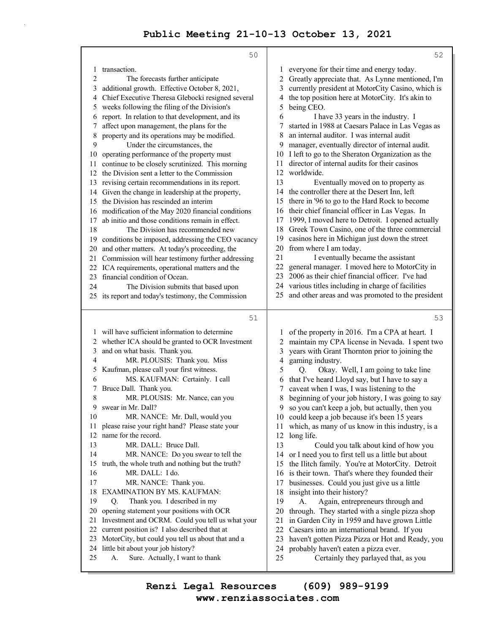|          | 50                                                                                                 |          | 52                                                                                 |
|----------|----------------------------------------------------------------------------------------------------|----------|------------------------------------------------------------------------------------|
| 1        | transaction.                                                                                       | 1        | everyone for their time and energy today.                                          |
| 2        | The forecasts further anticipate                                                                   | 2        | Greatly appreciate that. As Lynne mentioned, I'm                                   |
| 3        | additional growth. Effective October 8, 2021,                                                      | 3        | currently president at MotorCity Casino, which is                                  |
| 4        | Chief Executive Theresa Glebocki resigned several                                                  | 4        | the top position here at MotorCity. It's akin to                                   |
| 5        | weeks following the filing of the Division's                                                       | 5        | being CEO.                                                                         |
| 6        | report. In relation to that development, and its                                                   | 6        | I have 33 years in the industry. I                                                 |
| 7        | affect upon management, the plans for the                                                          | 7        | started in 1988 at Caesars Palace in Las Vegas as                                  |
| 8        | property and its operations may be modified.                                                       | 8        | an internal auditor. I was internal audit                                          |
| 9        | Under the circumstances, the                                                                       | 9        | manager, eventually director of internal audit.                                    |
| 10       | operating performance of the property must                                                         | 10       | I left to go to the Sheraton Organization as the                                   |
| 11       | continue to be closely scrutinized. This morning                                                   | 11       | director of internal audits for their casinos                                      |
| 12       | the Division sent a letter to the Commission                                                       | 12<br>13 | worldwide.                                                                         |
| 13       | revising certain recommendations in its report.<br>Given the change in leadership at the property, | 14       | Eventually moved on to property as<br>the controller there at the Desert Inn, left |
| 14<br>15 | the Division has rescinded an interim                                                              | 15       | there in '96 to go to the Hard Rock to become                                      |
| 16       | modification of the May 2020 financial conditions                                                  | 16       | their chief financial officer in Las Vegas. In                                     |
| 17       | ab initio and those conditions remain in effect.                                                   | 17       | 1999, I moved here to Detroit. I opened actually                                   |
| 18       | The Division has recommended new                                                                   | 18       | Greek Town Casino, one of the three commercial                                     |
| 19       | conditions be imposed, addressing the CEO vacancy                                                  | 19       | casinos here in Michigan just down the street                                      |
| 20       | and other matters. At today's proceeding, the                                                      | 20       | from where I am today.                                                             |
| 21       | Commission will hear testimony further addressing                                                  | 21       | I eventually became the assistant                                                  |
| 22       | ICA requirements, operational matters and the                                                      | 22       | general manager. I moved here to MotorCity in                                      |
| 23       | financial condition of Ocean.                                                                      | 23       | 2006 as their chief financial officer. I've had                                    |
| 24       | The Division submits that based upon                                                               |          | 24 various titles including in charge of facilities                                |
|          | 25 its report and today's testimony, the Commission                                                | 25       | and other areas and was promoted to the president                                  |
|          | 51                                                                                                 |          | 53                                                                                 |
|          | 1 will have sufficient information to determine                                                    | 1        | of the property in 2016. I'm a CPA at heart. I                                     |
| 2        | whether ICA should be granted to OCR Investment                                                    | 2        | maintain my CPA license in Nevada. I spent two                                     |
| 3        | and on what basis. Thank you.                                                                      | 3        | years with Grant Thornton prior to joining the                                     |
| 4        | MR. PLOUSIS: Thank you. Miss                                                                       | 4        | gaming industry.                                                                   |
| 5        | Kaufman, please call your first witness.                                                           | 5        | Okay. Well, I am going to take line<br>Q.                                          |
| 6        | MS. KAUFMAN: Certainly. I call                                                                     | 6        | that I've heard Lloyd say, but I have to say a                                     |
|          | Bruce Dall. Thank you.                                                                             | 7        | caveat when I was, I was listening to the                                          |
| 8        | MR. PLOUSIS: Mr. Nance, can you                                                                    | 8        | beginning of your job history, I was going to say                                  |
| 9        | swear in Mr. Dall?                                                                                 | 9        | so you can't keep a job, but actually, then you                                    |
| 10       | MR. NANCE: Mr. Dall, would you                                                                     | 10       | could keep a job because it's been 15 years                                        |
| 11<br>12 | please raise your right hand? Please state your<br>name for the record.                            | 11<br>12 | which, as many of us know in this industry, is a<br>long life.                     |
| 13       | MR. DALL: Bruce Dall.                                                                              | 13       | Could you talk about kind of how you                                               |
| 14       | MR. NANCE: Do you swear to tell the                                                                | 14       | or I need you to first tell us a little but about                                  |
| 15       | truth, the whole truth and nothing but the truth?                                                  | 15       | the Ilitch family. You're at MotorCity. Detroit                                    |
| 16       | MR. DALL: I do.                                                                                    | 16       | is their town. That's where they founded their                                     |
| 17       | MR. NANCE: Thank you.                                                                              | 17       | businesses. Could you just give us a little                                        |
| 18       | EXAMINATION BY MS. KAUFMAN:                                                                        | 18       | insight into their history?                                                        |
| 19       | Thank you. I described in my<br>Q.                                                                 | 19       | A.<br>Again, entrepreneurs through and                                             |
| 20       | opening statement your positions with OCR                                                          | 20       | through. They started with a single pizza shop                                     |
| 21       | Investment and OCRM. Could you tell us what your                                                   | 21       | in Garden City in 1959 and have grown Little                                       |
| 22       | current position is? I also described that at                                                      | 22       | Caesars into an international brand. If you                                        |
| 23       | MotorCity, but could you tell us about that and a                                                  | 23       | haven't gotten Pizza Pizza or Hot and Ready, you                                   |
| 24<br>25 | little bit about your job history?<br>Sure. Actually, I want to thank<br>А.                        | 24<br>25 | probably haven't eaten a pizza ever.<br>Certainly they parlayed that, as you       |
|          |                                                                                                    |          |                                                                                    |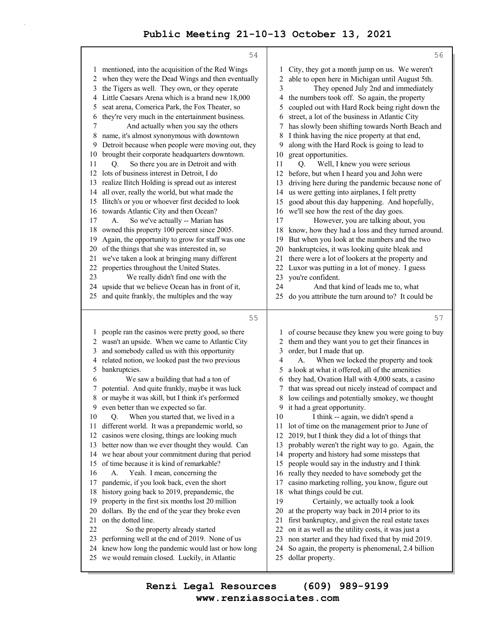|          | 54                                                                                                   |          | 56                                                                    |
|----------|------------------------------------------------------------------------------------------------------|----------|-----------------------------------------------------------------------|
|          | 1 mentioned, into the acquisition of the Red Wings                                                   | 1        | City, they got a month jump on us. We weren't                         |
|          | 2 when they were the Dead Wings and then eventually                                                  | 2        | able to open here in Michigan until August 5th.                       |
| 3        | the Tigers as well. They own, or they operate                                                        | 3        | They opened July 2nd and immediately                                  |
|          | 4 Little Caesars Arena which is a brand new 18,000                                                   | 4        | the numbers took off. So again, the property                          |
| 5        | seat arena, Comerica Park, the Fox Theater, so                                                       | 5        | coupled out with Hard Rock being right down the                       |
| 6        | they're very much in the entertainment business.                                                     | 6        | street, a lot of the business in Atlantic City                        |
| 7        | And actually when you say the others                                                                 | 7        | has slowly been shifting towards North Beach and                      |
| 8        | name, it's almost synonymous with downtown                                                           | 8        | I think having the nice property at that end,                         |
| 9        | Detroit because when people were moving out, they                                                    | 9        | along with the Hard Rock is going to lead to                          |
| 10       | brought their corporate headquarters downtown.                                                       | 10       | great opportunities.                                                  |
| 11       | So there you are in Detroit and with<br>Q.                                                           | 11       | Well, I knew you were serious<br>O.                                   |
|          | 12 lots of business interest in Detroit, I do                                                        | 12       | before, but when I heard you and John were                            |
|          | 13 realize Ilitch Holding is spread out as interest                                                  | 13       | driving here during the pandemic because none of                      |
|          | 14 all over, really the world, but what made the                                                     | 14       | us were getting into airplanes, I felt pretty                         |
|          | 15 Ilitch's or you or whoever first decided to look                                                  | 15       | good about this day happening. And hopefully,                         |
|          | 16 towards Atlantic City and then Ocean?                                                             | 16       | we'll see how the rest of the day goes.                               |
| 17       | So we've actually -- Marian has<br>A.                                                                | 17       | However, you are talking about, you                                   |
| 18       | owned this property 100 percent since 2005.                                                          | 18       | know, how they had a loss and they turned around.                     |
| 19       | Again, the opportunity to grow for staff was one                                                     | 19       | But when you look at the numbers and the two                          |
| 20       | of the things that she was interested in, so                                                         | 20       | bankruptcies, it was looking quite bleak and                          |
| 21       | we've taken a look at bringing many different                                                        | 21       | there were a lot of lookers at the property and                       |
| 22       | properties throughout the United States.                                                             | 22       | Luxor was putting in a lot of money. I guess                          |
| 23       | We really didn't find one with the                                                                   | 23       | you're confident.                                                     |
| 24<br>25 | upside that we believe Ocean has in front of it,                                                     | 24<br>25 | And that kind of leads me to, what                                    |
|          | and quite frankly, the multiples and the way                                                         |          | do you attribute the turn around to? It could be                      |
|          | 55                                                                                                   |          | 57                                                                    |
|          | 1 people ran the casinos were pretty good, so there                                                  |          | of course because they knew you were going to buy                     |
|          | 2 wasn't an upside. When we came to Atlantic City                                                    | 2        | them and they want you to get their finances in                       |
| 3        | and somebody called us with this opportunity                                                         | 3        | order, but I made that up.                                            |
| 4        | related notion, we looked past the two previous                                                      | 4        | When we locked the property and took<br>A.                            |
| 5        | bankruptcies.                                                                                        | 5        | a look at what it offered, all of the amenities                       |
| 6        | We saw a building that had a ton of                                                                  | 6        | they had, Ovation Hall with 4,000 seats, a casino                     |
| 7        | potential. And quite frankly, maybe it was luck                                                      | 7        | that was spread out nicely instead of compact and                     |
| 8        | or maybe it was skill, but I think it's performed                                                    | 8        | low ceilings and potentially smokey, we thought                       |
|          | 9 even better than we expected so far.                                                               |          | 9 it had a great opportunity.                                         |
| 10       | When you started that, we lived in a<br>Q.                                                           | 10       | I think -- again, we didn't spend a                                   |
| 11       | different world. It was a prepandemic world, so                                                      | 11       | lot of time on the management prior to June of                        |
| 12       | casinos were closing, things are looking much                                                        | 12       | 2019, but I think they did a lot of things that                       |
| 13       | better now than we ever thought they would. Can                                                      | 13       | probably weren't the right way to go. Again, the                      |
| 14       | we hear about your commitment during that period                                                     | 14       | property and history had some missteps that                           |
| 15       | of time because it is kind of remarkable?                                                            | 15       | people would say in the industry and I think                          |
| 16       | Yeah. I mean, concerning the<br>A.                                                                   | 16       | really they needed to have somebody get the                           |
| 17       | pandemic, if you look back, even the short                                                           | 17       | casino marketing rolling, you know, figure out                        |
| 18       | history going back to 2019, prepandemic, the                                                         | 18       | what things could be cut.                                             |
| 19       | property in the first six months lost 20 million                                                     | 19       | Certainly, we actually took a look                                    |
| 20       | dollars. By the end of the year they broke even                                                      | 20<br>21 | at the property way back in 2014 prior to its                         |
|          |                                                                                                      |          | first bankruptcy, and given the real estate taxes                     |
| 21       | on the dotted line.                                                                                  |          |                                                                       |
| 22       | So the property already started                                                                      | 22       | on it as well as the utility costs, it was just a                     |
| 23       | performing well at the end of 2019. None of us                                                       | 23       | non starter and they had fixed that by mid 2019.                      |
| 24       | knew how long the pandemic would last or how long<br>25 we would remain closed. Luckily, in Atlantic | 24<br>25 | So again, the property is phenomenal, 2.4 billion<br>dollar property. |

**www.renziassociates.com Renzi Legal Resources (609) 989-9199**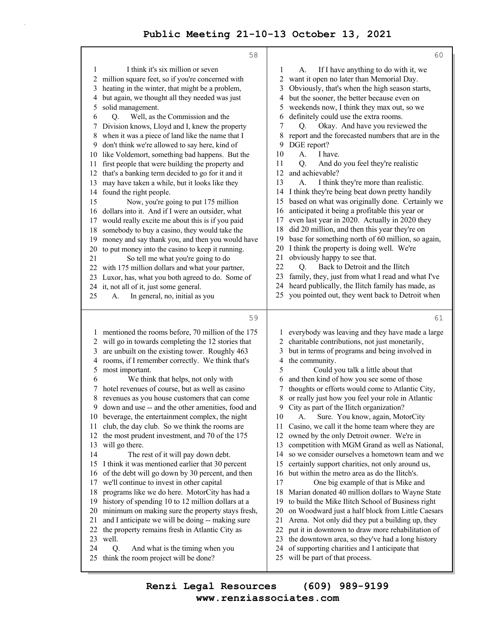| I think it's six million or seven<br>1<br>If I have anything to do with it, we<br>1<br>А.<br>million square feet, so if you're concerned with<br>2<br>want it open no later than Memorial Day.<br>2<br>3<br>heating in the winter, that might be a problem,<br>Obviously, that's when the high season starts,<br>3<br>but again, we thought all they needed was just<br>but the sooner, the better because even on<br>4<br>4<br>solid management.<br>weekends now, I think they max out, so we<br>5<br>5<br>Well, as the Commission and the<br>definitely could use the extra rooms.<br>6<br>Q.<br>6<br>Okay. And have you reviewed the<br>Division knows, Lloyd and I, knew the property<br>7<br>О.<br>7<br>when it was a piece of land like the name that I<br>8<br>report and the forecasted numbers that are in the<br>8<br>DGE report?<br>don't think we're allowed to say here, kind of<br>9<br>9<br>10<br>A.<br>I have.<br>like Voldemort, something bad happens. But the<br>$10\,$<br>11<br>first people that were building the property and<br>Q.<br>And do you feel they're realistic<br>11<br>and achievable?<br>that's a banking term decided to go for it and it<br>12<br>12<br>13<br>I think they're more than realistic.<br>may have taken a while, but it looks like they<br>А.<br>13<br>I think they're being beat down pretty handily<br>found the right people.<br>14<br>14<br>based on what was originally done. Certainly we<br>15<br>15<br>Now, you're going to put 175 million<br>anticipated it being a profitable this year or<br>dollars into it. And if I were an outsider, what<br>16<br>16<br>even last year in 2020. Actually in 2020 they<br>would really excite me about this is if you paid<br>17<br>17<br>did 20 million, and then this year they're on<br>18<br>somebody to buy a casino, they would take the<br>18<br>base for something north of 60 million, so again,<br>19<br>money and say thank you, and then you would have<br>19<br>I think the property is doing well. We're<br>20<br>to put money into the casino to keep it running.<br>20<br>obviously happy to see that.<br>21<br>21<br>So tell me what you're going to do<br>Back to Detroit and the Ilitch<br>22<br>with 175 million dollars and what your partner,<br>О.<br>22<br>family, they, just from what I read and what I've<br>23<br>Luxor, has, what you both agreed to do. Some of<br>23<br>heard publically, the Ilitch family has made, as<br>24<br>24 it, not all of it, just some general.<br>you pointed out, they went back to Detroit when<br>25<br>In general, no, initial as you<br>25<br>А.<br>59<br>61<br>mentioned the rooms before, 70 million of the 175<br>everybody was leaving and they have made a large<br>1<br>will go in towards completing the 12 stories that<br>charitable contributions, not just monetarily,<br>$\overline{c}$<br>2<br>are unbuilt on the existing tower. Roughly 463<br>but in terms of programs and being involved in<br>3<br>3<br>rooms, if I remember correctly. We think that's<br>4<br>the community.<br>4<br>5<br>5<br>most important.<br>Could you talk a little about that<br>We think that helps, not only with<br>and then kind of how you see some of those<br>6<br>6<br>hotel revenues of course, but as well as casino<br>thoughts or efforts would come to Atlantic City,<br>7<br>7<br>8<br>8<br>or really just how you feel your role in Atlantic<br>revenues as you house customers that can come |
|---------------------------------------------------------------------------------------------------------------------------------------------------------------------------------------------------------------------------------------------------------------------------------------------------------------------------------------------------------------------------------------------------------------------------------------------------------------------------------------------------------------------------------------------------------------------------------------------------------------------------------------------------------------------------------------------------------------------------------------------------------------------------------------------------------------------------------------------------------------------------------------------------------------------------------------------------------------------------------------------------------------------------------------------------------------------------------------------------------------------------------------------------------------------------------------------------------------------------------------------------------------------------------------------------------------------------------------------------------------------------------------------------------------------------------------------------------------------------------------------------------------------------------------------------------------------------------------------------------------------------------------------------------------------------------------------------------------------------------------------------------------------------------------------------------------------------------------------------------------------------------------------------------------------------------------------------------------------------------------------------------------------------------------------------------------------------------------------------------------------------------------------------------------------------------------------------------------------------------------------------------------------------------------------------------------------------------------------------------------------------------------------------------------------------------------------------------------------------------------------------------------------------------------------------------------------------------------------------------------------------------------------------------------------------------------------------------------------------------------------------------------------------------------------------------------------------------------------------------------------------------------------------------------------------------------------------------------------------------------------------------------------------------------------------------------------------------------------------------------------------------------------------------------------------------------------------------------------------------------------------------------------------------------------------------------------------------------------------------------------------------------------------------------------------------------------------------------------------|
|                                                                                                                                                                                                                                                                                                                                                                                                                                                                                                                                                                                                                                                                                                                                                                                                                                                                                                                                                                                                                                                                                                                                                                                                                                                                                                                                                                                                                                                                                                                                                                                                                                                                                                                                                                                                                                                                                                                                                                                                                                                                                                                                                                                                                                                                                                                                                                                                                                                                                                                                                                                                                                                                                                                                                                                                                                                                                                                                                                                                                                                                                                                                                                                                                                                                                                                                                                                                                                                                           |
|                                                                                                                                                                                                                                                                                                                                                                                                                                                                                                                                                                                                                                                                                                                                                                                                                                                                                                                                                                                                                                                                                                                                                                                                                                                                                                                                                                                                                                                                                                                                                                                                                                                                                                                                                                                                                                                                                                                                                                                                                                                                                                                                                                                                                                                                                                                                                                                                                                                                                                                                                                                                                                                                                                                                                                                                                                                                                                                                                                                                                                                                                                                                                                                                                                                                                                                                                                                                                                                                           |
|                                                                                                                                                                                                                                                                                                                                                                                                                                                                                                                                                                                                                                                                                                                                                                                                                                                                                                                                                                                                                                                                                                                                                                                                                                                                                                                                                                                                                                                                                                                                                                                                                                                                                                                                                                                                                                                                                                                                                                                                                                                                                                                                                                                                                                                                                                                                                                                                                                                                                                                                                                                                                                                                                                                                                                                                                                                                                                                                                                                                                                                                                                                                                                                                                                                                                                                                                                                                                                                                           |
|                                                                                                                                                                                                                                                                                                                                                                                                                                                                                                                                                                                                                                                                                                                                                                                                                                                                                                                                                                                                                                                                                                                                                                                                                                                                                                                                                                                                                                                                                                                                                                                                                                                                                                                                                                                                                                                                                                                                                                                                                                                                                                                                                                                                                                                                                                                                                                                                                                                                                                                                                                                                                                                                                                                                                                                                                                                                                                                                                                                                                                                                                                                                                                                                                                                                                                                                                                                                                                                                           |
|                                                                                                                                                                                                                                                                                                                                                                                                                                                                                                                                                                                                                                                                                                                                                                                                                                                                                                                                                                                                                                                                                                                                                                                                                                                                                                                                                                                                                                                                                                                                                                                                                                                                                                                                                                                                                                                                                                                                                                                                                                                                                                                                                                                                                                                                                                                                                                                                                                                                                                                                                                                                                                                                                                                                                                                                                                                                                                                                                                                                                                                                                                                                                                                                                                                                                                                                                                                                                                                                           |
|                                                                                                                                                                                                                                                                                                                                                                                                                                                                                                                                                                                                                                                                                                                                                                                                                                                                                                                                                                                                                                                                                                                                                                                                                                                                                                                                                                                                                                                                                                                                                                                                                                                                                                                                                                                                                                                                                                                                                                                                                                                                                                                                                                                                                                                                                                                                                                                                                                                                                                                                                                                                                                                                                                                                                                                                                                                                                                                                                                                                                                                                                                                                                                                                                                                                                                                                                                                                                                                                           |
|                                                                                                                                                                                                                                                                                                                                                                                                                                                                                                                                                                                                                                                                                                                                                                                                                                                                                                                                                                                                                                                                                                                                                                                                                                                                                                                                                                                                                                                                                                                                                                                                                                                                                                                                                                                                                                                                                                                                                                                                                                                                                                                                                                                                                                                                                                                                                                                                                                                                                                                                                                                                                                                                                                                                                                                                                                                                                                                                                                                                                                                                                                                                                                                                                                                                                                                                                                                                                                                                           |
|                                                                                                                                                                                                                                                                                                                                                                                                                                                                                                                                                                                                                                                                                                                                                                                                                                                                                                                                                                                                                                                                                                                                                                                                                                                                                                                                                                                                                                                                                                                                                                                                                                                                                                                                                                                                                                                                                                                                                                                                                                                                                                                                                                                                                                                                                                                                                                                                                                                                                                                                                                                                                                                                                                                                                                                                                                                                                                                                                                                                                                                                                                                                                                                                                                                                                                                                                                                                                                                                           |
|                                                                                                                                                                                                                                                                                                                                                                                                                                                                                                                                                                                                                                                                                                                                                                                                                                                                                                                                                                                                                                                                                                                                                                                                                                                                                                                                                                                                                                                                                                                                                                                                                                                                                                                                                                                                                                                                                                                                                                                                                                                                                                                                                                                                                                                                                                                                                                                                                                                                                                                                                                                                                                                                                                                                                                                                                                                                                                                                                                                                                                                                                                                                                                                                                                                                                                                                                                                                                                                                           |
|                                                                                                                                                                                                                                                                                                                                                                                                                                                                                                                                                                                                                                                                                                                                                                                                                                                                                                                                                                                                                                                                                                                                                                                                                                                                                                                                                                                                                                                                                                                                                                                                                                                                                                                                                                                                                                                                                                                                                                                                                                                                                                                                                                                                                                                                                                                                                                                                                                                                                                                                                                                                                                                                                                                                                                                                                                                                                                                                                                                                                                                                                                                                                                                                                                                                                                                                                                                                                                                                           |
|                                                                                                                                                                                                                                                                                                                                                                                                                                                                                                                                                                                                                                                                                                                                                                                                                                                                                                                                                                                                                                                                                                                                                                                                                                                                                                                                                                                                                                                                                                                                                                                                                                                                                                                                                                                                                                                                                                                                                                                                                                                                                                                                                                                                                                                                                                                                                                                                                                                                                                                                                                                                                                                                                                                                                                                                                                                                                                                                                                                                                                                                                                                                                                                                                                                                                                                                                                                                                                                                           |
|                                                                                                                                                                                                                                                                                                                                                                                                                                                                                                                                                                                                                                                                                                                                                                                                                                                                                                                                                                                                                                                                                                                                                                                                                                                                                                                                                                                                                                                                                                                                                                                                                                                                                                                                                                                                                                                                                                                                                                                                                                                                                                                                                                                                                                                                                                                                                                                                                                                                                                                                                                                                                                                                                                                                                                                                                                                                                                                                                                                                                                                                                                                                                                                                                                                                                                                                                                                                                                                                           |
|                                                                                                                                                                                                                                                                                                                                                                                                                                                                                                                                                                                                                                                                                                                                                                                                                                                                                                                                                                                                                                                                                                                                                                                                                                                                                                                                                                                                                                                                                                                                                                                                                                                                                                                                                                                                                                                                                                                                                                                                                                                                                                                                                                                                                                                                                                                                                                                                                                                                                                                                                                                                                                                                                                                                                                                                                                                                                                                                                                                                                                                                                                                                                                                                                                                                                                                                                                                                                                                                           |
|                                                                                                                                                                                                                                                                                                                                                                                                                                                                                                                                                                                                                                                                                                                                                                                                                                                                                                                                                                                                                                                                                                                                                                                                                                                                                                                                                                                                                                                                                                                                                                                                                                                                                                                                                                                                                                                                                                                                                                                                                                                                                                                                                                                                                                                                                                                                                                                                                                                                                                                                                                                                                                                                                                                                                                                                                                                                                                                                                                                                                                                                                                                                                                                                                                                                                                                                                                                                                                                                           |
|                                                                                                                                                                                                                                                                                                                                                                                                                                                                                                                                                                                                                                                                                                                                                                                                                                                                                                                                                                                                                                                                                                                                                                                                                                                                                                                                                                                                                                                                                                                                                                                                                                                                                                                                                                                                                                                                                                                                                                                                                                                                                                                                                                                                                                                                                                                                                                                                                                                                                                                                                                                                                                                                                                                                                                                                                                                                                                                                                                                                                                                                                                                                                                                                                                                                                                                                                                                                                                                                           |
|                                                                                                                                                                                                                                                                                                                                                                                                                                                                                                                                                                                                                                                                                                                                                                                                                                                                                                                                                                                                                                                                                                                                                                                                                                                                                                                                                                                                                                                                                                                                                                                                                                                                                                                                                                                                                                                                                                                                                                                                                                                                                                                                                                                                                                                                                                                                                                                                                                                                                                                                                                                                                                                                                                                                                                                                                                                                                                                                                                                                                                                                                                                                                                                                                                                                                                                                                                                                                                                                           |
|                                                                                                                                                                                                                                                                                                                                                                                                                                                                                                                                                                                                                                                                                                                                                                                                                                                                                                                                                                                                                                                                                                                                                                                                                                                                                                                                                                                                                                                                                                                                                                                                                                                                                                                                                                                                                                                                                                                                                                                                                                                                                                                                                                                                                                                                                                                                                                                                                                                                                                                                                                                                                                                                                                                                                                                                                                                                                                                                                                                                                                                                                                                                                                                                                                                                                                                                                                                                                                                                           |
|                                                                                                                                                                                                                                                                                                                                                                                                                                                                                                                                                                                                                                                                                                                                                                                                                                                                                                                                                                                                                                                                                                                                                                                                                                                                                                                                                                                                                                                                                                                                                                                                                                                                                                                                                                                                                                                                                                                                                                                                                                                                                                                                                                                                                                                                                                                                                                                                                                                                                                                                                                                                                                                                                                                                                                                                                                                                                                                                                                                                                                                                                                                                                                                                                                                                                                                                                                                                                                                                           |
|                                                                                                                                                                                                                                                                                                                                                                                                                                                                                                                                                                                                                                                                                                                                                                                                                                                                                                                                                                                                                                                                                                                                                                                                                                                                                                                                                                                                                                                                                                                                                                                                                                                                                                                                                                                                                                                                                                                                                                                                                                                                                                                                                                                                                                                                                                                                                                                                                                                                                                                                                                                                                                                                                                                                                                                                                                                                                                                                                                                                                                                                                                                                                                                                                                                                                                                                                                                                                                                                           |
|                                                                                                                                                                                                                                                                                                                                                                                                                                                                                                                                                                                                                                                                                                                                                                                                                                                                                                                                                                                                                                                                                                                                                                                                                                                                                                                                                                                                                                                                                                                                                                                                                                                                                                                                                                                                                                                                                                                                                                                                                                                                                                                                                                                                                                                                                                                                                                                                                                                                                                                                                                                                                                                                                                                                                                                                                                                                                                                                                                                                                                                                                                                                                                                                                                                                                                                                                                                                                                                                           |
|                                                                                                                                                                                                                                                                                                                                                                                                                                                                                                                                                                                                                                                                                                                                                                                                                                                                                                                                                                                                                                                                                                                                                                                                                                                                                                                                                                                                                                                                                                                                                                                                                                                                                                                                                                                                                                                                                                                                                                                                                                                                                                                                                                                                                                                                                                                                                                                                                                                                                                                                                                                                                                                                                                                                                                                                                                                                                                                                                                                                                                                                                                                                                                                                                                                                                                                                                                                                                                                                           |
|                                                                                                                                                                                                                                                                                                                                                                                                                                                                                                                                                                                                                                                                                                                                                                                                                                                                                                                                                                                                                                                                                                                                                                                                                                                                                                                                                                                                                                                                                                                                                                                                                                                                                                                                                                                                                                                                                                                                                                                                                                                                                                                                                                                                                                                                                                                                                                                                                                                                                                                                                                                                                                                                                                                                                                                                                                                                                                                                                                                                                                                                                                                                                                                                                                                                                                                                                                                                                                                                           |
|                                                                                                                                                                                                                                                                                                                                                                                                                                                                                                                                                                                                                                                                                                                                                                                                                                                                                                                                                                                                                                                                                                                                                                                                                                                                                                                                                                                                                                                                                                                                                                                                                                                                                                                                                                                                                                                                                                                                                                                                                                                                                                                                                                                                                                                                                                                                                                                                                                                                                                                                                                                                                                                                                                                                                                                                                                                                                                                                                                                                                                                                                                                                                                                                                                                                                                                                                                                                                                                                           |
|                                                                                                                                                                                                                                                                                                                                                                                                                                                                                                                                                                                                                                                                                                                                                                                                                                                                                                                                                                                                                                                                                                                                                                                                                                                                                                                                                                                                                                                                                                                                                                                                                                                                                                                                                                                                                                                                                                                                                                                                                                                                                                                                                                                                                                                                                                                                                                                                                                                                                                                                                                                                                                                                                                                                                                                                                                                                                                                                                                                                                                                                                                                                                                                                                                                                                                                                                                                                                                                                           |
|                                                                                                                                                                                                                                                                                                                                                                                                                                                                                                                                                                                                                                                                                                                                                                                                                                                                                                                                                                                                                                                                                                                                                                                                                                                                                                                                                                                                                                                                                                                                                                                                                                                                                                                                                                                                                                                                                                                                                                                                                                                                                                                                                                                                                                                                                                                                                                                                                                                                                                                                                                                                                                                                                                                                                                                                                                                                                                                                                                                                                                                                                                                                                                                                                                                                                                                                                                                                                                                                           |
|                                                                                                                                                                                                                                                                                                                                                                                                                                                                                                                                                                                                                                                                                                                                                                                                                                                                                                                                                                                                                                                                                                                                                                                                                                                                                                                                                                                                                                                                                                                                                                                                                                                                                                                                                                                                                                                                                                                                                                                                                                                                                                                                                                                                                                                                                                                                                                                                                                                                                                                                                                                                                                                                                                                                                                                                                                                                                                                                                                                                                                                                                                                                                                                                                                                                                                                                                                                                                                                                           |
|                                                                                                                                                                                                                                                                                                                                                                                                                                                                                                                                                                                                                                                                                                                                                                                                                                                                                                                                                                                                                                                                                                                                                                                                                                                                                                                                                                                                                                                                                                                                                                                                                                                                                                                                                                                                                                                                                                                                                                                                                                                                                                                                                                                                                                                                                                                                                                                                                                                                                                                                                                                                                                                                                                                                                                                                                                                                                                                                                                                                                                                                                                                                                                                                                                                                                                                                                                                                                                                                           |
|                                                                                                                                                                                                                                                                                                                                                                                                                                                                                                                                                                                                                                                                                                                                                                                                                                                                                                                                                                                                                                                                                                                                                                                                                                                                                                                                                                                                                                                                                                                                                                                                                                                                                                                                                                                                                                                                                                                                                                                                                                                                                                                                                                                                                                                                                                                                                                                                                                                                                                                                                                                                                                                                                                                                                                                                                                                                                                                                                                                                                                                                                                                                                                                                                                                                                                                                                                                                                                                                           |
|                                                                                                                                                                                                                                                                                                                                                                                                                                                                                                                                                                                                                                                                                                                                                                                                                                                                                                                                                                                                                                                                                                                                                                                                                                                                                                                                                                                                                                                                                                                                                                                                                                                                                                                                                                                                                                                                                                                                                                                                                                                                                                                                                                                                                                                                                                                                                                                                                                                                                                                                                                                                                                                                                                                                                                                                                                                                                                                                                                                                                                                                                                                                                                                                                                                                                                                                                                                                                                                                           |
|                                                                                                                                                                                                                                                                                                                                                                                                                                                                                                                                                                                                                                                                                                                                                                                                                                                                                                                                                                                                                                                                                                                                                                                                                                                                                                                                                                                                                                                                                                                                                                                                                                                                                                                                                                                                                                                                                                                                                                                                                                                                                                                                                                                                                                                                                                                                                                                                                                                                                                                                                                                                                                                                                                                                                                                                                                                                                                                                                                                                                                                                                                                                                                                                                                                                                                                                                                                                                                                                           |
|                                                                                                                                                                                                                                                                                                                                                                                                                                                                                                                                                                                                                                                                                                                                                                                                                                                                                                                                                                                                                                                                                                                                                                                                                                                                                                                                                                                                                                                                                                                                                                                                                                                                                                                                                                                                                                                                                                                                                                                                                                                                                                                                                                                                                                                                                                                                                                                                                                                                                                                                                                                                                                                                                                                                                                                                                                                                                                                                                                                                                                                                                                                                                                                                                                                                                                                                                                                                                                                                           |
|                                                                                                                                                                                                                                                                                                                                                                                                                                                                                                                                                                                                                                                                                                                                                                                                                                                                                                                                                                                                                                                                                                                                                                                                                                                                                                                                                                                                                                                                                                                                                                                                                                                                                                                                                                                                                                                                                                                                                                                                                                                                                                                                                                                                                                                                                                                                                                                                                                                                                                                                                                                                                                                                                                                                                                                                                                                                                                                                                                                                                                                                                                                                                                                                                                                                                                                                                                                                                                                                           |
|                                                                                                                                                                                                                                                                                                                                                                                                                                                                                                                                                                                                                                                                                                                                                                                                                                                                                                                                                                                                                                                                                                                                                                                                                                                                                                                                                                                                                                                                                                                                                                                                                                                                                                                                                                                                                                                                                                                                                                                                                                                                                                                                                                                                                                                                                                                                                                                                                                                                                                                                                                                                                                                                                                                                                                                                                                                                                                                                                                                                                                                                                                                                                                                                                                                                                                                                                                                                                                                                           |
| down and use -- and the other amenities, food and<br>9 City as part of the Ilitch organization?<br>9                                                                                                                                                                                                                                                                                                                                                                                                                                                                                                                                                                                                                                                                                                                                                                                                                                                                                                                                                                                                                                                                                                                                                                                                                                                                                                                                                                                                                                                                                                                                                                                                                                                                                                                                                                                                                                                                                                                                                                                                                                                                                                                                                                                                                                                                                                                                                                                                                                                                                                                                                                                                                                                                                                                                                                                                                                                                                                                                                                                                                                                                                                                                                                                                                                                                                                                                                                      |
| 10<br>Sure. You know, again, MotorCity<br>beverage, the entertainment complex, the night<br>А.<br>10                                                                                                                                                                                                                                                                                                                                                                                                                                                                                                                                                                                                                                                                                                                                                                                                                                                                                                                                                                                                                                                                                                                                                                                                                                                                                                                                                                                                                                                                                                                                                                                                                                                                                                                                                                                                                                                                                                                                                                                                                                                                                                                                                                                                                                                                                                                                                                                                                                                                                                                                                                                                                                                                                                                                                                                                                                                                                                                                                                                                                                                                                                                                                                                                                                                                                                                                                                      |
| club, the day club. So we think the rooms are<br>Casino, we call it the home team where they are<br>11<br>11                                                                                                                                                                                                                                                                                                                                                                                                                                                                                                                                                                                                                                                                                                                                                                                                                                                                                                                                                                                                                                                                                                                                                                                                                                                                                                                                                                                                                                                                                                                                                                                                                                                                                                                                                                                                                                                                                                                                                                                                                                                                                                                                                                                                                                                                                                                                                                                                                                                                                                                                                                                                                                                                                                                                                                                                                                                                                                                                                                                                                                                                                                                                                                                                                                                                                                                                                              |
| the most prudent investment, and 70 of the 175<br>owned by the only Detroit owner. We're in<br>12<br>12<br>competition with MGM Grand as well as National,<br>13                                                                                                                                                                                                                                                                                                                                                                                                                                                                                                                                                                                                                                                                                                                                                                                                                                                                                                                                                                                                                                                                                                                                                                                                                                                                                                                                                                                                                                                                                                                                                                                                                                                                                                                                                                                                                                                                                                                                                                                                                                                                                                                                                                                                                                                                                                                                                                                                                                                                                                                                                                                                                                                                                                                                                                                                                                                                                                                                                                                                                                                                                                                                                                                                                                                                                                          |
| will go there.<br>13<br>14<br>The rest of it will pay down debt.<br>so we consider ourselves a hometown team and we<br>14                                                                                                                                                                                                                                                                                                                                                                                                                                                                                                                                                                                                                                                                                                                                                                                                                                                                                                                                                                                                                                                                                                                                                                                                                                                                                                                                                                                                                                                                                                                                                                                                                                                                                                                                                                                                                                                                                                                                                                                                                                                                                                                                                                                                                                                                                                                                                                                                                                                                                                                                                                                                                                                                                                                                                                                                                                                                                                                                                                                                                                                                                                                                                                                                                                                                                                                                                 |
| I think it was mentioned earlier that 30 percent<br>certainly support charities, not only around us,<br>15<br>15                                                                                                                                                                                                                                                                                                                                                                                                                                                                                                                                                                                                                                                                                                                                                                                                                                                                                                                                                                                                                                                                                                                                                                                                                                                                                                                                                                                                                                                                                                                                                                                                                                                                                                                                                                                                                                                                                                                                                                                                                                                                                                                                                                                                                                                                                                                                                                                                                                                                                                                                                                                                                                                                                                                                                                                                                                                                                                                                                                                                                                                                                                                                                                                                                                                                                                                                                          |
| of the debt will go down by 30 percent, and then<br>but within the metro area as do the Ilitch's.<br>16<br>16                                                                                                                                                                                                                                                                                                                                                                                                                                                                                                                                                                                                                                                                                                                                                                                                                                                                                                                                                                                                                                                                                                                                                                                                                                                                                                                                                                                                                                                                                                                                                                                                                                                                                                                                                                                                                                                                                                                                                                                                                                                                                                                                                                                                                                                                                                                                                                                                                                                                                                                                                                                                                                                                                                                                                                                                                                                                                                                                                                                                                                                                                                                                                                                                                                                                                                                                                             |
| we'll continue to invest in other capital<br>One big example of that is Mike and<br>17<br>17                                                                                                                                                                                                                                                                                                                                                                                                                                                                                                                                                                                                                                                                                                                                                                                                                                                                                                                                                                                                                                                                                                                                                                                                                                                                                                                                                                                                                                                                                                                                                                                                                                                                                                                                                                                                                                                                                                                                                                                                                                                                                                                                                                                                                                                                                                                                                                                                                                                                                                                                                                                                                                                                                                                                                                                                                                                                                                                                                                                                                                                                                                                                                                                                                                                                                                                                                                              |
| programs like we do here. MotorCity has had a<br>Marian donated 40 million dollars to Wayne State<br>18<br>18                                                                                                                                                                                                                                                                                                                                                                                                                                                                                                                                                                                                                                                                                                                                                                                                                                                                                                                                                                                                                                                                                                                                                                                                                                                                                                                                                                                                                                                                                                                                                                                                                                                                                                                                                                                                                                                                                                                                                                                                                                                                                                                                                                                                                                                                                                                                                                                                                                                                                                                                                                                                                                                                                                                                                                                                                                                                                                                                                                                                                                                                                                                                                                                                                                                                                                                                                             |
| history of spending 10 to 12 million dollars at a<br>to build the Mike Ilitch School of Business right<br>19<br>19                                                                                                                                                                                                                                                                                                                                                                                                                                                                                                                                                                                                                                                                                                                                                                                                                                                                                                                                                                                                                                                                                                                                                                                                                                                                                                                                                                                                                                                                                                                                                                                                                                                                                                                                                                                                                                                                                                                                                                                                                                                                                                                                                                                                                                                                                                                                                                                                                                                                                                                                                                                                                                                                                                                                                                                                                                                                                                                                                                                                                                                                                                                                                                                                                                                                                                                                                        |
| on Woodward just a half block from Little Caesars<br>minimum on making sure the property stays fresh,<br>20<br>20                                                                                                                                                                                                                                                                                                                                                                                                                                                                                                                                                                                                                                                                                                                                                                                                                                                                                                                                                                                                                                                                                                                                                                                                                                                                                                                                                                                                                                                                                                                                                                                                                                                                                                                                                                                                                                                                                                                                                                                                                                                                                                                                                                                                                                                                                                                                                                                                                                                                                                                                                                                                                                                                                                                                                                                                                                                                                                                                                                                                                                                                                                                                                                                                                                                                                                                                                         |
| and I anticipate we will be doing -- making sure<br>21<br>Arena. Not only did they put a building up, they<br>21                                                                                                                                                                                                                                                                                                                                                                                                                                                                                                                                                                                                                                                                                                                                                                                                                                                                                                                                                                                                                                                                                                                                                                                                                                                                                                                                                                                                                                                                                                                                                                                                                                                                                                                                                                                                                                                                                                                                                                                                                                                                                                                                                                                                                                                                                                                                                                                                                                                                                                                                                                                                                                                                                                                                                                                                                                                                                                                                                                                                                                                                                                                                                                                                                                                                                                                                                          |
| the property remains fresh in Atlantic City as<br>put it in downtown to draw more rehabilitation of<br>22<br>22                                                                                                                                                                                                                                                                                                                                                                                                                                                                                                                                                                                                                                                                                                                                                                                                                                                                                                                                                                                                                                                                                                                                                                                                                                                                                                                                                                                                                                                                                                                                                                                                                                                                                                                                                                                                                                                                                                                                                                                                                                                                                                                                                                                                                                                                                                                                                                                                                                                                                                                                                                                                                                                                                                                                                                                                                                                                                                                                                                                                                                                                                                                                                                                                                                                                                                                                                           |
| 23<br>the downtown area, so they've had a long history<br>well.<br>23                                                                                                                                                                                                                                                                                                                                                                                                                                                                                                                                                                                                                                                                                                                                                                                                                                                                                                                                                                                                                                                                                                                                                                                                                                                                                                                                                                                                                                                                                                                                                                                                                                                                                                                                                                                                                                                                                                                                                                                                                                                                                                                                                                                                                                                                                                                                                                                                                                                                                                                                                                                                                                                                                                                                                                                                                                                                                                                                                                                                                                                                                                                                                                                                                                                                                                                                                                                                     |
| of supporting charities and I anticipate that<br>24<br>Q.<br>And what is the timing when you<br>24                                                                                                                                                                                                                                                                                                                                                                                                                                                                                                                                                                                                                                                                                                                                                                                                                                                                                                                                                                                                                                                                                                                                                                                                                                                                                                                                                                                                                                                                                                                                                                                                                                                                                                                                                                                                                                                                                                                                                                                                                                                                                                                                                                                                                                                                                                                                                                                                                                                                                                                                                                                                                                                                                                                                                                                                                                                                                                                                                                                                                                                                                                                                                                                                                                                                                                                                                                        |
| think the room project will be done?<br>will be part of that process.<br>25<br>25                                                                                                                                                                                                                                                                                                                                                                                                                                                                                                                                                                                                                                                                                                                                                                                                                                                                                                                                                                                                                                                                                                                                                                                                                                                                                                                                                                                                                                                                                                                                                                                                                                                                                                                                                                                                                                                                                                                                                                                                                                                                                                                                                                                                                                                                                                                                                                                                                                                                                                                                                                                                                                                                                                                                                                                                                                                                                                                                                                                                                                                                                                                                                                                                                                                                                                                                                                                         |

**www.renziassociates.com Renzi Legal Resources (609) 989-9199**

### $60$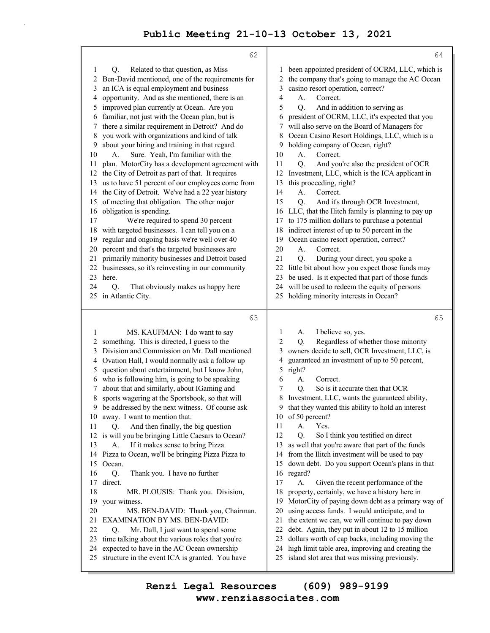|              | 62                                                  | 64                                                                                                             |
|--------------|-----------------------------------------------------|----------------------------------------------------------------------------------------------------------------|
| $\mathbf{1}$ | Related to that question, as Miss<br>Q.             | been appointed president of OCRM, LLC, which is<br>1                                                           |
| 2            | Ben-David mentioned, one of the requirements for    | the company that's going to manage the AC Ocean<br>2                                                           |
| 3            | an ICA is equal employment and business             | 3<br>casino resort operation, correct?                                                                         |
| 4            | opportunity. And as she mentioned, there is an      | Correct.<br>4<br>A.                                                                                            |
| 5            | improved plan currently at Ocean. Are you           | 5<br>Q.<br>And in addition to serving as                                                                       |
| 6            | familiar, not just with the Ocean plan, but is      | president of OCRM, LLC, it's expected that you<br>6                                                            |
| 7            | there a similar requirement in Detroit? And do      | will also serve on the Board of Managers for<br>7                                                              |
| 8            | you work with organizations and kind of talk        | Ocean Casino Resort Holdings, LLC, which is a<br>8                                                             |
| 9            | about your hiring and training in that regard.      | holding company of Ocean, right?<br>9                                                                          |
| 10           | Sure. Yeah, I'm familiar with the<br>A.             | 10<br>A.<br>Correct.                                                                                           |
| 11           | plan. MotorCity has a development agreement with    | 11<br>Q.<br>And you're also the president of OCR                                                               |
| 12           | the City of Detroit as part of that. It requires    | Investment, LLC, which is the ICA applicant in<br>12                                                           |
| 13           | us to have 51 percent of our employees come from    | this proceeding, right?<br>13                                                                                  |
| 14           | the City of Detroit. We've had a 22 year history    | Correct.<br>14<br>A.                                                                                           |
| 15           | of meeting that obligation. The other major         | 15<br>Q.<br>And it's through OCR Investment,                                                                   |
| 16           | obligation is spending.                             | LLC, that the Ilitch family is planning to pay up<br>16                                                        |
| 17           | We're required to spend 30 percent                  | to 175 million dollars to purchase a potential<br>17                                                           |
| 18           | with targeted businesses. I can tell you on a       | indirect interest of up to 50 percent in the<br>18                                                             |
| 19           | regular and ongoing basis we're well over 40        | Ocean casino resort operation, correct?<br>19                                                                  |
| 20           | percent and that's the targeted businesses are      | 20<br>A.<br>Correct.                                                                                           |
| 21           | primarily minority businesses and Detroit based     | 21<br>During your direct, you spoke a<br>Q.                                                                    |
| 22           | businesses, so it's reinvesting in our community    | little bit about how you expect those funds may<br>22                                                          |
| 23           | here.                                               | be used. Is it expected that part of those funds<br>23                                                         |
| 24           | О.<br>That obviously makes us happy here            | will be used to redeem the equity of persons<br>24                                                             |
| 25           | in Atlantic City.                                   | holding minority interests in Ocean?<br>25                                                                     |
|              | 63                                                  | 65                                                                                                             |
| 1            | MS. KAUFMAN: I do want to say                       | I believe so, yes.<br>1<br>А.                                                                                  |
| 2            | something. This is directed, I guess to the         | 2<br>Regardless of whether those minority<br>Q.                                                                |
| 3            | Division and Commission on Mr. Dall mentioned       | owners decide to sell, OCR Investment, LLC, is<br>3                                                            |
| 4            | Ovation Hall, I would normally ask a follow up      | guaranteed an investment of up to 50 percent,<br>4                                                             |
| 5            | question about entertainment, but I know John,      | 5<br>right?                                                                                                    |
| 6            | who is following him, is going to be speaking       | 6<br>А.<br>Correct.                                                                                            |
| 7            | about that and similarly, about IGaming and         | 7<br>So is it accurate then that OCR<br>О.                                                                     |
| 8            | sports wagering at the Sportsbook, so that will     | 8<br>Investment, LLC, wants the guaranteed ability,                                                            |
| 9            | be addressed by the next witness. Of course ask     | that they wanted this ability to hold an interest<br>9                                                         |
| 10           | away. I want to mention that.                       | of 50 percent?<br>10                                                                                           |
| 11           | And then finally, the big question<br>Q.            | 11<br>Yes.<br>А.                                                                                               |
|              | 12 is will you be bringing Little Caesars to Ocean? | 12<br>Q.<br>So I think you testified on direct                                                                 |
| 13           | If it makes sense to bring Pizza<br>А.              | as well that you're aware that part of the funds<br>13                                                         |
| 14           | Pizza to Ocean, we'll be bringing Pizza Pizza to    | from the Ilitch investment will be used to pay<br>14                                                           |
| 15           | Ocean.                                              | down debt. Do you support Ocean's plans in that<br>15                                                          |
| 16           | Q.<br>Thank you. I have no further                  | regard?<br>16                                                                                                  |
| 17           | direct.                                             | 17<br>Given the recent performance of the<br>А.                                                                |
| 18           | MR. PLOUSIS: Thank you. Division,                   | property, certainly, we have a history here in<br>18                                                           |
| 19           | your witness.                                       | MotorCity of paying down debt as a primary way of<br>19                                                        |
| 20           | MS. BEN-DAVID: Thank you, Chairman.                 | using access funds. I would anticipate, and to<br>20                                                           |
| 21           | <b>EXAMINATION BY MS. BEN-DAVID:</b>                | the extent we can, we will continue to pay down<br>21                                                          |
| 22<br>23     | Mr. Dall, I just want to spend some<br>Q.           | 22<br>debt. Again, they put in about 12 to 15 million<br>23                                                    |
|              | time talking about the various roles that you're    | dollars worth of cap backs, including moving the                                                               |
| 24           | expected to have in the AC Ocean ownership          | high limit table area, improving and creating the<br>24<br>island slot area that was missing previously.<br>25 |
| 25           | structure in the event ICA is granted. You have     |                                                                                                                |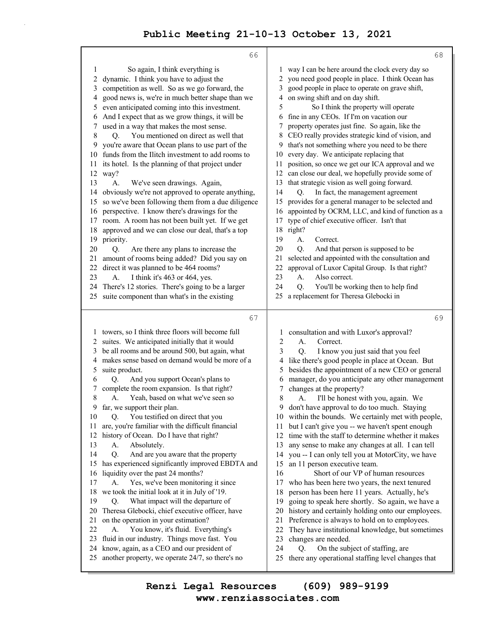|              | 66                                                                                                 | 68                                                                                                            |
|--------------|----------------------------------------------------------------------------------------------------|---------------------------------------------------------------------------------------------------------------|
| $\mathbf{1}$ | So again, I think everything is                                                                    | way I can be here around the clock every day so<br>1                                                          |
| 2            | dynamic. I think you have to adjust the                                                            | you need good people in place. I think Ocean has<br>2                                                         |
| 3            | competition as well. So as we go forward, the                                                      | good people in place to operate on grave shift,<br>3                                                          |
| 4            | good news is, we're in much better shape than we                                                   | on swing shift and on day shift.<br>4                                                                         |
| 5            | even anticipated coming into this investment.                                                      | So I think the property will operate<br>5                                                                     |
| 6<br>7       | And I expect that as we grow things, it will be                                                    | fine in any CEOs. If I'm on vacation our<br>6<br>property operates just fine. So again, like the              |
| 8            | used in a way that makes the most sense.<br>You mentioned on direct as well that<br>Q.             | 7<br>CEO really provides strategic kind of vision, and<br>8                                                   |
| 9            | you're aware that Ocean plans to use part of the                                                   | that's not something where you need to be there<br>9                                                          |
| 10           | funds from the Ilitch investment to add rooms to                                                   | every day. We anticipate replacing that<br>10                                                                 |
| 11           | its hotel. Is the planning of that project under                                                   | position, so once we get our ICA approval and we<br>11                                                        |
|              | 12 way?                                                                                            | can close our deal, we hopefully provide some of<br>12                                                        |
| 13           | A.<br>We've seen drawings. Again,                                                                  | that strategic vision as well going forward.<br>13                                                            |
| 14           | obviously we're not approved to operate anything,                                                  | In fact, the management agreement<br>14<br>Q.                                                                 |
| 15           | so we've been following them from a due diligence                                                  | provides for a general manager to be selected and<br>15                                                       |
| 16           | perspective. I know there's drawings for the                                                       | appointed by OCRM, LLC, and kind of function as a<br>16                                                       |
| 17<br>18     | room. A room has not been built yet. If we get<br>approved and we can close our deal, that's a top | type of chief executive officer. Isn't that<br>17<br>18 right?                                                |
| 19           | priority.                                                                                          | 19<br>А.<br>Correct.                                                                                          |
| 20           | Are there any plans to increase the<br>Q.                                                          | 20<br>О.<br>And that person is supposed to be                                                                 |
| 21           | amount of rooms being added? Did you say on                                                        | selected and appointed with the consultation and<br>21                                                        |
| 22           | direct it was planned to be 464 rooms?                                                             | approval of Luxor Capital Group. Is that right?<br>22                                                         |
| 23           | I think it's 463 or 464, yes.<br>A.                                                                | 23<br>A <sub>1</sub><br>Also correct.                                                                         |
| 24           | There's 12 stories. There's going to be a larger                                                   | 24<br>You'll be working then to help find<br>О.                                                               |
| 25           | suite component than what's in the existing                                                        | a replacement for Theresa Glebocki in<br>25                                                                   |
|              | 67                                                                                                 | 69                                                                                                            |
|              | 1 towers, so I think three floors will become full                                                 | consultation and with Luxor's approval?<br>1                                                                  |
| 2            | suites. We anticipated initially that it would                                                     | 2<br>A.<br>Correct.                                                                                           |
| 3            | be all rooms and be around 500, but again, what                                                    | 3<br>Q.<br>I know you just said that you feel                                                                 |
| 4            | makes sense based on demand would be more of a                                                     | like there's good people in place at Ocean. But<br>4                                                          |
| 5            | suite product.                                                                                     | besides the appointment of a new CEO or general<br>5                                                          |
| 6            | And you support Ocean's plans to<br>Q.                                                             | manager, do you anticipate any other management<br>6                                                          |
| 7<br>8       | complete the room expansion. Is that right?<br>Yeah, based on what we've seen so                   | changes at the property?<br>7<br>8                                                                            |
| 9            | А.<br>far, we support their plan.                                                                  | I'll be honest with you, again. We<br>A.<br>don't have approval to do too much. Staying<br>9                  |
| 10           | You testified on direct that you<br>Q.                                                             | within the bounds. We certainly met with people,<br>10                                                        |
| 11           | are, you're familiar with the difficult financial                                                  | but I can't give you -- we haven't spent enough<br>11                                                         |
| 12           | history of Ocean. Do I have that right?                                                            | time with the staff to determine whether it makes<br>12                                                       |
| 13           | Absolutely.<br>А.                                                                                  | any sense to make any changes at all. I can tell<br>13                                                        |
| 14           | Q.<br>And are you aware that the property                                                          | you -- I can only tell you at MotorCity, we have<br>14                                                        |
| 15           | has experienced significantly improved EBDTA and                                                   | an 11 person executive team.<br>15                                                                            |
| 16           | liquidity over the past 24 months?                                                                 | Short of our VP of human resources<br>16                                                                      |
| 17           | Yes, we've been monitoring it since<br>А.                                                          | 17<br>who has been here two years, the next tenured                                                           |
| 18<br>19     | we took the initial look at it in July of '19.<br>What impact will the departure of<br>Q.          | 18<br>person has been here 11 years. Actually, he's<br>going to speak here shortly. So again, we have a<br>19 |
| 20           | Theresa Glebocki, chief executive officer, have                                                    | history and certainly holding onto our employees.<br>20                                                       |
| 21           | on the operation in your estimation?                                                               | Preference is always to hold on to employees.<br>21                                                           |
| 22           | A.<br>You know, it's fluid. Everything's                                                           | They have institutional knowledge, but sometimes<br>22                                                        |
| 23           | fluid in our industry. Things move fast. You                                                       | 23<br>changes are needed.                                                                                     |
| 24           | know, again, as a CEO and our president of                                                         | 24<br>О.<br>On the subject of staffing, are                                                                   |
| 25           | another property, we operate 24/7, so there's no                                                   | there any operational staffing level changes that<br>25                                                       |

**www.renziassociates.com Renzi Legal Resources (609) 989-9199**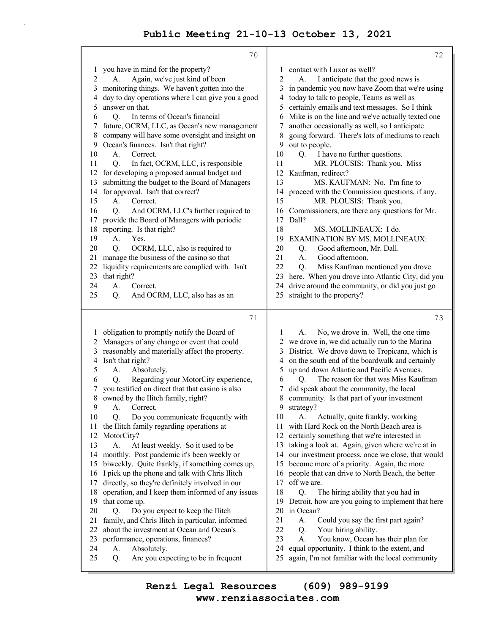|            | 70                                                                                  | 72                                                                                        |
|------------|-------------------------------------------------------------------------------------|-------------------------------------------------------------------------------------------|
| 1          | you have in mind for the property?                                                  | contact with Luxor as well?<br>1                                                          |
| $\sqrt{2}$ | Again, we've just kind of been<br>A.                                                | 2<br>I anticipate that the good news is<br>А.                                             |
| 3          | monitoring things. We haven't gotten into the                                       | in pandemic you now have Zoom that we're using<br>3                                       |
| 4          | day to day operations where I can give you a good                                   | today to talk to people, Teams as well as<br>4                                            |
| 5          | answer on that.                                                                     | certainly emails and text messages. So I think<br>5                                       |
| 6          | In terms of Ocean's financial<br>O.                                                 | Mike is on the line and we've actually texted one<br>6                                    |
| 7          | future, OCRM, LLC, as Ocean's new management                                        | another occasionally as well, so I anticipate<br>7                                        |
| 8          | company will have some oversight and insight on                                     | going forward. There's lots of mediums to reach<br>8                                      |
| 9          | Ocean's finances. Isn't that right?                                                 | out to people.<br>9                                                                       |
| 10         | A.<br>Correct.                                                                      | I have no further questions.<br>10<br>Q.                                                  |
| 11         | Q.<br>In fact, OCRM, LLC, is responsible                                            | MR. PLOUSIS: Thank you. Miss<br>11                                                        |
| 12         | for developing a proposed annual budget and                                         | Kaufman, redirect?<br>12                                                                  |
| 13         | submitting the budget to the Board of Managers<br>for approval. Isn't that correct? | 13<br>MS. KAUFMAN: No. I'm fine to                                                        |
| 14<br>15   | A.<br>Correct.                                                                      | proceed with the Commission questions, if any.<br>14<br>MR. PLOUSIS: Thank you.<br>15     |
| 16         | And OCRM, LLC's further required to<br>О.                                           | Commissioners, are there any questions for Mr.<br>16                                      |
| 17         | provide the Board of Managers with periodic                                         | Dall?<br>17                                                                               |
| 18         | reporting. Is that right?                                                           | MS. MOLLINEAUX: I do.<br>18                                                               |
| 19         | Yes.<br>A.                                                                          | EXAMINATION BY MS. MOLLINEAUX:<br>19                                                      |
| 20         | Q.<br>OCRM, LLC, also is required to                                                | 20<br>Good afternoon, Mr. Dall.<br>Q.                                                     |
| 21         | manage the business of the casino so that                                           | 21<br>Good afternoon.<br>A.                                                               |
| 22         | liquidity requirements are complied with. Isn't                                     | 22<br>Miss Kaufman mentioned you drove<br>Q.                                              |
| 23         | that right?                                                                         | here. When you drove into Atlantic City, did you<br>23                                    |
| 24         | A.<br>Correct.                                                                      | drive around the community, or did you just go<br>24                                      |
| 25         | And OCRM, LLC, also has as an<br>Q.                                                 | straight to the property?<br>25                                                           |
|            |                                                                                     |                                                                                           |
|            | 71                                                                                  | 73                                                                                        |
| 1          | obligation to promptly notify the Board of                                          | No, we drove in. Well, the one time<br>1<br>A.                                            |
| 2          | Managers of any change or event that could                                          | 2 we drove in, we did actually run to the Marina                                          |
| 3          | reasonably and materially affect the property.                                      | 3 District. We drove down to Tropicana, which is                                          |
| 4          | Isn't that right?                                                                   | on the south end of the boardwalk and certainly<br>4                                      |
| 5          | A.<br>Absolutely.                                                                   | up and down Atlantic and Pacific Avenues.<br>5                                            |
| 6          | Regarding your MotorCity experience,<br>Q.                                          | The reason for that was Miss Kaufman<br>Q.<br>6                                           |
| 7          | you testified on direct that that casino is also                                    | did speak about the community, the local<br>7                                             |
| 8          | owned by the Ilitch family, right?                                                  | community. Is that part of your investment<br>8                                           |
| 9          | Correct.<br>А.                                                                      | 9<br>strategy?                                                                            |
| 10         | Do you communicate frequently with<br>Q.                                            | Actually, quite frankly, working<br>10<br>А.<br>with Hard Rock on the North Beach area is |
| 11         | the Ilitch family regarding operations at<br>MotorCity?                             | 11<br>certainly something that we're interested in<br>12                                  |
| 12<br>13   | At least weekly. So it used to be<br>A.                                             | taking a look at. Again, given where we're at in<br>13                                    |
| 14         | monthly. Post pandemic it's been weekly or                                          | our investment process, once we close, that would<br>14                                   |
| 15         | biweekly. Quite frankly, if something comes up,                                     | become more of a priority. Again, the more<br>15                                          |
| 16         | I pick up the phone and talk with Chris Ilitch                                      | people that can drive to North Beach, the better<br>16                                    |
| 17         | directly, so they're definitely involved in our                                     | off we are.<br>17                                                                         |
| 18         | operation, and I keep them informed of any issues                                   | 18<br>The hiring ability that you had in<br>Q.                                            |
| 19         | that come up.                                                                       | Detroit, how are you going to implement that here<br>19                                   |
|            |                                                                                     | 20<br>in Ocean?                                                                           |
| 20         | Do you expect to keep the Ilitch<br>Q.                                              |                                                                                           |
| 21         | family, and Chris Ilitch in particular, informed                                    | 21<br>Could you say the first part again?<br>A.                                           |
| 22         | about the investment at Ocean and Ocean's                                           | 22<br>Your hiring ability.<br>Q.                                                          |
| 23         | performance, operations, finances?                                                  | 23<br>А.<br>You know, Ocean has their plan for                                            |
| 24         | Absolutely.<br>А.                                                                   | 24<br>equal opportunity. I think to the extent, and                                       |
| 25         | Are you expecting to be in frequent<br>Q.                                           | 25<br>again, I'm not familiar with the local community                                    |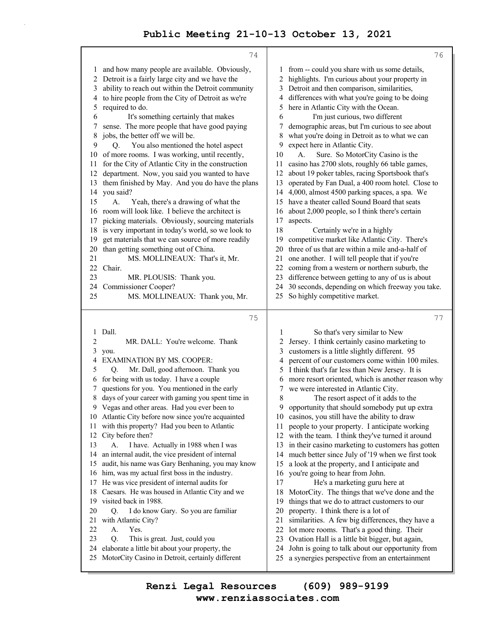|          | 74                                                                                                  |          | 76                                                                                                      |
|----------|-----------------------------------------------------------------------------------------------------|----------|---------------------------------------------------------------------------------------------------------|
| 1        | and how many people are available. Obviously,                                                       |          | 1 from -- could you share with us some details,                                                         |
| 2        | Detroit is a fairly large city and we have the                                                      | 2        | highlights. I'm curious about your property in                                                          |
| 3        | ability to reach out within the Detroit community                                                   | 3        | Detroit and then comparison, similarities,                                                              |
| 4        | to hire people from the City of Detroit as we're                                                    | 4        | differences with what you're going to be doing                                                          |
| 5        | required to do.                                                                                     | 5        | here in Atlantic City with the Ocean.                                                                   |
| 6        | It's something certainly that makes                                                                 | 6        | I'm just curious, two different                                                                         |
| 7        | sense. The more people that have good paying                                                        | 7        | demographic areas, but I'm curious to see about                                                         |
| 8        | jobs, the better off we will be.                                                                    | 8        | what you're doing in Detroit as to what we can                                                          |
| 9        | You also mentioned the hotel aspect<br>O.                                                           | 9        | expect here in Atlantic City.                                                                           |
| 10       | of more rooms. I was working, until recently,                                                       | 10       | Sure. So MotorCity Casino is the<br>А.                                                                  |
| 11       | for the City of Atlantic City in the construction                                                   | 11       | casino has 2700 slots, roughly 66 table games,                                                          |
| 12       | department. Now, you said you wanted to have                                                        | 12       | about 19 poker tables, racing Sportsbook that's                                                         |
| 13       | them finished by May. And you do have the plans                                                     | 13       | operated by Fan Dual, a 400 room hotel. Close to                                                        |
|          | 14 you said?                                                                                        | 14       | 4,000, almost 4500 parking spaces, a spa. We                                                            |
| 15       | A.<br>Yeah, there's a drawing of what the                                                           | 15       | have a theater called Sound Board that seats                                                            |
|          | 16 room will look like. I believe the architect is                                                  | 16       | about 2,000 people, so I think there's certain                                                          |
| 17       | picking materials. Obviously, sourcing materials                                                    | 17       | aspects.                                                                                                |
| 18       | is very important in today's world, so we look to                                                   | 18       | Certainly we're in a highly                                                                             |
| 19       | get materials that we can source of more readily                                                    | 19       | competitive market like Atlantic City. There's                                                          |
| 20       | than getting something out of China.                                                                | 20       | three of us that are within a mile and-a-half of                                                        |
| 21       | MS. MOLLINEAUX: That's it, Mr.                                                                      | 21       | one another. I will tell people that if you're                                                          |
| 22       | Chair.                                                                                              | 22       | coming from a western or northern suburb, the                                                           |
| 23       | MR. PLOUSIS: Thank you.                                                                             | 23       | difference between getting to any of us is about                                                        |
| 24       | Commissioner Cooper?                                                                                |          | 24 30 seconds, depending on which freeway you take.                                                     |
| 25       | MS. MOLLINEAUX: Thank you, Mr.                                                                      | 25       | So highly competitive market.                                                                           |
|          |                                                                                                     |          |                                                                                                         |
|          |                                                                                                     |          |                                                                                                         |
|          | 75                                                                                                  |          | 77                                                                                                      |
| 1        | Dall.                                                                                               | 1        | So that's very similar to New                                                                           |
| 2        | MR. DALL: You're welcome. Thank                                                                     | 2        | Jersey. I think certainly casino marketing to                                                           |
| 3        | you.                                                                                                | 3        | customers is a little slightly different. 95                                                            |
| 4        | <b>EXAMINATION BY MS. COOPER:</b>                                                                   | 4        | percent of our customers come within 100 miles.                                                         |
| 5        | Mr. Dall, good afternoon. Thank you<br>O.                                                           | 5        | I think that's far less than New Jersey. It is                                                          |
| 6        | for being with us today. I have a couple                                                            | 6        | more resort oriented, which is another reason why                                                       |
| 7        | questions for you. You mentioned in the early                                                       | 7        | we were interested in Atlantic City.                                                                    |
| 8        | days of your career with gaming you spent time in                                                   | 8        | The resort aspect of it adds to the                                                                     |
|          | 9 Vegas and other areas. Had you ever been to                                                       |          | 9 opportunity that should somebody put up extra                                                         |
| 11       | 10 Atlantic City before now since you're acquainted                                                 | 11       | 10 casinos, you still have the ability to draw                                                          |
| 12       | with this property? Had you been to Atlantic                                                        |          | people to your property. I anticipate working                                                           |
| 13       | City before then?<br>I have. Actually in 1988 when I was<br>А.                                      | 13       | 12 with the team. I think they've turned it around<br>in their casino marketing to customers has gotten |
| 14       | an internal audit, the vice president of internal                                                   |          | 14 much better since July of '19 when we first took                                                     |
| 15       | audit, his name was Gary Benhaning, you may know                                                    | 15       | a look at the property, and I anticipate and                                                            |
| 16       | him, was my actual first boss in the industry.                                                      | 16       | you're going to hear from John.                                                                         |
| 17       | He was vice president of internal audits for                                                        | 17       | He's a marketing guru here at                                                                           |
| 18       | Caesars. He was housed in Atlantic City and we                                                      | 18       | MotorCity. The things that we've done and the                                                           |
| 19       | visited back in 1988.                                                                               | 19       | things that we do to attract customers to our                                                           |
| 20       | I do know Gary. So you are familiar<br>Q.                                                           | 20       | property. I think there is a lot of                                                                     |
| 21       | with Atlantic City?                                                                                 | 21       | similarities. A few big differences, they have a                                                        |
| 22       | Yes.<br>А.                                                                                          | 22       | lot more rooms. That's a good thing. Their                                                              |
| 23       | Q.<br>This is great. Just, could you                                                                | 23       | Ovation Hall is a little bit bigger, but again,                                                         |
| 24<br>25 | elaborate a little bit about your property, the<br>MotorCity Casino in Detroit, certainly different | 24<br>25 | John is going to talk about our opportunity from<br>a synergies perspective from an entertainment       |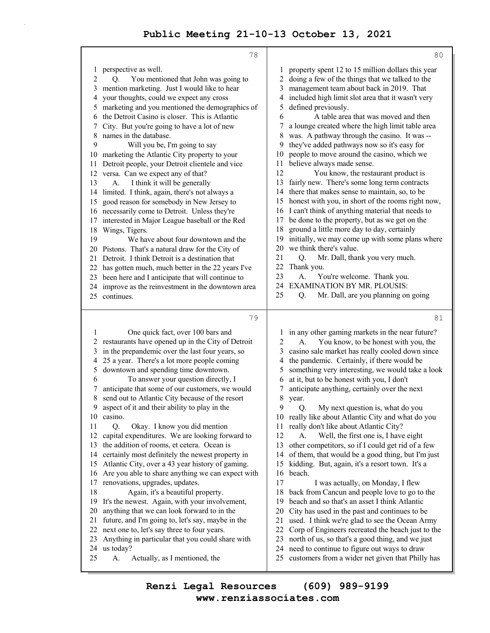|                | 78                                                   |                | 80                                                                                              |
|----------------|------------------------------------------------------|----------------|-------------------------------------------------------------------------------------------------|
| $\mathbf{I}$   | perspective as well.                                 | 1              | property spent 12 to 15 million dollars this year                                               |
| $\overline{c}$ | You mentioned that John was going to<br>Q.           | $\overline{c}$ | doing a few of the things that we talked to the                                                 |
| 3              | mention marketing. Just I would like to hear         | 3              | management team about back in 2019. That                                                        |
| 4              | your thoughts, could we expect any cross             | 4              | included high limit slot area that it wasn't very                                               |
| 5              | marketing and you mentioned the demographics of      | 5              | defined previously.                                                                             |
| 6              | the Detroit Casino is closer. This is Atlantic       | 6              | A table area that was moved and then                                                            |
| 7              | City. But you're going to have a lot of new          | 7              | a lounge created where the high limit table area                                                |
| 8              | names in the database.                               | 8              | was. A pathway through the casino. It was --                                                    |
| 9              | Will you be, I'm going to say                        | 9              | they've added pathways now so it's easy for                                                     |
| 10             | marketing the Atlantic City property to your         | 10             | people to move around the casino, which we                                                      |
| 11             | Detroit people, your Detroit clientele and vice      | 11             | believe always made sense.                                                                      |
|                | 12 versa. Can we expect any of that?                 | 12             | You know, the restaurant product is                                                             |
| 13             | A.<br>I think it will be generally                   | 13             | fairly new. There's some long term contracts                                                    |
| 14             | limited. I think, again, there's not always a        | 14             | there that makes sense to maintain, so, to be                                                   |
| 15             | good reason for somebody in New Jersey to            | 15             | honest with you, in short of the rooms right now,                                               |
| 16             | necessarily come to Detroit. Unless they're          | 16             | I can't think of anything material that needs to                                                |
| 17             | interested in Major League baseball or the Red       | 17             | be done to the property, but as we get on the                                                   |
| 18             | Wings, Tigers.                                       | 18             | ground a little more day to day, certainly                                                      |
| 19             | We have about four downtown and the                  | 19             | initially, we may come up with some plans where                                                 |
|                | 20 Pistons. That's a natural draw for the City of    | 20             | we think there's value.                                                                         |
| 21             | Detroit. I think Detroit is a destination that       | 21             | Mr. Dall, thank you very much.<br>Q.                                                            |
|                | 22 has gotten much, much better in the 22 years I've | 22             | Thank you.                                                                                      |
| 23             | been here and I anticipate that will continue to     | 23             | You're welcome. Thank you.<br>А.                                                                |
|                | 24 improve as the reinvestment in the downtown area  | 24             | <b>EXAMINATION BY MR. PLOUSIS:</b>                                                              |
|                | 25 continues.                                        | 25             | Mr. Dall, are you planning on going<br>Q.                                                       |
|                |                                                      |                |                                                                                                 |
|                |                                                      |                |                                                                                                 |
|                | 79                                                   |                | 81                                                                                              |
| 1              | One quick fact, over 100 bars and                    | 1              | in any other gaming markets in the near future?                                                 |
|                | 2 restaurants have opened up in the City of Detroit  | 2              | You know, to be honest with you, the<br>А.                                                      |
| 3              | in the prepandemic over the last four years, so      | 3              | casino sale market has really cooled down since                                                 |
| 4              | 25 a year. There's a lot more people coming          | 4              | the pandemic. Certainly, if there would be                                                      |
| 5              | downtown and spending time downtown.                 | 5              | something very interesting, we would take a look                                                |
| 6              | To answer your question directly, I                  | 6              | at it, but to be honest with you, I don't                                                       |
| 7              | anticipate that some of our customers, we would      | 7              | anticipate anything, certainly over the next                                                    |
| 8              | send out to Atlantic City because of the resort      | 8              | year.                                                                                           |
| 9              | aspect of it and their ability to play in the        | 9              | Q.<br>My next question is, what do you                                                          |
| 10             | casino.                                              |                | 10 really like about Atlantic City and what do you                                              |
| 11             | Q.<br>Okay. I know you did mention                   | 11             | really don't like about Atlantic City?                                                          |
| 12             | capital expenditures. We are looking forward to      | 12             | Well, the first one is, I have eight<br>А.                                                      |
| 13             | the addition of rooms, et cetera. Ocean is           | 13             | other competitors, so if I could get rid of a few                                               |
| 14             | certainly most definitely the newest property in     | 14             | of them, that would be a good thing, but I'm just                                               |
| 15             | Atlantic City, over a 43 year history of gaming.     | 15             | kidding. But, again, it's a resort town. It's a                                                 |
| 16             | Are you able to share anything we can expect with    | 16             | beach.                                                                                          |
| 17             | renovations, upgrades, updates.                      | 17             | I was actually, on Monday, I flew                                                               |
| 18             | Again, it's a beautiful property.                    | 18             | back from Cancun and people love to go to the                                                   |
| 19             | It's the newest. Again, with your involvement,       | 19             | beach and so that's an asset I think Atlantic                                                   |
| 20             | anything that we can look forward to in the          | 20             | City has used in the past and continues to be                                                   |
| 21<br>22       | future, and I'm going to, let's say, maybe in the    | 21<br>22       | used. I think we're glad to see the Ocean Army                                                  |
| 23             | next one to, let's say three to four years.          | 23             | Corp of Engineers recreated the beach just to the                                               |
|                | Anything in particular that you could share with     | 24             | north of us, so that's a good thing, and we just                                                |
| 25             | 24 us today?<br>Actually, as I mentioned, the<br>А.  | 25             | need to continue to figure out ways to draw<br>customers from a wider net given that Philly has |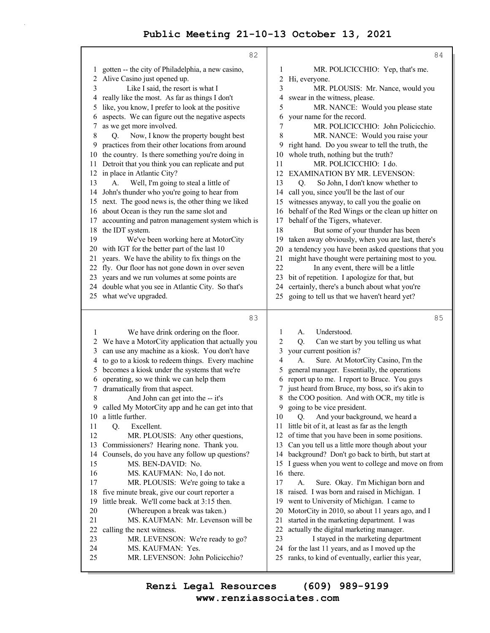|              | 82                                                                                                  | 84                                                                                                           |
|--------------|-----------------------------------------------------------------------------------------------------|--------------------------------------------------------------------------------------------------------------|
| 1            | gotten -- the city of Philadelphia, a new casino,                                                   | 1<br>MR. POLICICCHIO: Yep, that's me.                                                                        |
|              | Alive Casino just opened up.                                                                        | 2<br>Hi, everyone.                                                                                           |
| 3            | Like I said, the resort is what I                                                                   | 3<br>MR. PLOUSIS: Mr. Nance, would you                                                                       |
|              | 4 really like the most. As far as things I don't                                                    | swear in the witness, please.<br>4                                                                           |
| 5            | like, you know, I prefer to look at the positive                                                    | 5<br>MR. NANCE: Would you please state                                                                       |
| 6            | aspects. We can figure out the negative aspects                                                     | your name for the record.<br>6                                                                               |
| 7            | as we get more involved.                                                                            | MR. POLICICCHIO: John Policicchio.<br>7                                                                      |
| 8            | Now, I know the property bought best<br>Q.                                                          | 8<br>MR. NANCE: Would you raise your                                                                         |
| 9            | practices from their other locations from around                                                    | right hand. Do you swear to tell the truth, the<br>9                                                         |
| 10<br>11     | the country. Is there something you're doing in<br>Detroit that you think you can replicate and put | whole truth, nothing but the truth?<br>10<br>MR. POLICICCHIO: I do.<br>11                                    |
| 12           | in place in Atlantic City?                                                                          | EXAMINATION BY MR. LEVENSON:<br>12                                                                           |
| 13           | Well, I'm going to steal a little of<br>A.                                                          | 13<br>So John, I don't know whether to<br>Q.                                                                 |
| 14           | John's thunder who you're going to hear from                                                        | call you, since you'll be the last of our<br>14                                                              |
| 15           | next. The good news is, the other thing we liked                                                    | witnesses anyway, to call you the goalie on<br>15                                                            |
| 16           | about Ocean is they run the same slot and                                                           | behalf of the Red Wings or the clean up hitter on<br>16                                                      |
| 17           | accounting and patron management system which is                                                    | behalf of the Tigers, whatever.<br>17                                                                        |
| 18           | the IDT system.                                                                                     | But some of your thunder has been<br>18                                                                      |
| 19           | We've been working here at MotorCity                                                                | taken away obviously, when you are last, there's<br>19                                                       |
| 20           | with IGT for the better part of the last 10                                                         | 20<br>a tendency you have been asked questions that you                                                      |
| 21           | years. We have the ability to fix things on the                                                     | might have thought were pertaining most to you.<br>21                                                        |
| 22.          | fly. Our floor has not gone down in over seven                                                      | In any event, there will be a little<br>22                                                                   |
| 23.          | years and we run volumes at some points are                                                         | bit of repetition. I apologize for that, but<br>23                                                           |
|              | 24 double what you see in Atlantic City. So that's                                                  | certainly, there's a bunch about what you're<br>24                                                           |
|              | 25 what we've upgraded.                                                                             | going to tell us that we haven't heard yet?<br>25                                                            |
|              |                                                                                                     |                                                                                                              |
|              | 83                                                                                                  | 85                                                                                                           |
| $\mathbf{1}$ |                                                                                                     | Understood.<br>1<br>А.                                                                                       |
| 2            | We have drink ordering on the floor.<br>We have a MotorCity application that actually you           | 2<br>Can we start by you telling us what<br>Q.                                                               |
| 3            | can use any machine as a kiosk. You don't have                                                      | 3<br>your current position is?                                                                               |
| 4            | to go to a kiosk to redeem things. Every machine                                                    | Sure. At MotorCity Casino, I'm the<br>$\overline{4}$<br>A.                                                   |
| 5            | becomes a kiosk under the systems that we're                                                        | general manager. Essentially, the operations<br>5                                                            |
| 6            | operating, so we think we can help them                                                             | report up to me. I report to Bruce. You guys<br>6                                                            |
| 7            | dramatically from that aspect.                                                                      | just heard from Bruce, my boss, so it's akin to<br>7                                                         |
| 8            | And John can get into the -- it's                                                                   | the COO position. And with OCR, my title is<br>8                                                             |
| 9            | called My MotorCity app and he can get into that                                                    | 9<br>going to be vice president.                                                                             |
| 10           | a little further.                                                                                   | And your background, we heard a<br>10<br>Q.                                                                  |
| 11           | Excellent.<br>Q.                                                                                    | little bit of it, at least as far as the length<br>11                                                        |
| 12           | MR. PLOUSIS: Any other questions,                                                                   | of time that you have been in some positions.<br>12                                                          |
| 13           | Commissioners? Hearing none. Thank you.                                                             | Can you tell us a little more though about your<br>13                                                        |
| 14           | Counsels, do you have any follow up questions?                                                      | background? Don't go back to birth, but start at<br>14<br>15                                                 |
| 15<br>16     | MS. BEN-DAVID: No.<br>MS. KAUFMAN: No, I do not.                                                    | I guess when you went to college and move on from<br>16<br>there.                                            |
| 17           | MR. PLOUSIS: We're going to take a                                                                  | 17<br>A.<br>Sure. Okay. I'm Michigan born and                                                                |
| 18           | five minute break, give our court reporter a                                                        | raised. I was born and raised in Michigan. I<br>18                                                           |
| 19           | little break. We'll come back at 3:15 then.                                                         | went to University of Michigan. I came to<br>19                                                              |
| 20           | (Whereupon a break was taken.)                                                                      | 20<br>MotorCity in 2010, so about 11 years ago, and I                                                        |
| 21           | MS. KAUFMAN: Mr. Levenson will be                                                                   | started in the marketing department. I was<br>21                                                             |
| 22           | calling the next witness.                                                                           | 22<br>actually the digital marketing manager.                                                                |
| 23           | MR. LEVENSON: We're ready to go?                                                                    | 23<br>I stayed in the marketing department                                                                   |
| 24<br>25     | MS. KAUFMAN: Yes.<br>MR. LEVENSON: John Policicchio?                                                | for the last 11 years, and as I moved up the<br>24<br>ranks, to kind of eventually, earlier this year,<br>25 |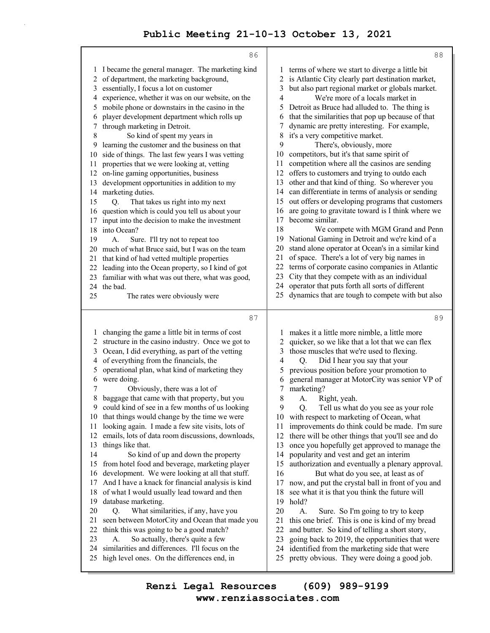|          | 86                                                                                                    |          | 88                                                                                                |
|----------|-------------------------------------------------------------------------------------------------------|----------|---------------------------------------------------------------------------------------------------|
| 1        | I became the general manager. The marketing kind                                                      |          | terms of where we start to diverge a little bit                                                   |
| 2        | of department, the marketing background,                                                              | 2        | is Atlantic City clearly part destination market,                                                 |
| 3        | essentially, I focus a lot on customer                                                                | 3        | but also part regional market or globals market.                                                  |
| 4        | experience, whether it was on our website, on the                                                     | 4        | We're more of a locals market in                                                                  |
| 5        | mobile phone or downstairs in the casino in the                                                       | 5        | Detroit as Bruce had alluded to. The thing is                                                     |
| 6        | player development department which rolls up                                                          | 6        | that the similarities that pop up because of that                                                 |
| 7        | through marketing in Detroit.                                                                         | 7        | dynamic are pretty interesting. For example,                                                      |
| 8        | So kind of spent my years in                                                                          | 8        | it's a very competitive market.                                                                   |
| 9        | learning the customer and the business on that                                                        | 9        | There's, obviously, more                                                                          |
| 10       | side of things. The last few years I was vetting                                                      | 10       | competitors, but it's that same spirit of                                                         |
| 11       | properties that we were looking at, vetting                                                           | 11       | competition where all the casinos are sending                                                     |
| 12       | on-line gaming opportunities, business                                                                | 12       | offers to customers and trying to outdo each                                                      |
| 13       | development opportunities in addition to my                                                           | 13       | other and that kind of thing. So wherever you                                                     |
| 14       | marketing duties.                                                                                     | 14       | can differentiate in terms of analysis or sending                                                 |
| 15       | That takes us right into my next<br>O.                                                                | 15       | out offers or developing programs that customers                                                  |
| 16       | question which is could you tell us about your                                                        | 16       | are going to gravitate toward is I think where we                                                 |
| 17       | input into the decision to make the investment                                                        | 17       | become similar.                                                                                   |
| 18       | into Ocean?                                                                                           | 18       | We compete with MGM Grand and Penn                                                                |
| 19       | Sure. I'll try not to repeat too<br>А.                                                                | 19<br>20 | National Gaming in Detroit and we're kind of a                                                    |
| 20       | much of what Bruce said, but I was on the team                                                        | 21       | stand alone operator at Ocean's in a similar kind<br>of space. There's a lot of very big names in |
| 21       | that kind of had vetted multiple properties                                                           | 22       | terms of corporate casino companies in Atlantic                                                   |
| 22<br>23 | leading into the Ocean property, so I kind of got<br>familiar with what was out there, what was good, | 23       | City that they compete with as an individual                                                      |
|          | 24 the bad.                                                                                           | 24       | operator that puts forth all sorts of different                                                   |
| 25       | The rates were obviously were                                                                         | 25       | dynamics that are tough to compete with but also                                                  |
|          |                                                                                                       |          |                                                                                                   |
|          | 87                                                                                                    |          | 89                                                                                                |
|          |                                                                                                       |          |                                                                                                   |
| 1        | changing the game a little bit in terms of cost<br>structure in the casino industry. Once we got to   | 1<br>2   | makes it a little more nimble, a little more<br>quicker, so we like that a lot that we can flex   |
| 2<br>3   | Ocean, I did everything, as part of the vetting                                                       | 3        | those muscles that we're used to flexing.                                                         |
| 4        | of everything from the financials, the                                                                | 4        | Did I hear you say that your<br>Q.                                                                |
| 5        | operational plan, what kind of marketing they                                                         | 5        | previous position before your promotion to                                                        |
| 6        | were doing.                                                                                           | 6        | general manager at MotorCity was senior VP of                                                     |
| 7        | Obviously, there was a lot of                                                                         |          |                                                                                                   |
| 8        |                                                                                                       |          |                                                                                                   |
|          |                                                                                                       | 7        | marketing?                                                                                        |
| 9        | baggage that came with that property, but you                                                         | 8<br>9   | Right, yeah.<br>A.                                                                                |
|          | could kind of see in a few months of us looking                                                       | 10       | Tell us what do you see as your role<br>Q.                                                        |
| 11       | 10 that things would change by the time we were<br>looking again. I made a few site visits, lots of   | 11       | with respect to marketing of Ocean, what<br>improvements do think could be made. I'm sure         |
| 12       | emails, lots of data room discussions, downloads,                                                     | 12       | there will be other things that you'll see and do                                                 |
| 13       | things like that.                                                                                     | 13       | once you hopefully get approved to manage the                                                     |
| 14       | So kind of up and down the property                                                                   | 14       | popularity and vest and get an interim                                                            |
| 15       | from hotel food and beverage, marketing player                                                        | 15       | authorization and eventually a plenary approval.                                                  |
| 16       | development. We were looking at all that stuff.                                                       | 16       | But what do you see, at least as of                                                               |
| 17       | And I have a knack for financial analysis is kind                                                     | 17       | now, and put the crystal ball in front of you and                                                 |
| 18       | of what I would usually lead toward and then                                                          | 18       | see what it is that you think the future will                                                     |
| 19       | database marketing.                                                                                   | 19       | hold?                                                                                             |
| 20       | What similarities, if any, have you<br>Q.                                                             | 20       | A.<br>Sure. So I'm going to try to keep                                                           |
| 21       | seen between MotorCity and Ocean that made you                                                        | 21       | this one brief. This is one is kind of my bread                                                   |
| 22       | think this was going to be a good match?                                                              | 22       | and butter. So kind of telling a short story,                                                     |
| 23       | So actually, there's quite a few<br>А.                                                                | 23       | going back to 2019, the opportunities that were                                                   |
| 24<br>25 | similarities and differences. I'll focus on the<br>high level ones. On the differences end, in        | 24<br>25 | identified from the marketing side that were<br>pretty obvious. They were doing a good job.       |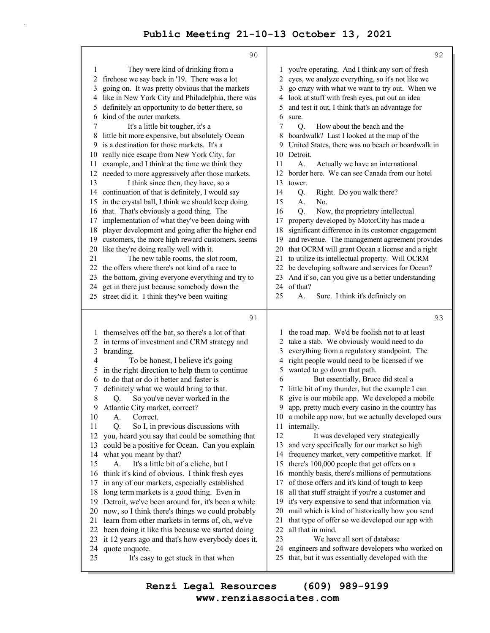|              | 90                                                                                                    |          | 92                                                                                                  |
|--------------|-------------------------------------------------------------------------------------------------------|----------|-----------------------------------------------------------------------------------------------------|
| $\mathbf{1}$ | They were kind of drinking from a                                                                     | 1        | you're operating. And I think any sort of fresh                                                     |
| 2            | firehose we say back in '19. There was a lot                                                          | 2        | eyes, we analyze everything, so it's not like we                                                    |
| 3            | going on. It was pretty obvious that the markets                                                      | 3        | go crazy with what we want to try out. When we                                                      |
| 4            | like in New York City and Philadelphia, there was                                                     | 4        | look at stuff with fresh eyes, put out an idea                                                      |
| 5            | definitely an opportunity to do better there, so                                                      | 5        | and test it out, I think that's an advantage for                                                    |
| 6            | kind of the outer markets.                                                                            | 6        | sure.                                                                                               |
| 7            | It's a little bit tougher, it's a                                                                     | 7        | Q.<br>How about the beach and the                                                                   |
| 8            | little bit more expensive, but absolutely Ocean                                                       |          | boardwalk? Last I looked at the map of the                                                          |
| 9            | is a destination for those markets. It's a                                                            | 9        | United States, there was no beach or boardwalk in                                                   |
| 10           | really nice escape from New York City, for                                                            | 10       | Detroit.                                                                                            |
| 11           | example, and I think at the time we think they                                                        | 11       | A.<br>Actually we have an international                                                             |
| 12           | needed to more aggressively after those markets.                                                      | 12       | border here. We can see Canada from our hotel                                                       |
| 13           | I think since then, they have, so a                                                                   | 13       | tower.                                                                                              |
| 14           | continuation of that is definitely, I would say                                                       | 14       | Right. Do you walk there?<br>Q.                                                                     |
| 15           | in the crystal ball, I think we should keep doing                                                     | 15       | No.<br>A.                                                                                           |
| 16           | that. That's obviously a good thing. The                                                              | 16       | Now, the proprietary intellectual<br>Q.                                                             |
| 17           | implementation of what they've been doing with                                                        | 17<br>18 | property developed by MotorCity has made a                                                          |
| 18<br>19     | player development and going after the higher end<br>customers, the more high reward customers, seems | 19       | significant difference in its customer engagement<br>and revenue. The management agreement provides |
| 20           | like they're doing really well with it.                                                               | 20       | that OCRM will grant Ocean a license and a right                                                    |
| 21           | The new table rooms, the slot room,                                                                   | 21       | to utilize its intellectual property. Will OCRM                                                     |
| 22           | the offers where there's not kind of a race to                                                        | 22       | be developing software and services for Ocean?                                                      |
| 23           | the bottom, giving everyone everything and try to                                                     | 23       | And if so, can you give us a better understanding                                                   |
| 24           | get in there just because somebody down the                                                           | 24       | of that?                                                                                            |
| 25           | street did it. I think they've been waiting                                                           | 25       | A.<br>Sure. I think it's definitely on                                                              |
|              |                                                                                                       |          |                                                                                                     |
|              | 91                                                                                                    |          | 93                                                                                                  |
| 1            | themselves off the bat, so there's a lot of that                                                      | 1        | the road map. We'd be foolish not to at least                                                       |
| 2            | in terms of investment and CRM strategy and                                                           | 2        | take a stab. We obviously would need to do                                                          |
| 3            | branding.                                                                                             | 3        | everything from a regulatory standpoint. The                                                        |
| 4            | To be honest, I believe it's going                                                                    | 4        | right people would need to be licensed if we                                                        |
| 5            | in the right direction to help them to continue                                                       | 5        | wanted to go down that path.                                                                        |
| 6            | to do that or do it better and faster is                                                              | 6        | But essentially, Bruce did steal a                                                                  |
| 7            | definitely what we would bring to that.                                                               | 7        | little bit of my thunder, but the example I can                                                     |
| 8            | So you've never worked in the<br>Q.                                                                   | 8        | give is our mobile app. We developed a mobile                                                       |
| 9            | Atlantic City market, correct?                                                                        | 9        | app, pretty much every casino in the country has                                                    |
| 10           | Correct.<br>А.                                                                                        | 10       | a mobile app now, but we actually developed ours                                                    |
| 11           | So I, in previous discussions with<br>Q.                                                              | 11<br>12 | internally.<br>It was developed very strategically                                                  |
| 12           | you, heard you say that could be something that                                                       | 13       | and very specifically for our market so high                                                        |
| 13<br>14     | could be a positive for Ocean. Can you explain<br>what you meant by that?                             | 14       | frequency market, very competitive market. If                                                       |
| 15           | It's a little bit of a cliche, but I<br>А.                                                            | 15       | there's 100,000 people that get offers on a                                                         |
| 16           | think it's kind of obvious. I think fresh eyes                                                        | 16       | monthly basis, there's millions of permutations                                                     |
| 17           | in any of our markets, especially established                                                         | 17       | of those offers and it's kind of tough to keep                                                      |
| 18           | long term markets is a good thing. Even in                                                            | 18       | all that stuff straight if you're a customer and                                                    |
| 19           | Detroit, we've been around for, it's been a while                                                     | 19       | it's very expensive to send that information via                                                    |
| 20           | now, so I think there's things we could probably                                                      | 20       | mail which is kind of historically how you send                                                     |
| 21           | learn from other markets in terms of, oh, we've                                                       | 21       | that type of offer so we developed our app with                                                     |
| 22           | been doing it like this because we started doing                                                      | 22       | all that in mind.                                                                                   |
| 23           | it 12 years ago and that's how everybody does it,                                                     | 23       | We have all sort of database                                                                        |
| 24           | quote unquote.                                                                                        | 24       | engineers and software developers who worked on                                                     |
| 25           | It's easy to get stuck in that when                                                                   | 25       | that, but it was essentially developed with the                                                     |
|              |                                                                                                       |          |                                                                                                     |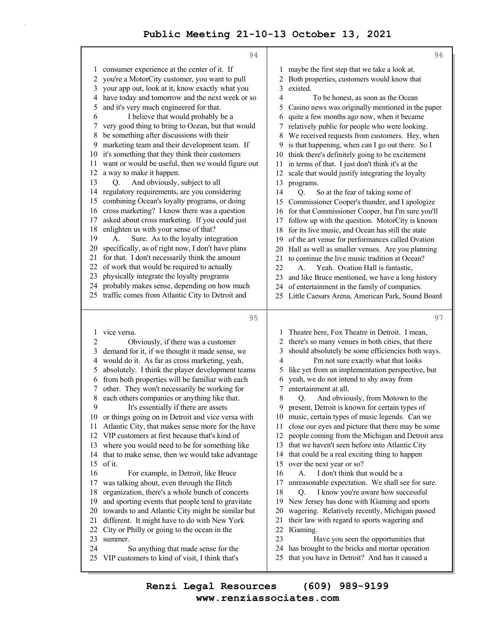|        | 94                                                                                                 |              | 96                                                                                                    |
|--------|----------------------------------------------------------------------------------------------------|--------------|-------------------------------------------------------------------------------------------------------|
| 1      | consumer experience at the center of it. If                                                        | 1            | maybe the first step that we take a look at.                                                          |
| 2      | you're a MotorCity customer, you want to pull                                                      | 2            | Both properties, customers would know that                                                            |
| 3      | your app out, look at it, know exactly what you                                                    | 3            | existed.                                                                                              |
| 4      | have today and tomorrow and the next week or so                                                    | 4            | To be honest, as soon as the Ocean                                                                    |
| 5      | and it's very much engineered for that.                                                            | 5            | Casino news was originally mentioned in the paper                                                     |
| 6      | I believe that would probably be a                                                                 | 6            | quite a few months ago now, when it became                                                            |
| 7      | very good thing to bring to Ocean, but that would                                                  | 7            | relatively public for people who were looking.                                                        |
| 8      | be something after discussions with their                                                          | 8            | We received requests from customers. Hey, when                                                        |
| 9      | marketing team and their development team. If                                                      | 9            | is that happening, when can I go out there. So I                                                      |
| 10     | it's something that they think their customers                                                     | 10           | think there's definitely going to be excitement                                                       |
| 11     | want or would be useful, then we would figure out                                                  | 11           | in terms of that. I just don't think it's at the                                                      |
| 12     | a way to make it happen.                                                                           | 12           | scale that would justify integrating the loyalty                                                      |
| 13     | And obviously, subject to all<br>O.                                                                | 13           | programs.                                                                                             |
| 14     | regulatory requirements, are you considering                                                       | 14           | So at the fear of taking some of<br>Q.                                                                |
| 15     | combining Ocean's loyalty programs, or doing                                                       | 15           | Commissioner Cooper's thunder, and I apologize                                                        |
| 16     | cross marketing? I know there was a question                                                       | 16           | for that Commissioner Cooper, but I'm sure you'll                                                     |
| 17     | asked about cross marketing. If you could just                                                     | 17           | follow up with the question. MotorCity is known                                                       |
| 18     | enlighten us with your sense of that?                                                              | 18           | for its live music, and Ocean has still the state                                                     |
| 19     | Sure. As to the loyalty integration<br>А.                                                          | 19           | of the art venue for performances called Ovation                                                      |
| 20     | specifically, as of right now, I don't have plans                                                  | 20           | Hall as well as smaller venues. Are you planning                                                      |
| 21     | for that. I don't necessarily think the amount                                                     | 21           | to continue the live music tradition at Ocean?                                                        |
| 22     | of work that would be required to actually                                                         | 22           | Yeah. Ovation Hall is fantastic,<br>$\mathbf{A}$ .                                                    |
| 23     | physically integrate the loyalty programs                                                          | 23           | and like Bruce mentioned, we have a long history                                                      |
| 24     | probably makes sense, depending on how much                                                        | 24           | of entertainment in the family of companies.                                                          |
|        | 25 traffic comes from Atlantic City to Detroit and                                                 | 25           | Little Caesars Arena, American Park, Sound Board                                                      |
|        |                                                                                                    |              |                                                                                                       |
|        |                                                                                                    |              |                                                                                                       |
|        | 95                                                                                                 |              | 97                                                                                                    |
|        |                                                                                                    |              |                                                                                                       |
| 1      | vice versa.                                                                                        | $\mathbf{I}$ | Theatre here, Fox Theatre in Detroit. I mean,                                                         |
| 2      | Obviously, if there was a customer                                                                 | 2            | there's so many venues in both cities, that there                                                     |
| 3      | demand for it, if we thought it made sense, we                                                     | 3            | should absolutely be some efficiencies both ways.                                                     |
| 4      | would do it. As far as cross marketing, yeah,                                                      | 4            | I'm not sure exactly what that looks                                                                  |
| 5      | absolutely. I think the player development teams                                                   | 5            | like yet from an implementation perspective, but                                                      |
| 6      | from both properties will be familiar with each                                                    | 6            | yeah, we do not intend to shy away from                                                               |
| 7      | other. They won't necessarily be working for                                                       | 7            | entertainment at all.                                                                                 |
| 8<br>9 | each others companies or anything like that.                                                       | 8<br>9       | And obviously, from Motown to the<br>O.                                                               |
|        | It's essentially if there are assets                                                               |              | present, Detroit is known for certain types of                                                        |
| 11     | 10 or things going on in Detroit and vice versa with                                               | 11           | 10 music, certain types of music legends. Can we                                                      |
| 12     | Atlantic City, that makes sense more for the have<br>VIP customers at first because that's kind of | 12           | close our eyes and picture that there may be some<br>people coming from the Michigan and Detroit area |
| 13     | where you would need to be for something like                                                      | 13           |                                                                                                       |
| 14     |                                                                                                    | 14           | that we haven't seen before into Atlantic City                                                        |
| 15     | that to make sense, then we would take advantage<br>of it.                                         | 15           | that could be a real exciting thing to happen<br>over the next year or so?                            |
| 16     | For example, in Detroit, like Bruce                                                                | 16           | I don't think that would be a<br>А.                                                                   |
| 17     | was talking about, even through the Ilitch                                                         | 17           | unreasonable expectation. We shall see for sure.                                                      |
| 18     | organization, there's a whole bunch of concerts                                                    | 18           | I know you're aware how successful<br>Q.                                                              |
| 19     | and sporting events that people tend to gravitate                                                  | 19           | New Jersey has done with IGaming and sports                                                           |
| 20     | towards to and Atlantic City might be similar but                                                  | 20           | wagering. Relatively recently, Michigan passed                                                        |
| 21     | different. It might have to do with New York                                                       | 21           | their law with regard to sports wagering and                                                          |
| 22     | City or Philly or going to the ocean in the                                                        | 22           | IGaming.                                                                                              |
| 23     | summer.                                                                                            | 23           | Have you seen the opportunities that                                                                  |
| 24     | So anything that made sense for the                                                                | 24           | has brought to the bricks and mortar operation                                                        |
| 25     | VIP customers to kind of visit, I think that's                                                     | 25           | that you have in Detroit? And has it caused a                                                         |

**www.renziassociates.com Renzi Legal Resources (609) 989-9199**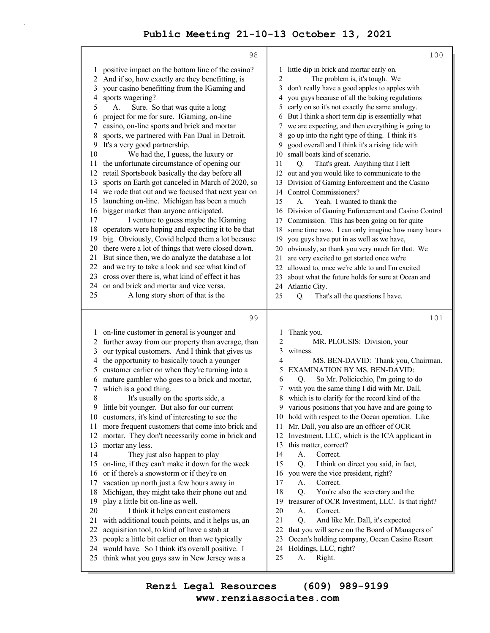|          | 98                                                                                             | 100                                                                                                           |  |  |
|----------|------------------------------------------------------------------------------------------------|---------------------------------------------------------------------------------------------------------------|--|--|
| 1        | positive impact on the bottom line of the casino?                                              | little dip in brick and mortar early on.                                                                      |  |  |
| 2        | And if so, how exactly are they benefitting, is                                                | The problem is, it's tough. We<br>2                                                                           |  |  |
| 3        | your casino benefitting from the IGaming and                                                   | don't really have a good apples to apples with<br>3                                                           |  |  |
| 4        | sports wagering?                                                                               | you guys because of all the baking regulations<br>4                                                           |  |  |
| 5        | Sure. So that was quite a long<br>А.                                                           | early on so it's not exactly the same analogy.<br>5                                                           |  |  |
| 6        | project for me for sure. IGaming, on-line                                                      | But I think a short term dip is essentially what                                                              |  |  |
| 7        | casino, on-line sports and brick and mortar                                                    | we are expecting, and then everything is going to<br>7                                                        |  |  |
| 8        | sports, we partnered with Fan Dual in Detroit.                                                 | go up into the right type of thing. I think it's<br>8                                                         |  |  |
| 9        | It's a very good partnership.                                                                  | good overall and I think it's a rising tide with<br>9                                                         |  |  |
| 10       | We had the, I guess, the luxury or                                                             | small boats kind of scenario.<br>10                                                                           |  |  |
| 11<br>12 | the unfortunate circumstance of opening our<br>retail Sportsbook basically the day before all  | 11<br>O.<br>That's great. Anything that I left                                                                |  |  |
| 13       | sports on Earth got canceled in March of 2020, so                                              | out and you would like to communicate to the<br>12<br>13 Division of Gaming Enforcement and the Casino        |  |  |
|          | 14 we rode that out and we focused that next year on                                           | 14 Control Commissioners?                                                                                     |  |  |
| 15       | launching on-line. Michigan has been a much                                                    | 15<br>Yeah. I wanted to thank the<br>А.                                                                       |  |  |
| 16       | bigger market than anyone anticipated.                                                         | Division of Gaming Enforcement and Casino Control<br>16                                                       |  |  |
| 17       | I venture to guess maybe the IGaming                                                           | Commission. This has been going on for quite<br>17                                                            |  |  |
| 18       | operators were hoping and expecting it to be that                                              | some time now. I can only imagine how many hours<br>18                                                        |  |  |
| 19       | big. Obviously, Covid helped them a lot because                                                | you guys have put in as well as we have,<br>19                                                                |  |  |
| 20       | there were a lot of things that were closed down.                                              | obviously, so thank you very much for that. We<br>20                                                          |  |  |
| 21       | But since then, we do analyze the database a lot                                               | are very excited to get started once we're<br>21                                                              |  |  |
| 22       | and we try to take a look and see what kind of                                                 | allowed to, once we're able to and I'm excited<br>22                                                          |  |  |
| 23       | cross over there is, what kind of effect it has                                                | about what the future holds for sure at Ocean and<br>23                                                       |  |  |
| 24       | on and brick and mortar and vice versa.                                                        | Atlantic City.<br>24                                                                                          |  |  |
| 25       | A long story short of that is the                                                              | 25<br>Q.<br>That's all the questions I have.                                                                  |  |  |
|          | 99                                                                                             | 101                                                                                                           |  |  |
| 1        | on-line customer in general is younger and                                                     | Thank you.                                                                                                    |  |  |
| 2        | further away from our property than average, than                                              | 2<br>MR. PLOUSIS: Division, your                                                                              |  |  |
| 3        | our typical customers. And I think that gives us                                               | 3<br>witness.                                                                                                 |  |  |
| 4        | the opportunity to basically touch a younger                                                   | 4<br>MS. BEN-DAVID: Thank you, Chairman.                                                                      |  |  |
| 5        | customer earlier on when they're turning into a                                                | EXAMINATION BY MS. BEN-DAVID:<br>5                                                                            |  |  |
| 6        | mature gambler who goes to a brick and mortar,                                                 | So Mr. Policicchio, I'm going to do<br>6<br>Q.                                                                |  |  |
| 7        | which is a good thing.                                                                         | with you the same thing I did with Mr. Dall,                                                                  |  |  |
| 8        | It's usually on the sports side, a                                                             | which is to clarify for the record kind of the<br>8                                                           |  |  |
| 9<br>10  | little bit younger. But also for our current<br>customers, it's kind of interesting to see the | various positions that you have and are going to<br>9<br>hold with respect to the Ocean operation. Like<br>10 |  |  |
| 11       | more frequent customers that come into brick and                                               | Mr. Dall, you also are an officer of OCR<br>11                                                                |  |  |
| 12       | mortar. They don't necessarily come in brick and                                               | Investment, LLC, which is the ICA applicant in<br>12                                                          |  |  |
| 13       | mortar any less.                                                                               | this matter, correct?<br>13                                                                                   |  |  |
| 14       | They just also happen to play                                                                  | 14<br>Correct.<br>A.                                                                                          |  |  |
| 15       | on-line, if they can't make it down for the week                                               | 15<br>Q.<br>I think on direct you said, in fact,                                                              |  |  |
| 16       | or if there's a snowstorm or if they're on                                                     | you were the vice president, right?<br>16                                                                     |  |  |
| 17       | vacation up north just a few hours away in                                                     | 17<br>A.<br>Correct.                                                                                          |  |  |
| 18       | Michigan, they might take their phone out and                                                  | You're also the secretary and the<br>18<br>Q.                                                                 |  |  |
| 19       | play a little bit on-line as well.                                                             | treasurer of OCR Investment, LLC. Is that right?<br>19                                                        |  |  |
| 20       | I think it helps current customers                                                             | 20<br>Correct.<br>A.                                                                                          |  |  |
| 21       | with additional touch points, and it helps us, an                                              | 21<br>Q.<br>And like Mr. Dall, it's expected                                                                  |  |  |
| 22       | acquisition tool, to kind of have a stab at                                                    | 22<br>that you will serve on the Board of Managers of                                                         |  |  |
| 23       | people a little bit earlier on than we typically                                               | 23<br>Ocean's holding company, Ocean Casino Resort<br>24                                                      |  |  |
| 24<br>25 | would have. So I think it's overall positive. I<br>think what you guys saw in New Jersey was a | Holdings, LLC, right?<br>25<br>Right.<br>А.                                                                   |  |  |
|          |                                                                                                |                                                                                                               |  |  |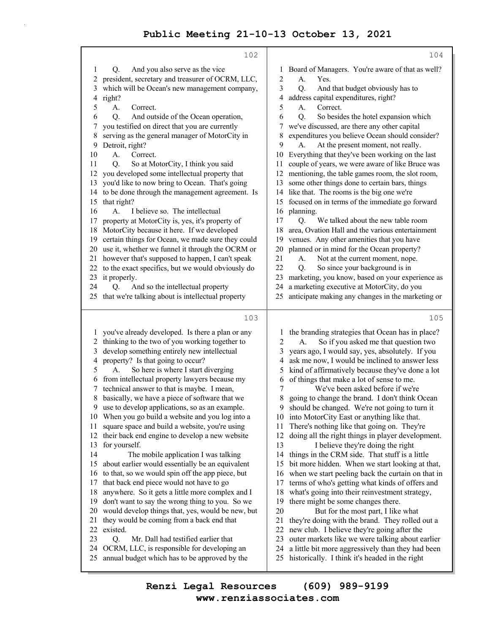|                         | 102                                                                                          | 104                                                                                                       |
|-------------------------|----------------------------------------------------------------------------------------------|-----------------------------------------------------------------------------------------------------------|
| 1                       | And you also serve as the vice<br>Q.                                                         | Board of Managers. You're aware of that as well?<br>1                                                     |
| $\overline{\mathbf{c}}$ | president, secretary and treasurer of OCRM, LLC,                                             | 2<br>А.<br>Yes.                                                                                           |
| 3                       | which will be Ocean's new management company,                                                | 3<br>Q.<br>And that budget obviously has to                                                               |
| 4                       | right?                                                                                       | address capital expenditures, right?<br>4                                                                 |
| 5                       | A.<br>Correct.                                                                               | 5<br>Correct.<br>A.                                                                                       |
| 6                       | And outside of the Ocean operation,<br>Q.                                                    | Q.<br>So besides the hotel expansion which<br>6                                                           |
| 7                       | you testified on direct that you are currently                                               | we've discussed, are there any other capital<br>7                                                         |
| 8                       | serving as the general manager of MotorCity in                                               | expenditures you believe Ocean should consider?<br>8                                                      |
| 9                       | Detroit, right?                                                                              | At the present moment, not really.<br>9<br>A.                                                             |
| 10                      | А.<br>Correct.                                                                               | Everything that they've been working on the last<br>10                                                    |
| 11                      | So at MotorCity, I think you said<br>O.                                                      | couple of years, we were aware of like Bruce was<br>11                                                    |
| 12                      | you developed some intellectual property that                                                | mentioning, the table games room, the slot room,<br>12                                                    |
| 13                      | you'd like to now bring to Ocean. That's going                                               | some other things done to certain bars, things<br>13                                                      |
| 14                      | to be done through the management agreement. Is                                              | like that. The rooms is the big one we're<br>14                                                           |
| 15                      | that right?                                                                                  | focused on in terms of the immediate go forward<br>15                                                     |
| 16                      | I believe so. The intellectual<br>А.                                                         | planning.<br>16                                                                                           |
| 17                      | property at MotorCity is, yes, it's property of                                              | 17<br>We talked about the new table room<br>Q.                                                            |
| 18                      | MotorCity because it here. If we developed                                                   | 18<br>area, Ovation Hall and the various entertainment                                                    |
| 19                      | certain things for Ocean, we made sure they could                                            | venues. Any other amenities that you have<br>19                                                           |
| 20                      | use it, whether we funnel it through the OCRM or                                             | planned or in mind for the Ocean property?<br>20                                                          |
| 21                      | however that's supposed to happen, I can't speak                                             | 21<br>Not at the current moment, nope.<br>А.                                                              |
| 22                      | to the exact specifics, but we would obviously do                                            | 22<br>So since your background is in<br>Q.                                                                |
| 23                      | it properly.                                                                                 | 23<br>marketing, you know, based on your experience as                                                    |
| 24                      | And so the intellectual property<br>О.                                                       | a marketing executive at MotorCity, do you<br>24                                                          |
| 25                      | that we're talking about is intellectual property                                            | anticipate making any changes in the marketing or<br>25                                                   |
|                         |                                                                                              |                                                                                                           |
|                         |                                                                                              |                                                                                                           |
|                         | 103                                                                                          | 105                                                                                                       |
| 1                       | you've already developed. Is there a plan or any                                             | the branding strategies that Ocean has in place?<br>1                                                     |
| 2                       | thinking to the two of you working together to                                               | So if you asked me that question two<br>2<br>А.                                                           |
| 3                       | develop something entirely new intellectual                                                  | years ago, I would say, yes, absolutely. If you<br>3                                                      |
| 4                       | property? Is that going to occur?                                                            | ask me now, I would be inclined to answer less<br>4                                                       |
| 5                       | So here is where I start diverging<br>А.                                                     | kind of affirmatively because they've done a lot<br>5                                                     |
| 6                       | from intellectual property lawyers because my                                                | of things that make a lot of sense to me.<br>6                                                            |
| 7                       | technical answer to that is maybe. I mean,                                                   | We've been asked before if we're<br>7                                                                     |
| 8                       | basically, we have a piece of software that we                                               | going to change the brand. I don't think Ocean<br>8                                                       |
| 9                       | use to develop applications, so as an example.                                               | 9<br>should be changed. We're not going to turn it                                                        |
| 10                      | When you go build a website and you log into a                                               | 10 into MotorCity East or anything like that.                                                             |
| 11                      | square space and build a website, you're using                                               | There's nothing like that going on. They're<br>11                                                         |
| 12                      | their back end engine to develop a new website                                               | 12<br>doing all the right things in player development.                                                   |
| 13                      | for yourself.                                                                                | 13<br>I believe they're doing the right                                                                   |
| 14                      | The mobile application I was talking                                                         | things in the CRM side. That stuff is a little<br>14                                                      |
| 15                      | about earlier would essentially be an equivalent                                             | bit more hidden. When we start looking at that,<br>15                                                     |
| 16                      | to that, so we would spin off the app piece, but                                             | 16<br>when we start peeling back the curtain on that in                                                   |
| 17                      | that back end piece would not have to go                                                     | terms of who's getting what kinds of offers and<br>17                                                     |
| 18                      | anywhere. So it gets a little more complex and I                                             | what's going into their reinvestment strategy,<br>18                                                      |
| 19                      | don't want to say the wrong thing to you. So we                                              | 19<br>there might be some changes there.                                                                  |
| 20<br>21                | would develop things that, yes, would be new, but                                            | 20<br>But for the most part, I like what                                                                  |
|                         | they would be coming from a back end that                                                    | they're doing with the brand. They rolled out a<br>21                                                     |
| 22                      | existed.                                                                                     | 22<br>new club. I believe they're going after the                                                         |
| 23<br>24                | Mr. Dall had testified earlier that<br>Q.                                                    | outer markets like we were talking about earlier<br>23<br>24                                              |
| 25                      | OCRM, LLC, is responsible for developing an<br>annual budget which has to be approved by the | a little bit more aggressively than they had been<br>historically. I think it's headed in the right<br>25 |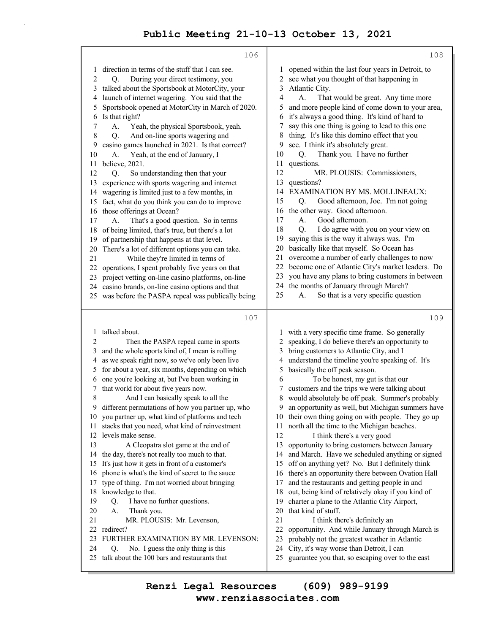|                | 106                                                                                                   | 108                                                                                                      |
|----------------|-------------------------------------------------------------------------------------------------------|----------------------------------------------------------------------------------------------------------|
| 1              | direction in terms of the stuff that I can see.                                                       | opened within the last four years in Detroit, to<br>1                                                    |
| $\overline{c}$ | During your direct testimony, you<br>Q.                                                               | see what you thought of that happening in<br>2                                                           |
| 3              | talked about the Sportsbook at MotorCity, your                                                        | 3<br>Atlantic City.                                                                                      |
| 4              | launch of internet wagering. You said that the                                                        | 4<br>A.<br>That would be great. Any time more                                                            |
| 5              | Sportsbook opened at MotorCity in March of 2020.                                                      | and more people kind of come down to your area,<br>5                                                     |
| 6              | Is that right?                                                                                        | it's always a good thing. It's kind of hard to<br>6                                                      |
| 7              | A.<br>Yeah, the physical Sportsbook, yeah.                                                            | say this one thing is going to lead to this one<br>7                                                     |
| 8              | And on-line sports wagering and<br>Q.                                                                 | thing. It's like this domino effect that you<br>8                                                        |
| 9              | casino games launched in 2021. Is that correct?                                                       | see. I think it's absolutely great.<br>9                                                                 |
| 10             | Yeah, at the end of January, I<br>А.                                                                  | 10<br>Thank you. I have no further<br>Q.                                                                 |
| 11             | believe, 2021.                                                                                        | 11<br>questions.                                                                                         |
| 12             | So understanding then that your<br>Q.                                                                 | 12<br>MR. PLOUSIS: Commissioners,                                                                        |
| 13             | experience with sports wagering and internet                                                          | 13<br>questions?                                                                                         |
| 14             | wagering is limited just to a few months, in                                                          | EXAMINATION BY MS. MOLLINEAUX:<br>14                                                                     |
| 15             | fact, what do you think you can do to improve                                                         | 15<br>Good afternoon, Joe. I'm not going<br>O.                                                           |
| 16             | those offerings at Ocean?                                                                             | 16<br>the other way. Good afternoon.                                                                     |
| 17             | That's a good question. So in terms<br>А.                                                             | Good afternoon.<br>17<br>A.                                                                              |
| 18             | of being limited, that's true, but there's a lot                                                      | I do agree with you on your view on<br>18<br>O.                                                          |
| 19             | of partnership that happens at that level.                                                            | saying this is the way it always was. I'm<br>19<br>20                                                    |
| 20             | There's a lot of different options you can take.                                                      | basically like that myself. So Ocean has<br>overcome a number of early challenges to now<br>21           |
| 21<br>22       | While they're limited in terms of                                                                     | become one of Atlantic City's market leaders. Do<br>22                                                   |
| 23             | operations, I spent probably five years on that<br>project vetting on-line casino platforms, on-line  | you have any plans to bring customers in between<br>23                                                   |
| 24             | casino brands, on-line casino options and that                                                        | the months of January through March?<br>24                                                               |
|                | 25 was before the PASPA repeal was publically being                                                   | 25<br>So that is a very specific question<br>А.                                                          |
|                |                                                                                                       |                                                                                                          |
|                |                                                                                                       |                                                                                                          |
|                |                                                                                                       |                                                                                                          |
|                | 107                                                                                                   | 109                                                                                                      |
| 1              | talked about.                                                                                         | with a very specific time frame. So generally<br>1                                                       |
| 2              | Then the PASPA repeal came in sports                                                                  | speaking, I do believe there's an opportunity to<br>2                                                    |
| 3              | and the whole sports kind of, I mean is rolling                                                       | bring customers to Atlantic City, and I<br>3                                                             |
| 4              | as we speak right now, so we've only been live                                                        | understand the timeline you're speaking of. It's<br>4                                                    |
| 5              | for about a year, six months, depending on which                                                      | 5<br>basically the off peak season.                                                                      |
| 6              | one you're looking at, but I've been working in                                                       | To be honest, my gut is that our<br>6                                                                    |
| 7              | that world for about five years now.                                                                  | customers and the trips we were talking about<br>7                                                       |
| 8<br>9         | And I can basically speak to all the                                                                  | would absolutely be off peak. Summer's probably<br>8                                                     |
|                | different permutations of how you partner up, who                                                     | 9<br>an opportunity as well, but Michigan summers have                                                   |
| 11             | 10 you partner up, what kind of platforms and tech<br>stacks that you need, what kind of reinvestment | 10 their own thing going on with people. They go up<br>north all the time to the Michigan beaches.<br>11 |
| 12             | levels make sense.                                                                                    | 12<br>I think there's a very good                                                                        |
| 13             | A Cleopatra slot game at the end of                                                                   | 13<br>opportunity to bring customers between January                                                     |
|                | 14 the day, there's not really too much to that.                                                      | 14<br>and March. Have we scheduled anything or signed                                                    |
| 15             | It's just how it gets in front of a customer's                                                        | 15<br>off on anything yet? No. But I definitely think                                                    |
| 16             | phone is what's the kind of secret to the sauce                                                       | there's an opportunity there between Ovation Hall<br>16                                                  |
| 17             | type of thing. I'm not worried about bringing                                                         | and the restaurants and getting people in and<br>17                                                      |
| 18             | knowledge to that.                                                                                    | out, being kind of relatively okay if you kind of<br>18                                                  |
| 19             | I have no further questions.<br>Q.                                                                    | charter a plane to the Atlantic City Airport,<br>19                                                      |
| 20             | А.<br>Thank you.                                                                                      | that kind of stuff.<br>20                                                                                |
| 21             | MR. PLOUSIS: Mr. Levenson,                                                                            | 21<br>I think there's definitely an                                                                      |
| 22             | redirect?                                                                                             | 22<br>opportunity. And while January through March is                                                    |
| 23             | FURTHER EXAMINATION BY MR. LEVENSON:                                                                  | 23<br>probably not the greatest weather in Atlantic                                                      |
| 24<br>25       | No. I guess the only thing is this<br>Q.<br>talk about the 100 bars and restaurants that              | 24<br>City, it's way worse than Detroit, I can<br>guarantee you that, so escaping over to the east<br>25 |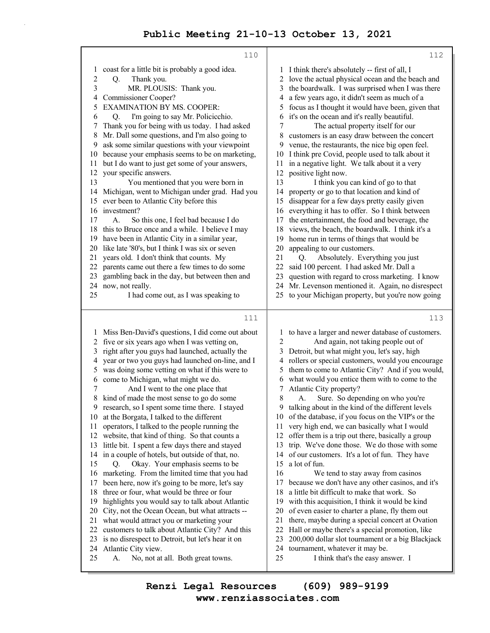|                | 110                                                                                       | 112                                                                                                     |  |  |
|----------------|-------------------------------------------------------------------------------------------|---------------------------------------------------------------------------------------------------------|--|--|
| 1              | coast for a little bit is probably a good idea.                                           | 1 I think there's absolutely -- first of all, I                                                         |  |  |
| $\overline{c}$ | Thank you.<br>Q.                                                                          | 2 love the actual physical ocean and the beach and                                                      |  |  |
| $\mathfrak{Z}$ | MR. PLOUSIS: Thank you.                                                                   | the boardwalk. I was surprised when I was there<br>3                                                    |  |  |
| 4              | Commissioner Cooper?                                                                      | a few years ago, it didn't seem as much of a<br>4                                                       |  |  |
| 5              | <b>EXAMINATION BY MS. COOPER:</b>                                                         | focus as I thought it would have been, given that<br>5                                                  |  |  |
| 6              | I'm going to say Mr. Policicchio.<br>Q.                                                   | it's on the ocean and it's really beautiful.<br>6                                                       |  |  |
| 7              | Thank you for being with us today. I had asked                                            | 7<br>The actual property itself for our                                                                 |  |  |
| 8              | Mr. Dall some questions, and I'm also going to                                            | customers is an easy draw between the concert<br>8                                                      |  |  |
| 9              | ask some similar questions with your viewpoint                                            | venue, the restaurants, the nice big open feel.<br>9                                                    |  |  |
| 10             | because your emphasis seems to be on marketing,                                           | I think pre Covid, people used to talk about it<br>10                                                   |  |  |
| 11             | but I do want to just get some of your answers,                                           | in a negative light. We talk about it a very<br>11                                                      |  |  |
| 12             | your specific answers.                                                                    | positive light now.<br>12                                                                               |  |  |
| 13             | You mentioned that you were born in                                                       | 13<br>I think you can kind of go to that                                                                |  |  |
| 14             | Michigan, went to Michigan under grad. Had you                                            | property or go to that location and kind of<br>14                                                       |  |  |
| 15             | ever been to Atlantic City before this                                                    | disappear for a few days pretty easily given<br>15                                                      |  |  |
| 16             | investment?                                                                               | everything it has to offer. So I think between<br>16                                                    |  |  |
| 17             | А.<br>So this one, I feel bad because I do                                                | the entertainment, the food and beverage, the<br>17                                                     |  |  |
|                | 18 this to Bruce once and a while. I believe I may                                        | views, the beach, the boardwalk. I think it's a<br>18                                                   |  |  |
| 19             | have been in Atlantic City in a similar year,                                             | home run in terms of things that would be<br>19                                                         |  |  |
| 20             | like late '80's, but I think I was six or seven                                           | 20<br>appealing to our customers.                                                                       |  |  |
| 21             | years old. I don't think that counts. My<br>parents came out there a few times to do some | Absolutely. Everything you just<br>21<br>Q.                                                             |  |  |
| 22<br>23       |                                                                                           | said 100 percent. I had asked Mr. Dall a<br>22<br>question with regard to cross marketing. I know<br>23 |  |  |
| 24             | gambling back in the day, but between then and<br>now, not really.                        | Mr. Levenson mentioned it. Again, no disrespect<br>24                                                   |  |  |
| 25             | I had come out, as I was speaking to                                                      | to your Michigan property, but you're now going<br>25                                                   |  |  |
|                |                                                                                           |                                                                                                         |  |  |
|                |                                                                                           |                                                                                                         |  |  |
|                | 111                                                                                       | 113                                                                                                     |  |  |
|                |                                                                                           |                                                                                                         |  |  |
|                | 1 Miss Ben-David's questions, I did come out about                                        | to have a larger and newer database of customers.<br>$\mathbf{I}$                                       |  |  |
| 2<br>3         | five or six years ago when I was vetting on,                                              | 2<br>And again, not taking people out of<br>3                                                           |  |  |
|                | right after you guys had launched, actually the                                           | Detroit, but what might you, let's say, high<br>4                                                       |  |  |
| 4<br>5         | year or two you guys had launched on-line, and I                                          | rollers or special customers, would you encourage<br>5                                                  |  |  |
| 6              | was doing some vetting on what if this were to                                            | them to come to Atlantic City? And if you would,<br>6                                                   |  |  |
| 7              | come to Michigan, what might we do.                                                       | what would you entice them with to come to the<br>Atlantic City property?<br>7                          |  |  |
| 8              | And I went to the one place that<br>kind of made the most sense to go do some             | Sure. So depending on who you're<br>8<br>А.                                                             |  |  |
| 9              | research, so I spent some time there. I stayed                                            | 9<br>talking about in the kind of the different levels                                                  |  |  |
|                | 10 at the Borgata, I talked to the different                                              | 10 of the database, if you focus on the VIP's or the                                                    |  |  |
| 11             | operators, I talked to the people running the                                             | very high end, we can basically what I would<br>11                                                      |  |  |
|                | 12 website, that kind of thing. So that counts a                                          | 12<br>offer them is a trip out there, basically a group                                                 |  |  |
| 13             | little bit. I spent a few days there and stayed                                           | trip. We've done those. We do those with some<br>13                                                     |  |  |
| 14             | in a couple of hotels, but outside of that, no.                                           | 14<br>of our customers. It's a lot of fun. They have                                                    |  |  |
| 15             | Okay. Your emphasis seems to be<br>Q.                                                     | a lot of fun.<br>15                                                                                     |  |  |
| 16             | marketing. From the limited time that you had                                             | 16<br>We tend to stay away from casinos                                                                 |  |  |
| 17             | been here, now it's going to be more, let's say                                           | because we don't have any other casinos, and it's<br>17                                                 |  |  |
| 18             | three or four, what would be three or four                                                | 18<br>a little bit difficult to make that work. So                                                      |  |  |
| 19             | highlights you would say to talk about Atlantic                                           | with this acquisition, I think it would be kind<br>19                                                   |  |  |
| 20             | City, not the Ocean Ocean, but what attracts --                                           | of even easier to charter a plane, fly them out<br>20                                                   |  |  |
| 21             | what would attract you or marketing your                                                  | 21<br>there, maybe during a special concert at Ovation                                                  |  |  |
| 22             | customers to talk about Atlantic City? And this                                           | 22<br>Hall or maybe there's a special promotion, like                                                   |  |  |
| 23             | is no disrespect to Detroit, but let's hear it on                                         | 23<br>200,000 dollar slot tournament or a big Blackjack                                                 |  |  |
| 24<br>25       | Atlantic City view.<br>No, not at all. Both great towns.<br>А.                            | tournament, whatever it may be.<br>24<br>25<br>I think that's the easy answer. I                        |  |  |

**www.renziassociates.com Renzi Legal Resources (609) 989-9199**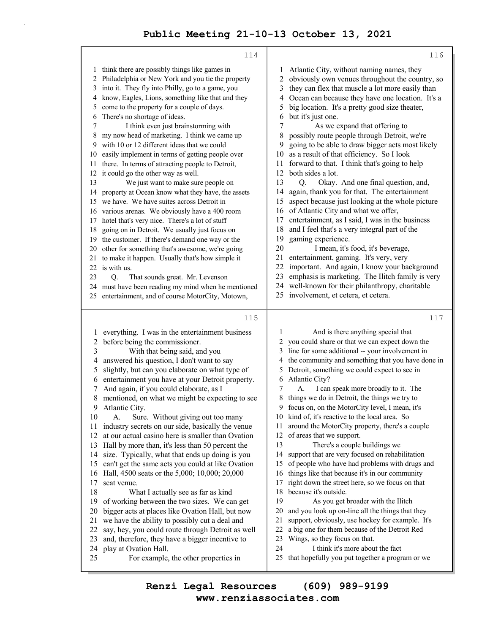|          | 114                                                           | 116                                                    |                                                                                     |  |
|----------|---------------------------------------------------------------|--------------------------------------------------------|-------------------------------------------------------------------------------------|--|
|          | 1 think there are possibly things like games in               | 1                                                      | Atlantic City, without naming names, they                                           |  |
|          | 2 Philadelphia or New York and you tie the property           | obviously own venues throughout the country, so<br>2   |                                                                                     |  |
| 3        | into it. They fly into Philly, go to a game, you              | they can flex that muscle a lot more easily than<br>3  |                                                                                     |  |
| 4        | know, Eagles, Lions, something like that and they             | Ocean can because they have one location. It's a<br>4  |                                                                                     |  |
| 5        | come to the property for a couple of days.                    | big location. It's a pretty good size theater,<br>5    |                                                                                     |  |
| 6        | There's no shortage of ideas.                                 | but it's just one.<br>6                                |                                                                                     |  |
| 7        | I think even just brainstorming with                          | 7<br>As we expand that offering to                     |                                                                                     |  |
| 8        | my now head of marketing. I think we came up                  | possibly route people through Detroit, we're<br>8      |                                                                                     |  |
| 9        | with 10 or 12 different ideas that we could                   | going to be able to draw bigger acts most likely<br>9  |                                                                                     |  |
| 10       | easily implement in terms of getting people over              | as a result of that efficiency. So I look<br>10        |                                                                                     |  |
| 11       | there. In terms of attracting people to Detroit,              | forward to that. I think that's going to help<br>11    |                                                                                     |  |
|          | 12 it could go the other way as well.                         | 12<br>both sides a lot.                                |                                                                                     |  |
| 13       | We just want to make sure people on                           | 13<br>Okay. And one final question, and,<br>O.         |                                                                                     |  |
| 14       | property at Ocean know what they have, the assets             | again, thank you for that. The entertainment<br>14     |                                                                                     |  |
|          | 15 we have. We have suites across Detroit in                  | aspect because just looking at the whole picture<br>15 |                                                                                     |  |
|          | 16 various arenas. We obviously have a 400 room               | of Atlantic City and what we offer,<br>16              |                                                                                     |  |
| 17       | hotel that's very nice. There's a lot of stuff                | entertainment, as I said, I was in the business<br>17  |                                                                                     |  |
| 18       | going on in Detroit. We usually just focus on                 | 18<br>and I feel that's a very integral part of the    |                                                                                     |  |
| 19       | the customer. If there's demand one way or the                | 19                                                     | gaming experience.                                                                  |  |
| 20       | other for something that's awesome, we're going               | 20<br>I mean, it's food, it's beverage,                |                                                                                     |  |
| 21       | to make it happen. Usually that's how simple it               | 21<br>entertainment, gaming. It's very, very           |                                                                                     |  |
|          | 22 is with us.                                                | 22                                                     | important. And again, I know your background                                        |  |
| 23       | Q.<br>That sounds great. Mr. Levenson                         | 23                                                     | emphasis is marketing. The Ilitch family is very                                    |  |
|          | 24 must have been reading my mind when he mentioned           | 24                                                     | well-known for their philanthropy, charitable                                       |  |
|          | 25 entertainment, and of course MotorCity, Motown,            |                                                        | 25 involvement, et cetera, et cetera.                                               |  |
|          |                                                               |                                                        |                                                                                     |  |
|          | 115                                                           |                                                        | 117                                                                                 |  |
| 1        | everything. I was in the entertainment business               | 1                                                      | And is there anything special that                                                  |  |
| 2        | before being the commissioner.                                | 2                                                      | you could share or that we can expect down the                                      |  |
| 3        | With that being said, and you                                 | 3                                                      | line for some additional -- your involvement in                                     |  |
| 4        | answered his question, I don't want to say                    | the community and something that you have done in<br>4 |                                                                                     |  |
| 5        | slightly, but can you elaborate on what type of               | Detroit, something we could expect to see in<br>5      |                                                                                     |  |
| 6        | entertainment you have at your Detroit property.              | Atlantic City?<br>6                                    |                                                                                     |  |
| 7        |                                                               |                                                        |                                                                                     |  |
|          | And again, if you could elaborate, as I                       | 7                                                      | I can speak more broadly to it. The<br>А.                                           |  |
| 8        | mentioned, on what we might be expecting to see               | 8                                                      | things we do in Detroit, the things we try to                                       |  |
| 9        | Atlantic City.                                                | 9                                                      | focus on, on the MotorCity level, I mean, it's                                      |  |
| 10       | Sure. Without giving out too many<br>А.                       |                                                        | 10 kind of, it's reactive to the local area. So                                     |  |
| 11       | industry secrets on our side, basically the venue             | 11                                                     | around the MotorCity property, there's a couple                                     |  |
| 12       | at our actual casino here is smaller than Ovation             | 12                                                     | of areas that we support.                                                           |  |
| 13       | Hall by more than, it's less than 50 percent the              | 13                                                     | There's a couple buildings we                                                       |  |
| 14       | size. Typically, what that ends up doing is you               | 14                                                     | support that are very focused on rehabilitation                                     |  |
| 15       | can't get the same acts you could at like Ovation             | 15                                                     | of people who have had problems with drugs and                                      |  |
| 16       | Hall, 4500 seats or the 5,000; 10,000; 20,000                 | 16                                                     | things like that because it's in our community                                      |  |
| 17       | seat venue.                                                   | 17                                                     | right down the street here, so we focus on that                                     |  |
| 18       | What I actually see as far as kind                            | 18                                                     | because it's outside.                                                               |  |
| 19       | of working between the two sizes. We can get                  | 19                                                     | As you get broader with the Ilitch                                                  |  |
| 20       | bigger acts at places like Ovation Hall, but now              | 20                                                     | and you look up on-line all the things that they                                    |  |
| 21       | we have the ability to possibly cut a deal and                | 21                                                     | support, obviously, use hockey for example. It's                                    |  |
| 22       | say, hey, you could route through Detroit as well             | 22                                                     | a big one for them because of the Detroit Red                                       |  |
| 23       | and, therefore, they have a bigger incentive to               | 23                                                     | Wings, so they focus on that.                                                       |  |
| 24<br>25 | play at Ovation Hall.<br>For example, the other properties in | 24<br>25                                               | I think it's more about the fact<br>that hopefully you put together a program or we |  |

**www.renziassociates.com Renzi Legal Resources (609) 989-9199**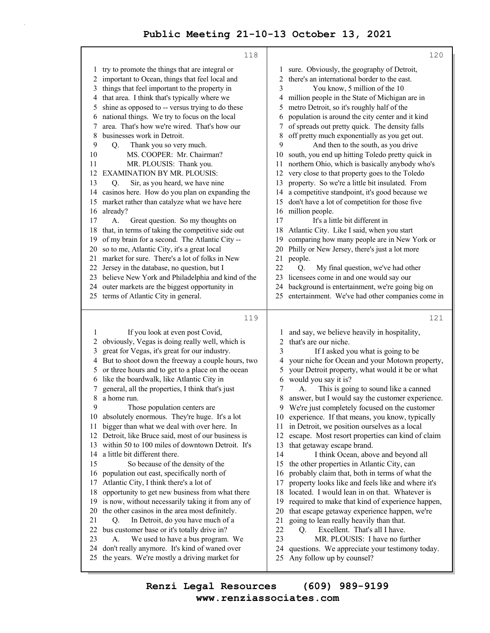|                                                                                           | 118                                                                                                                                                                                                                                                                                                                                                                                                                                                                                                                                                                                                                                                                                                                     |                                                                                           | 120                                                                                                                                                                                                                                                                                                                                                                                                                                                                                                                                                                                                                                                                                                                                                                                            |  |
|-------------------------------------------------------------------------------------------|-------------------------------------------------------------------------------------------------------------------------------------------------------------------------------------------------------------------------------------------------------------------------------------------------------------------------------------------------------------------------------------------------------------------------------------------------------------------------------------------------------------------------------------------------------------------------------------------------------------------------------------------------------------------------------------------------------------------------|-------------------------------------------------------------------------------------------|------------------------------------------------------------------------------------------------------------------------------------------------------------------------------------------------------------------------------------------------------------------------------------------------------------------------------------------------------------------------------------------------------------------------------------------------------------------------------------------------------------------------------------------------------------------------------------------------------------------------------------------------------------------------------------------------------------------------------------------------------------------------------------------------|--|
| 1<br>2<br>3<br>4<br>5<br>6<br>7<br>8<br>9<br>10<br>11<br>12<br>13<br>14<br>15<br>16<br>17 | try to promote the things that are integral or<br>important to Ocean, things that feel local and<br>things that feel important to the property in<br>that area. I think that's typically where we<br>shine as opposed to -- versus trying to do these<br>national things. We try to focus on the local<br>area. That's how we're wired. That's how our<br>businesses work in Detroit.<br>Thank you so very much.<br>Q.<br>MS. COOPER: Mr. Chairman?<br>MR. PLOUSIS: Thank you.<br><b>EXAMINATION BY MR. PLOUSIS:</b><br>Sir, as you heard, we have nine<br>Q.<br>casinos here. How do you plan on expanding the<br>market rather than catalyze what we have here<br>already?<br>Great question. So my thoughts on<br>А. | 1<br>2<br>3<br>4<br>5<br>6<br>7<br>8<br>9<br>10<br>11<br>12<br>13<br>14<br>15<br>16<br>17 | sure. Obviously, the geography of Detroit,<br>there's an international border to the east.<br>You know, 5 million of the 10<br>million people in the State of Michigan are in<br>metro Detroit, so it's roughly half of the<br>population is around the city center and it kind<br>of spreads out pretty quick. The density falls<br>off pretty much exponentially as you get out.<br>And then to the south, as you drive<br>south, you end up hitting Toledo pretty quick in<br>northern Ohio, which is basically anybody who's<br>very close to that property goes to the Toledo<br>property. So we're a little bit insulated. From<br>a competitive standpoint, it's good because we<br>don't have a lot of competition for those five<br>million people.<br>It's a little bit different in |  |
| 18                                                                                        | that, in terms of taking the competitive side out                                                                                                                                                                                                                                                                                                                                                                                                                                                                                                                                                                                                                                                                       | 18<br>Atlantic City. Like I said, when you start                                          |                                                                                                                                                                                                                                                                                                                                                                                                                                                                                                                                                                                                                                                                                                                                                                                                |  |
| 19                                                                                        | of my brain for a second. The Atlantic City --                                                                                                                                                                                                                                                                                                                                                                                                                                                                                                                                                                                                                                                                          | comparing how many people are in New York or<br>19                                        |                                                                                                                                                                                                                                                                                                                                                                                                                                                                                                                                                                                                                                                                                                                                                                                                |  |
| 20                                                                                        | so to me, Atlantic City, it's a great local                                                                                                                                                                                                                                                                                                                                                                                                                                                                                                                                                                                                                                                                             | 20                                                                                        | Philly or New Jersey, there's just a lot more                                                                                                                                                                                                                                                                                                                                                                                                                                                                                                                                                                                                                                                                                                                                                  |  |
| 21                                                                                        | market for sure. There's a lot of folks in New<br>22 Jersey in the database, no question, but I                                                                                                                                                                                                                                                                                                                                                                                                                                                                                                                                                                                                                         | 21<br>22                                                                                  | people.                                                                                                                                                                                                                                                                                                                                                                                                                                                                                                                                                                                                                                                                                                                                                                                        |  |
|                                                                                           | 23 believe New York and Philadelphia and kind of the                                                                                                                                                                                                                                                                                                                                                                                                                                                                                                                                                                                                                                                                    | 23                                                                                        | My final question, we've had other<br>Q.<br>licensees come in and one would say our                                                                                                                                                                                                                                                                                                                                                                                                                                                                                                                                                                                                                                                                                                            |  |
|                                                                                           | 24 outer markets are the biggest opportunity in                                                                                                                                                                                                                                                                                                                                                                                                                                                                                                                                                                                                                                                                         | 24                                                                                        | background is entertainment, we're going big on                                                                                                                                                                                                                                                                                                                                                                                                                                                                                                                                                                                                                                                                                                                                                |  |
|                                                                                           | 25 terms of Atlantic City in general.                                                                                                                                                                                                                                                                                                                                                                                                                                                                                                                                                                                                                                                                                   | 25                                                                                        | entertainment. We've had other companies come in                                                                                                                                                                                                                                                                                                                                                                                                                                                                                                                                                                                                                                                                                                                                               |  |
|                                                                                           |                                                                                                                                                                                                                                                                                                                                                                                                                                                                                                                                                                                                                                                                                                                         |                                                                                           |                                                                                                                                                                                                                                                                                                                                                                                                                                                                                                                                                                                                                                                                                                                                                                                                |  |
|                                                                                           | 119                                                                                                                                                                                                                                                                                                                                                                                                                                                                                                                                                                                                                                                                                                                     |                                                                                           | 121                                                                                                                                                                                                                                                                                                                                                                                                                                                                                                                                                                                                                                                                                                                                                                                            |  |
| 1                                                                                         | If you look at even post Covid,                                                                                                                                                                                                                                                                                                                                                                                                                                                                                                                                                                                                                                                                                         | 1                                                                                         | and say, we believe heavily in hospitality,                                                                                                                                                                                                                                                                                                                                                                                                                                                                                                                                                                                                                                                                                                                                                    |  |
| 2                                                                                         | obviously, Vegas is doing really well, which is                                                                                                                                                                                                                                                                                                                                                                                                                                                                                                                                                                                                                                                                         | 2                                                                                         | that's are our niche.                                                                                                                                                                                                                                                                                                                                                                                                                                                                                                                                                                                                                                                                                                                                                                          |  |
| 3                                                                                         | great for Vegas, it's great for our industry.                                                                                                                                                                                                                                                                                                                                                                                                                                                                                                                                                                                                                                                                           | 3                                                                                         | If I asked you what is going to be                                                                                                                                                                                                                                                                                                                                                                                                                                                                                                                                                                                                                                                                                                                                                             |  |
| 4                                                                                         | But to shoot down the freeway a couple hours, two                                                                                                                                                                                                                                                                                                                                                                                                                                                                                                                                                                                                                                                                       | 4                                                                                         | your niche for Ocean and your Motown property,                                                                                                                                                                                                                                                                                                                                                                                                                                                                                                                                                                                                                                                                                                                                                 |  |
| 5<br>6                                                                                    | or three hours and to get to a place on the ocean<br>like the boardwalk, like Atlantic City in                                                                                                                                                                                                                                                                                                                                                                                                                                                                                                                                                                                                                          | 5<br>your Detroit property, what would it be or what                                      |                                                                                                                                                                                                                                                                                                                                                                                                                                                                                                                                                                                                                                                                                                                                                                                                |  |
| 7                                                                                         | general, all the properties, I think that's just                                                                                                                                                                                                                                                                                                                                                                                                                                                                                                                                                                                                                                                                        | would you say it is?<br>6<br>7<br>This is going to sound like a canned<br>А.              |                                                                                                                                                                                                                                                                                                                                                                                                                                                                                                                                                                                                                                                                                                                                                                                                |  |
| 8                                                                                         | a home run.                                                                                                                                                                                                                                                                                                                                                                                                                                                                                                                                                                                                                                                                                                             | 8<br>answer, but I would say the customer experience.                                     |                                                                                                                                                                                                                                                                                                                                                                                                                                                                                                                                                                                                                                                                                                                                                                                                |  |
| 9                                                                                         | Those population centers are.                                                                                                                                                                                                                                                                                                                                                                                                                                                                                                                                                                                                                                                                                           | 9<br>We're just completely focused on the customer                                        |                                                                                                                                                                                                                                                                                                                                                                                                                                                                                                                                                                                                                                                                                                                                                                                                |  |
|                                                                                           | 10 absolutely enormous. They're huge. It's a lot                                                                                                                                                                                                                                                                                                                                                                                                                                                                                                                                                                                                                                                                        | experience. If that means, you know, typically<br>10                                      |                                                                                                                                                                                                                                                                                                                                                                                                                                                                                                                                                                                                                                                                                                                                                                                                |  |
| 11                                                                                        | bigger than what we deal with over here. In                                                                                                                                                                                                                                                                                                                                                                                                                                                                                                                                                                                                                                                                             | in Detroit, we position ourselves as a local<br>11                                        |                                                                                                                                                                                                                                                                                                                                                                                                                                                                                                                                                                                                                                                                                                                                                                                                |  |
| 12                                                                                        | Detroit, like Bruce said, most of our business is                                                                                                                                                                                                                                                                                                                                                                                                                                                                                                                                                                                                                                                                       | 12<br>escape. Most resort properties can kind of claim                                    |                                                                                                                                                                                                                                                                                                                                                                                                                                                                                                                                                                                                                                                                                                                                                                                                |  |
| 13                                                                                        | within 50 to 100 miles of downtown Detroit. It's<br>a little bit different there.                                                                                                                                                                                                                                                                                                                                                                                                                                                                                                                                                                                                                                       | that getaway escape brand.<br>13                                                          |                                                                                                                                                                                                                                                                                                                                                                                                                                                                                                                                                                                                                                                                                                                                                                                                |  |
| 14<br>15                                                                                  | So because of the density of the                                                                                                                                                                                                                                                                                                                                                                                                                                                                                                                                                                                                                                                                                        | 14<br>15                                                                                  | I think Ocean, above and beyond all<br>the other properties in Atlantic City, can                                                                                                                                                                                                                                                                                                                                                                                                                                                                                                                                                                                                                                                                                                              |  |
| 16                                                                                        | population out east, specifically north of                                                                                                                                                                                                                                                                                                                                                                                                                                                                                                                                                                                                                                                                              | 16                                                                                        | probably claim that, both in terms of what the                                                                                                                                                                                                                                                                                                                                                                                                                                                                                                                                                                                                                                                                                                                                                 |  |
| 17                                                                                        | Atlantic City, I think there's a lot of                                                                                                                                                                                                                                                                                                                                                                                                                                                                                                                                                                                                                                                                                 | property looks like and feels like and where it's<br>17                                   |                                                                                                                                                                                                                                                                                                                                                                                                                                                                                                                                                                                                                                                                                                                                                                                                |  |
| 18                                                                                        | opportunity to get new business from what there                                                                                                                                                                                                                                                                                                                                                                                                                                                                                                                                                                                                                                                                         | 18                                                                                        | located. I would lean in on that. Whatever is                                                                                                                                                                                                                                                                                                                                                                                                                                                                                                                                                                                                                                                                                                                                                  |  |
| 19                                                                                        | is now, without necessarily taking it from any of                                                                                                                                                                                                                                                                                                                                                                                                                                                                                                                                                                                                                                                                       | 19                                                                                        | required to make that kind of experience happen,                                                                                                                                                                                                                                                                                                                                                                                                                                                                                                                                                                                                                                                                                                                                               |  |
| 20                                                                                        | the other casinos in the area most definitely.                                                                                                                                                                                                                                                                                                                                                                                                                                                                                                                                                                                                                                                                          | 20                                                                                        | that escape getaway experience happen, we're                                                                                                                                                                                                                                                                                                                                                                                                                                                                                                                                                                                                                                                                                                                                                   |  |
| 21                                                                                        | In Detroit, do you have much of a<br>Q.                                                                                                                                                                                                                                                                                                                                                                                                                                                                                                                                                                                                                                                                                 | 21                                                                                        | going to lean really heavily than that.                                                                                                                                                                                                                                                                                                                                                                                                                                                                                                                                                                                                                                                                                                                                                        |  |
| 22                                                                                        | bus customer base or it's totally drive in?                                                                                                                                                                                                                                                                                                                                                                                                                                                                                                                                                                                                                                                                             | 22                                                                                        | Excellent. That's all I have.<br>Q.                                                                                                                                                                                                                                                                                                                                                                                                                                                                                                                                                                                                                                                                                                                                                            |  |
| 23                                                                                        | We used to have a bus program. We<br>А.                                                                                                                                                                                                                                                                                                                                                                                                                                                                                                                                                                                                                                                                                 | 23                                                                                        | MR. PLOUSIS: I have no further                                                                                                                                                                                                                                                                                                                                                                                                                                                                                                                                                                                                                                                                                                                                                                 |  |
| 24                                                                                        | don't really anymore. It's kind of waned over                                                                                                                                                                                                                                                                                                                                                                                                                                                                                                                                                                                                                                                                           | 24                                                                                        | questions. We appreciate your testimony today.<br>Any follow up by counsel?                                                                                                                                                                                                                                                                                                                                                                                                                                                                                                                                                                                                                                                                                                                    |  |
| 25                                                                                        | the years. We're mostly a driving market for                                                                                                                                                                                                                                                                                                                                                                                                                                                                                                                                                                                                                                                                            | 25                                                                                        |                                                                                                                                                                                                                                                                                                                                                                                                                                                                                                                                                                                                                                                                                                                                                                                                |  |
|                                                                                           |                                                                                                                                                                                                                                                                                                                                                                                                                                                                                                                                                                                                                                                                                                                         |                                                                                           |                                                                                                                                                                                                                                                                                                                                                                                                                                                                                                                                                                                                                                                                                                                                                                                                |  |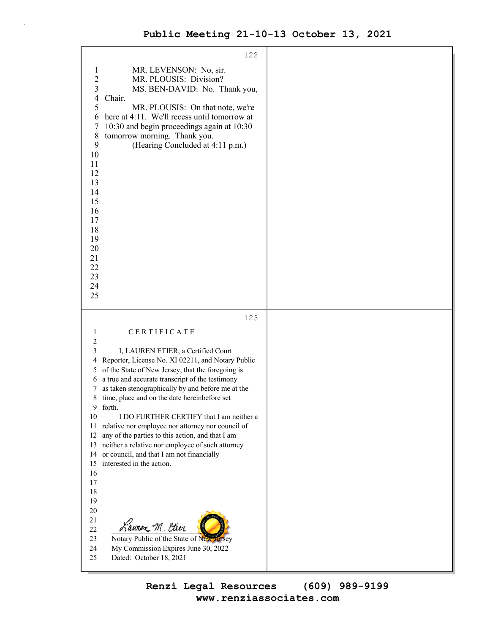| 122                                                                                                                                                                                                                                                                                                                                                                                                                                                                                                                                                                                                                                                                                                                                                                                               |  |
|---------------------------------------------------------------------------------------------------------------------------------------------------------------------------------------------------------------------------------------------------------------------------------------------------------------------------------------------------------------------------------------------------------------------------------------------------------------------------------------------------------------------------------------------------------------------------------------------------------------------------------------------------------------------------------------------------------------------------------------------------------------------------------------------------|--|
| MR. LEVENSON: No, sir.<br>$\mathbf 1$<br>$\overline{c}$<br>MR. PLOUSIS: Division?<br>3<br>MS. BEN-DAVID: No. Thank you,<br>Chair.<br>4<br>5<br>MR. PLOUSIS: On that note, we're<br>here at 4:11. We'll recess until tomorrow at<br>6<br>10:30 and begin proceedings again at 10:30<br>7<br>tomorrow morning. Thank you.<br>$8\,$<br>9<br>(Hearing Concluded at 4:11 p.m.)<br>10<br>11<br>12<br>13<br>14<br>15<br>16<br>17<br>18<br>19<br>20<br>21<br>22<br>23<br>24<br>25                                                                                                                                                                                                                                                                                                                         |  |
| 123                                                                                                                                                                                                                                                                                                                                                                                                                                                                                                                                                                                                                                                                                                                                                                                               |  |
| CERTIFICATE<br>1                                                                                                                                                                                                                                                                                                                                                                                                                                                                                                                                                                                                                                                                                                                                                                                  |  |
| 2<br>3<br>I, LAUREN ETIER, a Certified Court<br>Reporter, License No. XI 02211, and Notary Public<br>4<br>of the State of New Jersey, that the foregoing is<br>5<br>a true and accurate transcript of the testimony<br>6<br>as taken stenographically by and before me at the<br>7<br>time, place and on the date hereinbefore set<br>8<br>9 forth.<br>10<br>I DO FURTHER CERTIFY that I am neither a<br>11<br>relative nor employee nor attorney nor council of<br>12<br>any of the parties to this action, and that I am<br>neither a relative nor employee of such attorney<br>13<br>or council, and that I am not financially<br>14<br>interested in the action.<br>15<br>16<br>17<br>18<br>19<br>$20\,$<br>21<br>Lauren M. Etier<br>$22\,$<br>Notary Public of the State of New Jersey<br>23 |  |
| 24<br>My Commission Expires June 30, 2022<br>25<br>Dated: October 18, 2021                                                                                                                                                                                                                                                                                                                                                                                                                                                                                                                                                                                                                                                                                                                        |  |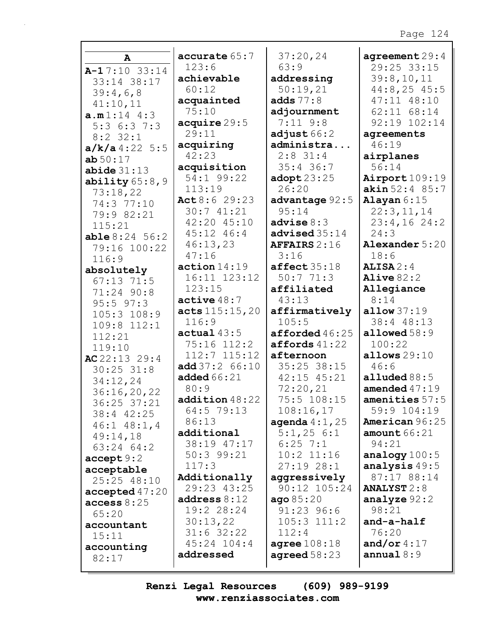### Page 124

| A                          | accurate 65:7           | 37:20,24               | agreement29:4             |
|----------------------------|-------------------------|------------------------|---------------------------|
| $A-17:10$ 33:14            | 123:6                   | 63:9                   | 29:25 33:15               |
| 33:14 38:17                | achievable              | addressing             | 39:8,10,11                |
| 39:4,6,8                   | 60:12                   | 50:19,21               | $44:8, 25$ 45:5           |
| 41:10,11                   | acquainted              | adds $77:8$            | 47:11 48:10               |
| a.m1:14 4:3                | 75:10                   | adjournment            | 62:11 68:14               |
| 5:36:37:3                  | acquire 29:5            | $7:11$ $9:8$           | 92:19 102:14              |
| $8:2$ 32:1                 | 29:11                   | adjust $66:2$          | agreements                |
| $a/k/a$ 4:22 5:5           | acquiring               | administra             | 46:19                     |
| ab50:17                    | 42:23                   | $2:8$ 31:4             | airplanes                 |
| abide31:13                 | acquisition             | $35:4$ 36:7            | 56:14                     |
| ability $65:8,9$           | 54:1 99:22              | $\texttt{adopt23:25}$  | Airport $109:19$          |
| 73:18,22                   | 113:19                  | 26:20                  | akin 52:4 85:7            |
| 74:3 77:10                 | Act 8:6 29:23           | advantage 92:5         | Alayan $6:15$             |
| 79:9 82:21                 | 30:741:21               | 95:14                  | 22:3,11,14                |
| 115:21                     | 42:20 45:10             | advise $8:3$           | $23:4,16$ 24:2            |
| able 8:24 56:2             | 45:12 46:4              | advised 35:14          | 24:3                      |
| 79:16 100:22               | 46:13,23                | <b>AFFAIRS</b> 2:16    | Alexander 5:20            |
| 116:9                      | 47:16                   | 3:16                   | 18:6                      |
| absolutely                 | action 14:19            | $\texttt{affect}35:18$ | $ALISA$ 2:4               |
| $67:13$ 71:5               | 16:11 123:12            | 50:771:3               | Alive $82:2$              |
| 71:24 90:8                 | 123:15                  | affiliated             | Allegiance                |
| $95:5$ $97:3$              | active48:7              | 43:13                  | 8:14                      |
| $105:3$ $108:9$            | acts 115:15,20<br>116:9 | affirmatively<br>105:5 | allow 37:19<br>38:4 48:13 |
| 109:8 112:1                | actual $43:5$           | afforded $46:25$       | allowed $58:9$            |
| 112:21                     | 75:16 112:2             | affords 41:22          | 100:22                    |
| 119:10                     | $112:7$ $115:12$        | afternoon              | allows $29:10$            |
| AC $22:13$ $29:4$          | add 37:2 66:10          | 35:25 38:15            | 46:6                      |
| $30:25$ $31:8$             | <b>added</b> 66:21      | 42:15 45:21            | alluded $88:5$            |
| 34:12,24                   | 80:9                    | 72:20,21               | amended $47:19$           |
| 36:16,20,22<br>36:25 37:21 | addition48:22           | 75:5 108:15            | amenities $57:5$          |
| 38:4 42:25                 | 64:5 79:13              | 108:16,17              | 59:9 104:19               |
| $46:1$ $48:1$ , 4          | 86:13                   | agenda $4:1,25$        | American 96:25            |
| 49:14,18                   | additional              | $5:1,25$ 6:1           | amount $66:21$            |
| $63:24$ $64:2$             | 38:19 47:17             | $6:25$ 7:1             | 94:21                     |
| accept 9:2                 | $50:3$ 99:21            | $10:2$ $11:16$         | analogy $100:5$           |
| acceptable                 | 117:3                   | 27:1928:1              | analysis 49:5             |
| 25:25 48:10                | Additionally            | aggressively           | 87:17 88:14               |
| $\texttt{accepted}$ 47:20  | 29:23 43:25             | 90:12 105:24           | <b>ANALYST 2:8</b>        |
| access $8:25$              | address 8:12            | ago 85:20              | analyze $92:2$            |
| 65:20                      | 19:2 28:24              | $91:23$ $96:6$         | 98:21                     |
| accountant                 | 30:13,22                | $105:3$ $111:2$        | and-a-half                |
| 15:11                      | $31:6$ 32:22            | 112:4                  | 76:20                     |
| accounting                 | 45:24 104:4             | agree 108:18           | and/or $4:17$             |
| 82:17                      | addressed               | agreed $58:23$         | annual $8:9$              |
|                            |                         |                        |                           |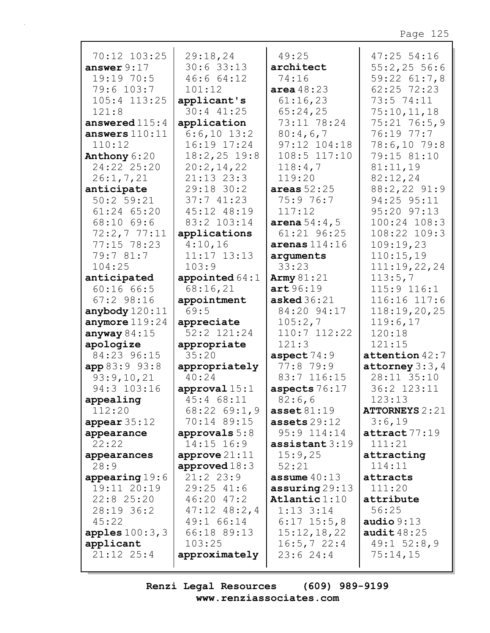| 70:12 103:25                    | 29:18,24         | 49:25                     | 47:25 54:16           |
|---------------------------------|------------------|---------------------------|-----------------------|
| answer $9:17$                   | 30:633:13        | architect                 | 55:2,2556:6           |
| 19:19 70:5                      | 46:6 64:12       | 74:16                     | 59:22 61:7,8          |
| 79:6 103:7                      | 101:12           | area $48:23$              | 62:25 72:23           |
| $105:4$ $113:25$                | applicant's      | 61:16,23                  | 73:5 74:11            |
| 121:8                           | $30:4$ $41:25$   | 65:24,25                  | 75:10,11,18           |
| answered $115:4$                | application      | 73:11 78:24               | $75:21$ $76:5,9$      |
| answers $110:11$                | $6:6,10$ 13:2    | 80:4,6,7                  | 76:19 77:7            |
| 110:12                          | 16:19 17:24      | 97:12 104:18              | 78:6,10 79:8          |
| Anthony 6:20                    | $18:2,25$ 19:8   | 108:5 117:10              | 79:15 81:10           |
| 24:22 25:20                     | 20:2,14,22       | 118:4,7                   | 81:11,19              |
| 26:1, 7, 21                     | $21:13$ $23:3$   | 119:20                    | 82:12,24              |
| anticipate                      | 29:18 30:2       | areas $52:25$             | 88:2,22 91:9          |
| 50:2 59:21                      | 37:741:23        | 75:9 76:7                 | 94:25 95:11           |
|                                 |                  |                           |                       |
| 61:24 65:20                     | 45:12 48:19      | 117:12                    | 95:20 97:13           |
| 68:10 69:6                      | 83:2 103:14      | <b>arena</b> $54:4$ , 5   | 100:24 108:3          |
| 72:2,777:11                     | applications     | 61:21 96:25               | 108:22 109:3          |
| 77:15 78:23                     | 4:10,16          | arenas $114:16$           | 109:19,23             |
| 79:7 81:7                       | $11:17$ $13:13$  | arguments                 | 110:15,19             |
| 104:25                          | 103:9            | 33:23                     | 111:19,22,24          |
| anticipated                     | appointed $64:1$ | Army $81:21$              | 113:5,7               |
| 60:1666:5                       | 68:16,21         | art96:19                  | 115:9 116:1           |
| $67:2$ 98:16                    | appointment      | asked $36:21$             | 116:16 117:6          |
| anybody $120:11$                | 69:5             | 84:20 94:17               | 118:19,20,25          |
| anymore $119:24$                | appreciate       | 105:2,7                   | 119:6,17              |
| anyway $84:15$                  | 52:2 121:24      | 110:7 112:22              | 120:18                |
| apologize                       | appropriate      | 121:3                     | 121:15                |
| 84:23 96:15                     | 35:20            | aspect $74:9$             | attention $42:7$      |
| app 83:9 93:8                   | appropriately    | 77:8 79:9                 | attorney $3:3,4$      |
| 93:9,10,21                      | 40:24            | 83:7 116:15               | 28:11 35:10           |
| 94:3 103:16                     | approval $15:1$  | aspects 76:17             | 36:2 123:11           |
| appealing                       | 45:4 68:11       | 82:6,6                    | 123:13                |
| 112:20                          | $68:22$ $69:1,9$ | $\texttt{asset81:19}$     | <b>ATTORNEYS 2:21</b> |
| appear $35:12$                  | 70:14 89:15      | assets $29:12$            | 3:6,19                |
| appearance                      | approvals $5:8$  | 95:9 114:14               | attract 77:19         |
| 22:22                           | $14:15$ $16:9$   | $\texttt{assertant} 3:19$ | 111:21                |
| appearances                     | approve $21:11$  | 15:9,25                   | attracting            |
| 28:9                            | approved $18:3$  | 52:21                     | 114:11                |
|                                 | $21:2$ $23:9$    | assume $40:13$            | attracts              |
| appearing $19:6$<br>19:11 20:19 | $29:25$ 41:6     |                           | 111:20                |
|                                 |                  | $\texttt{assuming} 29:13$ |                       |
| $22:8$ $25:20$                  | $46:20$ $47:2$   | Atlantic $1:10$           | attribute             |
| 28:19 36:2                      | $47:12$ $48:2,4$ | $1:13$ $3:14$             | 56:25                 |
| 45:22                           | 49:1 66:14       | $6:17$ 15:5,8             | audio $9:13$          |
| apples $100:3$ , $3$            | 66:18 89:13      | 15:12,18,22               | audit $48:25$         |
| applicant                       | 103:25           | 16:5,722:4                | $49:1$ 52:8,9         |
| $21:12$ $25:4$                  | approximately    | 23:624:4                  | 75:14,15              |
|                                 |                  |                           |                       |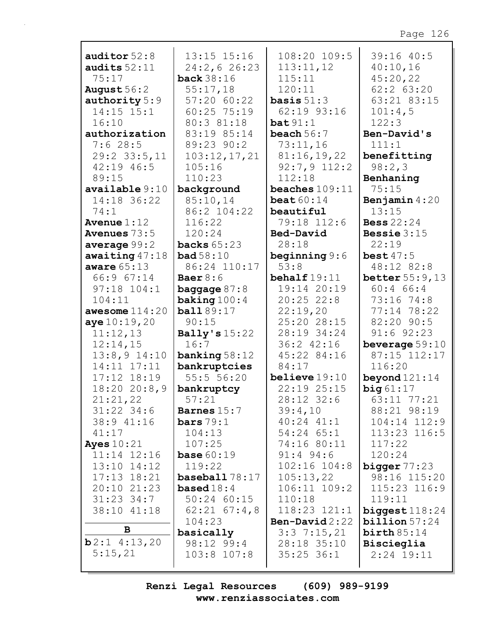| auditor $52:8$              | 13:15 15:16               | 108:20 109:5                | 39:16 40:5                 |
|-----------------------------|---------------------------|-----------------------------|----------------------------|
| audits $52:11$              | 24:2,626:23               | 113:11,12                   | 40:10,16                   |
| 75:17                       | <b>back</b> 38:16         | 115:11                      | 45:20,22                   |
| August $56:2$               | 55:17,18                  | 120:11                      | $62:2$ $63:20$             |
| authority 5:9               | 57:20 60:22               | <b>basis</b> $51:3$         | 63:21 83:15                |
| $14:15$ $15:1$              | 60:25 75:19               | 62:19 93:16                 | 101:4,5                    |
| 16:10                       | 80:3 81:18                | bat 91:1                    | 122:3                      |
| authorization               | 83:19 85:14               | beach $56:7$                | Ben-David's                |
| 7:628:5                     | 89:23 90:2                | 73:11,16                    | 111:1                      |
| $29:2$ 33:5, 11             | 103:12,17,21              | 81:16,19,22                 | benefitting                |
| $42:19$ $46:5$              | 105:16                    | $92:7,9$ 112:2              | 98:2,3                     |
| 89:15                       | 110:23                    | 112:18                      | Benhaning                  |
| $\alpha$ vailable $9:10$    | background                | beaches $109:11$            | 75:15                      |
| 14:18 36:22                 | 85:10,14                  | beat $60:14$                | Benjamin $4:20$            |
| 74:1                        | 86:2 104:22               | beautiful                   | 13:15                      |
| Avenue $1:12$               | 116:22                    | 79:18 112:6                 | <b>Bess</b> 22:24          |
| <b>Avenues</b> 73:5         | 120:24                    | Bed-David                   | Bessie $3:15$              |
| average $99:2$              | backs $65:23$             | 28:18                       | 22:19                      |
| awaiting $47:18$            | bad58:10<br>86:24 110:17  | beginning $9:6$<br>53:8     | best $47:5$<br>48:12 82:8  |
| aware $65:13$<br>66:9 67:14 | Baer $8:6$                | behalf $19:11$              | better $55:9,13$           |
| $97:18$ $104:1$             | <b>baggage</b> $87:8$     | 19:14 20:19                 | $60:4$ 66:4                |
| 104:11                      | baking $100:4$            | $20:25$ 22:8                | 73:16 74:8                 |
| awesome $114:20$            | <b>ball</b> 89:17         | 22:19,20                    | 77:14 78:22                |
| aye 10:19,20                | 90:15                     | 25:20 28:15                 | 82:20 90:5                 |
| 11:12,13                    | Bally's $15:22$           | 28:19 34:24                 | $91:6$ $92:23$             |
| 12:14,15                    | 16:7                      | 36:2 42:16                  | beverage $59:10$           |
| $13:8,9$ $14:10$            | banking $58:12$           | 45:22 84:16                 | 87:15 112:17               |
| 14:11 17:11                 | bankruptcies              | 84:17                       | 116:20                     |
| 17:12 18:19                 | 55:556:20                 | believe $19:10$             | beyond $121:14$            |
| 18:2020:8,9                 | bankruptcy                | 22:19 25:15                 | big61:17                   |
| 21:21,22                    | 57:21                     | 28:12 32:6                  | 63:11 77:21                |
| $31:22$ 34:6                | Barnes $15:7$             | 39:4,10                     | 88:21 98:19                |
| 38:9 41:16                  | bars $79:1$               | $40:24$ $41:1$              | $104:14$ $112:9$           |
| 41:17                       | 104:13                    | $54:24$ $65:1$              | 113:23 116:5               |
| Ayes $10:21$                | 107:25                    | 74:16 80:11                 | 117:22                     |
| $11:14$ $12:16$             | <b>base</b> $60:19$       | $91:4$ $94:6$               | 120:24                     |
| 13:10 14:12                 | 119:22                    | $102:16$ $104:8$            | bigger $77:23$             |
| $17:13$ $18:21$             | baseball 78:17            | 105:13,22                   | 98:16 115:20               |
| 20:10 21:23                 | <b>based</b> $18:4$       | $106:11$ $109:2$            | 115:23 116:9               |
| $31:23$ $34:7$              | $50:24$ 60:15             | 110:18                      | 119:11                     |
| 38:10 41:18                 | $62:21$ $67:4,8$          | $118:23$ $121:1$            | biggest $118:24$           |
| B                           | 104:23                    | Ben-David $2:22$            | billion 57:24              |
| $b2:1$ 4:13,20              | basically                 | $3:3$ 7:15, 21              | birth 85:14                |
| 5:15,21                     | 98:12 99:4<br>103:8 107:8 | 28:18 35:10<br>$35:25$ 36:1 | Biscieglia<br>$2:24$ 19:11 |
|                             |                           |                             |                            |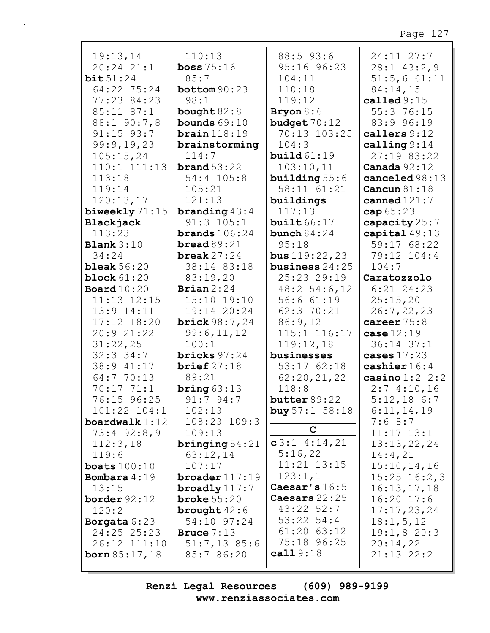| 19:13,14                         | 110:13                 | 88:5 93:6                           | 24:11 27:7       |
|----------------------------------|------------------------|-------------------------------------|------------------|
| $20:24$ $21:1$                   | boss $75:16$           | 95:16 96:23                         | $28:1$ 43:2,9    |
| bit51:24                         | 85:7                   | 104:11                              | 51:5,661:11      |
| 64:22 75:24                      | bottom $90:23$         | 110:18                              | 84:14,15         |
| 77:23 84:23                      | 98:1                   | 119:12                              | called $9:15$    |
| 85:11 87:1                       | bought $82:8$          | Bryon $8:6$                         | 55:3 76:15       |
| 88:1 90:7,8                      | bounds $69:10$         | budget $70:12$                      | 83:9 96:19       |
| $91:15$ $93:7$                   | brain 118:19           | 70:13 103:25                        | callers 9:12     |
| 99:9,19,23                       | brainstorming          | 104:3                               | calling $9:14$   |
| 105:15,24                        | 114:7                  | build $61:19$                       | 27:19 83:22      |
| $110:1$ $111:13$                 | brand $53:22$          | 103:10,11                           | Canada $92:12$   |
| 113:18                           | 54:4 105:8             | building $55:6$                     | canceled 98:13   |
| 119:14                           | 105:21                 | 58:11 61:21                         | Cancun $81:18$   |
| 120:13,17                        | 121:13                 | buildings                           | canned $121:7$   |
| biweekly 71:15                   | <b>branding</b> $43:4$ | 117:13                              | cap 65:23        |
| Blackjack                        | $91:3$ $105:1$         | built $66:17$                       | capacity 25:7    |
| 113:23                           | brands $106:24$        | bunch $84:24$                       | capital 49:13    |
| <b>Blank</b> $3:10$              | bread $89:21$          | 95:18                               | 59:17 68:22      |
| 34:24                            | break $27:24$          |                                     | 79:12 104:4      |
| bleak $56:20$                    | 38:14 83:18            | bus $119:22,23$<br>business $24:25$ | 104:7            |
|                                  |                        | 25:23 29:19                         | Caratozzolo      |
| block $61:20$                    | 83:19,20               |                                     |                  |
| Board $10:20$<br>$11:13$ $12:15$ | Brian $2:24$           | $48:2$ 54:6, 12                     | $6:21$ 24:23     |
|                                  | 15:10 19:10            | 56:661:19                           | 25:15,20         |
| 13:9 14:11                       | 19:14 20:24            | 62:3 70:21                          | 26:7, 22, 23     |
| 17:12 18:20                      | <b>brick</b> $98:7,24$ | 86:9,12                             | career $75:8$    |
| 20:9 21:22                       | 99:6,11,12             | 115:1 116:17                        | case $12:19$     |
| 31:22,25                         | 100:1                  | 119:12,18                           | 36:14 37:1       |
| $32:3$ $34:7$                    | bricks $97:24$         | businesses                          | cases $17:23$    |
| 38:9 41:17                       | brief $27:18$          | 53:1762:18                          | cashier $16:4$   |
| 64:7 70:13<br>70:17 71:1         | 89:21                  | 62:20,21,22                         | casino $1:2$ 2:2 |
|                                  | bring $63:13$          | 118:8                               | 2:74:10,16       |
| 76:15 96:25                      | 91:794:7               | butter $89:22$                      | $5:12,18$ 6:7    |
| 101:22 104:1                     | 102:13<br>108:23 109:3 | <b>buy</b> $57:1$ $58:18$           | 6:11,14,19       |
| boardwalk $1:12$                 |                        | C                                   | 7:68:7           |
| $73:4$ $92:8,9$                  | 109:13                 | $c3:1$ 4:14,21                      | $11:17$ $13:1$   |
| 112:3,18                         | bringing $54:21$       | 5:16,22                             | 13:13,22,24      |
| 119:6                            | 63:12,14               | $11:21$ $13:15$                     | 14:4,21          |
| boats $100:10$                   | 107:17                 | 123:1,1                             | 15:10, 14, 16    |
| Bombara 4:19                     | broader $117:19$       | Caesar's $16:5$                     | $15:25$ $16:2,3$ |
| 13:15                            | broadly $117:7$        | Caesars $22:25$                     | 16:13,17,18      |
| border $92:12$                   | broke $55:20$          | $43:22$ 52:7                        | $16:20$ 17:6     |
| 120:2                            | brought $42:6$         | $53:22$ $54:4$                      | 17:17,23,24      |
| Borgata $6:23$                   | 54:10 97:24            | $61:20$ $63:12$                     | 18:1, 5, 12      |
| 24:25 25:23                      | Bruce $7:13$           | 75:18 96:25                         | 19:1,820:3       |
| 26:12 111:10                     | $51:7,13$ 85:6         | cal 19:18                           | 20:14,22         |
| <b>born</b> $85:17,18$           | 85:7 86:20             |                                     | 21:13 22:2       |
|                                  |                        |                                     |                  |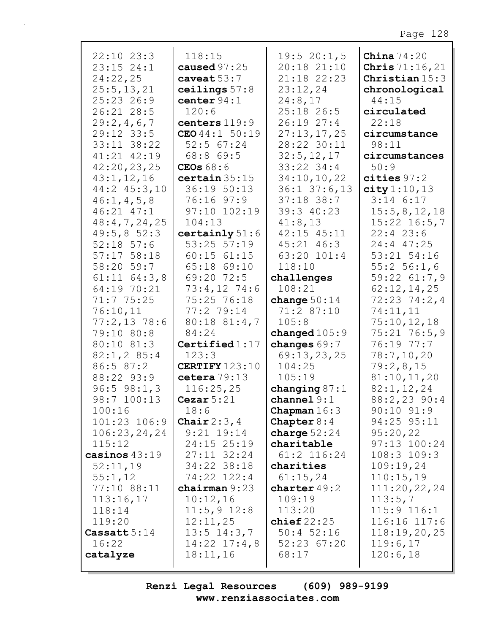| $22:10$ $23:3$   | 118:15             | 19:520:1,5                | China $74:20$           |
|------------------|--------------------|---------------------------|-------------------------|
| $23:15$ $24:1$   | caused $97:25$     | 20:18 21:10               | <b>Chris</b> $71:16,21$ |
| 24:22,25         | caveat $53:7$      | 21:18 22:23               | Christian $15:3$        |
| 25:5, 13, 21     | ceilings $57:8$    | 23:12,24                  | chronological           |
| $25:23$ 26:9     | center $94:1$      | 24:8,17                   | 44:15                   |
| 26:21 28:5       | 120:6              | 25:18 26:5                | circulated              |
| 29:2,4,6,7       | centers 119:9      | 26:1927:4                 | 22:18                   |
| 29:12 33:5       | CEO $44:1$ 50:19   | 27:13,17,25               | circumstance            |
| 33:11 38:22      | $52:5$ 67:24       | 28:22 30:11               | 98:11                   |
| 41:21 42:19      | 68:8 69:5          | 32:5, 12, 17              | circumstances           |
| 42:20,23,25      | CEOs $68:6$        | $33:22$ $34:4$            | 50:9                    |
| 43:1,12,16       | certain 35:15      | 34:10, 10, 22             | cities $97:2$           |
| 44:2 45:3,10     | 36:19 50:13        | $36:1$ $37:6$ , 13        | city 1:10, 13           |
| 46:1, 4, 5, 8    | 76:16 97:9         | $37:18$ 38:7              | $3:14$ 6:17             |
| 46:21 47:1       | 97:10 102:19       | 39:3 40:23                | 15:5,8,12,18            |
| 48:4,7,24,25     | 104:13             | 41:8,13                   | $15:22$ $16:5,7$        |
| 49:5,852:3       | certainly $51:6$   | 42:15 45:11               | 22:423:6                |
| $52:18$ 57:6     | $53:25$ $57:19$    | $45:21$ $46:3$            | 24:4 47:25              |
| $57:17$ $58:18$  | $60:15$ $61:15$    | 63:20 101:4               | 53:21 54:16             |
| 58:20 59:7       | 65:18 69:10        | 118:10                    | $55:2$ 56:1,6           |
| $61:11$ $64:3,8$ | 69:20 72:5         | challenges                | $59:22$ $61:7,9$        |
| 64:19 70:21      | $73:4,12$ 74:6     | 108:21                    | 62:12,14,25             |
| 71:775:25        | 75:25 76:18        | change $50:14$            | $72:23$ $74:2,4$        |
| 76:10,11         | 77:2 79:14         | 71:2 87:10                | 74:11,11                |
| 77:2,1378:6      | 80:18 81:4,7       | 105:8                     | 75:10,12,18             |
| 79:10 80:8       | 84:24              | changed $105:9$           | $75:21$ $76:5,9$        |
| 80:10 81:3       | Certified $1:17$   | changes 69:7              | 76:19 77:7              |
| $82:1, 2$ 85:4   | 123:3              | 69:13,23,25               | 78:7,10,20              |
| 86:5 87:2        | CERTIFY 123:10     | 104:25                    | 79:2,8,15               |
| 88:22 93:9       | cetera $79:13$     | 105:19                    | 81:10,11,20             |
| $96:5$ $98:1,3$  | 116:25,25          | changing $87:1$           | 82:1, 12, 24            |
| 98:7 100:13      | Cezar $5:21$       | channel9:1                | 88:2,23 90:4            |
| 100:16           | 18:6               | Chapman $16:3$            | $90:10$ $91:9$          |
| 101:23 106:9     | Chair $2:3,4$      | Chapter $8:4$             | 94:25 95:11             |
| 106:23,24,24     | $9:21$ 19:14       | charge $52:24$            | 95:20,22                |
| 115:12           | 24:15 25:19        | charitable                | 97:13 100:24            |
| casinos $43:19$  | $27:11$ $32:24$    | $61:2$ 116:24             | $108:3$ $109:3$         |
| 52:11,19         | 34:22 38:18        | charities                 | 109:19,24               |
| 55:1,12          | 74:22 122:4        | 61:15,24                  | 110:15,19               |
| 77:10 88:11      | chairman $9:23$    | charter 49:2              | 111:20,22,24            |
| 113:16,17        | 10:12,16           | 109:19                    | 113:5,7                 |
| 118:14           | $11:5,9$ 12:8      | 113:20                    | $115:9$ $116:1$         |
| 119:20           | 12:11,25           | $\mathbf{choice}$ $22:25$ | 116:16 117:6            |
| Cassatt $5:14$   | $13:5$ $14:3,7$    | $50:4$ 52:16              | 118:19,20,25            |
| 16:22            | $14:22$ $17:4$ , 8 | 52:23 67:20               | 119:6,17                |
| catalyze         | 18:11,16           | 68:17                     | 120:6,18                |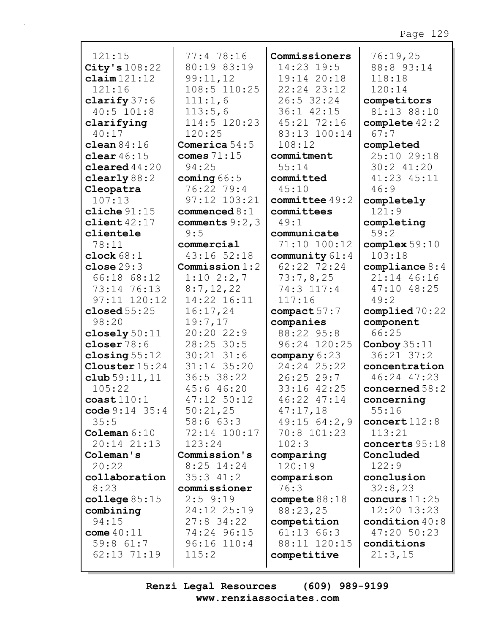| 121:15                  | 77:4 78:16                  | Commissioners       | 76:19,25         |
|-------------------------|-----------------------------|---------------------|------------------|
| City's 108:22           | 80:19 83:19                 | 14:23 19:5          | 88:8 93:14       |
| $\texttt{claim}$ 121:12 | 99:11,12                    | 19:14 20:18         | 118:18           |
| 121:16                  | 108:5 110:25                | 22:24 23:12         | 120:14           |
| clarify $37:6$          | 111:1,6                     | $26:5$ 32:24        | competitors      |
| $40:5$ 101:8            | 113:5,6                     | 36:1 42:15          | 81:13 88:10      |
| clarifying              | 114:5 120:23                | 45:21 72:16         | complete $42:2$  |
| 40:17                   | 120:25                      | 83:13 100:14        | 67:7             |
| clean $84:16$           | Comerica $54:5$             | 108:12              | completed        |
| clear $46:15$           | comes $71:15$               | commitment          | 25:10 29:18      |
| cleared $44:20$         | 94:25                       | 55:14               | 30:2 41:20       |
|                         |                             |                     |                  |
| clearly $88:2$          | coming $66:5$               | committed           | 41:23 45:11      |
| Cleopatra               | 76:22 79:4                  | 45:10               | 46:9             |
| 107:13                  | 97:12 103:21                | $commit$ tee $49:2$ | completely       |
| cliche $91:15$          | $\texttt{connected} \, 8:1$ | committees          | 121:9            |
| client $42:17$          | comments $9:2$ , 3          | 49:1                | completing       |
| clientele               | 9:5                         | communicate         | 59:2             |
| 78:11                   | commercial                  | 71:10 100:12        | complex $59:10$  |
| clock $68:1$            | 43:16 52:18                 | community 61:4      | 103:18           |
| close $29:3$            | Commission $1:2$            | 62:22 72:24         | compliance $8:4$ |
| 66:18 68:12             | $1:10$ 2:2,7                | 73:7,8,25           | 21:14 46:16      |
| 73:14 76:13             | 8:7,12,22                   | 74:3 117:4          | 47:10 48:25      |
| $97:11$ $120:12$        | 14:22 16:11                 | 117:16              | 49:2             |
|                         |                             |                     |                  |
|                         |                             |                     |                  |
| closed $55:25$          | 16:17,24                    | compact 57:7        | complied 70:22   |
| 98:20                   | 19:7,17                     | companies           | component        |
| closely $50:11$         | 20:20 22:9                  | 88:22 95:8          | 66:25            |
| closer $78:6$           | 28:25 30:5                  | 96:24 120:25        | Conboy $35:11$   |
| closing $55:12$         | $30:21$ $31:6$              | company $6:23$      | $36:21$ $37:2$   |
| <b>Clouster</b> 15:24   | 31:14 35:20                 | 24:24 25:22         | concentration    |
| club $59:11,11$         | 36:5 38:22                  | $26:25$ 29:7        | 46:24 47:23      |
| 105:22                  | 45:6 46:20                  | 33:16 42:25         | concerned $58:2$ |
| $\cosh 110:1$           | 47:12 50:12                 | 46:22 47:14         | concerning       |
| code $9:14$ $35:4$      | 50:21,25                    | 47:17,18            | 55:16            |
| 35:5                    | 58:663:3                    | 49:1564:2,9         | concert $112:8$  |
| Coleman $6:10$          | 72:14 100:17                | 70:8 101:23         | 113:21           |
| 20:14 21:13             | 123:24                      | 102:3               | concerts $95:18$ |
| Coleman's               | Commission's                | comparing           | Concluded        |
| 20:22                   | $8:25$ 14:24                | 120:19              | 122:9            |
| collaboration           | $35:3$ 41:2                 | comparison          | conclusion       |
| 8:23                    | commissioner                | 76:3                | 32:8,23          |
| college $85:15$         | $2:5$ 9:19                  | compete $88:18$     | concurs $11:25$  |
| combining               | 24:12 25:19                 | 88:23,25            | 12:20 13:23      |
| 94:15                   | $27:8$ 34:22                | competition         | condition $40:8$ |
| come $40:11$            | 74:24 96:15                 | $61:13$ $66:3$      | 47:20 50:23      |
| $59:8$ $61:7$           | $96:16$ $110:4$             | 88:11 120:15        | conditions       |
| 62:13 71:19             | 115:2                       | competitive         | 21:3,15          |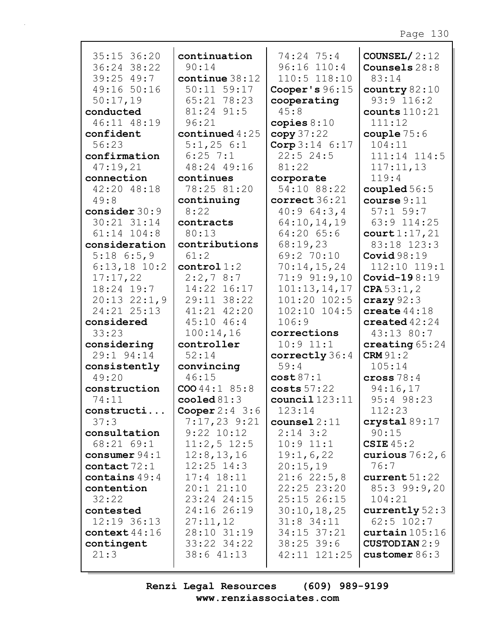| 35:15 36:20<br>36:24 38:22<br>$39:25$ 49:7<br>49:16 50:16<br>50:17,19<br>conducted<br>46:11 48:19<br>confident<br>56:23 | continuation<br>90:14<br>continue 38:12<br>50:11 59:17<br>65:21 78:23<br>81:24 91:5<br>96:21<br>continued $4:25$<br>$5:1,25$ 6:1 | 74:24 75:4<br>96:16 110:4<br>110:5 118:10<br>Cooper's 96:15<br>cooperating<br>45:8<br>copies $8:10$<br>copy 37:22<br>$\text{Core } 3:14 \quad 6:17$ | COUNSEL/ $2:12$<br>Counsels 28:8<br>83:14<br>country $82:10$<br>$93:9$ $116:2$<br>counts $110:21$<br>111:12<br>couple $75:6$<br>104:11 |
|-------------------------------------------------------------------------------------------------------------------------|----------------------------------------------------------------------------------------------------------------------------------|-----------------------------------------------------------------------------------------------------------------------------------------------------|----------------------------------------------------------------------------------------------------------------------------------------|
| confirmation<br>47:19,21                                                                                                | $6:25$ 7:1<br>48:24 49:16                                                                                                        | 22:524:5<br>81:22                                                                                                                                   | 111:14 114:5<br>117:11,13                                                                                                              |
| connection                                                                                                              | continues                                                                                                                        | corporate                                                                                                                                           | 119:4                                                                                                                                  |
| 42:20 48:18                                                                                                             | 78:25 81:20                                                                                                                      | 54:10 88:22                                                                                                                                         | coupled $56:5$                                                                                                                         |
| 49:8                                                                                                                    | continuing                                                                                                                       | correct 36:21                                                                                                                                       | course 9:11                                                                                                                            |
| consider 30:9                                                                                                           | 8:22                                                                                                                             | 40:964:3,4                                                                                                                                          | $57:1$ 59:7                                                                                                                            |
| 30:21 31:14                                                                                                             | contracts                                                                                                                        | 64:10,14,19                                                                                                                                         | 63:9 114:25                                                                                                                            |
| $61:14$ $104:8$                                                                                                         | 80:13                                                                                                                            | $64:20$ $65:6$                                                                                                                                      | court 1:17,21                                                                                                                          |
| consideration                                                                                                           | contributions                                                                                                                    | 68:19,23                                                                                                                                            | 83:18 123:3                                                                                                                            |
| $5:18$ 6:5,9                                                                                                            | 61:2<br>control1:2                                                                                                               | 69:2 70:10<br>70:14,15,24                                                                                                                           | Covid $98:19$<br>112:10 119:1                                                                                                          |
| $6:13,18$ 10:2<br>17:17,22                                                                                              | 2:2,78:7                                                                                                                         | $71:9$ $91:9$ , 10                                                                                                                                  | Covid-19 $8:19$                                                                                                                        |
| 18:24 19:7                                                                                                              | 14:22 16:17                                                                                                                      | 101:13,14,17                                                                                                                                        | CPA $53:1, 2$                                                                                                                          |
| $20:13$ $22:1,9$                                                                                                        | 29:11 38:22                                                                                                                      | 101:20 102:5                                                                                                                                        | crazy $92:3$                                                                                                                           |
| 24:21 25:13                                                                                                             | 41:21 42:20                                                                                                                      | $102:10$ $104:5$                                                                                                                                    | create $44:18$                                                                                                                         |
| considered                                                                                                              | $45:10$ $46:4$                                                                                                                   | 106:9                                                                                                                                               | created $42:24$                                                                                                                        |
| 33:23                                                                                                                   | 100:14,16                                                                                                                        | corrections                                                                                                                                         | 43:13 80:7                                                                                                                             |
| considering                                                                                                             | controller                                                                                                                       | $10:9$ $11:1$                                                                                                                                       | creating $65:24$                                                                                                                       |
| 29:1 94:14                                                                                                              | 52:14                                                                                                                            | correctly 36:4                                                                                                                                      | <b>CRM</b> 91:2                                                                                                                        |
| consistently                                                                                                            | convincing                                                                                                                       | 59:4                                                                                                                                                | 105:14                                                                                                                                 |
| 49:20                                                                                                                   | 46:15                                                                                                                            | cost87:1                                                                                                                                            | cross $78:4$                                                                                                                           |
| construction                                                                                                            | COO 44:1 85:8                                                                                                                    | costs 57:22                                                                                                                                         | 94:16,17                                                                                                                               |
| 74:11                                                                                                                   | cooled $81:3$                                                                                                                    | count1123:11                                                                                                                                        | 95:4 98:23                                                                                                                             |
| constructi                                                                                                              | Cooper $2:4$ 3:6                                                                                                                 | 123:14                                                                                                                                              | 112:23                                                                                                                                 |
| 37:3                                                                                                                    | $7:17,23$ 9:21                                                                                                                   | $course12:11$                                                                                                                                       | crystal 89:17<br>90:15                                                                                                                 |
| consultation<br>68:21 69:1                                                                                              | $9:22$ $10:12$<br>$11:2,5$ 12:5                                                                                                  | $2:14$ 3:2<br>$10:9$ $11:1$                                                                                                                         | CSIE $45:2$                                                                                                                            |
| consumer $94:1$                                                                                                         | 12:8, 13, 16                                                                                                                     | 19:1,6,22                                                                                                                                           | curious $76:2,6$                                                                                                                       |
| contact $72:1$                                                                                                          | $12:25$ $14:3$                                                                                                                   | 20:15,19                                                                                                                                            | 76:7                                                                                                                                   |
| contains $49:4$                                                                                                         | $17:4$ $18:11$                                                                                                                   | 21:622:5,8                                                                                                                                          | current51:22                                                                                                                           |
| contention                                                                                                              | 20:121:10                                                                                                                        | 22:25 23:20                                                                                                                                         | 85:3 99:9,20                                                                                                                           |
| 32:22                                                                                                                   | 23:24 24:15                                                                                                                      | 25:15 26:15                                                                                                                                         | 104:21                                                                                                                                 |
| contested                                                                                                               | 24:16 26:19                                                                                                                      | 30:10,18,25                                                                                                                                         | currently $52:3$                                                                                                                       |
| 12:19 36:13                                                                                                             | 27:11,12                                                                                                                         | $31:8$ 34:11                                                                                                                                        | $62:5$ 102:7                                                                                                                           |
| context $44:16$                                                                                                         | 28:10 31:19                                                                                                                      | 34:15 37:21                                                                                                                                         | curtain 105:16                                                                                                                         |
| contingent                                                                                                              | 33:22 34:22                                                                                                                      | $38:25$ 39:6                                                                                                                                        | <b>CUSTODIAN</b> 2:9                                                                                                                   |
| 21:3                                                                                                                    | 38:6 41:13                                                                                                                       | 42:11 121:25                                                                                                                                        | customer $86:3$                                                                                                                        |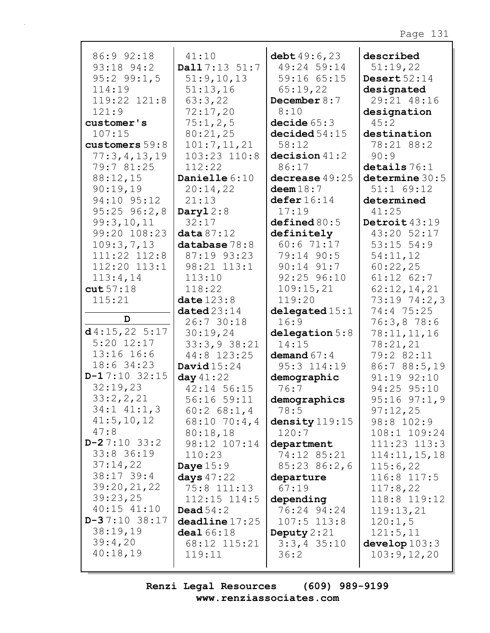| 86:9 92:18                  | 41:10                         | debt $49:6,23$                 | described                   |
|-----------------------------|-------------------------------|--------------------------------|-----------------------------|
| 93:18 94:2                  | Dall 7:13 51:7                | 49:24 59:14                    | 51:19,22                    |
| $95:2$ $99:1,5$             | 51:9,10,13                    | 59:16 65:15                    | Desert $52:14$              |
| 114:19                      | 51:13,16                      | 65:19,22                       | designated                  |
| 119:22 121:8                | 63:3,22                       | December 8:7                   | 29:21 48:16                 |
| 121:9                       | 72:17,20                      | 8:10                           | designation                 |
| customer's                  | 75:1,2,5                      | decide $65:3$                  | 45:2                        |
| 107:15                      | 80:21,25                      | decided54:15                   | destination                 |
| customers 59:8              | 101:7, 11, 21<br>103:23 110:8 | 58:12                          | 78:21 88:2<br>90:9          |
| 77:3,4,13,19<br>79:7 81:25  | 112:22                        | decision 41:2<br>86:17         | details $76:1$              |
| 88:12,15                    | Danielle 6:10                 | decrease $49:25$               | determine 30:5              |
| 90:19,19                    | 20:14,22                      | deem $18:7$                    | $51:1$ 69:12                |
| 94:10 95:12                 | 21:13                         | defer 16:14                    | determined                  |
| $95:25$ $96:2$ , 8          | Daryl $2:8$                   | 17:19                          | 41:25                       |
| 99:3,10,11                  | 32:17                         | defined 80:5                   | Detroit 43:19               |
| 99:20 108:23                | data87:12                     | definitely                     | 43:20 52:17                 |
| 109:3,7,13                  | database 78:8                 | 60:671:17                      | $53:15$ $54:9$              |
| 111:22 112:8                | 87:19 93:23                   | 79:14 90:5                     | 54:11,12                    |
| 112:20 113:1                | 98:21 113:1                   | 90:14 91:7                     | 60:22,25                    |
| 113:4,14                    | 113:10                        | 92:25 96:10                    | $61:12$ $62:7$              |
| cut 57:18                   | 118:22                        | 109:15,21                      | 62:12,14,21                 |
| 115:21                      | date $123:8$                  | 119:20                         | 73:19 74:2,3                |
|                             | dataed23:14                   | delegated $15:1$               | 74:4 75:25                  |
| D                           | 26:7 30:18                    | 16:9                           | 76:3,878:6                  |
| d4:15,225:17                | 30:19,24                      | delegation $5:8$               | 78:11,11,16                 |
| $5:20$ $12:17$              | 33:3,938:21                   | 14:15                          | 78:21,21                    |
| $13:16$ 16:6                | 44:8 123:25                   | demand $67:4$                  | 79:2 82:11                  |
| $18:6$ 34:23                | David $15:24$                 | 95:3 114:19                    | 86:7 88:5,19                |
| $D-17:10$ 32:15             | day $41:22$                   | demographic                    | 91:19 92:10                 |
| 32:19,23                    | 42:14 56:15                   | 76:7                           | 94:25 95:10                 |
| 33:2,2,21                   | 56:16 59:11                   | demographics                   | $95:16$ $97:1,9$            |
| $34:1$ $41:1,3$             | $60:2$ 68:1,4                 | 78:5                           | 97:12,25                    |
| 41:5, 10, 12                | $68:10$ 70:4,4                | density 119:15                 | 98:8 102:9                  |
| 47:8                        | 80:18,18                      | 120:7                          | 108:1 109:24                |
| $D-27:10$ 33:2              | 98:12 107:14                  | department                     | 111:23 113:3                |
| 33:8 36:19                  | 110:23                        | 74:12 85:21                    | 114:11,15,18                |
| 37:14,22                    | Daye $15:9$                   | 85:23 86:2,6                   | 115:6,22                    |
| $38:17$ 39:4                | days $47:22$                  | departure                      | 116:8 117:5                 |
| 39:20,21,22                 | 75:8 111:13                   | 67:19                          | 117:8,22                    |
| 39:23,25<br>$40:15$ $41:10$ | $112:15$ $114:5$              | depending                      | 118:8 119:12                |
| $D-37:10$ 38:17             | Dead $54:2$                   | 76:24 94:24                    | 119:13,21                   |
| 38:19,19                    | deadline 17:25<br>deal 66:18  | $107:5$ $113:8$                | 120:1,5                     |
| 39:4,20                     | 68:12 115:21                  | Deputy $2:21$<br>$3:3,4$ 35:10 | 121:5,11<br>develop $103:3$ |
| 40:18,19                    | 119:11                        | 36:2                           | 103:9, 12, 20               |
|                             |                               |                                |                             |
|                             |                               |                                |                             |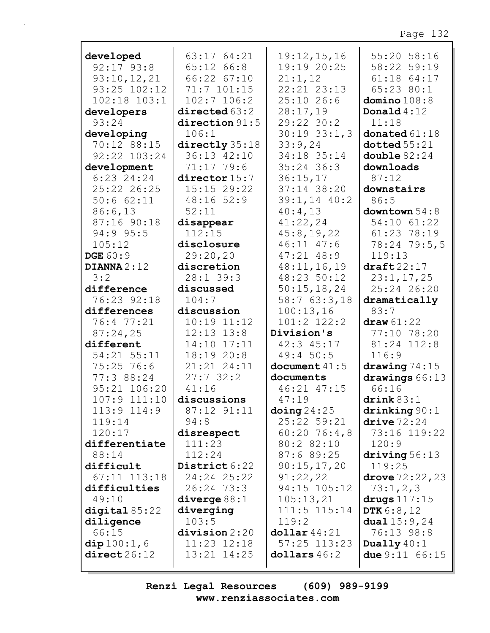| developed<br>$92:17$ $93:8$ | 63:17 64:21                  | 19:12,15,16<br>19:19 20:25 | 55:20 58:16                    |
|-----------------------------|------------------------------|----------------------------|--------------------------------|
|                             | $65:12$ $66:8$               |                            | 58:22 59:19                    |
| 93:10,12,21                 | 66:22 67:10                  | 21:1,12<br>$22:21$ $23:13$ | $61:18$ $64:17$                |
| $93:25$ $102:12$            | 71:7 101:15                  |                            | 65:23 80:1                     |
| $102:18$ $103:1$            | $102:7$ $106:2$              | $25:10$ 26:6               | domino $108:8$                 |
| developers                  | directed 63:2                | 28:17,19                   | Donald $4:12$                  |
| 93:24                       | direction $91:5$             | $29:22$ 30:2               | 11:18                          |
| developing                  | 106:1                        | $30:19$ $33:1,3$           | donated 61:18                  |
| 70:12 88:15                 | directly 35:18               | 33:9,24                    | doted 55:21                    |
| 92:22 103:24                | 36:13 42:10                  | 34:18 35:14                | double $82:24$                 |
| development                 | 71:17 79:6                   | $35:24$ 36:3               | downloads                      |
| $6:23$ 24:24                | director 15:7                | 36:15,17                   | 87:12                          |
| 25:22 26:25                 | $15:15$ 29:22                | 37:14 38:20                | downstairs                     |
| 50:662:11                   | $48:16$ 52:9                 | $39:1,14$ 40:2             | 86:5                           |
| 86:6,13                     | 52:11                        | 40:4,13                    | downtown $54:8$                |
| 87:16 90:18                 | disappear                    | 41:22,24                   | 54:10 61:22                    |
| 94:9 95:5                   | 112:15                       | 45:8,19,22                 | $61:23$ 78:19                  |
| 105:12                      | disclosure                   | 46:11 47:6                 | 78:24 79:5,5                   |
| <b>DGE 60:9</b>             | 29:20,20                     | $47:21$ $48:9$             | 119:13                         |
| DIANNA $2:12$               | discretion                   | 48:11,16,19                | $\texttt{draff}22:17$          |
| 3:2                         | $28:1$ 39:3                  | 48:23 50:12                | 23:1, 17, 25                   |
| difference                  | discussed                    | 50:15,18,24                | 25:24 26:20                    |
| 76:23 92:18                 | 104:7                        | 58:763:3,18                | dramatically                   |
| differences                 | discussion                   | 100:13,16                  | 83:7                           |
| 76:4 77:21                  | $10:19$ $11:12$              | 101:2 122:2                | draw 61:22                     |
| 87:24,25                    | $12:13$ $13:8$               | Division's                 | 77:10 78:20                    |
| different                   | 14:10 17:11                  | $42:3$ $45:17$             | 81:24 112:8                    |
| 54:21 55:11                 | 18:19 20:8                   | 49:4 50:5                  | 116:9                          |
| 75:25 76:6                  | 21:21 24:11                  | document $41:5$            | drawing $74:15$                |
| 77:3 88:24                  | 27:732:2                     | documents                  | drawings 66:13                 |
| 95:21 106:20                | 41:16                        | 46:21 47:15                | 66:16                          |
| 107:9 111:10                | discussions                  | 47:19                      | $\texttt{drink} 83:1$          |
| $113:9$ $114:9$             | 87:12 91:11                  | $\Delta$ oing 24:25        | drinking 90:1                  |
| 119:14                      | 94:8                         | 25:22 59:21                | $\text{drive}\,72\!:\!24$      |
| 120:17                      | disrespect                   | $60:20$ 76:4,8             | 73:16 119:22                   |
| differentiate               | 111:23                       | 80:2 82:10                 | 120:9                          |
| 88:14                       | 112:24                       | 87:689:25                  | driving $56:13$                |
| difficult                   | District 6:22<br>24:24 25:22 | 90:15,17,20                | 119:25                         |
| $67:11$ $113:18$            |                              | 91:22,22                   | drove $72:22,23$               |
| difficulties<br>49:10       | $26:24$ 73:3                 | 94:15 105:12<br>105:13,21  | 73:1,2,3                       |
|                             | diverge $88:1$<br>diverging  | $111:5$ $115:14$           | drugs $117:15$<br>DTK $6:8,12$ |
| digital $85:22$             | 103:5                        | 119:2                      |                                |
| diligence<br>66:15          | division 2:20                | $\text{dollar } 44:21$     | dual $15:9,24$<br>76:13 98:8   |
| dip100:1,6                  | $11:23$ $12:18$              | $57:25$ $113:23$           | Dually $40:1$                  |
| direct26:12                 | 13:21 14:25                  | $\text{dollars } 46:2$     | due $9:11 \ 66:15$             |
|                             |                              |                            |                                |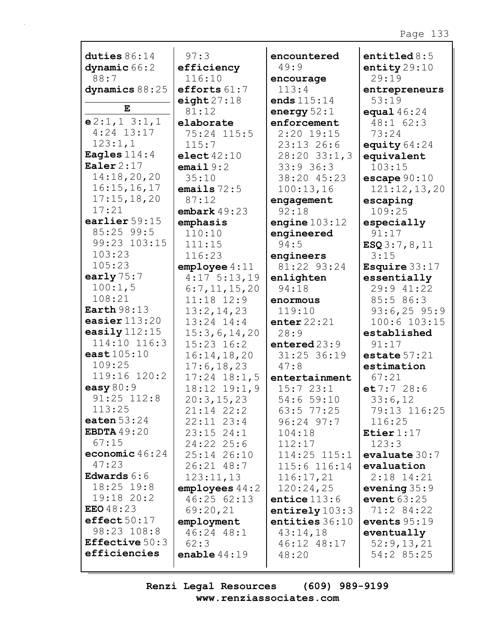| duties $86:14$              | 97:3                 | encountered        | entitled $8:5$          |
|-----------------------------|----------------------|--------------------|-------------------------|
|                             |                      | 49:9               |                         |
| dynamic 66:2<br>88:7        | efficiency<br>116:10 |                    | entity $29:10$<br>29:19 |
|                             |                      | encourage<br>113:4 |                         |
| dynamics 88:25              | efforts $61:7$       |                    | entrepreneurs           |
| ${\bf E}$                   | eight $27:18$        | ends $115:14$      | 53:19                   |
|                             | 81:12                | energy $52:1$      | equal $46:24$           |
| e2:1,13:1,1<br>$4:24$ 13:17 | elaborate            | enforcement        | 48:1 62:3               |
|                             | 75:24 115:5          | $2:20$ 19:15       | 73:24                   |
| 123:1,1                     | 115:7                | 23:13 26:6         | equity $64:24$          |
| Eagles $114:4$              | elect $42:10$        | $28:20$ $33:1,3$   | equivalent              |
| Ealer $2:17$                | email $9:2$          | 33:936:3           | 103:15                  |
| 14:18,20,20                 | 35:10                | 38:20 45:23        | escape $90:10$          |
| 16:15, 16, 17               | emails $72:5$        | 100:13,16          | 121:12,13,20            |
| 17:15,18,20                 | 87:12                | engagement         | escaping                |
| 17:21                       | embark $49:23$       | 92:18              | 109:25                  |
| earlier 59:15               | emphasis             | engine $103:12$    | especially              |
| $85:25$ 99:5                | 110:10               | engineered         | 91:17                   |
| 99:23 103:15                | 111:15               | 94:5               | ESQ3:7,8,11             |
| 103:23                      | 116:23               | engineers          | 3:15                    |
| 105:23                      | emplope 4:11         | 81:22 93:24        | <b>Esquire</b> $33:17$  |
| early $75:7$                | $4:17$ 5:13,19       | enlighten          | essentially             |
| 100:1,5                     | 6:7,11,15,20         | 94:18              | 29:9 41:22              |
| 108:21                      | $11:18$ $12:9$       | enormous           | 85:586:3                |
| Earth $98:13$               | 13:2,14,23           | 119:10             | $93:6, 25$ 95:9         |
| easier $113:20$             | 13:24 14:4           | enter $22:21$      | 100:6 103:15            |
| easily $112:15$             | 15:3,6,14,20         | 28:9               | established             |
| 114:10 116:3                | $15:23$ $16:2$       | entered $23:9$     | 91:17                   |
| east $105:10$               | 16:14, 18, 20        | 31:25 36:19        | estate $57:21$          |
| 109:25                      | 17:6, 18, 23         | 47:8               | estimation              |
| 119:16 120:2                | $17:24$ $18:1,5$     | entertainment      | 67:21                   |
| easy $80:9$                 | $18:12$ $19:1,9$     | 15:723:1           | et 7:7 28:6             |
| 91:25 112:8                 | 20:3,15,23           | 54:659:10          | 33:6,12                 |
| 113:25                      | $21:14$ $22:2$       | $63:5$ $77:25$     | 79:13 116:25            |
| eaten $53:24$               | $22:11$ $23:4$       | $96:24$ $97:7$     | 116:25                  |
| <b>EBDTA</b> 49:20          | $23:15$ $24:1$       | 104:18             | Etier $1:17$            |
| 67:15                       | 24:22 25:6           | 112:17             | 123:3                   |
| economic $46:24$            | 25:14 26:10          | $114:25$ $115:1$   | evaluate $30:7$         |
| 47:23                       | 26:21 48:7           | 115:6 116:14       | evaluation              |
| Edwards $6:6$               | 123:11,13            | 116:17,21          | $2:18$ 14:21            |
| 18:25 19:8                  | employes 44:2        | 120:24,25          | evening $35:9$          |
| $19:18$ $20:2$              | 46:25 62:13          | entice $113:6$     | event $63:25$           |
| <b>EEO</b> $48:23$          | 69:20,21             | entirely $103:3$   | 71:2 84:22              |
| effect50:17                 | employment           | entities 36:10     | events $95:19$          |
| 98:23 108:8                 | 46:24 48:1           | 43:14,18           | eventually              |
| <b>Effective</b> 50:3       | 62:3                 | 46:12 48:17        | 52:9,13,21              |
| efficiencies                | enable $44:19$       | 48:20              | 54:2 85:25              |
|                             |                      |                    |                         |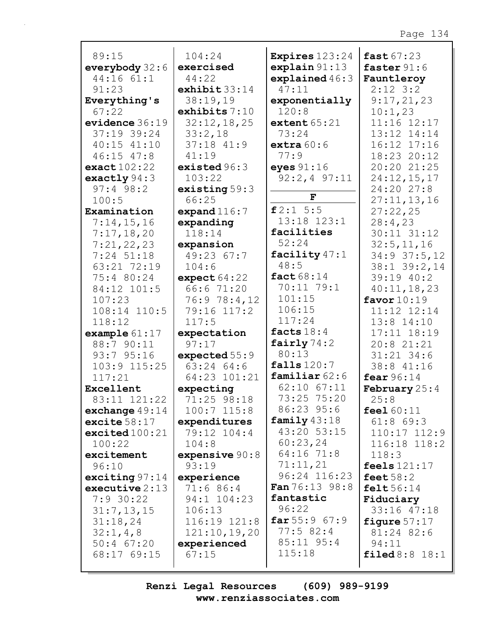| 89:15                         | 104:24                    | Expires $123:24$                  | fast $67:23$               |
|-------------------------------|---------------------------|-----------------------------------|----------------------------|
| everybody $32:6$              | exercised                 | explain 91:13                     | faster $91:6$              |
| 44:16 61:1                    | 44:22                     | explained $46:3$                  | Fauntleroy                 |
| 91:23                         | exhibit $33:14$           | 47:11                             | $2:12$ 3:2                 |
| Everything's                  | 38:19,19                  | exponentially                     | 9:17,21,23                 |
| 67:22                         | exhibits $7:10$           | 120:8                             | 10:1,23                    |
| evidence $36:19$              | 32:12,18,25               | extent $65:21$                    | 11:16 12:17                |
| 37:19 39:24                   | 33:2,18                   | 73:24                             | 13:12 14:14                |
| $40:15$ $41:10$               | $37:18$ $41:9$            | extra $60:6$                      | 16:12 17:16                |
| $46:15$ $47:8$<br>exact102:22 | 41:19<br>existed $96:3$   | 77:9                              | 18:23 20:12<br>20:20 21:25 |
| exactly $94:3$                | 103:22                    | eyes $91:16$<br>$92:2, 4$ $97:11$ | 24:12,15,17                |
| $97:4$ 98:2                   | existing $59:3$           |                                   | 24:20 27:8                 |
| 100:5                         | 66:25                     | $\mathbf{F}$                      | 27:11,13,16                |
| Examination                   | expand $116:7$            | f2:15:5                           | 27:22,25                   |
| 7:14,15,16                    | expanding                 | 13:18 123:1                       | 28:4,23                    |
| 7:17,18,20                    | 118:14                    | facilities                        | 30:11 31:12                |
| 7:21,22,23                    | expansion                 | 52:24                             | 32:5, 11, 16               |
| $7:24$ 51:18                  | 49:23 67:7                | facility $47:1$                   | $34:9$ 37:5, 12            |
| 63:21 72:19                   | 104:6                     | 48:5                              | 38:1 39:2,14               |
| 75:4 80:24                    | expect $64:22$            | fact $68:14$                      | 39:19 40:2                 |
| 84:12 101:5                   | 66:6 71:20                | 70:11 79:1                        | 40:11,18,23                |
| 107:23                        | 76:9 78:4,12              | 101:15                            | favor $10:19$              |
| 108:14 110:5                  | 79:16 117:2               | 106:15                            | 11:12 12:14                |
| 118:12                        | 117:5                     | 117:24                            | $13:8$ $14:10$             |
| example $61:17$               | expectation               | facts $18:4$                      | 17:11 18:19                |
| 88:7 90:11                    | 97:17                     | fairly $74:2$                     | 20:8 21:21                 |
| 93:7 95:16                    | expected 55:9             | 80:13                             | $31:21$ 34:6               |
| 103:9 115:25                  | $63:24$ $64:6$            | falls $120:7$                     | 38:8 41:16                 |
| 117:21                        | 64:23 101:21              | familiar $62:6$                   | fear $96:14$               |
| Excellent                     | expecting                 | 62:10 67:11                       | <b>February</b> $25:4$     |
| 83:11 121:22                  | 71:25 98:18               | 73:25 75:20                       | 25:8                       |
| exchange $49:14$              | $100:7$ $115:8$           | 86:23 95:6                        | feel $60:11$               |
| excite $58:17$                | expenditures              | family $43:18$<br>43:20 53:15     | $61:8$ $69:3$              |
| excited100:21                 | 79:12 104:4               | 60:23,24                          | $110:17$ $112:9$           |
| 100:22<br>excitement          | 104:8                     | 64:16 71:8                        | 116:18 118:2               |
| 96:10                         | expensive $90:8$<br>93:19 | 71:11,21                          | 118:3<br>feels $121:17$    |
| exciting $97:14$              | experience                | 96:24 116:23                      | feet $58:2$                |
| executive $2:13$              | 71:6 86:4                 | <b>Fan</b> $76:13$ $98:8$         | $\texttt{felt}56:14$       |
| $7:9$ 30:22                   | 94:1 104:23               | fantastic                         | Fiduciary                  |
| 31:7, 13, 15                  | 106:13                    | 96:22                             | 33:16 47:18                |
| 31:18,24                      | 116:19 121:8              | far 55:967:9                      | figure $57:17$             |
| 32:1, 4, 8                    | 121:10,19,20              | $77:5$ 82:4                       | 81:24 82:6                 |
| $50:4$ 67:20                  | experienced               | $85:11$ $95:4$                    | 94:11                      |
| 68:17 69:15                   | 67:15                     | 115:18                            | $\texttt{filled} 8:8 18:1$ |
|                               |                           |                                   |                            |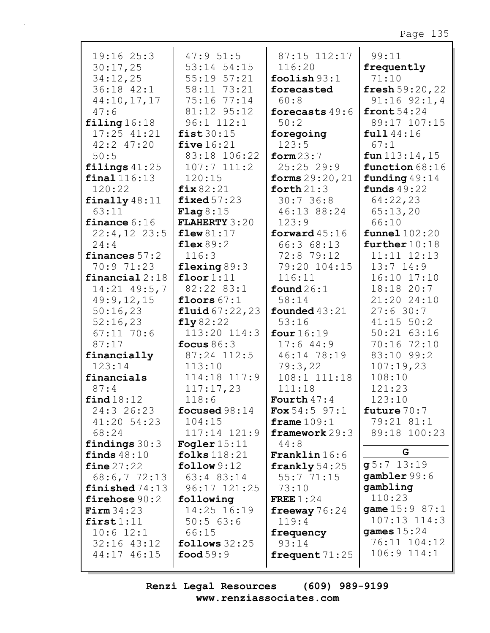| 19:1625:3<br>30:17,25<br>34:12,25 | 47:951:5<br>53:14 54:15<br>55:19 57:21 | 87:15 112:17<br>116:20<br>foolish $93:1$ | 99:11<br>frequently<br>71:10 |
|-----------------------------------|----------------------------------------|------------------------------------------|------------------------------|
| 36:18 42:1                        | 58:11 73:21                            | forecasted                               | fresh $59:20,22$             |
| 44:10,17,17                       | 75:16 77:14                            | 60:8                                     | $91:16$ $92:1,4$             |
| 47:6                              | 81:12 95:12                            | forecasts 49:6                           | front $54:24$                |
| $\texttt{filling} 16:18$          | $96:1$ $112:1$                         | 50:2                                     | 89:17 107:15                 |
| 17:25 41:21                       | fist $30:15$                           | foregoing                                | full 44:16                   |
| $42:2$ $47:20$                    | five $16:21$                           | 123:5                                    | 67:1                         |
| 50:5                              | 83:18 106:22                           | form $23:7$                              | $fun$ 113:14, 15             |
| filings $41:25$                   | $107:7$ $111:2$                        | 25:2529:9                                | function 68:16               |
| $final$ 116:13                    | 120:15                                 | forms $29:20,21$                         | funding 49:14                |
| 120:22                            | fix $82:21$                            | forth $21:3$                             | funds $49:22$                |
| finally $48:11$                   | fixed $57:23$                          | 30:736:8                                 | 64:22,23                     |
| 63:11                             | Flag $8:15$                            | 46:13 88:24                              | 65:13,20                     |
| finance $6:16$                    | <b>FLAHERTY 3:20</b>                   | 123:9                                    | 66:10                        |
| $22:4,12$ 23:5                    | flew $81:17$                           | forward $45:16$                          | funnel 102:20                |
| 24:4                              | flex $89:2$                            | 66:3 68:13                               | further $10:18$              |
| finances $57:2$                   | 116:3                                  | 72:8 79:12                               | $11:11$ $12:13$              |
| 70:9 71:23                        | flexing $89:3$                         | 79:20 104:15                             | $13:7$ $14:9$                |
| financial $2:18$                  | floor $1:11$                           | 116:11                                   | 16:10 17:10                  |
| $14:21$ $49:5,7$                  | 82:22 83:1                             | found $26:1$                             | 18:18 20:7                   |
| 49:9,12,15                        | floors $67:1$                          | 58:14                                    | 21:20 24:10                  |
| 50:16,23                          | fluid 67:22,23                         | founded $43:21$                          | 27:630:7<br>$41:15$ 50:2     |
| 52:16,23<br>$67:11$ 70:6          | fly82:22<br>113:20 114:3               | 53:16<br>four $16:19$                    | $50:21$ $63:16$              |
| 87:17                             | focus $86:3$                           | 17:644:9                                 | 70:16 72:10                  |
| financially                       | 87:24 112:5                            | 46:14 78:19                              | 83:10 99:2                   |
| 123:14                            | 113:10                                 | 79:3,22                                  | 107:19,23                    |
| financials                        | 114:18 117:9                           | 108:1 111:18                             | 108:10                       |
| 87:4                              | 117:17,23                              | 111:18                                   | 121:23                       |
| find 18:12                        | 118:6                                  | Fourth $47:4$                            | 123:10                       |
| 24:3 26:23                        | focused $98:14$                        | $F$ ox 54:5 97:1                         | future $70:7$                |
| 41:20 54:23                       | 104:15                                 | frame $109:1$                            | 79:21 81:1                   |
| 68:24                             | 117:14 121:9                           | framework 29:3                           | 89:18 100:23                 |
| findings $30:3$                   | Fogler $15:11$                         | 44:8                                     |                              |
| finds $48:10$                     | folks $118:21$                         | <b>Franklin</b> $16:6$                   | G                            |
| $fine\,27:22$                     | follow 9:12                            | frankly $54:25$                          | $g5:7$ 13:19                 |
| 68:6,772:13                       | 63:4 83:14                             | 55:771:15                                | gambler 99:6                 |
| $\mathtt{finished}$ $74:13$       | 96:17 121:25                           | 73:10                                    | gambling                     |
| firehose 90:2                     | following                              | FREE $1:24$                              | 110:23                       |
| $\texttt{Firm} 34:23$             | 14:25 16:19                            | freeway $76:24$                          | <b>game</b> $15:9 87:1$      |
| first1:11                         | 50:563:6                               | 119:4                                    | 107:13 114:3                 |
| $10:6$ 12:1                       | 66:15                                  | frequency                                | games $15:24$                |
| $32:16$ $43:12$                   | follows $32:25$                        | 93:14                                    | 76:11 104:12                 |
| 44:17 46:15                       | food $59:9$                            | frequent $71:25$                         | $106:9$ $114:1$              |
|                                   |                                        |                                          |                              |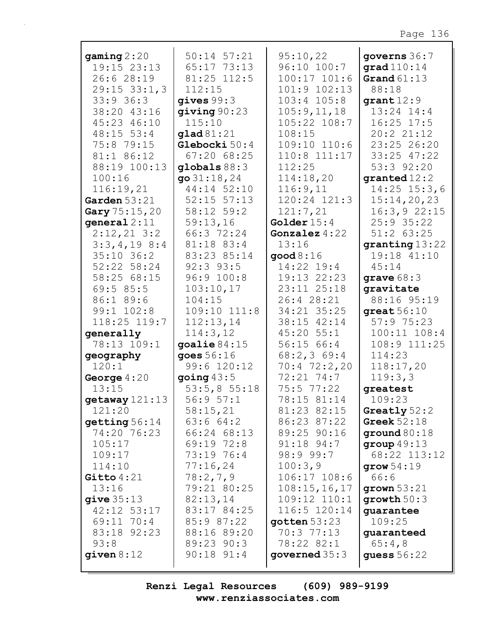| gamma2:20        | $50:14$ $57:21$ | 95:10,22                  | governs 36:7            |
|------------------|-----------------|---------------------------|-------------------------|
| 19:15 23:13      | 65:17 73:13     | 96:10 100:7               | grad $110:14$           |
| 26:6 28:19       | 81:25 112:5     | $100:17$ $101:6$          | Grand $61:13$           |
| $29:15$ $33:1,3$ | 112:15          | $101:9$ $102:13$          | 88:18                   |
| 33:936:3         | gives $99:3$    | $103:4$ $105:8$           | $qrant 12:9$            |
| 38:20 43:16      | giving $90:23$  | 105:9, 11, 18             | $13:24$ $14:4$          |
| 45:23 46:10      | 115:10          | 105:22 108:7              | $16:25$ 17:5            |
| $48:15$ 53:4     | $g$ lad $81:21$ | 108:15                    | 20:2 21:12              |
| 75:8 79:15       | Glebocki 50:4   | $109:10$ $110:6$          | 23:25 26:20             |
| 81:1 86:12       | 67:2068:25      | 110:8 111:17              | 33:25 47:22             |
| 88:19 100:13     | globals $88:3$  | 112:25                    | 53:3 92:20              |
| 100:16           | go $31:18,24$   | 114:18,20                 | $\sigma$ qranted $12:2$ |
| 116:19,21        | 44:14 52:10     | 116:9,11                  | $14:25$ $15:3,6$        |
| Garden $53:21$   | $52:15$ $57:13$ | 120:24 121:3              | 15:14,20,23             |
| Gary 75:15,20    | 58:12 59:2      | 121:7,21                  | 16:3,922:15             |
| general $2:11$   | 59:13,16        | Golder $15:4$             | 25:9 35:22              |
| $2:12,21$ 3:2    | 66:3 72:24      | Gonzalez $4:22$           | $51:2$ 63:25            |
| $3:3,4,19$ 8:4   | 81:18 83:4      | 13:16                     | granting 13:22          |
| $35:10$ 36:2     | 83:23 85:14     | $\mathsf{good}\,8\!:\!16$ | 19:18 41:10             |
| 52:22 58:24      | $92:3$ $93:5$   | 14:22 19:4                | 45:14                   |
| 58:25 68:15      | 96:9 100:8      | 19:13 22:23               | grave $68:3$            |
| 69:585:5         | 103:10,17       | 23:11 25:18               | qravitate               |
| 86:1 89:6        | 104:15          | 26:4 28:21                | 88:16 95:19             |
| 99:1 102:8       | 109:10 111:8    | 34:21 35:25               | great $56:10$           |
| 118:25 119:7     | 112:13,14       | 38:15 42:14               | 57:975:23               |
| generally        | 114:3,12        | $45:20$ 55:1              | $100:11$ $108:4$        |
| 78:13 109:1      | goalie $84:15$  | 56:15 66:4                | 108:9 111:25            |
| geography        | goes 56:16      | 68:2,369:4                | 114:23                  |
| 120:1            | 99:6 120:12     | $70:4$ $72:2,20$          | 118:17,20               |
| George $4:20$    | going $43:5$    | 72:21 74:7                | 119:3,3                 |
| 13:15            | 53:5,855:18     | $75:5$ $77:22$            | greatest                |
| getaway 121:13   | 56:957:1        | 78:15 81:14               | 109:23                  |
| 121:20           | 58:15,21        | 81:23 82:15               | Greatly $52:2$          |
| getting 56:14    | 63:664:2        | 86:23 87:22               | Greek $52:18$           |
| 74:20 76:23      | 66:24 68:13     | 89:25 90:16               | ground $80:18$          |
| 105:17           | 69:19 72:8      | $91:18$ $94:7$            | group $49:13$           |
| 109:17           | 73:19 76:4      | 98:999:7                  | 68:22 113:12            |
| 114:10           | 77:16,24        | 100:3,9                   | grow $54:19$            |
| Gitto $4:21$     | 78:2,7,9        | 106:17 108:6              | 66:6                    |
| 13:16            | 79:21 80:25     | 108:15, 16, 17            | grown $53:21$           |
| give $35:13$     | 82:13,14        | 109:12 110:1              | growth $50:3$           |
| 42:12 53:17      | 83:17 84:25     | 116:5 120:14              | quarantee               |
| $69:11$ 70:4     | 85:9 87:22      | gotten $53:23$            | 109:25                  |
| 83:18 92:23      | 88:16 89:20     | $70:3$ $77:13$            | guaranteed              |
| 93:8             | 89:23 90:3      | 78:22 82:1                | 65:4,8                  |
| given $8:12$     | $90:18$ $91:4$  | governed $35:3$           | guess $56:22$           |
|                  |                 |                           |                         |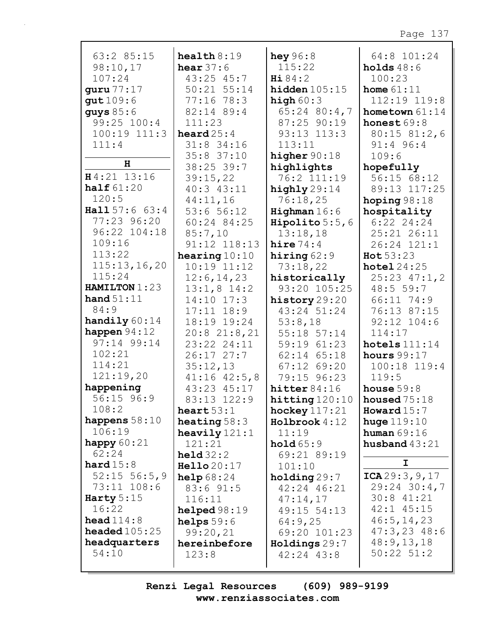| 63:2 85:15             | $\texttt{health}8:19$ | hey $96:8$              | 64:8 101:24      |
|------------------------|-----------------------|-------------------------|------------------|
| 98:10,17               | hear $37:6$           | 115:22                  | holds $48:6$     |
| 107:24                 | 43:25 45:7            | Hi 84:2                 | 100:23           |
| quru 77:17             | 50:21 55:14           | hidden $105:15$         | home $61:11$     |
| qut 109:6              | $77:16$ 78:3          | high $60:3$             | 112:19 119:8     |
| guys $85:6$            | 82:14 89:4            | 65:24 80:4,7            | hometown $61:14$ |
| 99:25 100:4            | 111:23                | $87:25$ 90:19           | honest $69:8$    |
| 100:19 111:3           | heard $25:4$          | 93:13 113:3             | $80:15$ $81:2,6$ |
| 111:4                  | 31:8 34:16            | 113:11                  | 91:4 96:4        |
|                        | 35:8 37:10            | higher $90:18$          | 109:6            |
| н                      | 38:25 39:7            | highlights              | hopefully        |
| H4:21 13:16            | 39:15,22              | 76:2 111:19             | 56:15 68:12      |
| half $61:20$           | 40:3 43:11            | highly 29:14            | 89:13 117:25     |
| 120:5                  | 44:11,16              | 76:18,25                | hoping $98:18$   |
| Hall 57:6 63:4         | 53:656:12             | Highman $16:6$          | hospitality      |
| 77:23 96:20            | 60:24 84:25           | <b>Hipolito</b> $5:5,6$ | $6:22$ 24:24     |
| 96:22 104:18           | 85:7,10               | 13:18,18                | 25:21 26:11      |
| 109:16                 | $91:12$ $118:13$      | hire $74:4$             | 26:24 121:1      |
| 113:22                 | hearing $10:10$       | hiring $62:9$           | Hot 53:23        |
| 115:13,16,20           | $10:19$ $11:12$       | 73:18,22                | hotel $24:25$    |
| 115:24                 | 12:6, 14, 23          | historically            | $25:23$ $47:1,2$ |
| HAMILTON 1:23          | $13:1,8$ 14:2         | 93:20 105:25            | 48:5 59:7        |
| hand $51:11$           | $14:10$ $17:3$        | history 29:20           | 66:11 74:9       |
| 84:9                   | $17:11$ $18:9$        | 43:24 51:24             | 76:13 87:15      |
| handily $60:14$        | 18:19 19:24           | 53:8,18                 | $92:12$ $104:6$  |
| happen $94:12$         | 20:821:8,21           | 55:18 57:14             | 114:17           |
| 97:14 99:14            | 23:22 24:11           | 59:19 61:23             | hotels $111:14$  |
| 102:21                 | $26:17$ $27:7$        | 62:14 65:18             | hours $99:17$    |
| 114:21                 | 35:12,13              | $67:12$ $69:20$         | 100:18 119:4     |
| 121:19,20              | $41:16$ $42:5,8$      | 79:15 96:23             | 119:5            |
| happening              | 43:23 45:17           | hitter $84:16$          | house $59:8$     |
| 56:15 96:9             | 83:13 122:9           | hitting 120:10          | housed $75:18$   |
| 108:2                  | heart $53:1$          | hockey $117:21$         | Howard $15:7$    |
| happens $58:10$        | heating $58:3$        | Holbrook 4:12           | huge $119:10$    |
| 106:19                 | heavily $121:1$       | 11:19                   | human $69:16$    |
| happy $60:21$          | 121:21                | hold 65:9               | husband $43:21$  |
| 62:24                  | $\text{held } 32:2$   | 69:21 89:19             |                  |
| hard $15:8$            | Hello 20:17           | 101:10                  | I                |
| $52:15$ 56:5,9         | <b>help</b> $68:24$   | holding 29:7            | ICA29:3, 9, 17   |
| 73:11 108:6            | 83:6 91:5             | 42:24 46:21             | $29:24$ 30:4,7   |
| Harty $5:15$           | 116:11                | 47:14,17                | $30:8$ 41:21     |
| 16:22                  | helped $98:19$        | 49:15 54:13             | 42:1 45:15       |
| head $114:8$           | helps $59:6$          | 64:9,25                 | 46:5, 14, 23     |
| <b>headed</b> $105:25$ | 99:20,21              | 69:20 101:23            | $47:3,23$ $48:6$ |
| headquarters           | hereinbefore          | Holdings 29:7           | 48:9, 13, 18     |
| 54:10                  | 123:8                 | $42:24$ $43:8$          | $50:22$ $51:2$   |
|                        |                       |                         |                  |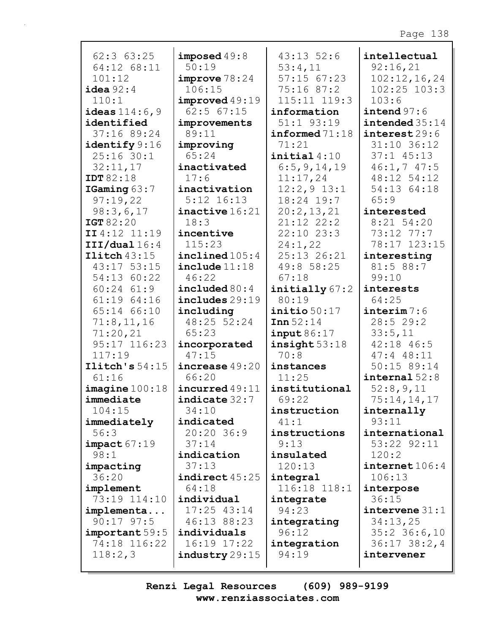| $62:3$ $63:25$               | imposed $49:8$                | $43:13$ 52:6            | intellectual                 |
|------------------------------|-------------------------------|-------------------------|------------------------------|
| 64:12 68:11                  | 50:19                         | 53:4,11                 | 92:16,21                     |
| 101:12                       | improve 78:24                 | $57:15$ $67:23$         | 102:12,16,24                 |
| $i$ dea $92:4$               | 106:15                        | $75:16$ 87:2            | $102:25$ $103:3$             |
| 110:1                        | improved 49:19                | 115:11 119:3            | 103:6                        |
| ideas $114:6,9$              | $62:5$ $67:15$                | information             | intend 97:6                  |
| identified                   | improvements                  | $51:1$ $93:19$          | intended 35:14               |
| 37:16 89:24                  | 89:11                         | $informed$ 71:18        | interest 29:6                |
| identify 9:16                | improving                     | 71:21                   | 31:10 36:12                  |
| $25:16$ 30:1                 | 65:24                         | $\texttt{initial}4:10$  | $37:1$ $45:13$               |
| 32:11,17                     | inactivated                   | 6:5, 9, 14, 19          | 46:1,747:5                   |
| <b>IDT 82:18</b>             | 17:6                          | 11:17,24                | 48:12 54:12                  |
| IGaming 63:7                 | inactivation                  | $12:2,9$ 13:1           | 54:13 64:18                  |
| 97:19,22                     | $5:12$ $16:13$                | 18:24 19:7              | 65:9                         |
| 98:3,6,17                    | $\texttt{inactive} 16:21$     | 20:2,13,21              | interested                   |
| IGT 82:20                    | 18:3                          | $21:12$ $22:2$          | $8:21$ 54:20                 |
| II 4:12 11:19                | incentive<br>115:23           | $22:10$ $23:3$          | 73:12 77:7                   |
| III/dual 16:4                |                               | 24:1,22                 | 78:17 123:15                 |
| $\text{Ilich }43:15$         | $\texttt{inclined}$ 105:4     | 25:13 26:21             | interesting                  |
| 43:17 53:15                  | include 11:18                 | 49:8 58:25              | 81:5 88:7                    |
| 54:13 60:22                  | 46:22                         | 67:18                   | 99:10                        |
| $60:24$ $61:9$               | included $80:4$               | initially 67:2          | interests                    |
| 61:1964:16                   | $includes$ 29:19              | 80:19                   | 64:25                        |
| 65:14 66:10                  | including                     | $\texttt{initio} 50:17$ | interval: 6                  |
| 71:8,11,16                   | 48:25 52:24                   | Inn 52:14               | 28:529:2                     |
| 71:20,21                     | 65:23                         | input86:17              | 33:5,11                      |
| 95:17 116:23                 | incorporated                  | insight 53:18<br>70:8   | 42:18 46:5                   |
| 117:19                       | 47:15                         |                         | 47:4 48:11                   |
| Ilitch's $54:15$             | $increase\,49:20$<br>66:20    | instances<br>11:25      | 50:15 89:14                  |
| 61:16                        |                               |                         | interval 52:8                |
| image100:18<br>immediate     | incurred $49:11$              | institutional           | 52:8,9,11                    |
|                              | indicate 32:7                 | 69:22                   | 75:14,14,17                  |
| 104:15                       | 34:10                         | instruction             | internally                   |
| immediately                  | indicated                     | 41:1                    | 93:11                        |
| 56:3                         | 20:20 36:9<br>37:14           | instructions            | international<br>53:22 92:11 |
| impact 67:19                 |                               | 9:13                    |                              |
| 98:1                         | indication                    | insulated               | 120:2                        |
| impacting                    | 37:13<br>$indirect$ 45:25     | 120:13                  | $\texttt{internet106:4}$     |
| 36:20                        |                               | integral                | 106:13                       |
| implement                    | 64:18                         | 116:18 118:1            | interpose                    |
| 73:19 114:10                 | individual<br>$17:25$ $43:14$ | integrate               | 36:15<br>intervene $31:1$    |
| implementa<br>$90:17$ $97:5$ | 46:13 88:23                   | 94:23                   |                              |
|                              | individuals                   | integrating<br>96:12    | 34:13,25                     |
| $\texttt{important} 59:5$    |                               |                         | $35:2$ 36:6,10               |
| 74:18 116:22                 | 16:19 17:22                   | integration<br>94:19    | $36:17$ $38:2,4$             |
| 118:2,3                      | $\texttt{industry}$ 29:15     |                         | intervener                   |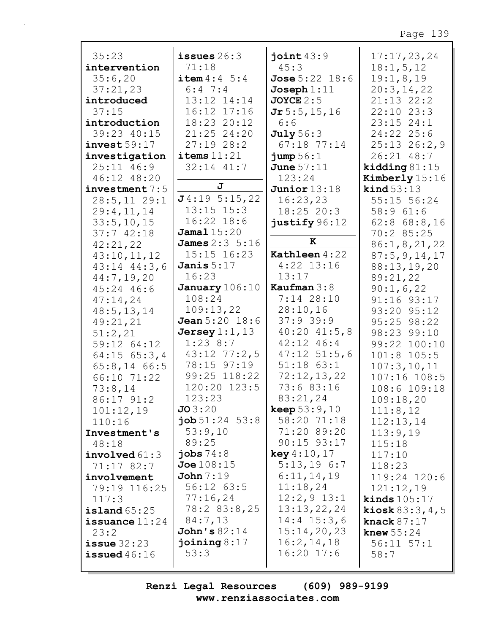| 35:23                 | issues $26:3$             | joint $43:9$              | 17:17,23,24               |
|-----------------------|---------------------------|---------------------------|---------------------------|
| intervention          | 71:18                     | 45:3                      | 18:1, 5, 12               |
| 35:6,20               | <b>item</b> $4:4 \ 5:4$   | <b>Jose</b> $5:22$ $18:6$ | 19:1,8,19                 |
| 37:21,23              | $6:4$ 7:4                 | $Joseph 1:11$             | 20:3,14,22                |
| introduced            | 13:12 14:14               | <b>JOYCE</b> $2:5$        | 21:13 22:2                |
| 37:15                 | 16:12 17:16               | $Jr$ 5:5,15,16            | $22:10$ $23:3$            |
| introduction          | 18:23 20:12               | 6:6                       | $23:15$ $24:1$            |
| 39:23 40:15           | 21:25 24:20               | July 56:3                 | 24:22 25:6                |
| invest59:17           | 27:1928:2                 | $67:18$ $77:14$           | $25:13$ $26:2,9$          |
| investigation         | $i$ tems $11:21$          | jump 56:1                 | 26:21 48:7                |
| 25:11 46:9            | $32:14$ $41:7$            | June $57:11$              | kidding $81:15$           |
| 46:12 48:20           |                           | 123:24                    | Kimberly 15:16            |
| $inverse$ tment $7:5$ | J                         | Junior $13:18$            | $\text{kind } 53:13$      |
| $28:5, 11$ 29:1       | J4:195:15,22              | 16:23,23                  | 55:15 56:24               |
| 29:4,11,14            | $13:15$ $15:3$            | 18:25 20:3                | 58:961:6                  |
| 33:5, 10, 15          | $16:22$ $18:6$            | justify 96:12             | $62:8$ $68:8,16$          |
| 37:742:18             | Jama115:20                |                           | 70:2 85:25                |
| 42:21,22              | <b>James</b> $2:3 \ 5:16$ | K                         | 86:1, 8, 21, 22           |
| 43:10,11,12           | 15:15 16:23               | Kathleen 4:22             | 87:5, 9, 14, 17           |
| $43:14$ $44:3$ , 6    | Janis $5:17$              | $4:22$ 13:16              | 88:13,19,20               |
| 44:7,19,20            | 16:23                     | 13:17                     | 89:21,22                  |
| 45:24 46:6            | January 106:10            | Kaufman $3:8$             | 90:1,6,22                 |
| 47:14,24              | 108:24                    | $7:14$ 28:10              | 91:16 93:17               |
| 48:5, 13, 14          | 109:13,22                 | 28:10,16                  | 93:20 95:12               |
| 49:21,21              | <b>Jean</b> $5:20$ $18:6$ | 37:939:9                  | 95:25 98:22               |
| 51:2,21               | Jersey $1:1$ , $13$       | $40:20$ $41:5,8$          | 98:23 99:10               |
| 59:12 64:12           | $1:23$ 8:7                | $42:12$ $46:4$            | 99:22 100:10              |
| $64:15$ $65:3,4$      | $43:12$ $77:2,5$          | $47:12$ 51:5,6            | 101:8 105:5               |
| $65:8,14$ 66:5        | 78:15 97:19               | $51:18$ $63:1$            | 107:3, 10, 11             |
| 66:10 71:22           | 99:25 118:22              | 72:12,13,22               | 107:16 108:5              |
| 73:8,14               | 120:20 123:5              | 73:6 83:16                | 108:6 109:18              |
| 86:17 91:2            | 123:23                    | 83:21,24                  | 109:18,20                 |
| 101:12,19             | JO3:20                    | <b>keep</b> $53:9,10$     | 111:8,12                  |
| 110:16                | $\textbf{job} 51:24$ 53:8 | 58:20 71:18               | 112:13,14                 |
| Investment's          | 53:9,10                   | 71:20 89:20               | 113:9,19                  |
| 48:18                 | 89:25                     | $90:15$ $93:17$           | 115:18                    |
| involved 61:3         | jobs $74:8$               | key 4:10,17               | 117:10                    |
| 71:17 82:7            | Joe108:15                 | $5:13,19$ 6:7             | 118:23                    |
| involvement           | John 7:19                 | 6:11,14,19                | 119:24 120:6              |
| 79:19 116:25          | 56:12 63:5                | 11:18,24                  | 121:12,19                 |
| 117:3                 | 77:16,24                  | $12:2,9$ 13:1             | kinds $105:17$            |
| $i$ sland $65:25$     | 78:2 83:8,25              | 13:13,22,24               | <b>kiosk</b> $83:3, 4, 5$ |
| issuance $11:24$      | 84:7,13                   | $14:4$ 15:3,6             | knack $87:17$             |
| 23:2                  | John's $82:14$            | 15:14,20,23               | knew $55:24$              |
| $i$ ssue $32:23$      | joining $8:17$            | 16:2, 14, 18              | $56:11$ $57:1$            |
| issued $46:16$        | 53:3                      | $16:20$ 17:6              | 58:7                      |
|                       |                           |                           |                           |

 $\overline{\phantom{a}}$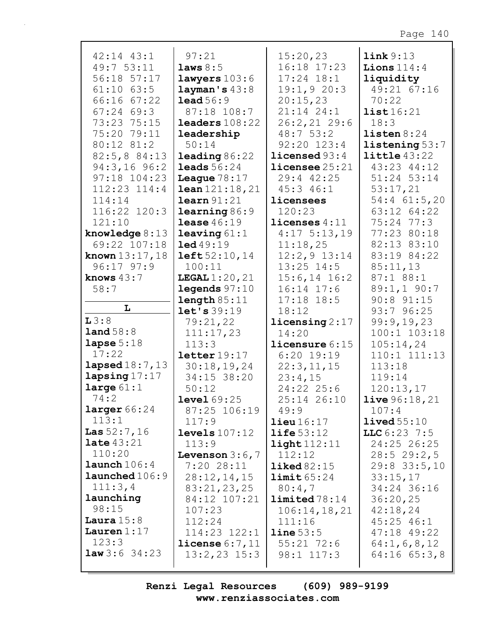| 42:14 43:1               | 97:21                    | 15:20,23                 | link 9:13              |
|--------------------------|--------------------------|--------------------------|------------------------|
| 49:7 53:11               | laws 8:5                 | 16:18 17:23              | Lions $114:4$          |
| 56:18 57:17              | lawyers 103:6            | $17:24$ $18:1$           | liquidity              |
| $61:10$ $63:5$           | layman's 43:8            | 19:1,920:3               | 49:21 67:16            |
| 66:16 67:22              | lead 56:9                | 20:15,23                 | 70:22                  |
| $67:24$ $69:3$           | 87:18 108:7              | 21:14 24:1               | list16:21              |
| 73:23 75:15              | $\texttt{leads:} 108:22$ | $26:2, 21$ 29:6          | 18:3                   |
| 75:20 79:11              | leadership               | 48:753:2                 | listen 8:24            |
| 80:12 81:2               | 50:14                    | 92:20 123:4              | listening 53:7         |
| 82:5,8 84:13             | <b>leading</b> $86:22$   | <b>licensed</b> $93:4$   | $\text{little }43:22$  |
| $94:3,16$ 96:2           | <b>leads</b> $56:24$     | $licensee 25:21$         | 43:23 44:12            |
| $97:18$ $104:23$         | League $78:17$           | 29:4 42:25               | 51:24 53:14            |
| 112:23 114:4             | lean 121:18, 21          | $45:3$ $46:1$            | 53:17,21               |
| 114:14                   | learn 91:21              | licensees                | $54:4$ 61:5,20         |
| 116:22 120:3             | learning 86:9            | 120:23                   | 63:12 64:22            |
| 121:10                   | lease $46:19$            | licenses $4:11$          | $75:24$ $77:3$         |
| knowledge $8:13$         | leaving $61:1$           | $4:17$ 5:13,19           | 77:23 80:18            |
| 69:22 107:18             | 1ed49:19                 | 11:18,25                 | 82:13 83:10            |
| <b>known</b> $13:17, 18$ | left 52:10,14            | $12:2,9$ $13:14$         | 83:19 84:22            |
| $96:17$ $97:9$           | 100:11                   | $13:25$ $14:5$           | 85:11,13               |
| knows $43:7$             | <b>LEGAL</b> $1:20,21$   | $15:6, 14$ 16:2          | 87:1 88:1              |
| 58:7                     | legends 97:10            | $16:14$ $17:6$           | $89:1, 1$ 90:7         |
|                          | length 85:11             | $17:18$ 18:5             | $90:8$ $91:15$         |
| L                        | let's 39:19              | 18:12                    | 93:796:25              |
| L3:8                     | 79:21,22                 | $\text{licensing } 2:17$ | 99:9,19,23             |
| land 58:8                | 111:17,23                | 14:20                    | 100:1 103:18           |
| lapse $5:18$             | 113:3                    | licensure 6:15           | 105:14,24              |
| 17:22                    | $\texttt{letter}19:17$   | $6:20$ 19:19             | 110:1 111:13           |
| <b>lapsed</b> 18:7, 13   | 30:18,19,24              | 22:3,11,15               | 113:18                 |
| $\texttt{lang17:17}$     | 34:15 38:20              | 23:4,15                  | 119:14                 |
| large $61:1$             | 50:12                    | 24:22 25:6               | 120:13,17              |
| 74:2                     | level~69:25              | $25:14$ $26:10$          | <b>live</b> $96:18,21$ |
| larger 66:24             | 87:25 106:19             | 49:9                     | 107:4                  |
| 113:1                    | 117:9                    | $\text{lieu} 16:17$      | $1$ ived $55:10$       |
| <b>Las</b> $52:7, 16$    | levels 107:12            | $\text{life}$ 53:12      | LLC 6:23 7:5           |
| <b>late</b> $43:21$      | 113:9                    | $\texttt{light}112:11$   | 24:25 26:25            |
| 110:20                   | Levenson $3:6,7$         | 112:12                   | 28:529:2,5             |
| $l$ aunch $106:4$        | 7:2028:11                | $\texttt{liked}82:15$    | $29:8$ 33:5, 10        |
| launched 106:9           | 28:12,14,15              | limit 65:24              | 33:15,17               |
| 111:3,4                  | 83:21,23,25              | 80:4,7                   | 34:24 36:16            |
| launching                | 84:12 107:21             | $1$ imited $78:14$       | 36:20,25               |
| 98:15                    | 107:23                   | 106:14, 18, 21           | 42:18,24               |
| Laura $15:8$             | 112:24                   | 111:16                   | $45:25$ $46:1$         |
| Lauren $1:17$            | $114:23$ $122:1$         | line 53:5                | $47:18$ $49:22$        |
| 123:3                    | <b>license</b> $6:7,11$  | $55:21$ 72:6             | 64:1, 6, 8, 12         |
| <b>law</b> 3:6 34:23     | $13:2,23$ $15:3$         | 98:1 117:3               | $64:16$ $65:3,8$       |
|                          |                          |                          |                        |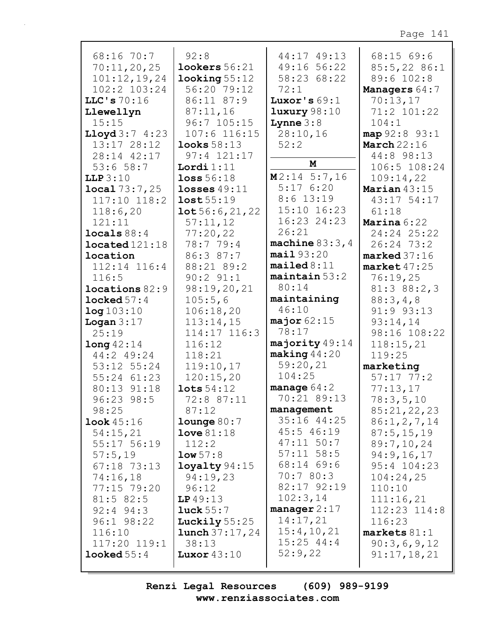| 68:16 70:7<br>70:11,20,25 | 92:8<br>lookes 56:21     | 44:17 49:13<br>49:16 56:22 | 68:15 69:6<br>85:5,2286:1 |
|---------------------------|--------------------------|----------------------------|---------------------------|
| 101:12,19,24              | $\texttt{looking} 55:12$ | 58:23 68:22                | 89:6 102:8                |
| $102:2$ $103:24$          | 56:20 79:12              | 72:1                       | Managers 64:7             |
| LLC's $70:16$             | 86:11 87:9               | Luxor's $69:1$             | 70:13,17                  |
| Llewellyn                 | 87:11,16                 | luxury 98:10               | 71:2 101:22               |
| 15:15                     | 96:7 105:15              | <b>Lynne</b> $3:8$         | 104:1                     |
| <b>Lloyd</b> $3:7$ 4:23   | $107:6$ 116:15           | 28:10,16                   | map 92:8 93:1             |
| 13:17 28:12               | $1$ ooks $58:13$         | 52:2                       | <b>March</b> 22:16        |
| 28:14 42:17               | 97:4 121:17              |                            | 44:8 98:13                |
| 53:658:7                  | Lordi $1:11$             | M                          | 106:5 108:24              |
| LLP 3:10                  | loss 56:18               | $M2:14$ 5:7,16             | 109:14,22                 |
| local 73:7,25             | losses $49:11$           | 5:176:20                   | Marian $43:15$            |
| $117:10$ $118:2$          | lost 55:19               | $8:6$ 13:19                | 43:17 54:17               |
| 118:6,20                  | 10t56:6,21,22            | 15:10 16:23                | 61:18                     |
| 121:11                    | 57:11,12                 | 16:23 24:23                | Marina 6:22               |
| $\texttt{locals} 88:4$    | 77:20,22                 | 26:21                      | 24:24 25:22               |
| $located 121:18$          | 78:7 79:4                | machine $83:3,4$           | 26:24 73:2                |
| location                  | 86:3 87:7                | mail93:20                  | $marked 37:16$            |
| 112:14 116:4              | 88:21 89:2               | mailed 8:11                | $market$ 47:25            |
| 116:5                     | $90:2$ $91:1$            | $maintain 53:2$            | 76:19,25                  |
| $1$ ocations $82:9$       | 98:19,20,21              | 80:14                      | 81:388:2,3                |
| $l$ ocked $57:4$          | 105:5,6                  | maintaining                | 88:3,4,8                  |
| log 103:10                | 106:18,20                | 46:10                      | 91:9 93:13                |
| Logan $3:17$              | 113:14,15                | major $62:15$              | 93:14,14                  |
| 25:19                     | 114:17 116:3             | 78:17                      | 98:16 108:22              |
| long42:14                 | 116:12                   | majority 49:14             | 118:15,21                 |
| 44:2 49:24                | 118:21                   | $\texttt{making} 44:20$    | 119:25                    |
| $53:12$ $55:24$           | 119:10,17                | 59:20,21                   | marketing                 |
| 55:24 61:23               | 120:15,20                | 104:25                     | $57:17$ $77:2$            |
| 80:13 91:18               | $\texttt{lots}~54:12$    | manage $64:2$              | 77:13,17                  |
| 96:23 98:5                | 72:8 87:11               | 70:21 89:13                | 78:3,5,10                 |
| 98:25                     | 87:12                    | management                 | 85:21,22,23               |
| <b>look</b> $45:16$       | $1$ ounge $80:7$         | 35:16 44:25                | 86:1, 2, 7, 14            |
| 54:15,21                  | $Love 81:18$             | 45:5 46:19                 | 87:5, 15, 19              |
| 55:17 56:19               | 112:2                    | $47:11$ 50:7               | 89:7,10,24                |
| 57:5,19                   | low 57:8                 | $57:11$ $58:5$             | 94:9,16,17                |
| 67:18 73:13               | $1$ oyalty $94:15$       | 68:14 69:6                 | 95:4 104:23               |
| 74:16,18                  | 94:19,23                 | 70:780:3                   | 104:24,25                 |
| 77:15 79:20               | 96:12                    | 82:17 92:19                | 110:10                    |
| $81:5$ 82:5               | LP49:13                  | 102:3,14                   | 111:16,21                 |
| $92:4$ $94:3$             | luck 55:7                | manager $2:17$             | 112:23 114:8              |
| $96:1$ $98:22$            | Luckily $55:25$          | 14:17,21                   | 116:23                    |
| 116:10                    | <b>lunch</b> $37:17,24$  | 15:4, 10, 21               | $markets 81:1$            |
| $117:20$ $119:1$          | 38:13                    | $15:25$ 44:4               | 90:3,6,9,12               |
| $looked 55:4$             | Luxor $43:10$            | 52:9,22                    | 91:17,18,21               |
|                           |                          |                            |                           |

 $\Gamma$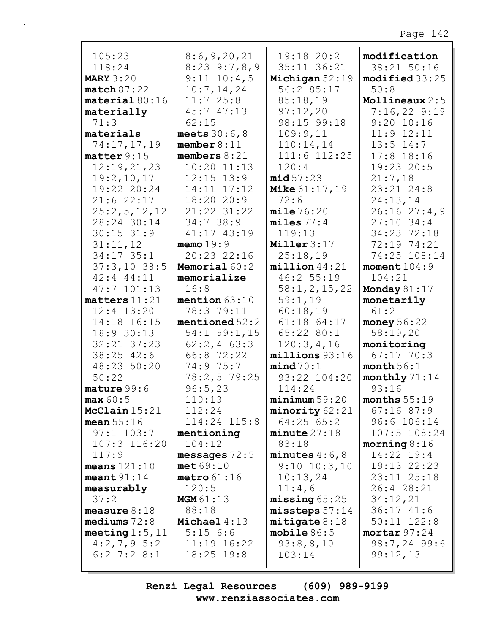| 105:23                    | 8:6,9,20,21                     | 19:18 20:2                | modification                   |
|---------------------------|---------------------------------|---------------------------|--------------------------------|
| 118:24                    | $8:23$ 9:7,8,9                  | 35:11 36:21               | 38:21 50:16                    |
| <b>MARY 3:20</b>          | $9:11$ $10:4,5$                 | Michigan $52:19$          | modified 33:25                 |
| match 87:22               | 10:7, 14, 24                    | 56:2 85:17                | 50:8                           |
| $\texttt{material} 80:16$ | 11:725:8                        | 85:18,19                  | Mollineaux $2:5$               |
| materially                | 45:747:13                       | 97:12,20                  | $7:16,22$ 9:19<br>$9:20$ 10:16 |
| 71:3<br>materials         | 62:15                           | 98:15 99:18               | $11:9$ $12:11$                 |
| 74:17,17,19               | meets $30:6,8$<br>member $8:11$ | 109:9,11                  | $13:5$ $14:7$                  |
| matter 9:15               | members $8:21$                  | 110:14,14<br>111:6 112:25 | $17:8$ 18:16                   |
| 12:19,21,23               | $10:20$ $11:13$                 | 120:4                     | 19:23 20:5                     |
| 19:2,10,17                | $12:15$ $13:9$                  | mid 57:23                 | 21:7,18                        |
| 19:22 20:24               | 14:11 17:12                     | <b>Mike 61:17, 19</b>     | $23:21$ $24:8$                 |
| 21:622:17                 | 18:2020:9                       | 72:6                      | 24:13,14                       |
| 25:2,5,12,12              | $21:22$ $31:22$                 | mile 76:20                | 26:1627:4,9                    |
| 28:24 30:14               | 34:738:9                        | miles 77:4                | $27:10$ 34:4                   |
| $30:15$ $31:9$            | 41:17 43:19                     | 119:13                    | 34:23 72:18                    |
| 31:11,12                  | memo $19:9$                     | Miller 3:17               | 72:19 74:21                    |
| 34:17 35:1                | 20:23 22:16                     | 25:18,19                  | 74:25 108:14                   |
| $37:3,10$ 38:5            | Memorial 60:2                   | $million$ 44:21           | moment $104:9$                 |
| $42:4$ $44:11$            | memorialize                     | 46:2 55:19                | 104:21                         |
| $47:7$ 101:13             | 16:8                            | 58:1, 2, 15, 22           | Monday $81:17$                 |
| matters 11:21             | mention $63:10$                 | 59:1,19                   | monetarily                     |
| $12:4$ $13:20$            | 78:3 79:11                      | 60:18,19                  | 61:2                           |
| 14:18 16:15               | mentioned $52:2$                | 61:18 64:17               | money $56:22$                  |
| 18:9 30:13                | $54:1$ 59:1, 15                 | 65:22 80:1                | 58:19,20                       |
| 32:21 37:23               | $62:2, 4$ 63:3                  | 120:3,4,16                | monitoring                     |
| 38:25 42:6                | 66:8 72:22                      | millions 93:16            | $67:17$ 70:3                   |
| 48:23 50:20               | 74:9 75:7                       | mind 70:1                 | month $56:1$                   |
| 50:22                     | 78:2,579:25                     | 93:22 104:20              | monthly 71:14                  |
| $\mathtt{mature} 99:6$    | 96:5,23                         | 114:24                    | 93:16                          |
| max 60:5                  | 110:13                          | minimum 59:20             | months $55:19$                 |
| McClain $15:21$           | 112:24                          | minority 62:21            | $67:16$ 87:9                   |
| mean $55:16$              | 114:24 115:8                    | $64:25$ $65:2$            | 96:6 106:14                    |
| $97:1$ 103:7              | mentioning                      | $minute$ 27:18            | 107:5 108:24                   |
| 107:3 116:20              | 104:12                          | 83:18                     | morning $8:16$                 |
| 117:9                     | messages $72:5$                 | minutes $4:6$ , 8         | 14:22 19:4                     |
| means $121:10$            | met69:10                        | $9:10$ $10:3,10$          | 19:13 22:23                    |
| meant $91:14$             | metro $61:16$                   | 10:13,24                  | 23:11 25:18                    |
| measurably                | 120:5                           | 11:4,6                    | 26:4 28:21                     |
| 37:2                      | MGM 61:13                       | missing 65:25             | 34:12,21                       |
| measure $8:18$            | 88:18                           | $miss$ teps $57:14$       | 36:1741:6                      |
| mediums $72:8$            | Michael $4:13$                  | mitigate 8:18             | $50:11$ $122:8$                |
| meeting $1:5$ , $11$      | 5:156:6                         | mobile $86:5$             | mortar 97:24                   |
| $4:2,7,9$ 5:2             | $11:19$ $16:22$                 | 93:8,8,10                 | 98:7,24 99:6                   |
| $6:2$ 7:2 8:1             | $18:25$ $19:8$                  | 103:14                    | 99:12,13                       |
|                           |                                 |                           |                                |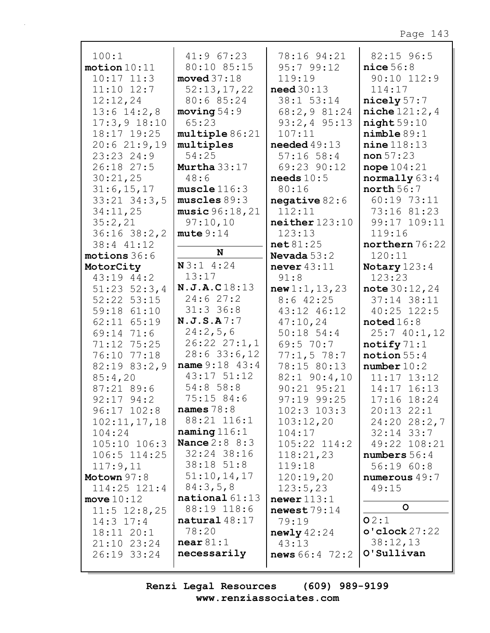| 100:1                      | 41:967:23             | 78:16 94:21             | 82:15 96:5           |
|----------------------------|-----------------------|-------------------------|----------------------|
| motion 10:11               | 80:10 85:15           | 95:799:12               |                      |
|                            | moved $37:18$         |                         | nice 56:8            |
| $10:17$ $11:3$             |                       | 119:19                  | 90:10 112:9          |
| $11:10$ $12:7$             | 52:13,17,22           | need30:13               | 114:17               |
| 12:12,24                   | 80:6 85:24            | 38:1 53:14              | nicely 57:7          |
| $13:6$ $14:2,8$            | moving 54:9           | 68:2,9 81:24            | niche 121:2,4        |
| $17:3,9$ 18:10             | 65:23                 | $93:2, 4$ $95:13$       | night59:10           |
| 18:17 19:25                | multiple 86:21        | 107:11                  | nimplle 89:1         |
| 20:621:9,19                | multiples             | needed $49:13$          | $nine$ 118:13        |
| 23:23 24:9                 | 54:25                 | $57:16$ 58:4            | non 57:23            |
| 26:18 27:5                 | Murtha $33:17$        | 69:23 90:12             | nope $104:21$        |
| 30:21,25                   | 48:6                  | needs $10:5$            | normally 63:4        |
| 31:6, 15, 17               | muscle116:3           | 80:16                   | north 56:7           |
| $33:21$ $34:3$ , 5         | muscles 89:3          | negative $82:6$         | 60:19 73:11          |
| 34:11,25                   | music 96:18, 21       | 112:11                  | 73:16 81:23          |
| 35:2,21                    | 97:10,10              | neither 123:10          | 99:17 109:11         |
| $36:16$ $38:2,2$           | mute 9:14             | 123:13                  | 119:16               |
| 38:4 41:12                 |                       | net 81:25               | northern 76:22       |
| motions 36:6               | N                     | Nevada $53:2$           | 120:11               |
| MotorCity                  | N3:14:24              | never $43:11$           | Notary 123:4         |
| 43:19 44:2                 | 13:17                 | 91:8                    | 123:23               |
| $51:23$ $52:3,4$           | N.J.A.C18:13          | new 1:1, 13, 23         | note $30:12,24$      |
| 52:22 53:15                | 24:627:2              | $8:6$ 42:25             | 37:14 38:11          |
| 59:18 61:10                | $31:3$ 36:8           | 43:12 46:12             | 40:25 122:5          |
| 62:11 65:19                | N.J.S.A7:7            | 47:10,24                | $\texttt{noted16:8}$ |
| 69:14 71:6                 | 24:2,5,6              | $50:18$ 54:4            | 25:740:1,12          |
| 71:12 75:25                | $26:22$ $27:1,1$      | 69:5 70:7               | notify $71:1$        |
| 76:10 77:18                | $28:6$ 33:6, 12       | 77:1,578:7              | notion $55:4$        |
| 82:19 83:2,9               | <b>name</b> 9:18 43:4 | 78:15 80:13             | number 10:2          |
| 85:4,20                    | 43:17 51:12           | $82:1$ 90:4,10          | $11:17$ $13:12$      |
| 87:21 89:6                 | $54:8$ 58:8           | $90:21$ $95:21$         | 14:17 16:13          |
| $92:17$ $94:2$             | 75:15 84:6            | 97:19 99:25             | 17:16 18:24          |
| $96:17$ $102:8$            | names $78:8$          | $102:3$ $103:3$         | $20:13$ $22:1$       |
| 102:11,17,18               | 88:21 116:1           | 103:12,20               | 24:20 28:2,7         |
|                            | naming 116:1          | 104:17                  | $32:14$ $33:7$       |
| 104:24<br>$105:10$ $106:3$ | <b>Nance 2:8 8:3</b>  | $105:22$ $114:2$        | 49:22 108:21         |
|                            | 32:24 38:16           |                         |                      |
| 106:5 114:25               | $38:18$ $51:8$        | 118:21,23               | numbers 56:4         |
| 117:9,11                   | 51:10,14,17           | 119:18                  | 56:1960:8            |
| Motown $97:8$              | 84:3,5,8              | 120:19,20               | numerous 49:7        |
| $114:25$ $121:4$           |                       | 123:5,23                | 49:15                |
| move $10:12$               | $national 61:13$      | newer 113:1             | $\mathsf{o}$         |
| $11:5$ $12:8,25$           | 88:19 118:6           | newest $79:14$          |                      |
| $14:3$ 17:4                | natural $48:17$       | 79:19                   | O2:1                 |
| 18:11 20:1                 | 78:20                 | newly42:24              | o'clock 27:22        |
| $21:10$ $23:24$            | near 81:1             | 43:13                   | 38:12,13             |
| 26:19 33:24                | necessarily           | <b>news</b> $66:4$ 72:2 | O'Sullivan           |
|                            |                       |                         |                      |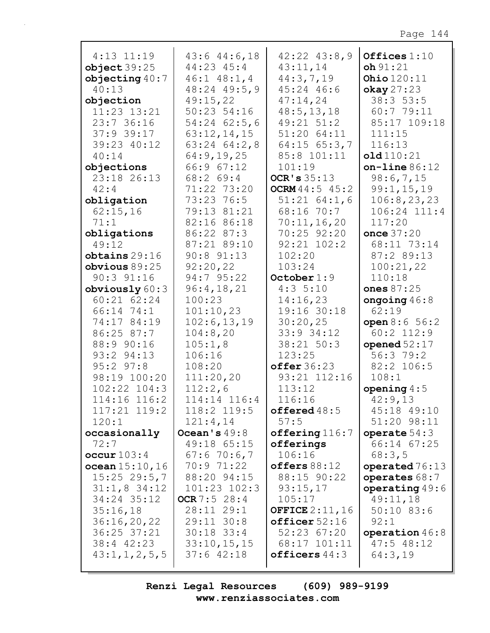| $4:13$ $11:19$<br>object39:25<br>objecting $40:7$<br>40:13<br>objection<br>11:23 13:21<br>23:736:16<br>$37:9$ 39:17<br>39:23 40:12<br>40:14 | $43:6$ $44:6$ , 18<br>$44:23$ $45:4$<br>$46:1$ $48:1$ , 4<br>$48:24$ $49:5,9$<br>49:15,22<br>50:23 54:16<br>$54:24$ 62:5,6<br>63:12,14,15<br>$63:24$ $64:2,8$<br>64:9,19,25 | $42:22$ $43:8,9$<br>43:11,14<br>44:3,7,19<br>45:24 46:6<br>47:14,24<br>48:5, 13, 18<br>49:21 51:2<br>51:20 64:11<br>$64:15$ $65:3,7$<br>85:8 101:11 | Offices 1:10<br>oh 91:21<br>Ohio $120:11$<br>$\alpha$ kay 27:23<br>38:353:5<br>60:7 79:11<br>85:17 109:18<br>111:15<br>116:13<br>old110:21 |
|---------------------------------------------------------------------------------------------------------------------------------------------|-----------------------------------------------------------------------------------------------------------------------------------------------------------------------------|-----------------------------------------------------------------------------------------------------------------------------------------------------|--------------------------------------------------------------------------------------------------------------------------------------------|
| objections                                                                                                                                  | 66:967:12                                                                                                                                                                   | 101:19                                                                                                                                              | $on$ -line $86:12$                                                                                                                         |
| 23:18 26:13                                                                                                                                 | 68:2 69:4                                                                                                                                                                   | OCR's $35:13$                                                                                                                                       | 98:6,7,15                                                                                                                                  |
| 42:4                                                                                                                                        | 71:22 73:20                                                                                                                                                                 | <b>OCRM</b> $44:5$ $45:2$                                                                                                                           | 99:1, 15, 19                                                                                                                               |
| obligation                                                                                                                                  | 73:23 76:5                                                                                                                                                                  | $51:21$ $64:1,6$                                                                                                                                    | 106:8, 23, 23                                                                                                                              |
| 62:15,16                                                                                                                                    | 79:13 81:21                                                                                                                                                                 | 68:16 70:7                                                                                                                                          | 106:24 111:4                                                                                                                               |
| 71:1                                                                                                                                        | 82:16 86:18                                                                                                                                                                 | 70:11,16,20                                                                                                                                         | 117:20                                                                                                                                     |
| obligations                                                                                                                                 | 86:22 87:3                                                                                                                                                                  | 70:25 92:20                                                                                                                                         | once 37:20                                                                                                                                 |
| 49:12                                                                                                                                       | 87:21 89:10                                                                                                                                                                 | $92:21$ $102:2$                                                                                                                                     | 68:11 73:14                                                                                                                                |
| obtains 29:16                                                                                                                               | $90:8$ $91:13$                                                                                                                                                              | 102:20                                                                                                                                              | 87:2 89:13                                                                                                                                 |
| obvious 89:25                                                                                                                               | 92:20,22                                                                                                                                                                    | 103:24                                                                                                                                              | 100:21,22                                                                                                                                  |
| $90:3$ $91:16$                                                                                                                              | 94:7 95:22                                                                                                                                                                  | October $1:9$                                                                                                                                       | 110:18                                                                                                                                     |
| obviously $60:3$                                                                                                                            | 96:4,18,21                                                                                                                                                                  | 4:35:10                                                                                                                                             | ones $87:25$                                                                                                                               |
| $60:21$ $62:24$                                                                                                                             | 100:23                                                                                                                                                                      | 14:16,23                                                                                                                                            | ongoing $46:8$                                                                                                                             |
| 66:14 74:1                                                                                                                                  | 101:10,23                                                                                                                                                                   | 19:16 30:18                                                                                                                                         | 62:19                                                                                                                                      |
| 74:17 84:19                                                                                                                                 | 102:6, 13, 19                                                                                                                                                               | 30:20,25                                                                                                                                            | open $8:6 \ 56:2$                                                                                                                          |
| 86:25 87:7                                                                                                                                  | 104:8,20                                                                                                                                                                    | 33:9 34:12                                                                                                                                          | $60:2$ 112:9                                                                                                                               |
| 88:9 90:16                                                                                                                                  | 105:1,8                                                                                                                                                                     | 38:21 50:3                                                                                                                                          | opened $52:17$                                                                                                                             |
| 93:2 94:13                                                                                                                                  | 106:16                                                                                                                                                                      | 123:25                                                                                                                                              | 56:379:2                                                                                                                                   |
| $95:2$ $97:8$                                                                                                                               | 108:20                                                                                                                                                                      | offer 36:23                                                                                                                                         | 82:2 106:5                                                                                                                                 |
| 98:19 100:20                                                                                                                                | 111:20,20                                                                                                                                                                   | 93:21 112:16                                                                                                                                        | 108:1                                                                                                                                      |
| $102:22$ $104:3$<br>114:16 116:2                                                                                                            | 112:2,6<br>114:14 116:4                                                                                                                                                     | 113:12<br>116:16                                                                                                                                    | opening $4:5$                                                                                                                              |
| $117:21$ $119:2$                                                                                                                            | 118:2 119:5                                                                                                                                                                 |                                                                                                                                                     | 42:9,13<br>45:18 49:10                                                                                                                     |
| 120:1                                                                                                                                       | 121:4,14                                                                                                                                                                    | offered48:5<br>57:5                                                                                                                                 | 51:20 98:11                                                                                                                                |
| occasionally                                                                                                                                | Ocean's $49:8$                                                                                                                                                              | offering 116:7                                                                                                                                      | operate $54:3$                                                                                                                             |
| 72:7                                                                                                                                        | 49:18 65:15                                                                                                                                                                 | offerings                                                                                                                                           | 66:14 67:25                                                                                                                                |
| $\text{occur} 103:4$                                                                                                                        | 67:670:6,7                                                                                                                                                                  | 106:16                                                                                                                                              | 68:3,5                                                                                                                                     |
| ocean 15:10, 16                                                                                                                             | 70:971:22                                                                                                                                                                   | offseters 88:12                                                                                                                                     | operated 76:13                                                                                                                             |
| $15:25$ 29:5,7                                                                                                                              | 88:20 94:15                                                                                                                                                                 | 88:15 90:22                                                                                                                                         | operates 68:7                                                                                                                              |
| $31:1,8$ 34:12                                                                                                                              | $101:23$ $102:3$                                                                                                                                                            | 93:15,17                                                                                                                                            | operating $49:6$                                                                                                                           |
| 34:24 35:12                                                                                                                                 | OCR 7:5 $28:4$                                                                                                                                                              | 105:17                                                                                                                                              | 49:11,18                                                                                                                                   |
| 35:16,18                                                                                                                                    | 28:11 29:1                                                                                                                                                                  | <b>OFFICE</b> $2:11,16$                                                                                                                             | $50:10$ 83:6                                                                                                                               |
| 36:16,20,22                                                                                                                                 | $29:11$ $30:8$                                                                                                                                                              | offseticer 52:16                                                                                                                                    | 92:1                                                                                                                                       |
| $36:25$ $37:21$                                                                                                                             | $30:18$ 33:4                                                                                                                                                                | 52:23 67:20                                                                                                                                         | operation $46:8$                                                                                                                           |
| 38:4 42:23                                                                                                                                  | 33:10, 15, 15                                                                                                                                                               | 68:17 101:11                                                                                                                                        | $47:5$ $48:12$                                                                                                                             |
| 43:1, 1, 2, 5, 5                                                                                                                            | $37:6$ 42:18                                                                                                                                                                | officers $44:3$                                                                                                                                     | 64:3,19                                                                                                                                    |
|                                                                                                                                             |                                                                                                                                                                             |                                                                                                                                                     |                                                                                                                                            |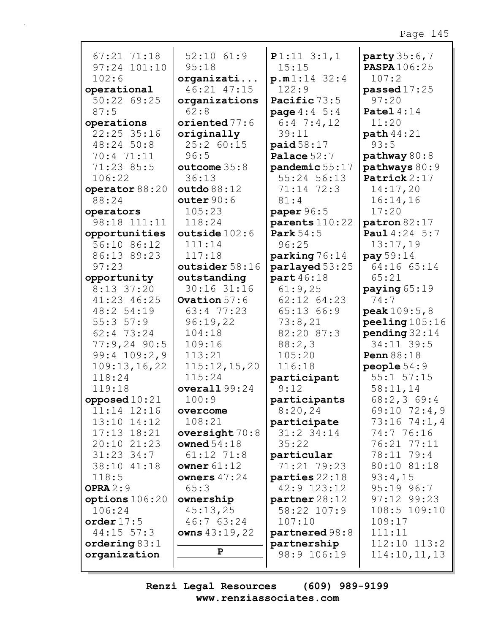| $67:21$ $71:18$                | $52:10$ $61:9$                    | $P1:11$ 3:1,1                           | party 35:6,7                  |
|--------------------------------|-----------------------------------|-----------------------------------------|-------------------------------|
| 97:24 101:10<br>102:6          | 95:18                             | 15:15<br>p.m1:14 32:4                   | <b>PASPA</b> 106:25<br>107:2  |
| operational                    | organizati<br>46:21 47:15         | 122:9                                   | passed $17:25$                |
| 50:22 69:25                    |                                   | Pacific 73:5                            | 97:20                         |
| 87:5                           | organizations<br>62:8             |                                         |                               |
|                                |                                   | <b>page</b> $4:4 \ 5:4$<br>$6:4$ 7:4,12 | Patel $4:14$<br>11:20         |
| operations<br>22:25 35:16      | oriented 77:6                     | 39:11                                   |                               |
|                                | originally<br>25:2 60:15          |                                         | <b>path</b> 44:21<br>93:5     |
| 48:24 50:8<br>70:4 71:11       | 96:5                              | paid $58:17$                            |                               |
|                                |                                   | Palace $52:7$                           | pathway 80:8                  |
| 71:23 85:5                     | outcome $35:8$                    | pandemic 55:17<br>$55:24$ 56:13         | pathways 80:9<br>Patrick 2:17 |
| 106:22                         | 36:13                             |                                         |                               |
| operator 88:20<br>88:24        | outdo 88:12                       | 71:14 72:3                              | 14:17,20                      |
|                                | outer $90:6$                      | 81:4                                    | 16:14,16                      |
| operators                      | 105:23                            | paper 96:5                              | 17:20                         |
| 98:18 111:11                   | 118:24                            | parents 110:22                          | patron 82:17                  |
| opportunities                  | outside $102:6$                   | <b>Park</b> 54:5                        | Paul 4:24 5:7                 |
| 56:10 86:12                    | 111:14                            | 96:25                                   | 13:17,19                      |
| 86:13 89:23                    | 117:18                            | parking 76:14                           | $pay\,59:14$                  |
| 97:23                          | outsider 58:16                    | parlayed 53:25                          | 64:16 65:14                   |
| opportunity                    | outstanding                       | part 46:18                              | 65:21                         |
| 8:13 37:20                     | 30:16 31:16                       | 61:9,25                                 | paying $65:19$                |
| 41:23 46:25                    | Ovation 57:6                      | 62:12 64:23                             | 74:7                          |
| 48:2 54:19                     | 63:4 77:23                        | 65:13 66:9                              | <b>peak</b> $109:5, 8$        |
| 55:357:9                       | 96:19,22                          | 73:8,21                                 | peeling 105:16                |
| 62:4 73:24                     | 104:18                            | 82:20 87:3                              | $pending$ 32:14               |
| $77:9,24$ 90:5                 | 109:16                            | 88:2,3                                  | 34:11 39:5                    |
| $99:4$ 109:2,9                 | 113:21                            | 105:20                                  | <b>Penn</b> 88:18             |
| 109:13,16,22                   | 115:12,15,20                      | 116:18                                  | people $54:9$                 |
| 118:24                         | 115:24                            | participant                             | $55:1$ $57:15$                |
| 119:18                         | overall $99:24$                   | 9:12                                    | 58:11,14                      |
| opposed $10:21$                | 100:9                             | participants                            | 68:2,369:4                    |
| 11:14 12:16                    | overcome<br>108:21                | 8:20,24                                 | 69:10 72:4,9                  |
| 13:10 14:12                    |                                   | participate<br>$31:2$ 34:14             | $73:16 \ 74:1,4$              |
| $17:13$ $18:21$<br>20:10 21:23 | oversight $70:8$<br>owned $54:18$ |                                         | 74:7 76:16<br>76:21 77:11     |
| $31:23$ 34:7                   | $61:12$ $71:8$                    | 35:22                                   | 78:11 79:4                    |
|                                |                                   | particular<br>71:21 79:23               | 80:10 81:18                   |
| 38:10 41:18<br>118:5           | owner $61:12$<br>owners $47:24$   |                                         |                               |
| OPRA $2:9$                     | 65:3                              | parties 22:18<br>42:9 123:12            | 93:4,15<br>$95:19$ $96:7$     |
|                                |                                   |                                         | $97:12$ $99:23$               |
| options 106:20<br>106:24       | ownership<br>45:13,25             | partner 28:12<br>58:22 107:9            | 108:5 109:10                  |
| order $17:5$                   | 46:7 63:24                        | 107:10                                  | 109:17                        |
| $44:15$ 57:3                   | owns $43:19,22$                   | partnered 98:8                          | 111:11                        |
| ordering $83:1$                |                                   | partnership                             | $112:10$ $113:2$              |
| organization                   | P                                 | 98:9 106:19                             | 114:10, 11, 13                |
|                                |                                   |                                         |                               |
|                                |                                   |                                         |                               |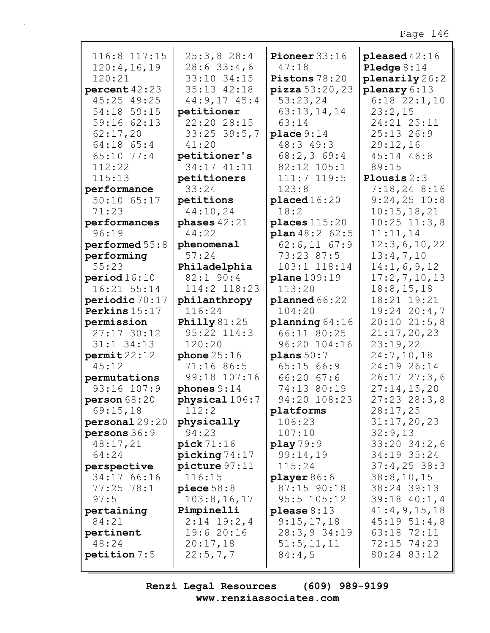| 116:8 117:15<br>120:4,16,19<br>120:21<br>percent42:23<br>45:25 49:25<br>54:18 59:15<br>59:16 62:13<br>62:17,20<br>64:18 65:4<br>65:10 77:4<br>112:22<br>115:13<br>performance | 25:3,828:4<br>28:633:4,6<br>33:10 34:15<br>35:13 42:18<br>$44:9,17$ $45:4$<br>petitioner<br>22:20 28:15<br>33:25 39:5,7<br>41:20<br>petitioner's<br>34:17 41:11<br>petitioners<br>33:24 | Pioneer 33:16<br>47:18<br>Pistons 78:20<br>$\text{pizza } 53:20,23$<br>53:23,24<br>63:13,14,14<br>63:14<br>place 9:14<br>48:3 49:3<br>68:2,369:4<br>82:12 105:1<br>$111:7$ $119:5$<br>123:8 | pleased $42:16$<br><b>Pledge</b> $8:14$<br>plenarily 26:2<br>plenary $6:13$<br>$6:18$ $22:1,10$<br>23:2,15<br>24:21 25:11<br>$25:13$ 26:9<br>29:12,16<br>45:14 46:8<br>89:15<br>Plousis $2:3$<br>$7:18,24$ 8:16 |
|-------------------------------------------------------------------------------------------------------------------------------------------------------------------------------|-----------------------------------------------------------------------------------------------------------------------------------------------------------------------------------------|---------------------------------------------------------------------------------------------------------------------------------------------------------------------------------------------|-----------------------------------------------------------------------------------------------------------------------------------------------------------------------------------------------------------------|
| 50:10 65:17                                                                                                                                                                   | petitions                                                                                                                                                                               | placed 16:20                                                                                                                                                                                | $9:24,25$ 10:8                                                                                                                                                                                                  |
| 71:23                                                                                                                                                                         | 44:10,24                                                                                                                                                                                | 18:2                                                                                                                                                                                        | 10:15,18,21                                                                                                                                                                                                     |
| performances                                                                                                                                                                  | phases $42:21$                                                                                                                                                                          | places $115:20$                                                                                                                                                                             | $10:25$ $11:3,8$                                                                                                                                                                                                |
| 96:19                                                                                                                                                                         | 44:22                                                                                                                                                                                   | plan 48:2 62:5                                                                                                                                                                              | 11:11,14                                                                                                                                                                                                        |
| performed $55:8$                                                                                                                                                              | phenomenal                                                                                                                                                                              | $62:6,11$ $67:9$                                                                                                                                                                            | 12:3,6,10,22                                                                                                                                                                                                    |
| performing                                                                                                                                                                    | 57:24                                                                                                                                                                                   | 73:23 87:5                                                                                                                                                                                  | 13:4,7,10                                                                                                                                                                                                       |
| 55:23                                                                                                                                                                         | Philadelphia<br>82:1 90:4                                                                                                                                                               | 103:1 118:14                                                                                                                                                                                | 14:1,6,9,12                                                                                                                                                                                                     |
| period 16:10<br>16:21 55:14                                                                                                                                                   | 114:2 118:23                                                                                                                                                                            | plane 109:19<br>113:20                                                                                                                                                                      | 17:2,7,10,13<br>18:8, 15, 18                                                                                                                                                                                    |
| periodic 70:17                                                                                                                                                                | philanthropy                                                                                                                                                                            | plane 66:22                                                                                                                                                                                 | 18:21 19:21                                                                                                                                                                                                     |
| Perkins 15:17                                                                                                                                                                 | 116:24                                                                                                                                                                                  | 104:20                                                                                                                                                                                      | $19:24$ 20:4,7                                                                                                                                                                                                  |
| permission                                                                                                                                                                    | <b>Philly</b> 81:25                                                                                                                                                                     | planning $64:16$                                                                                                                                                                            | 20:1021:5,8                                                                                                                                                                                                     |
| 27:17 30:12                                                                                                                                                                   | 95:22 114:3                                                                                                                                                                             | 66:11 80:25                                                                                                                                                                                 | 21:17,20,23                                                                                                                                                                                                     |
| $31:1$ $34:13$                                                                                                                                                                | 120:20                                                                                                                                                                                  | 96:20 104:16                                                                                                                                                                                | 23:19,22                                                                                                                                                                                                        |
| permit22:12                                                                                                                                                                   | phone $25:16$                                                                                                                                                                           | plane 50:7                                                                                                                                                                                  | 24:7,10,18                                                                                                                                                                                                      |
| 45:12                                                                                                                                                                         | 71:16 86:5                                                                                                                                                                              | 65:1566:9                                                                                                                                                                                   | 24:19 26:14                                                                                                                                                                                                     |
| permutations                                                                                                                                                                  | 99:18 107:16                                                                                                                                                                            | 66:20 67:6                                                                                                                                                                                  | 26:1727:3,6                                                                                                                                                                                                     |
| 93:16 107:9                                                                                                                                                                   | phones $9:14$                                                                                                                                                                           | 74:13 80:19                                                                                                                                                                                 | 27:14,15,20                                                                                                                                                                                                     |
| person $68:20$                                                                                                                                                                | physical 106:7                                                                                                                                                                          | 94:20 108:23                                                                                                                                                                                | $27:23$ 28:3,8                                                                                                                                                                                                  |
| 69:15,18                                                                                                                                                                      | 112:2                                                                                                                                                                                   | platforms                                                                                                                                                                                   | 28:17,25                                                                                                                                                                                                        |
| personal29:20                                                                                                                                                                 | physically                                                                                                                                                                              | 106:23                                                                                                                                                                                      | 31:17,20,23                                                                                                                                                                                                     |
| persons 36:9                                                                                                                                                                  | 94:23                                                                                                                                                                                   | 107:10                                                                                                                                                                                      | 32:9,13                                                                                                                                                                                                         |
| 48:17,21                                                                                                                                                                      | pick 71:16                                                                                                                                                                              | play 79:9                                                                                                                                                                                   | $33:20$ $34:2$ , 6                                                                                                                                                                                              |
| 64:24                                                                                                                                                                         | picture 74.17                                                                                                                                                                           | 99:14,19                                                                                                                                                                                    | 34:19 35:24                                                                                                                                                                                                     |
| perspective                                                                                                                                                                   | picture 97:11                                                                                                                                                                           | 115:24                                                                                                                                                                                      | $37:4,25$ 38:3                                                                                                                                                                                                  |
| 34:17 66:16                                                                                                                                                                   | 116:15                                                                                                                                                                                  | player $86:6$                                                                                                                                                                               | 38:8,10,15                                                                                                                                                                                                      |
| $77:25$ 78:1<br>97:5                                                                                                                                                          | piece $58:8$<br>103:8, 16, 17                                                                                                                                                           | 87:15 90:18<br>$95:5$ 105:12                                                                                                                                                                | 38:24 39:13<br>$39:18$ 40:1,4                                                                                                                                                                                   |
| pertaining                                                                                                                                                                    | Pimpinelli                                                                                                                                                                              | please $8:13$                                                                                                                                                                               | 41:4,9,15,18                                                                                                                                                                                                    |
| 84:21                                                                                                                                                                         | $2:14$ 19:2,4                                                                                                                                                                           | 9:15,17,18                                                                                                                                                                                  | $45:19 \ 51:4,8$                                                                                                                                                                                                |
| pertinent                                                                                                                                                                     | 19:620:16                                                                                                                                                                               | 28:3,934:19                                                                                                                                                                                 | 63:18 72:11                                                                                                                                                                                                     |
| 48:24                                                                                                                                                                         | 20:17,18                                                                                                                                                                                | 51:5, 11, 11                                                                                                                                                                                | 72:15 74:23                                                                                                                                                                                                     |
| petition 7:5                                                                                                                                                                  | 22:5,7,7                                                                                                                                                                                | 84:4,5                                                                                                                                                                                      | 80:24 83:12                                                                                                                                                                                                     |
|                                                                                                                                                                               |                                                                                                                                                                                         |                                                                                                                                                                                             |                                                                                                                                                                                                                 |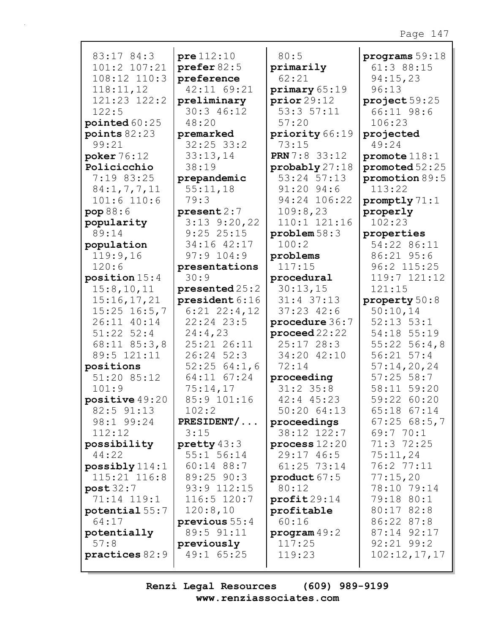| 83:17 84:3              | pre112:10                   | 80:5                       | programs $59:18$   |
|-------------------------|-----------------------------|----------------------------|--------------------|
| 101:2 107:21            | prefer 82:5                 | primarily                  | 61:3 88:15         |
| 108:12 110:3            | preference                  | 62:21                      | 94:15,23           |
| 118:11,12               | 42:11 69:21                 | primary 65:19              | 96:13              |
| 121:23 122:2            | preliminary                 | prior29:12                 | project $59:25$    |
| 122:5                   | 30:3 46:12                  | 53:357:11                  | 66:11 98:6         |
|                         | 48:20                       | 57:20                      | 106:23             |
| pointed $60:25$         |                             |                            |                    |
| points $82:23$<br>99:21 | premarked<br>$32:25$ $33:2$ | priority 66:19<br>73:15    | projected<br>49:24 |
|                         |                             |                            |                    |
| poker $76:12$           | 33:13,14<br>38:19           | <b>PRN</b> 7:8 33:12       | promote 118:1      |
| Policicchio             |                             | $\text{probability} 27:18$ | promoted 52:25     |
| 7:19 83:25              | prepandemic                 | 53:24 57:13                | promotion 89:5     |
| 84:1, 7, 7, 11          | 55:11,18                    | 91:20 94:6                 | 113:22             |
| $101:6$ 110:6           | 79:3                        | 94:24 106:22               | promptly 71:1      |
| pop88:6                 | present 2:7                 | 109:8,23                   | properly           |
| popularity              | $3:13$ $9:20,22$            | 110:1 121:16               | 102:23             |
| 89:14                   | 9:2525:15                   | problem 58:3               | properties         |
| population              | 34:16 42:17                 | 100:2                      | 54:22 86:11        |
| 119:9,16                | $97:9$ 104:9                | problems                   | 86:21 95:6         |
| 120:6                   | presentations               | 117:15                     | 96:2 115:25        |
| position $15:4$         | 30:9                        | procedural                 | 119:7 121:12       |
| 15:8, 10, 11            | presented 25:2              | 30:13,15                   | 121:15             |
| 15:16,17,21             | president 6:16              | $31:4$ 37:13               | property 50:8      |
| $15:25$ $16:5,7$        | $6:21$ $22:4,12$            | $37:23$ 42:6               | 50:10,14           |
| 26:11 40:14             | $22:24$ $23:5$              | procedure 36:7             | $52:13$ $53:1$     |
| $51:22$ $52:4$          | 24:4,23                     | $\mathbf{proceed 22:22}$   | 54:18 55:19        |
| $68:11$ $85:3,8$        | 25:21 26:11                 | $25:17$ $28:3$             | $55:22$ $56:4,8$   |
| 89:5 121:11             | $26:24$ 52:3                | 34:20 42:10                | $56:21$ $57:4$     |
| positions               | 52:2564:1,6                 | 72:14                      | 57:14,20,24        |
| 51:20 85:12             | 64:11 67:24                 | proceeding                 | $57:25$ 58:7       |
| 101:9                   | 75:14,17                    | $31:2$ 35:8                | 58:11 59:20        |
| positive 49:20          | 85:9 101:16                 | 42:4 45:23                 | 59:22 60:20        |
| 82:5 91:13              | 102:2                       | 50:2064:13                 | 65:18 67:14        |
| 98:1 99:24              | $PRESIDENT/$                | proceedings                | 67:2568:5,7        |
| 112:12                  | 3:15                        | 38:12 122:7                | 69:770:1           |
| possibility             | pretty $43:3$               | process $12:20$            | 71:3 72:25         |
| 44:22                   | 55:1 56:14                  | 29:17 46:5                 | 75:11,24           |
| $possibly$ 114:1        | $60:14$ 88:7                | 61:25 73:14                | 76:2 77:11         |
| 115:21 116:8            | 89:25 90:3                  | product $67:5$             | 77:15,20           |
| post 32:7               | 93:9 112:15                 | 80:12                      | 78:10 79:14        |
| 71:14 119:1             | 116:5 120:7                 | profit29:14                | 79:18 80:1         |
| potential 55:7          | 120:8,10                    | profitable                 | 80:17 82:8         |
| 64:17                   | previous $55:4$             | 60:16                      | 86:22 87:8         |
| potentially             | 89:5 91:11                  | program 49:2               | 87:14 92:17        |
| 57:8                    | previously                  | 117:25                     | $92:21$ $99:2$     |
| practices 82:9          | 49:1 65:25                  | 119:23                     | 102:12,17,17       |
|                         |                             |                            |                    |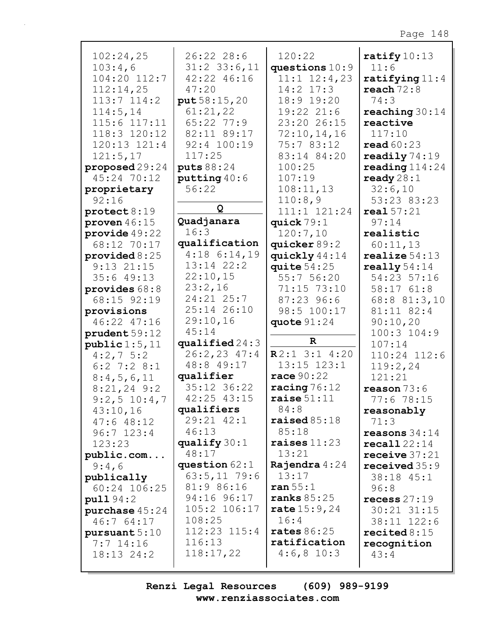| 102:24,25              | 26:22 28:6       | 120:22             | ratify $10:13$          |
|------------------------|------------------|--------------------|-------------------------|
|                        |                  |                    | 11:6                    |
| 103:4,6                | $31:2$ 33:6, 11  | questions $10:9$   |                         |
| 104:20 112:7           | 42:22 46:16      | $11:1$ $12:4$ , 23 | ratifying $11:4$        |
| 112:14,25              | 47:20            | $14:2$ $17:3$      | reach $72:8$            |
| $113:7$ $114:2$        | put 58:15,20     | 18:9 19:20         | 74:3                    |
| 114:5, 14              | 61:21,22         | 19:22 21:6         | reaching $30:14$        |
| 115:6 117:11           | 65:22 77:9       | 23:20 26:15        | reactive                |
| 118:3 120:12           | 82:11 89:17      | 72:10,14,16        | 117:10                  |
| $120:13$ $121:4$       | 92:4 100:19      | 75:7 83:12         | read $60:23$            |
| 121:5,17               | 117:25           | 83:14 84:20        | readily $74:19$         |
| proposed $29:24$       | puts 88:24       | 100:25             | reading $114:24$        |
| 45:24 70:12            | putting $40:6$   | 107:19             | ready $28:1$            |
| proprietary            | 56:22            | 108:11,13          | 32:6,10                 |
| 92:16                  |                  | 110:8,9            | 53:23 83:23             |
| $\texttt{protest}8:19$ | Q                | 111:1 121:24       | real 57:21              |
| proven $46:15$         | Quadjanara       | quick $79:1$       | 97:14                   |
| provide $49:22$        | 16:3             | 120:7,10           | realistic               |
| 68:12 70:17            | qualification    | quicker 89:2       | 60:11,13                |
| provided $8:25$        | $4:18$ 6:14,19   | quickly 44:14      | realize $54:13$         |
| $9:13$ $21:15$         | 13:14 22:2       | quite $54:25$      | really $54:14$          |
| 35:649:13              | 22:10,15         | 55:7 56:20         | 54:23 57:16             |
| provides $68:8$        | 23:2,16          | 71:15 73:10        | 58:1761:8               |
| 68:15 92:19            | $24:21$ $25:7$   | 87:23 96:6         | 68:8 81:3,10            |
| provisions             | 25:14 26:10      | 98:5 100:17        | 81:11 82:4              |
| 46:22 47:16            | 29:10,16         | quote $91:24$      | 90:10,20                |
| prudent 59:12          | 45:14            |                    | $100:3$ $104:9$         |
| public 1:5, 11         | qualified $24:3$ | $\mathbf R$        | 107:14                  |
| $4:2,7$ 5:2            | 26:2,23 47:4     | $R2:1$ 3:1 4:20    | 110:24 112:6            |
| $6:2$ 7:2 8:1          | 48:8 49:17       | 13:15 123:1        | 119:2,24                |
| 8:4,5,6,11             | qualifier        | race 90:22         | 121:21                  |
| $8:21,24$ 9:2          | 35:12 36:22      | racing $76:12$     | reason $73:6$           |
| $9:2,5$ 10:4,7         | 42:25 43:15      | raise $51:11$      | 77:6 78:15              |
| 43:10,16               | qualifiers       | 84:8               | reasonably              |
| 47:648:12              | 29:21 42:1       | raised $85:18$     | 71:3                    |
| $96:7$ 123:4           | 46:13            | 85:18              | reasons $34:14$         |
|                        | qualify $30:1$   | raises $11:23$     | $\texttt{recall}$ 22:14 |
| 123:23                 | 48:17            | 13:21              |                         |
| public.com             | question $62:1$  | Rajendra $4:24$    | receive $37:21$         |
| 9:4,6                  | $63:5,11$ 79:6   | 13:17              | received $35:9$         |
| publically             | 81:9 86:16       | ran 55:1           | 38:18 45:1              |
| 60:24 106:25           |                  |                    | 96:8                    |
| pull94:2               | 94:16 96:17      | ranks $85:25$      | recess $27:19$          |
| purchase $45:24$       | 105:2 106:17     | rate 15:9,24       | 30:21 31:15             |
| 46:7 64:17             | 108:25           | 16:4               | 38:11 122:6             |
| pursuant $5:10$        | 112:23 115:4     | rates $86:25$      | recited $8:15$          |
| $7:7$ 14:16            | 116:13           | ratification       | recognition             |
| 18:13 24:2             | 118:17,22        | $4:6,8$ 10:3       | 43:4                    |
|                        |                  |                    |                         |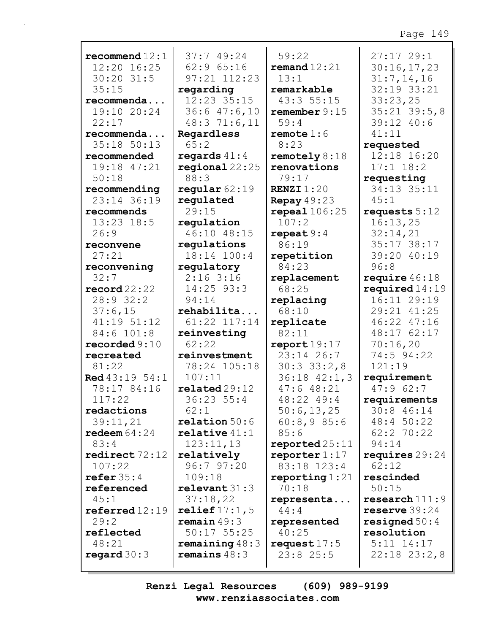| recommend $12:1$          | 37:749:24           | 59:22               | 27:1729:1          |
|---------------------------|---------------------|---------------------|--------------------|
| 12:20 16:25               | 62:965:16           | $\bf{remand}$ 12:21 | 30:16,17,23        |
| $30:20$ 31:5              | 97:21 112:23        | 13:1                | 31:7,14,16         |
| 35:15                     | regarding           | remarkable          | 32:19 33:21        |
| recommenda                | 12:23 35:15         | 43:3 55:15          | 33:23,25           |
| 19:10 20:24               | $36:6$ 47:6,10      | remember 9:15       | $35:21$ $39:5$ , 8 |
| 22:17                     | 48:3 71:6,11        | 59:4                | 39:12 40:6         |
| recommenda                | Regardless          | remote 1:6          | 41:11              |
| 35:18 50:13               | 65:2                | 8:23                | requested          |
| recommended               | regards $41:4$      | remotely $8:18$     | 12:18 16:20        |
| 19:18 47:21               | regional $22:25$    | renovations         | $17:1$ $18:2$      |
| 50:18                     | 88:3                | 79:17               | requesting         |
| recommending              | regular $62:19$     | <b>RENZI</b> $1:20$ | 34:13 35:11        |
| 23:14 36:19               | regulated           | Repay $49:23$       | 45:1               |
| recommends                | 29:15               | repeal106:25        | requests $5:12$    |
| $13:23$ $18:5$            | regulation          | 107:2               | 16:13,25           |
| 26:9                      | 46:10 48:15         | repeat $9:4$        | 32:14,21           |
| reconvene                 | regulations         | 86:19               | 35:17 38:17        |
| 27:21                     | 18:14 100:4         | repetition          | 39:20 40:19        |
| reconvening               | regulatory          | 84:23               | 96:8               |
| 32:7                      | $2:16$ 3:16         | replacement         | require $46:18$    |
| $\texttt{record22:22}$    | 14:25 93:3          | 68:25               | required $14:19$   |
| 28:932:2                  | 94:14               | replacing           | 16:11 29:19        |
| 37:6,15                   | rehabilita          | 68:10               | 29:21 41:25        |
| 41:19 51:12               | 61:22 117:14        | replicate           | 46:22 47:16        |
| 84:6 101:8                | reinvesting         | 82:11               | 48:17 62:17        |
| recorded 9:10             | 62:22               | report19:17         | 70:16,20           |
| recreated                 | reinvestment        | 23:14 26:7          | 74:5 94:22         |
| 81:22                     | 78:24 105:18        | 30:33:2,8           | 121:19             |
| <b>Red</b> 43:19 54:1     | 107:11              | $36:18$ $42:1,3$    | requirement        |
| 78:17 84:16               | related29:12        | 47:648:21           | 47:962:7           |
| 117:22                    | 36:23 55:4          | 48:22 49:4          | requirements       |
| redactions                | 62:1                | 50:6, 13, 25        | 30:8 46:14         |
| 39:11,21                  | relation 50:6       | 60:8,985:6          | 48:4 50:22         |
| redeem $64:24$            | relative 41:1       | 85:6                | $62:2$ 70:22       |
| 83:4                      | 123:11,13           | reported25:11       | 94:14              |
| $\texttt{redirect}$ 72:12 | relatively          | reporter $1:17$     | requires $29:24$   |
| 107:22                    | 96:797:20           | 83:18 123:4         | 62:12              |
| refer $35:4$              | 109:18              | reporting $1:21$    | rescinded          |
| referenced                | relevent 31:3       | 70:18               | 50:15              |
| 45:1                      | 37:18,22            | representa          | research111:9      |
| $\texttt{referred}~12:19$ | relief $17:1$ , $5$ | 44:4                | reserve $39:24$    |
| 29:2                      | remain 49:3         | represented         | resigned $50:4$    |
| reflected                 | $50:17$ 55:25       | 40:25               | resolution         |
| 48:21                     | remaining $48:3$    | request $17:5$      | $5:11$ $14:17$     |
| regard $30:3$             | remains $48:3$      | $23:8$ 25:5         | $22:18$ $23:2,8$   |
|                           |                     |                     |                    |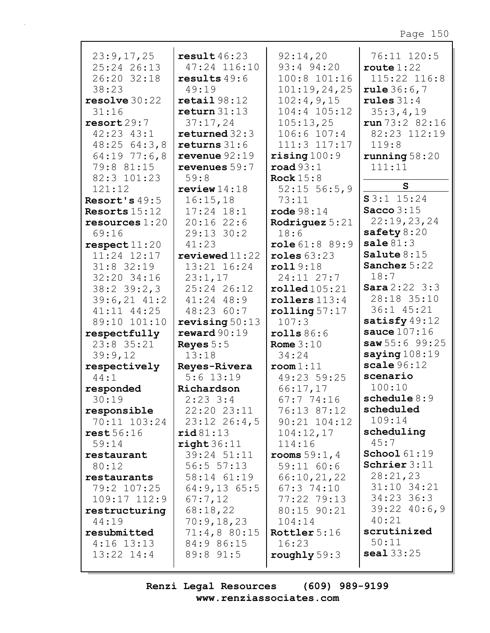| 23:9,17,25       | result $46:23$            | 92:14,20                 | 76:11 120:5          |
|------------------|---------------------------|--------------------------|----------------------|
| 25:24 26:13      | 47:24 116:10              | 93:4 94:20               | route $1:22$         |
| 26:20 32:18      | results $49:6$            | 100:8 101:16             | 115:22 116:8         |
| 38:23            | 49:19                     | 101:19,24,25             | rule $36:6,7$        |
|                  |                           |                          |                      |
| resolve 30:22    | $\texttt{retail}$ $98:12$ | 102:4,9,15               | rules $31:4$         |
| 31:16            | return 31:13              | 104:4 105:12             | 35:3,4,19            |
| resort29:7       | 37:17,24                  | 105:13,25                | run 73:2 82:16       |
| $42:23$ $43:1$   | returned $32:3$           | 106:6 107:4              | 82:23 112:19         |
| 48:25 64:3,8     | returns $31:6$            | 111:3 117:17             | 119:8                |
| 64:197:6,8       | revenue $92:19$           | $\texttt{rising}$ 100:9  | running $58:20$      |
| 79:8 81:15       | revenues 59:7             | $\texttt{road} 93:1$     | 111:11               |
| 82:3 101:23      | 59:8                      | Rock $15:8$              |                      |
| 121:12           | review $14:18$            | $52:15$ 56:5,9           | S.                   |
| Resort's $49:5$  | 16:15,18                  | 73:11                    | $S3:1$ 15:24         |
| Resorts $15:12$  | $17:24$ $18:1$            | $\texttt{rode } 98:14$   | Sacco $3:15$         |
| resources $1:20$ | $20:16$ 22:6              | Rodriguez $5:21$         | 22:19,23,24          |
| 69:16            | 29:13 30:2                | 18:6                     | safety $8:20$        |
|                  |                           |                          | $\texttt{safe} 81:3$ |
| respect11:20     | 41:23                     | role 61:8 89:9           |                      |
| $11:24$ $12:17$  | $revi$ ewed $11:22$       | roles $63:23$            | Salute $8:15$        |
| $31:8$ 32:19     | 13:21 16:24               | roll9:18                 | Sanchez 5:22         |
| 32:20 34:16      | 23:1,17                   | $24:11$ $27:7$           | 18:7                 |
| $38:2$ 39:2,3    | 25:24 26:12               | $\texttt{rolled105:21}$  | Sara2:223:3          |
| $39:6,21$ 41:2   | $41:24$ $48:9$            | rollers $113:4$          | 28:18 35:10          |
| 41:11 44:25      | 48:23 60:7                | $\texttt{rolling}~57:17$ | 36:1 45:21           |
| 89:10 101:10     | revising $50:13$          | 107:3                    | satisfy 49:12        |
| respectfully     | reward90:19               | rolls 86:6               | sauce $107:16$       |
| $23:8$ $35:21$   | Reyes $5:5$               | Rome $3:10$              | saw 55:6 99:25       |
| 39:9,12          | 13:18                     | 34:24                    | saying $108:19$      |
| respectively     | Reyes-Rivera              | $\texttt{room}1:11$      | scale96:12           |
| 44:1             | $5:6$ 13:19               | 49:23 59:25              | scenario             |
|                  |                           |                          | 100:10               |
| responded        | Richardson                | 66:17,17                 | schedule $8:9$       |
| 30:19            | $2:23$ 3:4                | 67:7 74:16               |                      |
| responsible      | 22:20 23:11               | 76:13 87:12              | scheduled            |
| 70:11 103:24     | $23:12$ $26:4,5$          | $90:21$ $104:12$         | 109:14               |
| rest56:16        | $\texttt{rid81:13}$       | 104:12,17                | scheduling           |
| 59:14            | right 36:11               | 114:16                   | 45:7                 |
| restaurant       | 39:24 51:11               | rooms $59:1, 4$          | <b>School</b> 61:19  |
| 80:12            | 56:5 57:13                | 59:11 60:6               | Schrier $3:11$       |
| restaurants      | 58:14 61:19               | 66:10,21,22              | 28:21,23             |
| 79:2 107:25      | $64:9,13$ 65:5            | $67:3$ $74:10$           | 31:10 34:21          |
| $109:17$ $112:9$ | 67:7,12                   | 77:22 79:13              | $34:23$ 36:3         |
| restructuring    | 68:18,22                  | 80:15 90:21              | $39:22$ 40:6,9       |
| 44:19            | 70:9,18,23                | 104:14                   | 40:21                |
| resubmitted      | 71:4,880:15               | Rottler 5:16             | scrutinized          |
| $4:16$ 13:13     | 84:9 86:15                | 16:23                    | 50:11                |
|                  |                           |                          | scal33:25            |
| $13:22$ $14:4$   | 89:8 91:5                 | roughly $59:3$           |                      |
|                  |                           |                          |                      |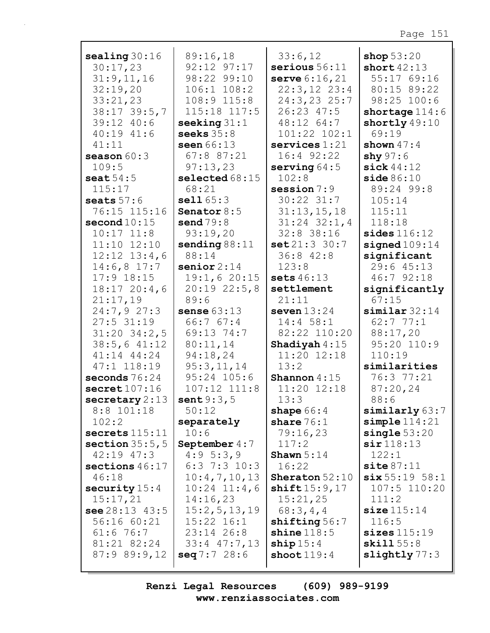| sealing $30:16$    | 89:16,18            | 33:6,12                  | shop $53:20$              |
|--------------------|---------------------|--------------------------|---------------------------|
| 30:17,23           | 92:12 97:17         | serious $56:11$          | short $42:13$             |
|                    | 98:22 99:10         |                          | 55:17 69:16               |
| 31:9,11,16         |                     | <b>serve</b> $6:16,21$   |                           |
| 32:19,20           | $106:1$ $108:2$     | $22:3,12$ $23:4$         | 80:15 89:22               |
| 33:21,23           | 108:9 115:8         | $24:3, 23$ 25:7          | 98:25 100:6               |
| $38:17$ 39:5,7     | 115:18 117:5        | $26:23$ 47:5             | shortage $114:6$          |
| 39:12 40:6         | seeking $31:1$      | $48:12 \t64:7$           | shortly 49:10             |
| $40:19$ $41:6$     | seeks $35:8$        | 101:22 102:1             | 69:19                     |
| 41:11              | seen 66:13          | $s$ ervices $1:21$       | shown $47:4$              |
| season $60:3$      | 67:8 87:21          | $16:4$ 92:22             | shy $97:6$                |
| 109:5              | 97:13,23            | serving $64:5$           | sick $44:12$              |
| seat $54:5$        | selected $68:15$    | 102:8                    | side 86:10                |
| 115:17             | 68:21               | session $7:9$            | 89:24 99:8                |
| seats $57:6$       | sell165:3           | $30:22$ $31:7$           | 105:14                    |
| 76:15 115:16       | Senator $8:5$       | 31:13,15,18              | 115:11                    |
| second $10:15$     | send $79:8$         | $31:24$ $32:1,4$         | 118:18                    |
| $10:17$ $11:8$     | 93:19,20            | 32:8 38:16               | $\texttt{sides}$ $116:12$ |
| $11:10$ $12:10$    | sending $88:11$     | set 21:3 30:7            | signed $109:14$           |
| $12:12$ $13:4$ , 6 | 88:14               | $36:8$ $42:8$            | significant               |
| $14:6,8$ 17:7      | senior $2:14$       | 123:8                    | 29:6 45:13                |
| $17:9$ 18:15       | 19:1,620:15         | sets $46:13$             | 46:7 92:18                |
| $18:17$ 20:4,6     | $20:19$ $22:5,8$    | settlement               | significantly             |
|                    | 89:6                | 21:11                    | 67:15                     |
| 21:17,19           |                     |                          |                           |
| 24:7,927:3         | sense $63:13$       | seven $13:24$            | $s$ imilar $32:14$        |
| $27:5$ 31:19       | 66:7 67:4           | $14:4$ 58:1              | 62:777:1                  |
| $31:20$ $34:2,5$   | 69:13 74:7          | 82:22 110:20             | 88:17,20                  |
| 38:5,641:12        | 80:11,14            | Shadiyah $4:15$          | 95:20 110:9               |
| 41:14 44:24        | 94:18,24            | 11:20 12:18              | 110:19                    |
| 47:1 118:19        | 95:3,11,14          | 13:2                     | similarities              |
| seconds $76:24$    | 95:24 105:6         | Shannon $4:15$           | 76:3 77:21                |
| secret107:16       | 107:12 111:8        | 11:20 12:18              | 87:20,24                  |
| secretary 2:13     | <b>sent</b> $9:3,5$ | 13:3                     | 88:6                      |
| $8:8$ 101:18       | 50:12               | shape $66:4$             | similarly 63:7            |
| 102:2              | separately          | share $76:1$             | $simple$ $114:21$         |
| sectors 115:11     | 10:6                | 79:16,23                 | single 53:20              |
| section $35:5,5$   | September $4:7$     | 117:2                    | $\sin 118:13$             |
| $42:19$ $47:3$     | 4:95:3,9            | Shawn $5:14$             | 122:1                     |
| sections $46:17$   | $6:3$ 7:3 10:3      | 16:22                    | $\text{site }87:11$       |
| 46:18              | 10:4,7,10,13        | <b>Sheraton</b> $52:10$  | six 55:19 58:1            |
| security $15:4$    | $10:24$ $11:4,6$    | shift15:9,17             | $107:5$ $110:20$          |
| 15:17,21           | 14:16,23            | 15:21,25                 | 111:2                     |
| see $28:13$ 43:5   | 15:2, 5, 13, 19     | 68:3,4,4                 | size 115:14               |
| 56:16 60:21        | $15:22$ $16:1$      | shifting $56:7$          | 116:5                     |
| 61:676:7           | $23:14$ 26:8        | $\texttt{shine}$ $118:5$ | sizes 115:19              |
| 81:21 82:24        | $33:4$ $47:7,13$    | $\text{ship } 15:4$      | $\textbf{skill } 55:8$    |
| 87:989:9,12        | seq 7:7 28:6        | shoot $119:4$            | slightly $77:3$           |
|                    |                     |                          |                           |
|                    |                     |                          |                           |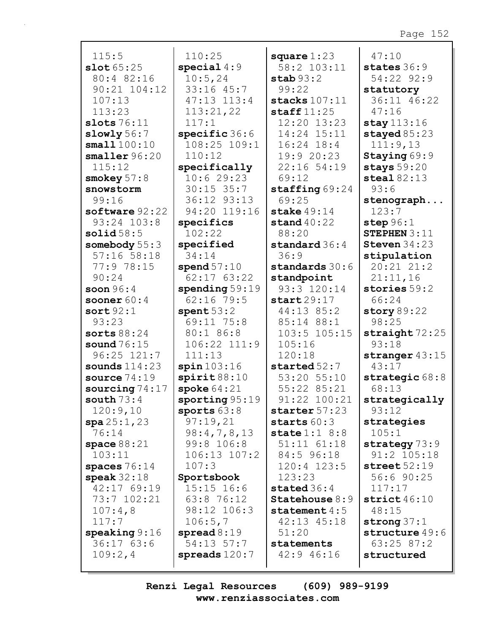| 115:5                    | 110:25                 | square $1:23$             | 47:10            |
|--------------------------|------------------------|---------------------------|------------------|
| slot65:25                | special $4:9$          | 58:2 103:11               | states 36:9      |
| 80:4 82:16               | 10:5,24                | stab 93:2                 | 54:22 92:9       |
| $90:21$ $104:12$         | $33:16$ $45:7$         | 99:22                     | statutory        |
| 107:13                   | 47:13 113:4            | stacks $107:11$           | 36:11 46:22      |
| 113:23                   | 113:21,22              | staff $11:25$             | 47:16            |
| slots $76:11$            | 117:1                  | 12:20 13:23               | stay 113:16      |
| slowly 56:7              | specific 36:6          | 14:24 15:11               | stayed $85:23$   |
| small100:10              | 108:25 109:1           | $16:24$ $18:4$            | 111:9,13         |
| $smaller\,96:20$         | 110:12                 | 19:9 20:23                | Staying 69:9     |
| 115:12                   | specifically           | 22:16 54:19               | stays $59:20$    |
| smokey $57:8$            | 10:629:23              | 69:12                     | steal $82:13$    |
| snowstorm                | $30:15$ 35:7           | $\texttt{staffing}$ 69:24 | 93:6             |
| 99:16                    | 36:12 93:13            | 69:25                     | stenograph       |
| software 92:22           | 94:20 119:16           | stake $49:14$             | 123:7            |
| 93:24 103:8              | specifics              | stand $40:22$             | step $96:1$      |
| solid58:5                | 102:22                 | 88:20                     | STEPHEN $3:11$   |
| somebody 55:3            | specified              | standard 36:4             | Steven $34:23$   |
| $57:16$ $58:18$          | 34:14                  | 36:9                      | stipulation      |
| 77:9 78:15               | spend $57:10$          | standards 30:6            | 20:21 21:2       |
| 90:24                    | $62:17$ $63:22$        | standpoint                | 21:11,16         |
| soon $96:4$              | spending $59:19$       | 93:3 120:14               | stories 59:2     |
| sooner $60:4$            | $62:16$ 79:5           | start29:17                | 66:24            |
| sort92:1                 | spent $53:2$           | 44:13 85:2                | story $89:22$    |
| 93:23                    | 69:11 75:8             | 85:14 88:1                | 98:25            |
| sorts $88:24$            | 80:1 86:8              | 103:5 105:15              | straight 72:25   |
| sound $76:15$            | $106:22$ $111:9$       | 105:16                    | 93:18            |
| 96:25 121:7              | 111:13                 | 120:18                    | stranger $43:15$ |
| sounds $114:23$          | spin103:16             | $\:$ started $52:7$       | 43:17            |
| source $74:19$           | $\texttt{spirit88:10}$ | 53:20 55:10               | strategic $68:8$ |
| sourcing $74:17$         | spoke $64:21$          | 55:22 85:21               | 68:13            |
| south $73:4$             | sporting 95:19         | 91:22 100:21              | strategically    |
| 120:9,10                 | sports $63:8$          | starter 57:23             | 93:12            |
| spa25:1,23               | 97:19,21               | starts $60:3$             | strategies       |
| 76:14                    | 98:4,7,8,13            | state $1:1$ 8:8           | 105:1            |
| space $88:21$            | 99:8 106:8             | 51:11 61:18               | strategy $73:9$  |
| 103:11                   | $106:13$ $107:2$       | 84:5 96:18                | 91:2 105:18      |
| spaces $76:14$           | 107:3                  | 120:4 123:5               | street $52:19$   |
| speak $32:18$            | Sportsbook             | 123:23                    | 56:6 90:25       |
| 42:17 69:19              | $15:15$ $16:6$         | stated $36:4$             | 117:17           |
| 73:7 102:21              | 63:8 76:12             | Statehouse 8:9            | strict $46:10$   |
| 107:4,8                  | 98:12 106:3            | statement $4:5$           | 48:15            |
| 117:7                    | 106:5,7                | $42:13$ $45:18$           | strong $37:1$    |
| $\texttt{speaking} 9:16$ | spread $8:19$          | 51:20                     | structure 49:6   |
| 36:1763:6                | $54:13$ $57:7$         | statements                | $63:25$ 87:2     |
| 109:2,4                  | spreads $120:7$        | 42:9 46:16                | structured       |
|                          |                        |                           |                  |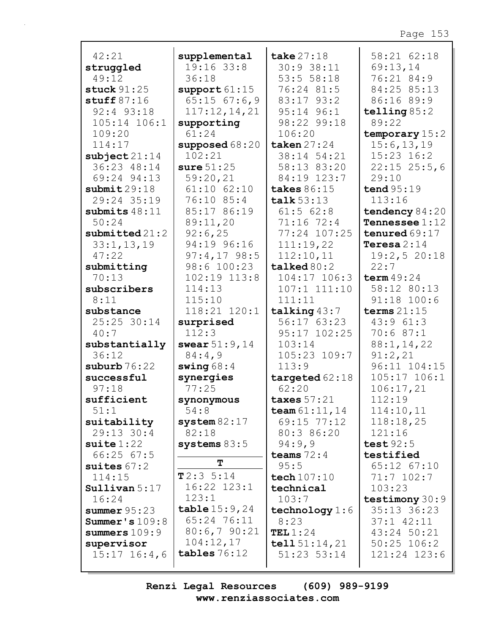| 42:21                             | supplemental          | take $27:18$                   | 58:21 62:18               |
|-----------------------------------|-----------------------|--------------------------------|---------------------------|
| struggled                         | $19:16$ 33:8          | 30:9 38:11                     | 69:13,14                  |
| 49:12                             | 36:18                 | 53:5 58:18                     | 76:21 84:9                |
| stuck $91:25$                     | support 61:15         | 76:24 81:5                     | 84:25 85:13               |
| stuff $87:16$                     | $65:15$ $67:6,9$      | 83:17 93:2                     | 86:16 89:9                |
| 92:4 93:18                        | 117:12,14,21          | $95:14$ $96:1$                 | telling $85:2$            |
| $105:14$ $106:1$                  | supporting            | 98:22 99:18                    | 89:22                     |
| 109:20                            | 61:24                 | 106:20                         | temporary $15:2$          |
| 114:17                            | supposed 68:20        | taken $27:24$                  | 15:6, 13, 19              |
| $\texttt{subject}$ 21:14          | 102:21                | 38:14 54:21                    | 15:23 16:2                |
| 36:23 48:14                       | sure $51:25$          | 58:13 83:20                    | $22:15$ $25:5$ , 6        |
| 69:24 94:13                       | 59:20,21              | 84:19 123:7                    | 29:10                     |
| submit 29:18                      | $61:10$ $62:10$       | takes 86:15                    | tend $95:19$              |
| 29:24 35:19                       | 76:10 85:4            | talk $53:13$                   | 113:16                    |
| submits $48:11$                   | 85:17 86:19           | $61:5$ $62:8$                  | tendency $84:20$          |
| 50:24                             | 89:11,20              | 71:16 72:4                     | Tennessee $1:12$          |
| $submit$ ted $21:2$               | 92:6,25               | 77:24 107:25                   | tenured $69:17$           |
| 33:1, 13, 19                      | 94:19 96:16           | 111:19,22                      | Teresa $2:14$             |
| 47:22                             | $97:4,17$ 98:5        | 112:10,11                      | 19:2,520:18               |
| submitting                        | 98:6 100:23           | talked 80:2                    | 22:7                      |
| 70:13                             | $102:19$ $113:8$      | 104:17 106:3                   | term $49:24$              |
| subscribers                       | 114:13                | $107:1$ $111:10$               | 58:12 80:13               |
| 8:11                              | 115:10                | 111:11                         | 91:18 100:6               |
| substance                         | 118:21 120:1          | talking $43:7$                 | terms $21:15$             |
| 25:25 30:14                       | surprised             | 56:1763:23                     | 43:961:3                  |
| 40:7                              | 112:3                 | 95:17 102:25                   | 70:687:1                  |
| substantially                     | swear $51:9,14$       | 103:14                         | 88:1, 14, 22              |
| 36:12                             | 84:4,9                | 105:23 109:7                   | 91:2,21                   |
| suburb $76:22$                    | swing $68:4$          | 113:9                          | 96:11 104:15              |
| successful                        | synergies             | targeted $62:18$               |                           |
|                                   |                       |                                |                           |
| 97:18                             | 77:25                 | 62:20                          | 105:17 106:1<br>106:17,21 |
| sufficient                        |                       | taxes $57:21$                  | 112:19                    |
| 51:1                              | synonymous<br>54:8    |                                |                           |
|                                   |                       | team $61:11,14$<br>69:15 77:12 | 114:10,11                 |
| suitability<br>29:13 30:4         | system 82:17<br>82:18 | 80:3 86:20                     | 118:18,25<br>121:16       |
|                                   |                       |                                | test $92:5$               |
| $\texttt{suit} 1:22$<br>66:2567:5 | systems $83:5$        | 94:9,9<br>teams $72:4$         | testified                 |
|                                   | т                     | 95:5                           | 65:12 67:10               |
| suites $67:2$<br>114:15           | T2:35:14              |                                | $71:7$ 102:7              |
| Sullivan 5:17                     | 16:22 123:1           | tech 107:10<br>technical       | 103:23                    |
| 16:24                             | 123:1                 | 103:7                          | testimony $30:9$          |
| summer 95:23                      | table $15:9,24$       |                                | 35:13 36:23               |
| Summer's $109:8$                  | 65:24 76:11           | technology 1:6<br>8:23         | $37:1$ $42:11$            |
| summers $109:9$                   | 80:6,790:21           | TEL $1:24$                     | 43:24 50:21               |
| supervisor                        | 104:12,17             | tell $51:14,21$                | $50:25$ 106:2             |
| $15:17$ $16:4$ , 6                | tables $76:12$        | $51:23$ $53:14$                | 121:24 123:6              |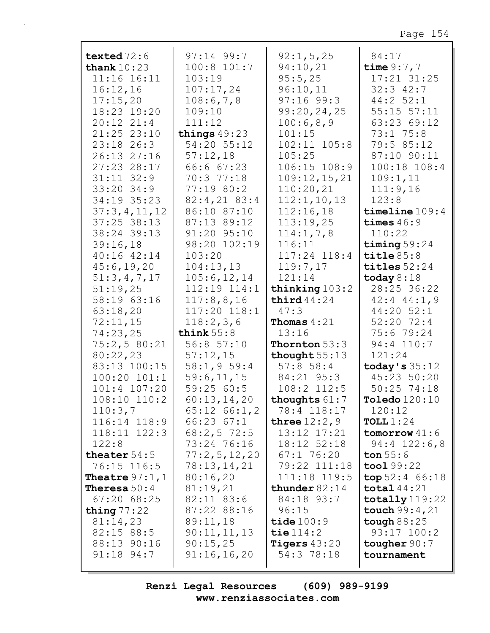| texted $72:6$           | $97:14$ 99:7               | 92:1, 5, 25                       | 84:17                         |
|-------------------------|----------------------------|-----------------------------------|-------------------------------|
| thank $10:23$           | 100:8 101:7                | 94:10,21                          | time $9:7,7$                  |
| $11:16$ $16:11$         | 103:19                     | 95:5,25                           | 17:21 31:25                   |
| 16:12,16                | 107:17,24                  | 96:10,11                          | $32:3$ $42:7$                 |
| 17:15,20                | 108:6,7,8                  | $97:16$ 99:3                      | $44:2$ 52:1                   |
| 18:23 19:20             | 109:10                     | 99:20,24,25                       | $55:15$ $57:11$               |
| $20:12$ $21:4$          | 111:12                     | 100:6,8,9                         | 63:23 69:12                   |
| 21:25 23:10             | things $49:23$             | 101:15                            | $73:1$ $75:8$                 |
| $23:18$ 26:3            | 54:20 55:12                | $102:11$ $105:8$                  | 79:5 85:12                    |
| 26:13 27:16             | 57:12,18                   | 105:25                            | 87:10 90:11                   |
| 27:23 28:17             | 66:6 67:23                 | 106:15 108:9                      | 100:18 108:4                  |
| $31:11$ $32:9$          | 70:3 77:18                 | 109:12,15,21                      | 109:1,11                      |
| $33:20$ 34:9            | 77:19 80:2                 | 110:20,21                         | 111:9,16                      |
| 34:19 35:23             | $82:4,21$ $83:4$           | 112:1, 10, 13                     | 123:8                         |
| 37:3,4,11,12            | 86:10 87:10                | 112:16,18                         | timeline 109:4                |
| $37:25$ 38:13           | 87:13 89:12                | 113:19,25                         | times $46:9$                  |
| 38:24 39:13             | 91:20 95:10                | 114:1, 7, 8                       | 110:22                        |
| 39:16,18                | 98:20 102:19               | 116:11                            | timing $59:24$                |
| 40:16 42:14             | 103:20                     | 117:24 118:4                      | title $85:8$                  |
| 45:6, 19, 20            | 104:13,13                  | 119:7,17                          | titles $52:24$                |
| 51:3,4,7,17             | 105:6, 12, 14              | 121:14                            | today $8:18$                  |
| 51:19,25                | 112:19 114:1               | thinking $103:2$<br>third $44:24$ | 28:25 36:22                   |
| 58:19 63:16<br>63:18,20 | 117:8,8,16<br>117:20 118:1 | 47:3                              | $42:4$ $44:1,9$<br>44:20 52:1 |
| 72:11,15                | 118:2,3,6                  | <b>Thomas</b> $4:21$              | $52:20$ 72:4                  |
| 74:23,25                | think $55:8$               | 13:16                             | 75:6 79:24                    |
| 75:2,580:21             | 56:857:10                  | <b>Thornton</b> $53:3$            | 94:4 110:7                    |
| 80:22,23                | 57:12,15                   | thought $55:13$                   | 121:24                        |
| 83:13 100:15            | 58:1,959:4                 | $57:8$ 58:4                       | today's $35:12$               |
| $100:20$ $101:1$        | 59:6, 11, 15               | 84:21 95:3                        | 45:23 50:20                   |
| 101:4 107:20            | 59:2560:5                  | 108:2 112:5                       | $50:25$ 74:18                 |
| 108:10 110:2            | 60:13,14,20                | thoughts 61:7                     | <b>Toledo</b> 120:10          |
| 110:3,7                 | $65:12 \ 66:1,2$           | 78:4 118:17                       | 120:12                        |
| 116:14 118:9            | $66:23$ $67:1$             | three $12:2$ , 9                  | TOLL $1:24$                   |
| $118:11$ $122:3$        | $68:2,5$ 72:5              | 13:12 17:21                       | $tomorrow$ 41:6               |
| 122:8                   | 73:24 76:16                | 18:12 52:18                       | $94:4$ 122:6,8                |
| theater $54:5$          | 77:2,5,12,20               | $67:1$ 76:20                      | ton $55:6$                    |
| 76:15 116:5             | 78:13,14,21                | 79:22 111:18                      | $\text{tool } 99:22$          |
| <b>Theatre</b> $97:1,1$ | 80:16,20                   | 111:18 119:5                      | top 52:4 66:18                |
| <b>Theresa</b> $50:4$   | 81:19,21                   | thunder $82:14$                   | total $44:21$                 |
| $67:20$ $68:25$         | $82:11$ $83:6$             | 84:18 93:7                        | totally 119:22                |
| thing $77:22$           | 87:22 88:16                | 96:15                             | touch $99:4,21$               |
| 81:14,23                | 89:11,18                   | tide $100:9$                      | tough $88:25$                 |
| $82:15$ $88:5$          | 90:11,11,13                | tie $114:2$                       | $93:17$ $100:2$               |
| 88:13 90:16             | 90:15,25                   | <b>Tigers</b> $43:20$             | tougher $90:7$                |
| 91:18 94:7              | 91:16,16,20                | 54:3 78:18                        | tournament                    |
|                         |                            |                                   |                               |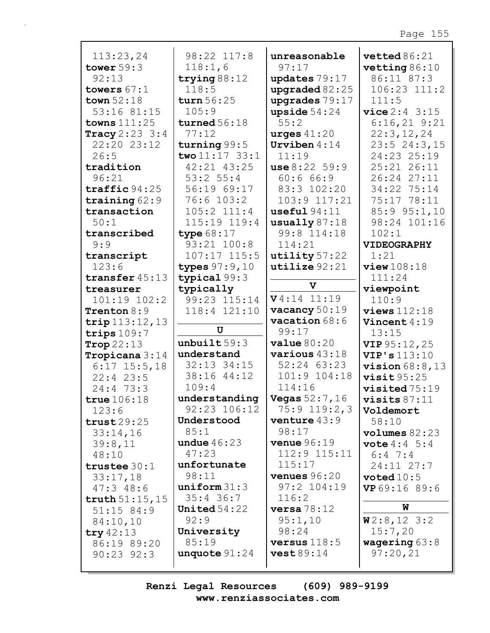| 113:23,24                 | 98:22 117:8               | unreasonable            | vetted86:21             |
|---------------------------|---------------------------|-------------------------|-------------------------|
| tower $59:3$              | 118:1,6                   | 97:17                   | vetting $86:10$         |
| 92:13                     | trying $88:12$            | updates 79:17           | 86:11 87:3              |
| towers $67:1$             | 118:5                     | upgraded $82:25$        | 106:23 111:2            |
| town $52:18$              | turn 56:25                | upgrades 79:17          | 111:5                   |
| 53:16 81:15               | 105:9                     | upside $54:24$          | vice 2:4 3:15           |
| towns $111:25$            | turned $56:18$            | 55:2                    | $6:16,21$ $9:21$        |
| Tracy $2:23:3:4$          | 77:12                     | urges $41:20$           | 22:3,12,24              |
| 22:20 23:12               | turning 99:5              | Urviben $4:14$          | 23:524:3,15             |
| 26:5                      | two $11:17$ 33:1          | 11:19                   | 24:23 25:19             |
| tradition                 | 42:21 43:25               | use 8:22 59:9           | 25:21 26:11             |
| 96:21                     | 53:2 55:4                 | 60:666:9                | 26:24 27:11             |
| $\texttt{traffic} 94:25$  | 56:19 69:17               | 83:3 102:20             | 34:22 75:14             |
| training $62:9$           | $76:6$ 103:2              | 103:9 117:21            | 75:17 78:11             |
| transaction               | 105:2 111:4               | useful94:11             | 85:9 95:1,10            |
| 50:1                      | 115:19 119:4              | usually $87:18$         | 98:24 101:16            |
| transcribed               | type $68:17$              | 99:8 114:18             | 102:1                   |
| 9:9                       | 93:21 100:8               | 114:21                  | <b>VIDEOGRAPHY</b>      |
| transcript                | $107:17$ $115:5$          | utility $57:22$         | 1:21                    |
| 123:6                     | types $97:9,10$           | utilize 92:21           | view108:18              |
| transfer 45:13            | typical 99:3              | $\mathbf v$             | 111:24                  |
| treasurer<br>101:19 102:2 | typically<br>99:23 115:14 | $V4:14$ 11:19           | viewpoint<br>110:9      |
| Trenton $8:9$             | 118:4 121:10              | vacancy $50:19$         | $views$ 112:18          |
| $trip$ 113:12, 13         |                           | vacation $68:6$         | Vincent 4:19            |
| trips $109:7$             | U                         | 99:17                   | 13:15                   |
| Trop $22:13$              | unbuilt 59:3              | value 80:20             | VIP 95:12, 25           |
| Tropicana 3:14            | understand                | various $43:18$         | VIP's 113:10            |
| $6:17$ 15:5,18            | 32:13 34:15               | 52:24 63:23             | vision $68:8,13$        |
| $22:4$ 23:5               | 38:16 44:12               | 101:9 104:18            | visit95:25              |
| 24:473:3                  | 109:4                     | 114:16                  | $visited 75:19$         |
| true $106:18$             | understanding             | <b>Vegas</b> $52:7, 16$ | visits $87:11$          |
| 123:6                     | 92:23 106:12              | $75:9$ 119:2,3          | Voldemort               |
| trust29:25                | Understood                | venture $43:9$          | 58:10                   |
| 33:14,16                  | 85:1                      | 98:17                   | volumes 82:23           |
| 39:8,11                   | undue $46:23$             | <b>venue</b> $96:19$    | <b>vote</b> $4:4 \ 5:4$ |
| 48:10                     | 47:23                     | 112:9 115:11            | $6:4$ 7:4               |
| trustee $30:1$            | unfortunate               | 115:17                  | 24:11 27:7              |
| 33:17,18                  | 98:11                     | <b>venues</b> $96:20$   | voted $10:5$            |
| 47:348:6                  | uniform 31:3              | 97:2 104:19             | VP 69:16 89:6           |
| truth $51:15$ , 15        | $35:4$ 36:7               | 116:2                   |                         |
| 51:15 84:9                | United $54:22$            | versa 78:12             | W                       |
| 84:10,10                  | 92:9                      | 95:1,10                 | W2:8,123:2              |
| try $42:13$               | University                | 98:24                   | 15:7,20                 |
| 86:19 89:20               | 85:19                     | versus $118:5$          | wagering $63:8$         |
| $90:23$ $92:3$            | unquote $91:24$           | vest 89:14              | 97:20,21                |
|                           |                           |                         |                         |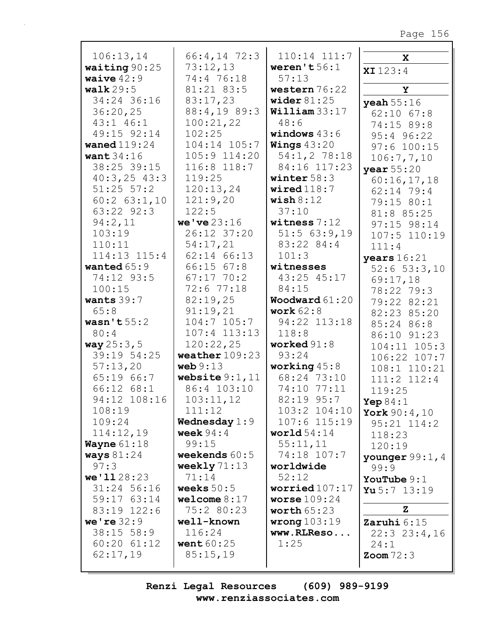| 106:13,14              | $66:4, 14$ 72:3                | 110:14 111:7                   | X                   |
|------------------------|--------------------------------|--------------------------------|---------------------|
| waiting $90:25$        | 73:12,13                       | weren't $56:1$                 | XI123:4             |
| waive $42:9$           | 74:4 76:18                     | 57:13                          |                     |
| walk $29:5$            | 81:21 83:5                     | western 76:22                  | Y                   |
| 34:24 36:16            | 83:17,23                       | wider $81:25$                  | $y$ eah $55:16$     |
| 36:20,25               | 88:4,19 89:3                   | $William$ 33:17                | $62:10$ $67:8$      |
| 43:1 46:1              | 100:21,22                      | 48:6                           | 74:15 89:8          |
| 49:15 92:14            | 102:25                         | windows $43:6$                 | 95:4 96:22          |
| waned $119:24$         | 104:14 105:7                   | <b>Wings</b> $43:20$           | 97:6 100:15         |
| want $34:16$           | 105:9 114:20                   | 54:1, 2 78:18                  | 106:7,7,10          |
| 38:25 39:15            | 116:8 118:7                    | 84:16 117:23                   | year $55:20$        |
| $40:3,25$ $43:3$       | 119:25                         | winter $58:3$                  | 60:16,17,18         |
| $51:25$ $57:2$         | 120:13,24                      | wired $118:7$                  | 62:14 79:4          |
| $60:2$ $63:1,10$       | 121:9,20                       | $\texttt{ wish} 8:12$          | 79:15 80:1          |
| 63:22 92:3             | 122:5                          | 37:10                          | 81:8 85:25          |
| 94:2,11                | we've 23:16                    | witness $7:12$                 | 97:15 98:14         |
| 103:19                 | 26:12 37:20                    | 51:563:9,19                    | 107:5 110:19        |
| 110:11                 | 54:17,21                       | 83:22 84:4                     | 111:4               |
| 114:13 115:4           | 62:14 66:13                    | 101:3                          | years $16:21$       |
| wanted $65:9$          | $66:15$ $67:8$                 | witnesses                      | $52:6$ $53:3,10$    |
| 74:12 93:5             | $67:17$ 70:2                   | 43:25 45:17                    | 69:17,18            |
| 100:15                 | 72:6 77:18                     | 84:15                          | 78:22 79:3          |
| wants $39:7$           | 82:19,25                       | Woodward $61:20$               | 79:22 82:21         |
| 65:8                   | 91:19,21                       | work $62:8$                    | 82:23 85:20         |
| wasn't $55:2$          | $104:7$ $105:7$                | 94:22 113:18                   | 85:24 86:8          |
| 80:4                   | $107:4$ $113:13$               | 118:8                          | 86:10 91:23         |
| way 25:3, 5            | 120:22,25                      | worked $91:8$                  | $104:11$ $105:3$    |
| 39:19 54:25            | weather $109:23$               | 93:24                          | 106:22 107:7        |
| 57:13,20               | web 9:13                       | working $45:8$<br>68:24 73:10  | 108:1 110:21        |
| 65:19 66:7             | website $9:1,11$               | 74:10 77:11                    | 111:2 112:4         |
| $66:12$ $68:1$         | 86:4 103:10                    |                                | 119:25              |
| 94:12 108:16<br>108:19 | 103:11,12                      | 82:19 95:7                     | Yep $84:1$          |
| 109:24                 | 111:12                         | 103:2 104:10<br>$107:6$ 115:19 | York $90:4,10$      |
| 114:12,19              | Wednesday $1:9$<br>week $94:4$ | world $54:14$                  | $95:21$ $114:2$     |
| <b>Wayne</b> $61:18$   | 99:15                          | 55:11,11                       | 118:23              |
| ways $81:24$           | weekends $60:5$                | 74:18 107:7                    | 120:19              |
| 97:3                   | weekly $71:13$                 | worldwide                      | younger $99:1$ , 4  |
| we'1128:23             | 71:14                          | 52:12                          | 99:9                |
| 31:24 56:16            | weeks $50:5$                   | worried $107:17$               | YouTube $9:1$       |
| 59:17 63:14            | welcome $8:17$                 | worse $109:24$                 | Yu 5:7 $13:19$      |
| 83:19 122:6            | 75:2 80:23                     | worth $65:23$                  | Z                   |
| we're $32:9$           | well-known                     | wrong $103:19$                 | Zaruhi $6:15$       |
| $38:15$ 58:9           | 116:24                         | www.RLReso                     | $22:3$ $23:4,16$    |
| $60:20$ $61:12$        | went $60:25$                   | 1:25                           | 24:1                |
| 62:17,19               | 85:15,19                       |                                | $\text{Zoom } 72:3$ |
|                        |                                |                                |                     |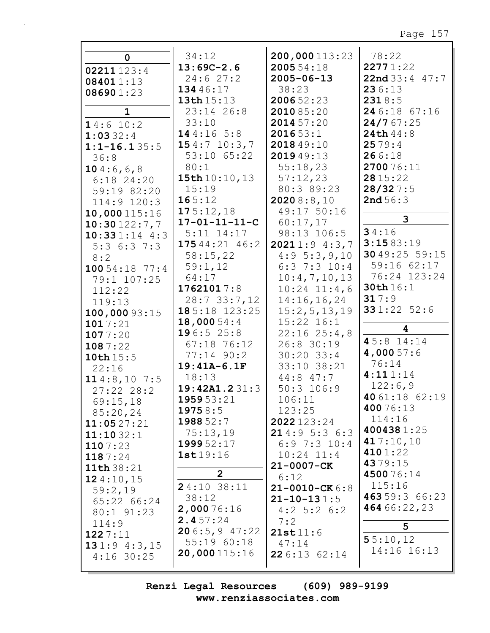|                   | 34:12                   | 200,000113:23        | 78:22          |
|-------------------|-------------------------|----------------------|----------------|
| $\mathbf 0$       |                         |                      |                |
| 02211123:4        | $13:69C-2.6$            | 2005 54:18           | 22771:22       |
| 084011:13         | 24:627:2                | $2005 - 06 - 13$     | 22nd33:447:7   |
| 086901:23         | 134 46:17               | 38:23                | 236:13         |
|                   | 13th 15:13              | 200652:23            | 2318:5         |
| $\mathbf 1$       | 23:14 26:8              | 2010 85:20           | 24 6:18 67:16  |
| 14:6 10:2         | 33:10                   | 2014 57:20           | 24/767:25      |
| 1:0332:4          | 144:165:8               | 201653:1             | 24th 44:8      |
| $1:1 - 16.135:5$  | 154:710:3,7             | 2018 49:10           | 2579:4         |
| 36:8              | 53:10 65:22             | 201949:13            | 266:18         |
|                   | 80:1                    | 55:18,23             | 270076:11      |
| 104:6,6,8         | 15th 10:10, 13          | 57:12,23             | 28 15:22       |
| $6:18$ 24:20      | 15:19                   | 80:3 89:23           | 28/327:5       |
| 59:19 82:20       |                         |                      |                |
| 114:9 120:3       | 165:12                  | 20208:8,10           | 2nd56:3        |
| 10,000115:16      | 175:12,18               | 49:17 50:16          | 3              |
| 10:30122:7,7      | $17 - 01 - 11 - 11 - C$ | 60:17,17             |                |
| $10:331:14$ 4:3   | $5:11$ $14:17$          | 98:13 106:5          | 34:16          |
| $5:3 \t6:3 \t7:3$ | 17544:2146:2            | 20211:94:3,7         | 3:1583:19      |
| 8:2               | 58:15,22                | 4:95:3,9,10          | 30 49:25 59:15 |
| 10054:1877:4      | 59:1,12                 | $6:3$ 7:3 10:4       | 59:16 62:17    |
| 79:1 107:25       | 64:17                   | 10:4,7,10,13         | 76:24 123:24   |
| 112:22            | 17621017:8              | $10:24$ $11:4,6$     | 30th 16:1      |
| 119:13            | 28:733:7,12             | 14:16, 16, 24        | 317:9          |
| 100,000 93:15     | $185:18$ 123:25         | 15:2,5,13,19         | 331:22 52:6    |
| 1017:21           | 18,000 54:4             | $15:22$ $16:1$       |                |
| 1077:20           | 196:525:8               | $22:16$ $25:4,8$     | 4              |
|                   | 67:18 76:12             | 26:8 30:19           | 45:8 14:14     |
| 1087:22           | $77:14$ 90:2            | $30:20$ 33:4         | 4,000 $57:6$   |
| 10th $15:5$       | $19:41A-6.1F$           | 33:10 38:21          | 76:14          |
| 22:16             |                         | $44:8$ 47:7          | 4:111:14       |
| 114:8,107:5       | 18:13                   |                      | 122:6,9        |
| $27:22$ $28:2$    | 19:42A1.231:3           | $50:3$ 106:9         | 40 61:18 62:19 |
| 69:15,18          | 1959 53:21              | 106:11               | 40076:13       |
| 85:20,24          | 19758:5                 | 123:25               | 114:16         |
| 11:0527:21        | 1988 52:7               | 2022 123:24          |                |
| 11:1032:1         | 75:13,19                | 214:95:36:3          | 4004381:25     |
| 1107:23           | 1999 52:17              | $6:9$ 7:3 10:4       | 417:10,10      |
| 1187:24           | 1st19:16                | $10:24$ $11:4$       | 4101:22        |
| 11th 38:21        |                         | 21-0007-CK           | 4379:15        |
| 124:10,15         | $\overline{2}$          | 6:12                 | 450076:14      |
| 59:2,19           | 24:1038:11              | $21 - 0010 - CK 6:8$ | 115:16         |
| 65:22 66:24       | 38:12                   | $21 - 10 - 131:5$    | 463 59:3 66:23 |
| 80:1 91:23        | 2,00076:16              | $4:2$ 5:2 6:2        | 464 66:22, 23  |
| 114:9             | 2.457:24                | 7:2                  |                |
| 1227:11           | 206:5,947:22            | 21st11:6             | 5              |
| 131:94:3,15       | 55:19 60:18             | 47:14                | 55:10,12       |
| $4:16$ 30:25      | 20,000 115:16           | 22 6:13 62:14        | 14:16 16:13    |
|                   |                         |                      |                |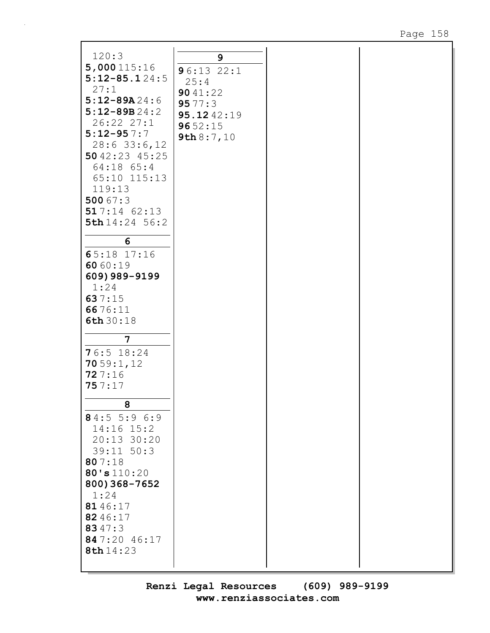| 120:3             | 9            |
|-------------------|--------------|
| 5,000115:16       | 96:132:1     |
| $5:12 - 85.124:5$ |              |
| 27:1              | 25:4         |
| $5:12 - 89A24:6$  | 9041:22      |
|                   | 9577:3       |
| $5:12 - 89B24:2$  | 95.1242:19   |
| 26:22 27:1        | 9652:15      |
| $5:12 - 957:7$    | 9th $8:7,10$ |
| $28:6$ 33:6, 12   |              |
| 5042:23 45:25     |              |
|                   |              |
| 64:18 65:4        |              |
| 65:10 115:13      |              |
| 119:13            |              |
| 500 $67:3$        |              |
| 517:1462:13       |              |
| 5th 14:24 56:2    |              |
|                   |              |
| 6                 |              |
|                   |              |
| 65:18 17:16       |              |
| 6060:19           |              |
| 609) 989-9199     |              |
| 1:24              |              |
| 637:15            |              |
|                   |              |
| 6676:11           |              |
| 6th 30:18         |              |
|                   |              |
| 7                 |              |
| $76:5$ 18:24      |              |
| 7059:1,12         |              |
|                   |              |
| 727:16            |              |
| 757:17            |              |
|                   |              |
| ୪                 |              |
| 84:5 5:9 6:9      |              |
| $14:16$ $15:2$    |              |
| $20:13$ 30:20     |              |
|                   |              |
| $39:11$ $50:3$    |              |
| 807:18            |              |
| 80's110:20        |              |
| 800) 368-7652     |              |
|                   |              |
| 1:24              |              |
| 8146:17           |              |
| 8246:17           |              |
| 8347:3            |              |
| 847:20 46:17      |              |
| 8th 14:23         |              |
|                   |              |
|                   |              |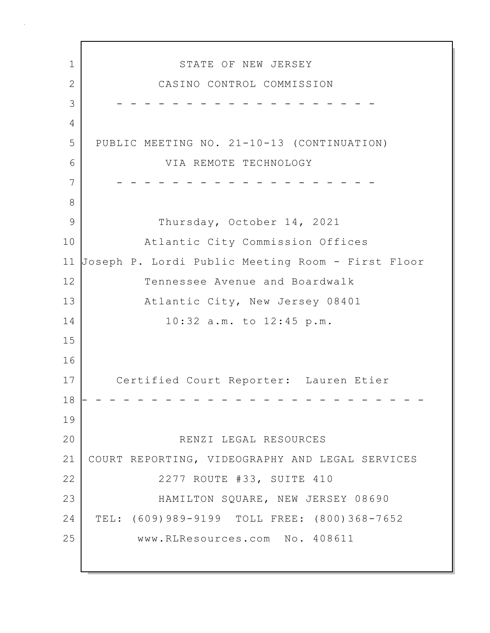1 STATE OF NEW JERSEY 2 CASINO CONTROL COMMISSION 3 - - - - - - - - - - - - - - - - - - - 4 5 PUBLIC MEETING NO. 21-10-13 (CONTINUATION) 6 VIA REMOTE TECHNOLOGY 7 - - - - - - - - - - - - - - - - - - - 8 9 Thursday, October 14, 2021 10 Atlantic City Commission Offices 11 Joseph P. Lordi Public Meeting Room - First Floor 12 Tennessee Avenue and Boardwalk 13 Atlantic City, New Jersey 08401 14 10:32 a.m. to 12:45 p.m. 15 16 17 Certified Court Reporter: Lauren Etier 18 - - - - - - - - - - - - - - - - - - - - - - - - - 19 20 RENZI LEGAL RESOURCES 21 COURT REPORTING, VIDEOGRAPHY AND LEGAL SERVICES 22 | 2277 ROUTE #33, SUITE 410 23 HAMILTON SQUARE, NEW JERSEY 08690 24 TEL: (609)989-9199 TOLL FREE: (800)368-7652 25 www.RLResources.com No. 408611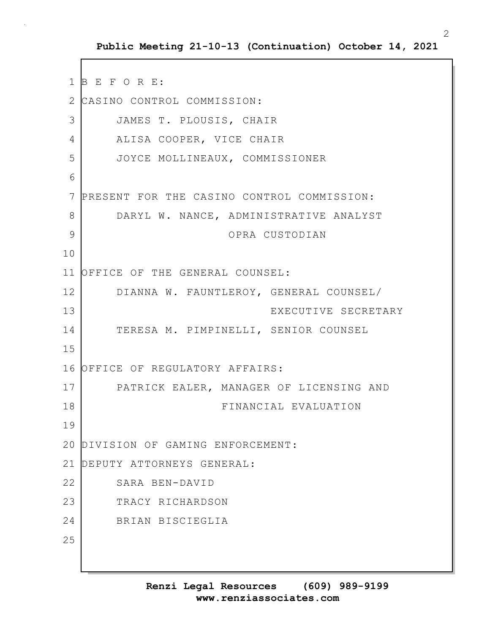1 B E F O R E: 2 CASINO CONTROL COMMISSION: 3 JAMES T. PLOUSIS, CHAIR 4 ALISA COOPER, VICE CHAIR 5 JOYCE MOLLINEAUX, COMMISSIONER 6 7 PRESENT FOR THE CASINO CONTROL COMMISSION: 8 DARYL W. NANCE, ADMINISTRATIVE ANALYST 9 OPRA CUSTODIAN 10 11 OFFICE OF THE GENERAL COUNSEL: 12 DIANNA W. FAUNTLEROY, GENERAL COUNSEL/ 13 EXECUTIVE SECRETARY 14 TERESA M. PIMPINELLI, SENIOR COUNSEL 15 16 OFFICE OF REGULATORY AFFAIRS: 17 PATRICK EALER, MANAGER OF LICENSING AND 18 FINANCIAL EVALUATION 19 20 DIVISION OF GAMING ENFORCEMENT: 21 DEPUTY ATTORNEYS GENERAL: 22 SARA BEN-DAVID 23 TRACY RICHARDSON 24 BRIAN BISCIEGLIA 25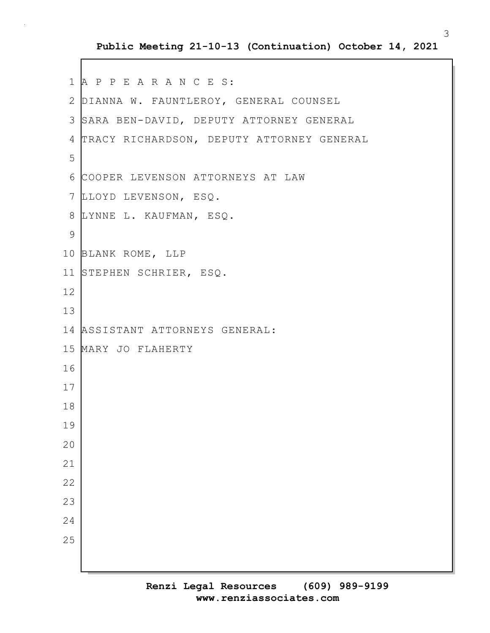#### **Public Meeting 21-10-13 (Continuation) October 14, 2021**

```
1 A P P E A R A N C E S:
 2 DIANNA W. FAUNTLEROY, GENERAL COUNSEL
 3 SARA BEN-DAVID, DEPUTY ATTORNEY GENERAL
 4 TRACY RICHARDSON, DEPUTY ATTORNEY GENERAL
 5
 6 COOPER LEVENSON ATTORNEYS AT LAW
7 LLOYD LEVENSON, ESQ.
8 LYNNE L. KAUFMAN, ESQ.
9
10 BLANK ROME, LLP
11 STEPHEN SCHRIER, ESQ.
12
13
14 ASSISTANT ATTORNEYS GENERAL:
15 MARY JO FLAHERTY
16
17
18
19
20
21
22
23
24
25
```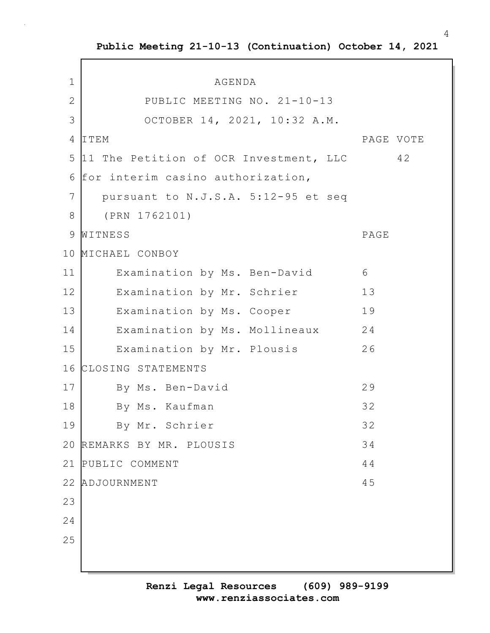**Public Meeting 21-10-13 (Continuation) October 14, 2021**

 $\Gamma$ 

| $\mathbf 1$  | AGENDA                                 |           |
|--------------|----------------------------------------|-----------|
| $\mathbf{2}$ | PUBLIC MEETING NO. 21-10-13            |           |
| 3            | OCTOBER 14, 2021, 10:32 A.M.           |           |
| 4            | ITEM                                   | PAGE VOTE |
| 5            | 11 The Petition of OCR Investment, LLC | 42        |
| 6            | for interim casino authorization,      |           |
| 7            | pursuant to N.J.S.A. 5:12-95 et seq    |           |
| 8            | (PRN 1762101)                          |           |
| 9            | WITNESS                                | PAGE      |
| 10           | MICHAEL CONBOY                         |           |
| 11           | Examination by Ms. Ben-David           | 6         |
| 12           | Examination by Mr. Schrier             | 13        |
| 13           | Examination by Ms. Cooper              | 19        |
| 14           | Examination by Ms. Mollineaux          | 24        |
| 15           | Examination by Mr. Plousis             | 26        |
| 16           | CLOSING STATEMENTS                     |           |
| 17           | By Ms. Ben-David                       | 29        |
| 18           | By Ms. Kaufman                         | 32        |
| 19           | By Mr. Schrier                         | 32        |
| 20           | REMARKS BY MR. PLOUSIS                 | 34        |
| 21           | PUBLIC COMMENT                         | 44        |
| 22           | ADJOURNMENT                            | 45        |
| 23           |                                        |           |
| 24           |                                        |           |
| 25           |                                        |           |
|              |                                        |           |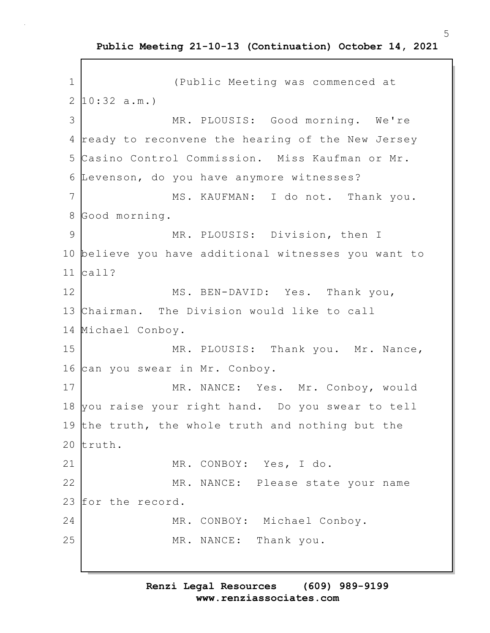**Public Meeting 21-10-13 (Continuation) October 14, 2021**

```
1 (Public Meeting was commenced at
2 \mid 10:32 \text{ a.m.}3 MR. PLOUSIS: Good morning. We're
4 ready to reconvene the hearing of the New Jersey
5 Casino Control Commission. Miss Kaufman or Mr.
6 Levenson, do you have anymore witnesses?
7 MS. KAUFMAN: I do not. Thank you.
8 Good morning.
9 MR. PLOUSIS: Division, then I
10 believe you have additional witnesses you want to
11 call?
12 MS. BEN-DAVID: Yes. Thank you,
13 Chairman. The Division would like to call
14 Michael Conboy.
15 MR. PLOUSIS: Thank you. Mr. Nance,
16 can you swear in Mr. Conboy.
17 MR. NANCE: Yes. Mr. Conboy, would
18 you raise your right hand. Do you swear to tell
19 the truth, the whole truth and nothing but the
20 truth.
21 MR. CONBOY: Yes, I do.
22 MR. NANCE: Please state your name
23 for the record.
24 MR. CONBOY: Michael Conboy.
25 MR. NANCE: Thank you.
```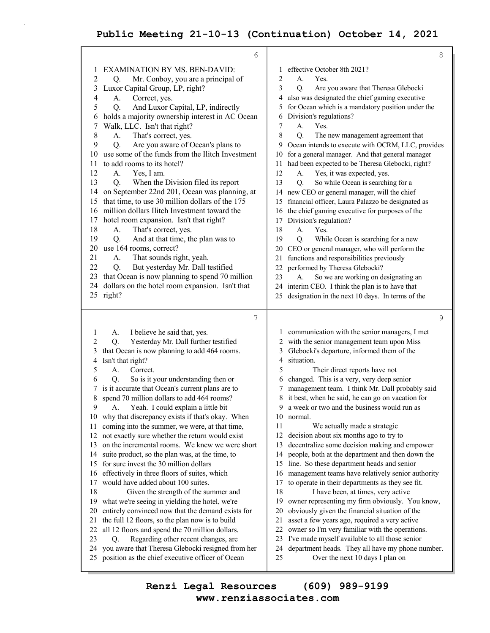|              | 6                                                                                                     |                                                                                                 | 8 |
|--------------|-------------------------------------------------------------------------------------------------------|-------------------------------------------------------------------------------------------------|---|
| 1            | <b>EXAMINATION BY MS. BEN-DAVID:</b>                                                                  | effective October 8th 2021?<br>1                                                                |   |
| 2            | Mr. Conboy, you are a principal of<br>Q.                                                              | 2<br>А.<br>Yes.                                                                                 |   |
| 3            | Luxor Capital Group, LP, right?                                                                       | 3<br>Q.<br>Are you aware that Theresa Glebocki                                                  |   |
| 4            | Correct, yes.<br>А.                                                                                   | also was designated the chief gaming executive<br>4                                             |   |
| 5            | And Luxor Capital, LP, indirectly<br>Q.                                                               | for Ocean which is a mandatory position under the<br>5                                          |   |
| 6            | holds a majority ownership interest in AC Ocean                                                       | Division's regulations?<br>6                                                                    |   |
| 7            | Walk, LLC. Isn't that right?                                                                          | 7<br>А.<br>Yes.                                                                                 |   |
| 8            | That's correct, yes.<br>А.                                                                            | 8<br>Q.<br>The new management agreement that                                                    |   |
| 9            | Are you aware of Ocean's plans to<br>Q.                                                               | Ocean intends to execute with OCRM, LLC, provides<br>9                                          |   |
| 10           | use some of the funds from the Ilitch Investment                                                      | 10 for a general manager. And that general manager                                              |   |
| 11           | to add rooms to its hotel?                                                                            | 11 had been expected to be Theresa Glebocki, right?                                             |   |
| 12           | Yes, I am.<br>А.                                                                                      | 12<br>Yes, it was expected, yes.<br>А.                                                          |   |
| 13           | When the Division filed its report<br>Q.                                                              | 13<br>So while Ocean is searching for a<br>Q.                                                   |   |
| 14           | on September 22nd 201, Ocean was planning, at                                                         | 14 new CEO or general manager, will the chief                                                   |   |
| 15           | that time, to use 30 million dollars of the 175                                                       | financial officer, Laura Palazzo be designated as<br>15                                         |   |
| 16           | million dollars Ilitch Investment toward the                                                          | 16 the chief gaming executive for purposes of the                                               |   |
| 17           | hotel room expansion. Isn't that right?                                                               | Division's regulation?<br>17                                                                    |   |
| 18           | That's correct, yes.<br>А.                                                                            | 18<br>A.<br>Yes.                                                                                |   |
| 19           | And at that time, the plan was to<br>Q.                                                               | Q.<br>19<br>While Ocean is searching for a new                                                  |   |
| 20           | use 164 rooms, correct?                                                                               | CEO or general manager, who will perform the<br>20                                              |   |
| 21           | That sounds right, yeah.<br>А.                                                                        | functions and responsibilities previously<br>21                                                 |   |
| 22           | But yesterday Mr. Dall testified<br>Q.                                                                | performed by Theresa Glebocki?<br>22                                                            |   |
| 23           | that Ocean is now planning to spend 70 million                                                        | 23<br>So we are working on designating an<br>A.                                                 |   |
| 24           | dollars on the hotel room expansion. Isn't that                                                       | interim CEO. I think the plan is to have that<br>24                                             |   |
|              | 25 right?                                                                                             | designation in the next 10 days. In terms of the<br>25                                          |   |
|              |                                                                                                       |                                                                                                 |   |
|              |                                                                                                       |                                                                                                 |   |
|              | 7                                                                                                     |                                                                                                 | 9 |
| $\mathbf{I}$ | I believe he said that, yes.<br>А.                                                                    | 1 communication with the senior managers, I met                                                 |   |
| 2            | Yesterday Mr. Dall further testified<br>Q.                                                            | with the senior management team upon Miss<br>2                                                  |   |
| 3            | that Ocean is now planning to add 464 rooms.                                                          | Glebocki's departure, informed them of the<br>3                                                 |   |
| 4            | Isn't that right?                                                                                     | situation.<br>4                                                                                 |   |
| 5            | A.<br>Correct.                                                                                        | 5<br>Their direct reports have not                                                              |   |
| 6            | Q.<br>So is it your understanding then or                                                             | changed. This is a very, very deep senior<br>6                                                  |   |
| 7            | is it accurate that Ocean's current plans are to                                                      | management team. I think Mr. Dall probably said                                                 |   |
| 8            | spend 70 million dollars to add 464 rooms?                                                            | it best, when he said, he can go on vacation for                                                |   |
| 9            | A. Yeah. I could explain a little bit                                                                 | 9 a week or two and the business would run as<br>10 normal.                                     |   |
| 11           | 10 why that discrepancy exists if that's okay. When                                                   | 11                                                                                              |   |
| 12           | coming into the summer, we were, at that time,                                                        | We actually made a strategic<br>decision about six months ago to try to<br>12                   |   |
| 13           | not exactly sure whether the return would exist<br>on the incremental rooms. We knew we were short    | decentralize some decision making and empower<br>13                                             |   |
| 14           | suite product, so the plan was, at the time, to                                                       | people, both at the department and then down the<br>14                                          |   |
| 15           | for sure invest the 30 million dollars                                                                | line. So these department heads and senior<br>15                                                |   |
| 16           | effectively in three floors of suites, which                                                          | management teams have relatively senior authority<br>16                                         |   |
| 17           | would have added about 100 suites.                                                                    | to operate in their departments as they see fit.<br>17                                          |   |
| 18           | Given the strength of the summer and                                                                  | 18<br>I have been, at times, very active                                                        |   |
| 19           | what we're seeing in yielding the hotel, we're                                                        | 19<br>owner representing my firm obviously. You know,                                           |   |
| 20           | entirely convinced now that the demand exists for                                                     | 20<br>obviously given the financial situation of the                                            |   |
| 21           | the full 12 floors, so the plan now is to build                                                       | asset a few years ago, required a very active<br>21                                             |   |
| 22           | all 12 floors and spend the 70 million dollars.                                                       | owner so I'm very familiar with the operations.<br>22                                           |   |
| 23           | Regarding other recent changes, are<br>Q.                                                             | I've made myself available to all those senior<br>23                                            |   |
| 24<br>25     | you aware that Theresa Glebocki resigned from her<br>position as the chief executive officer of Ocean | department heads. They all have my phone number.<br>24<br>25<br>Over the next 10 days I plan on |   |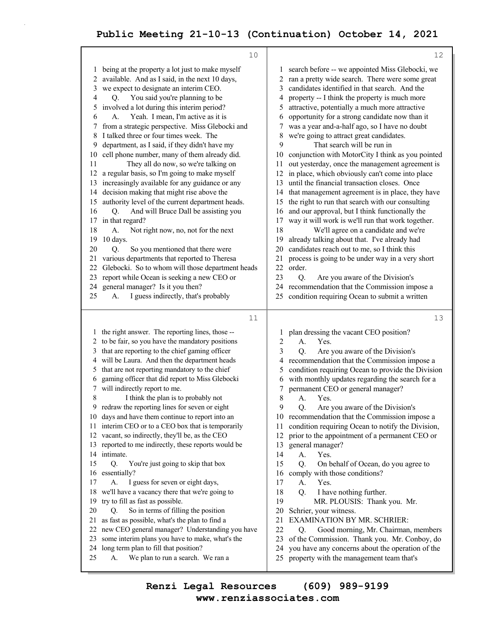|                                                                                                                         | 10                                                                                                                                                                                                                                                                                                                                                                                                                                                                                                                                                                                                                                                                                                                                                                                                                                                                                                                                                                                                                                                                                                                                    |                                                                                                                                           | 12                                                                                                                                                                                                                                                                                                                                                                                                                                                                                                                                                                                                                                                                                                                                                                                                                                                                                                                                                                                                                                                                                                                                                                                                          |
|-------------------------------------------------------------------------------------------------------------------------|---------------------------------------------------------------------------------------------------------------------------------------------------------------------------------------------------------------------------------------------------------------------------------------------------------------------------------------------------------------------------------------------------------------------------------------------------------------------------------------------------------------------------------------------------------------------------------------------------------------------------------------------------------------------------------------------------------------------------------------------------------------------------------------------------------------------------------------------------------------------------------------------------------------------------------------------------------------------------------------------------------------------------------------------------------------------------------------------------------------------------------------|-------------------------------------------------------------------------------------------------------------------------------------------|-------------------------------------------------------------------------------------------------------------------------------------------------------------------------------------------------------------------------------------------------------------------------------------------------------------------------------------------------------------------------------------------------------------------------------------------------------------------------------------------------------------------------------------------------------------------------------------------------------------------------------------------------------------------------------------------------------------------------------------------------------------------------------------------------------------------------------------------------------------------------------------------------------------------------------------------------------------------------------------------------------------------------------------------------------------------------------------------------------------------------------------------------------------------------------------------------------------|
| 1<br>2<br>3<br>4<br>5<br>6<br>7<br>8<br>9<br>10<br>11<br>12<br>13<br>14<br>15<br>16<br>18<br>19<br>20<br>22<br>23<br>25 | being at the property a lot just to make myself<br>available. And as I said, in the next 10 days,<br>we expect to designate an interim CEO.<br>You said you're planning to be<br>Q.<br>involved a lot during this interim period?<br>Yeah. I mean, I'm active as it is<br>А.<br>from a strategic perspective. Miss Glebocki and<br>I talked three or four times week. The<br>department, as I said, if they didn't have my<br>cell phone number, many of them already did.<br>They all do now, so we're talking on<br>a regular basis, so I'm going to make myself<br>increasingly available for any guidance or any<br>decision making that might rise above the<br>authority level of the current department heads.<br>And will Bruce Dall be assisting you<br>Q.<br>17 in that regard?<br>Not right now, no, not for the next<br>A.<br>10 days.<br>So you mentioned that there were<br>Q.<br>21 various departments that reported to Theresa<br>Glebocki. So to whom will those department heads<br>report while Ocean is seeking a new CEO or<br>24 general manager? Is it you then?<br>I guess indirectly, that's probably<br>А. | 1<br>2<br>3<br>4<br>5<br>6<br>7<br>8<br>9<br>10<br>11<br>12<br>13<br>14<br>15<br>16<br>17<br>18<br>19<br>20<br>21<br>22<br>23<br>24<br>25 | search before -- we appointed Miss Glebocki, we<br>ran a pretty wide search. There were some great<br>candidates identified in that search. And the<br>property -- I think the property is much more<br>attractive, potentially a much more attractive<br>opportunity for a strong candidate now than it<br>was a year and-a-half ago, so I have no doubt<br>we're going to attract great candidates.<br>That search will be run in<br>conjunction with MotorCity I think as you pointed<br>out yesterday, once the management agreement is<br>in place, which obviously can't come into place<br>until the financial transaction closes. Once<br>that management agreement is in place, they have<br>the right to run that search with our consulting<br>and our approval, but I think functionally the<br>way it will work is we'll run that work together.<br>We'll agree on a candidate and we're<br>already talking about that. I've already had<br>candidates reach out to me, so I think this<br>process is going to be under way in a very short<br>order.<br>Are you aware of the Division's<br>Q.<br>recommendation that the Commission impose a<br>condition requiring Ocean to submit a written |
|                                                                                                                         |                                                                                                                                                                                                                                                                                                                                                                                                                                                                                                                                                                                                                                                                                                                                                                                                                                                                                                                                                                                                                                                                                                                                       |                                                                                                                                           |                                                                                                                                                                                                                                                                                                                                                                                                                                                                                                                                                                                                                                                                                                                                                                                                                                                                                                                                                                                                                                                                                                                                                                                                             |
| 2<br>3<br>4<br>5<br>6<br>7<br>8<br>12<br>13<br>14<br>15<br>16<br>17<br>18<br>19<br>20                                   | 11<br>the right answer. The reporting lines, those --<br>to be fair, so you have the mandatory positions<br>that are reporting to the chief gaming officer<br>will be Laura. And then the department heads<br>that are not reporting mandatory to the chief<br>gaming officer that did report to Miss Glebocki<br>will indirectly report to me.<br>I think the plan is to probably not<br>9 redraw the reporting lines for seven or eight<br>10 days and have them continue to report into an<br>11 interim CEO or to a CEO box that is temporarily<br>vacant, so indirectly, they'll be, as the CEO<br>reported to me indirectly, these reports would be<br>intimate.<br>Q.<br>You're just going to skip that box<br>essentially?<br>I guess for seven or eight days,<br>А.<br>we'll have a vacancy there that we're going to<br>try to fill as fast as possible.                                                                                                                                                                                                                                                                    | 1<br>$\overline{c}$<br>3<br>4<br>5<br>6<br>7<br>8<br>9<br>11<br>12<br>13<br>14<br>15<br>16<br>17<br>18<br>19                              | 13<br>plan dressing the vacant CEO position?<br>A.<br>Yes.<br>Q.<br>Are you aware of the Division's<br>recommendation that the Commission impose a<br>condition requiring Ocean to provide the Division<br>with monthly updates regarding the search for a<br>permanent CEO or general manager?<br>A.<br>Yes.<br>Q. Are you aware of the Division's<br>10 recommendation that the Commission impose a<br>condition requiring Ocean to notify the Division,<br>prior to the appointment of a permanent CEO or<br>general manager?<br>A.<br>Yes.<br>Q.<br>On behalf of Ocean, do you agree to<br>comply with those conditions?<br>Yes.<br>А.<br>Q.<br>I have nothing further.<br>MR. PLOUSIS: Thank you. Mr.                                                                                                                                                                                                                                                                                                                                                                                                                                                                                                  |
|                                                                                                                         | So in terms of filling the position<br>Q.                                                                                                                                                                                                                                                                                                                                                                                                                                                                                                                                                                                                                                                                                                                                                                                                                                                                                                                                                                                                                                                                                             | 20                                                                                                                                        | Schrier, your witness.                                                                                                                                                                                                                                                                                                                                                                                                                                                                                                                                                                                                                                                                                                                                                                                                                                                                                                                                                                                                                                                                                                                                                                                      |

**www.renziassociates.com Renzi Legal Resources (609) 989-9199**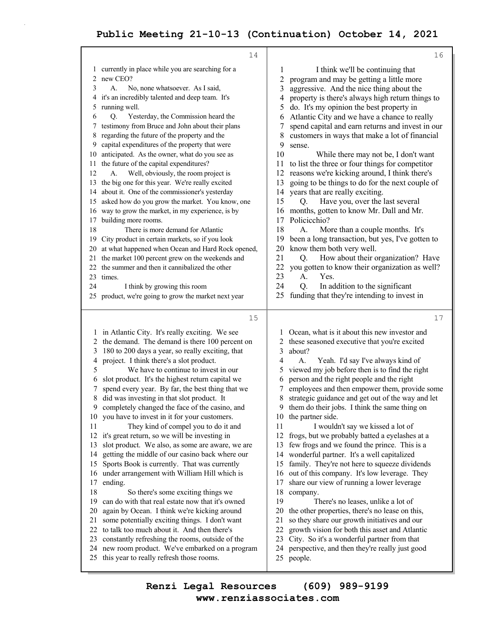| 16                                                                                                                                                                                                                                                                                                                                                                                                                                                                                                                                                                                                                                                                                                                                                                                                                                                                                                                                                                                                                                                                                                                                                                                                                        |
|---------------------------------------------------------------------------------------------------------------------------------------------------------------------------------------------------------------------------------------------------------------------------------------------------------------------------------------------------------------------------------------------------------------------------------------------------------------------------------------------------------------------------------------------------------------------------------------------------------------------------------------------------------------------------------------------------------------------------------------------------------------------------------------------------------------------------------------------------------------------------------------------------------------------------------------------------------------------------------------------------------------------------------------------------------------------------------------------------------------------------------------------------------------------------------------------------------------------------|
| I think we'll be continuing that<br>1<br>$\overline{c}$<br>program and may be getting a little more<br>3<br>aggressive. And the nice thing about the<br>property is there's always high return things to<br>4<br>5<br>do. It's my opinion the best property in<br>Atlantic City and we have a chance to really<br>6<br>spend capital and earn returns and invest in our<br>7<br>8<br>customers in ways that make a lot of financial<br>9<br>sense.<br>10<br>While there may not be, I don't want<br>to list the three or four things for competitor<br>11<br>reasons we're kicking around, I think there's<br>12<br>going to be things to do for the next couple of<br>13<br>years that are really exciting.<br>14<br>15<br>Have you, over the last several<br>Q.<br>months, gotten to know Mr. Dall and Mr.<br>16<br>Policicchio?<br>17<br>18<br>More than a couple months. It's<br>А.<br>19<br>been a long transaction, but yes, I've gotten to<br>know them both very well.<br>20<br>How about their organization? Have<br>21<br>Q.<br>22<br>you gotten to know their organization as well?<br>23<br>Yes.<br>А.<br>24<br>Q.<br>In addition to the significant<br>funding that they're intending to invest in<br>25     |
| 17                                                                                                                                                                                                                                                                                                                                                                                                                                                                                                                                                                                                                                                                                                                                                                                                                                                                                                                                                                                                                                                                                                                                                                                                                        |
| Ocean, what is it about this new investor and<br>these seasoned executive that you're excited<br>2<br>3<br>about?<br>4<br>A.<br>Yeah. I'd say I've always kind of<br>viewed my job before then is to find the right<br>5<br>person and the right people and the right<br>6<br>employees and then empower them, provide some<br>7<br>strategic guidance and get out of the way and let<br>8<br>9<br>them do their jobs. I think the same thing on<br>10 the partner side.<br>11<br>I wouldn't say we kissed a lot of<br>12<br>frogs, but we probably batted a eyelashes at a<br>few frogs and we found the prince. This is a<br>13<br>wonderful partner. It's a well capitalized<br>14<br>family. They're not here to squeeze dividends<br>15<br>out of this company. It's low leverage. They<br>16<br>share our view of running a lower leverage<br>17<br>18<br>company.<br>19<br>There's no leases, unlike a lot of<br>20<br>the other properties, there's no lease on this,<br>21<br>so they share our growth initiatives and our<br>growth vision for both this asset and Atlantic<br>22<br>23<br>City. So it's a wonderful partner from that<br>perspective, and then they're really just good<br>24<br>25<br>people. |
|                                                                                                                                                                                                                                                                                                                                                                                                                                                                                                                                                                                                                                                                                                                                                                                                                                                                                                                                                                                                                                                                                                                                                                                                                           |

**www.renziassociates.com Renzi Legal Resources (609) 989-9199**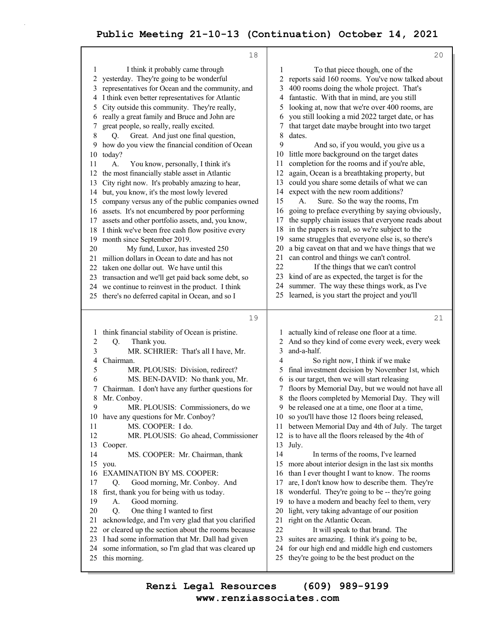| 18                                                                                                                                                                                                                                                                                                                                                                                                                                                                                                                                                                                                                                                                                                                                                                                                                                                                                                                                                                                                                                                                                                                                                                                                                                                                                                                         | 20                                                                                                                                                                                                                                                                                                                                                                                                                                                                                                                                                                                                                                                                                                                                                                                                                                                                                                                                                                                                                                                                                                                                                                                                                                                                                                                   |
|----------------------------------------------------------------------------------------------------------------------------------------------------------------------------------------------------------------------------------------------------------------------------------------------------------------------------------------------------------------------------------------------------------------------------------------------------------------------------------------------------------------------------------------------------------------------------------------------------------------------------------------------------------------------------------------------------------------------------------------------------------------------------------------------------------------------------------------------------------------------------------------------------------------------------------------------------------------------------------------------------------------------------------------------------------------------------------------------------------------------------------------------------------------------------------------------------------------------------------------------------------------------------------------------------------------------------|----------------------------------------------------------------------------------------------------------------------------------------------------------------------------------------------------------------------------------------------------------------------------------------------------------------------------------------------------------------------------------------------------------------------------------------------------------------------------------------------------------------------------------------------------------------------------------------------------------------------------------------------------------------------------------------------------------------------------------------------------------------------------------------------------------------------------------------------------------------------------------------------------------------------------------------------------------------------------------------------------------------------------------------------------------------------------------------------------------------------------------------------------------------------------------------------------------------------------------------------------------------------------------------------------------------------|
| I think it probably came through<br>1<br>yesterday. They're going to be wonderful<br>2<br>representatives for Ocean and the community, and<br>3<br>I think even better representatives for Atlantic<br>4<br>City outside this community. They're really,<br>5<br>really a great family and Bruce and John are<br>6<br>great people, so really, really excited.<br>7<br>8<br>Great. And just one final question,<br>Q.<br>how do you view the financial condition of Ocean<br>9<br>today?<br>10<br>11<br>A.<br>You know, personally, I think it's<br>the most financially stable asset in Atlantic<br>12<br>City right now. It's probably amazing to hear,<br>13<br>but, you know, it's the most lowly levered<br>14<br>company versus any of the public companies owned<br>15<br>assets. It's not encumbered by poor performing<br>16<br>assets and other portfolio assets, and, you know,<br>17<br>I think we've been free cash flow positive every<br>18<br>month since September 2019.<br>19<br>20<br>My fund, Luxor, has invested 250<br>million dollars in Ocean to date and has not<br>21<br>taken one dollar out. We have until this<br>22<br>transaction and we'll get paid back some debt, so<br>23<br>we continue to reinvest in the product. I think<br>24<br>25 there's no deferred capital in Ocean, and so I | To that piece though, one of the<br>1<br>2 reports said 160 rooms. You've now talked about<br>400 rooms doing the whole project. That's<br>3<br>fantastic. With that in mind, are you still<br>4<br>looking at, now that we're over 400 rooms, are<br>5<br>you still looking a mid 2022 target date, or has<br>6<br>that target date maybe brought into two target<br>7<br>8<br>dates.<br>9<br>And so, if you would, you give us a<br>little more background on the target dates<br>10<br>completion for the rooms and if you're able,<br>11<br>again, Ocean is a breathtaking property, but<br>12<br>could you share some details of what we can<br>13<br>expect with the new room additions?<br>14<br>15<br>Sure. So the way the rooms, I'm<br>А.<br>going to preface everything by saying obviously,<br>16<br>the supply chain issues that everyone reads about<br>17<br>in the papers is real, so we're subject to the<br>18<br>19<br>same struggles that everyone else is, so there's<br>20<br>a big caveat on that and we have things that we<br>21<br>can control and things we can't control.<br>22<br>If the things that we can't control<br>23<br>kind of are as expected, the target is for the<br>24<br>summer. The way these things work, as I've<br>learned, is you start the project and you'll<br>25 |
| 19                                                                                                                                                                                                                                                                                                                                                                                                                                                                                                                                                                                                                                                                                                                                                                                                                                                                                                                                                                                                                                                                                                                                                                                                                                                                                                                         | 21                                                                                                                                                                                                                                                                                                                                                                                                                                                                                                                                                                                                                                                                                                                                                                                                                                                                                                                                                                                                                                                                                                                                                                                                                                                                                                                   |
| think financial stability of Ocean is pristine.<br>1<br>Thank you.<br>$\overline{\mathbf{c}}$<br>Q.<br>3<br>MR. SCHRIER: That's all I have, Mr.<br>Chairman.<br>4<br>5<br>MR. PLOUSIS: Division, redirect?<br>MS. BEN-DAVID: No thank you, Mr.<br>6<br>Chairman. I don't have any further questions for<br>7<br>8<br>Mr. Conboy.<br>9<br>MR. PLOUSIS: Commissioners, do we<br>10 have any questions for Mr. Conboy?<br>MS. COOPER: I do.<br>11<br>12<br>MR. PLOUSIS: Go ahead, Commissioner<br>13<br>Cooper.<br>14<br>MS. COOPER: Mr. Chairman, thank<br>15<br>you.<br><b>EXAMINATION BY MS. COOPER:</b><br>16<br>Good morning, Mr. Conboy. And<br>17<br>Q.<br>18<br>first, thank you for being with us today.<br>A.<br>Good morning.<br>19<br>One thing I wanted to first<br>20<br>Q.<br>acknowledge, and I'm very glad that you clarified<br>21<br>or cleared up the section about the rooms because<br>22<br>I had some information that Mr. Dall had given<br>23<br>some information, so I'm glad that was cleared up<br>24<br>25 this morning.                                                                                                                                                                                                                                                                        | actually kind of release one floor at a time.<br>1<br>And so they kind of come every week, every week<br>2<br>3<br>and-a-half.<br>4<br>So right now, I think if we make<br>final investment decision by November 1st, which<br>5<br>is our target, then we will start releasing<br>6<br>floors by Memorial Day, but we would not have all<br>7<br>the floors completed by Memorial Day. They will<br>8<br>9<br>be released one at a time, one floor at a time,<br>10 so you'll have those 12 floors being released,<br>11 between Memorial Day and 4th of July. The target<br>is to have all the floors released by the 4th of<br>12<br>13<br>July.<br>14<br>In terms of the rooms, I've learned<br>more about interior design in the last six months<br>15<br>16<br>than I ever thought I want to know. The rooms<br>are, I don't know how to describe them. They're<br>17<br>wonderful. They're going to be -- they're going<br>18<br>to have a modern and beachy feel to them, very<br>19<br>20<br>light, very taking advantage of our position<br>right on the Atlantic Ocean.<br>21<br>22<br>It will speak to that brand. The<br>23<br>suites are amazing. I think it's going to be,<br>for our high end and middle high end customers<br>24<br>25 they're going to be the best product on the                  |

**www.renziassociates.com Renzi Legal Resources (609) 989-9199**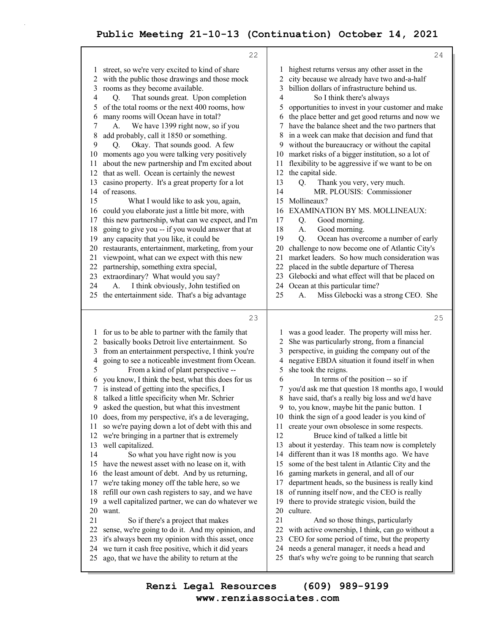|          | 22                                                                                                    |          | 24                                                                                                |
|----------|-------------------------------------------------------------------------------------------------------|----------|---------------------------------------------------------------------------------------------------|
| 1        | street, so we're very excited to kind of share                                                        | 1        | highest returns versus any other asset in the                                                     |
| 2        | with the public those drawings and those mock                                                         | 2        | city because we already have two and-a-half                                                       |
| 3        | rooms as they become available.                                                                       | 3        | billion dollars of infrastructure behind us.                                                      |
| 4        | That sounds great. Upon completion<br>Q.                                                              | 4        | So I think there's always                                                                         |
| 5        | of the total rooms or the next 400 rooms, how                                                         | 5        | opportunities to invest in your customer and make                                                 |
| 6        | many rooms will Ocean have in total?                                                                  | 6        | the place better and get good returns and now we                                                  |
| 7        | We have 1399 right now, so if you<br>А.                                                               | 7        | have the balance sheet and the two partners that                                                  |
| 8        | add probably, call it 1850 or something.                                                              | 8        | in a week can make that decision and fund that                                                    |
| 9        | Okay. That sounds good. A few<br>Q.                                                                   | 9        | without the bureaucracy or without the capital                                                    |
| 10       | moments ago you were talking very positively                                                          | 10       | market risks of a bigger institution, so a lot of                                                 |
| 11       | about the new partnership and I'm excited about                                                       | 11       | flexibility to be aggressive if we want to be on                                                  |
| 12       | that as well. Ocean is certainly the newest                                                           | 12       | the capital side.                                                                                 |
| 13       | casino property. It's a great property for a lot                                                      | 13       | Thank you very, very much.<br>О.<br>MR. PLOUSIS: Commissioner                                     |
| 14<br>15 | of reasons.                                                                                           | 14<br>15 | Mollineaux?                                                                                       |
| 16       | What I would like to ask you, again,<br>could you elaborate just a little bit more, with              | 16       | <b>EXAMINATION BY MS. MOLLINEAUX:</b>                                                             |
| 17       | this new partnership, what can we expect, and I'm                                                     | 17       | Good morning.<br>Q.                                                                               |
| 18       | going to give you -- if you would answer that at                                                      | 18       | Good morning.<br>A.                                                                               |
| 19       | any capacity that you like, it could be                                                               | 19       | Ocean has overcome a number of early<br>Q.                                                        |
| 20       | restaurants, entertainment, marketing, from your                                                      | 20       | challenge to now become one of Atlantic City's                                                    |
| 21       | viewpoint, what can we expect with this new                                                           | 21       | market leaders. So how much consideration was                                                     |
| 22       | partnership, something extra special,                                                                 | 22       | placed in the subtle departure of Theresa                                                         |
| 23       | extraordinary? What would you say?                                                                    | 23       | Glebocki and what effect will that be placed on                                                   |
| 24       | I think obviously, John testified on<br>А.                                                            | 24       | Ocean at this particular time?                                                                    |
| 25       | the entertainment side. That's a big advantage                                                        | 25       | Miss Glebocki was a strong CEO. She<br>A.                                                         |
|          |                                                                                                       |          |                                                                                                   |
|          |                                                                                                       |          |                                                                                                   |
|          | 23                                                                                                    |          | 25                                                                                                |
| 1        | for us to be able to partner with the family that                                                     | 1        | was a good leader. The property will miss her.                                                    |
| 2        | basically books Detroit live entertainment. So                                                        | 2        | She was particularly strong, from a financial                                                     |
| 3        | from an entertainment perspective, I think you're                                                     | 3        | perspective, in guiding the company out of the                                                    |
| 4        | going to see a noticeable investment from Ocean.                                                      | 4        | negative EBDA situation it found itself in when                                                   |
| 5<br>6   | From a kind of plant perspective --                                                                   | 5<br>6   | she took the reigns.                                                                              |
|          | you know, I think the best, what this does for us                                                     | 7        | In terms of the position -- so if<br>you'd ask me that question 18 months ago, I would            |
| 8        | is instead of getting into the specifics, I<br>talked a little specificity when Mr. Schrier           | 8        | have said, that's a really big loss and we'd have                                                 |
|          | asked the question, but what this investment                                                          | 9.       | to, you know, maybe hit the panic button. I                                                       |
| 10       | does, from my perspective, it's a de leveraging,                                                      | 10       | think the sign of a good leader is you kind of                                                    |
| 11       | so we're paying down a lot of debt with this and                                                      | 11       | create your own obsolesce in some respects.                                                       |
| 12       | we're bringing in a partner that is extremely                                                         | 12       | Bruce kind of talked a little bit                                                                 |
| 13       | well capitalized.                                                                                     | 13       | about it yesterday. This team now is completely                                                   |
| 14       | So what you have right now is you                                                                     | 14       | different than it was 18 months ago. We have                                                      |
| 15       | have the newest asset with no lease on it, with                                                       | 15       | some of the best talent in Atlantic City and the                                                  |
| 16       | the least amount of debt. And by us returning,                                                        | 16       | gaming markets in general, and all of our                                                         |
| 17       | we're taking money off the table here, so we                                                          | 17       | department heads, so the business is really kind                                                  |
| 18       | refill our own cash registers to say, and we have                                                     | 18       | of running itself now, and the CEO is really                                                      |
| 19       | a well capitalized partner, we can do whatever we                                                     | 19       | there to provide strategic vision, build the                                                      |
| 20       | want.                                                                                                 | 20<br>21 | culture.                                                                                          |
| 21<br>22 | So if there's a project that makes                                                                    | 22       | And so those things, particularly                                                                 |
| 23       | sense, we're going to do it. And my opinion, and<br>it's always been my opinion with this asset, once | 23       | with active ownership, I think, can go without a<br>CEO for some period of time, but the property |
| 24       | we turn it cash free positive, which it did years                                                     | 24       | needs a general manager, it needs a head and                                                      |
| 25       | ago, that we have the ability to return at the                                                        | 25       | that's why we're going to be running that search                                                  |

**www.renziassociates.com Renzi Legal Resources (609) 989-9199**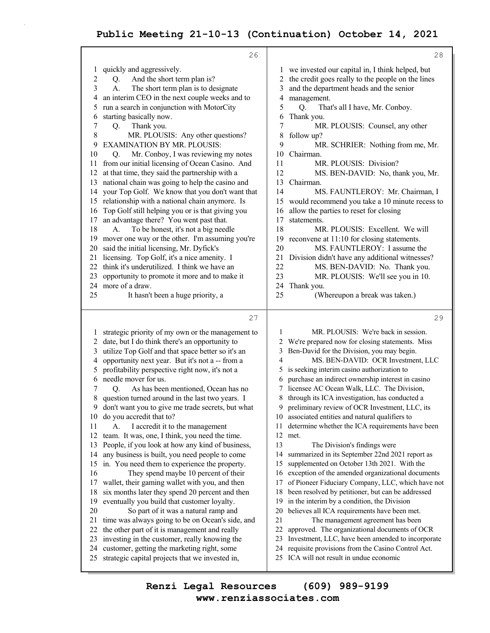|              | 26                                                                                             | 28                                                                                                                 |
|--------------|------------------------------------------------------------------------------------------------|--------------------------------------------------------------------------------------------------------------------|
| 1            | quickly and aggressively.                                                                      | we invested our capital in, I think helped, but<br>1                                                               |
| $\mathbf{2}$ | And the short term plan is?<br>Q.                                                              | the credit goes really to the people on the lines<br>2                                                             |
| 3            | The short term plan is to designate<br>А.                                                      | and the department heads and the senior<br>3                                                                       |
| 4            | an interim CEO in the next couple weeks and to                                                 | 4<br>management.                                                                                                   |
| 5            | run a search in conjunction with MotorCity                                                     | 5<br>Q.<br>That's all I have, Mr. Conboy.                                                                          |
| 6            | starting basically now.                                                                        | 6<br>Thank you.                                                                                                    |
| 7            | Q.<br>Thank you.                                                                               | $\overline{7}$<br>MR. PLOUSIS: Counsel, any other                                                                  |
| 8            | MR. PLOUSIS: Any other questions?                                                              | 8<br>follow up?                                                                                                    |
| 9            | <b>EXAMINATION BY MR. PLOUSIS:</b>                                                             | 9<br>MR. SCHRIER: Nothing from me, Mr.                                                                             |
| 10           | Mr. Conboy, I was reviewing my notes<br>Q.                                                     | 10<br>Chairman.                                                                                                    |
| 11           | from our initial licensing of Ocean Casino. And                                                | 11<br>MR. PLOUSIS: Division?                                                                                       |
| 12           | at that time, they said the partnership with a                                                 | 12<br>MS. BEN-DAVID: No, thank you, Mr.                                                                            |
| 13           | national chain was going to help the casino and                                                | 13<br>Chairman.                                                                                                    |
| 14           | your Top Golf. We know that you don't want that                                                | 14<br>MS. FAUNTLEROY: Mr. Chairman, I                                                                              |
| 15           | relationship with a national chain anymore. Is                                                 | would recommend you take a 10 minute recess to<br>15                                                               |
| 16           | Top Golf still helping you or is that giving you                                               | allow the parties to reset for closing<br>16                                                                       |
| 17           | an advantage there? You went past that.                                                        | 17<br>statements.                                                                                                  |
| 18           | To be honest, it's not a big needle<br>А.                                                      | 18<br>MR. PLOUSIS: Excellent. We will                                                                              |
| 19           | mover one way or the other. I'm assuming you're                                                | reconvene at 11:10 for closing statements.<br>19                                                                   |
| 20           | said the initial licensing, Mr. Dyfick's                                                       | 20<br>MS. FAUNTLEROY: I assume the                                                                                 |
| 21<br>22     | licensing. Top Golf, it's a nice amenity. I<br>think it's underutilized. I think we have an    | 21<br>Division didn't have any additional witnesses?<br>22                                                         |
| 23           | opportunity to promote it more and to make it                                                  | MS. BEN-DAVID: No. Thank you.<br>23<br>MR. PLOUSIS: We'll see you in 10.                                           |
| 24           | more of a draw.                                                                                | 24<br>Thank you.                                                                                                   |
| 25           | It hasn't been a huge priority, a                                                              | 25<br>(Whereupon a break was taken.)                                                                               |
|              |                                                                                                |                                                                                                                    |
|              |                                                                                                |                                                                                                                    |
|              | 27                                                                                             | 29                                                                                                                 |
| 1            | strategic priority of my own or the management to                                              | MR. PLOUSIS: We're back in session.<br>1                                                                           |
| 2            | date, but I do think there's an opportunity to                                                 | We're prepared now for closing statements. Miss<br>2                                                               |
| 3            | utilize Top Golf and that space better so it's an                                              | Ben-David for the Division, you may begin.<br>3                                                                    |
| 4            | opportunity next year. But it's not a -- from a                                                | 4<br>MS. BEN-DAVID: OCR Investment, LLC                                                                            |
| 5            | profitability perspective right now, it's not a                                                | is seeking interim casino authorization to<br>5                                                                    |
| 6            | needle mover for us.                                                                           | purchase an indirect ownership interest in casino<br>6                                                             |
| 7            | As has been mentioned, Ocean has no<br>О.                                                      | licensee AC Ocean Walk, LLC. The Division,<br>7                                                                    |
| 8            | question turned around in the last two years. I                                                | through its ICA investigation, has conducted a<br>8                                                                |
| 9            | don't want you to give me trade secrets, but what                                              | 9 preliminary review of OCR Investment, LLC, its                                                                   |
| 10           | do you accredit that to?                                                                       | associated entities and natural qualifiers to<br>10                                                                |
| 11           | I accredit it to the management<br>A.                                                          | determine whether the ICA requirements have been<br>11                                                             |
| 12           | team. It was, one, I think, you need the time.                                                 | 12<br>met.                                                                                                         |
| 13           | People, if you look at how any kind of business,                                               | 13<br>The Division's findings were                                                                                 |
| 14           | any business is built, you need people to come                                                 | summarized in its September 22nd 2021 report as<br>14                                                              |
| 15           | in. You need them to experience the property.                                                  | supplemented on October 13th 2021. With the<br>15                                                                  |
| 16           | They spend maybe 10 percent of their                                                           | exception of the amended organizational documents<br>16                                                            |
| 17           | wallet, their gaming wallet with you, and then                                                 | of Pioneer Fiduciary Company, LLC, which have not<br>17                                                            |
| 18           | six months later they spend 20 percent and then                                                | been resolved by petitioner, but can be addressed<br>18                                                            |
| 19           | eventually you build that customer loyalty.                                                    | in the interim by a condition, the Division<br>19                                                                  |
| 20           | So part of it was a natural ramp and                                                           | believes all ICA requirements have been met.<br>20<br>21                                                           |
| 21           | time was always going to be on Ocean's side, and                                               | The management agreement has been<br>22                                                                            |
| 22           | the other part of it is management and really                                                  | approved. The organizational documents of OCR                                                                      |
| 23<br>24     | investing in the customer, really knowing the                                                  | 23<br>Investment, LLC, have been amended to incorporate<br>requisite provisions from the Casino Control Act.<br>24 |
| 25           | customer, getting the marketing right, some<br>strategic capital projects that we invested in, | ICA will not result in undue economic<br>25.                                                                       |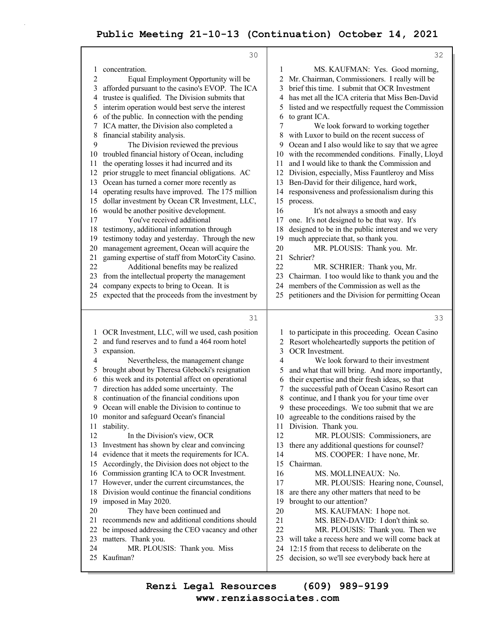|    | 30                                                |    | 32                                                                                  |
|----|---------------------------------------------------|----|-------------------------------------------------------------------------------------|
| 1  | concentration.                                    | 1  | MS. KAUFMAN: Yes. Good morning,                                                     |
| 2  | Equal Employment Opportunity will be              | 2  | Mr. Chairman, Commissioners. I really will be                                       |
| 3  | afforded pursuant to the casino's EVOP. The ICA   | 3  | brief this time. I submit that OCR Investment                                       |
| 4  | trustee is qualified. The Division submits that   | 4  | has met all the ICA criteria that Miss Ben-David                                    |
| 5  | interim operation would best serve the interest   | 5  | listed and we respectfully request the Commission                                   |
| 6  | of the public. In connection with the pending     | 6  | to grant ICA.                                                                       |
|    | ICA matter, the Division also completed a         | 7  |                                                                                     |
|    |                                                   |    | We look forward to working together<br>with Luxor to build on the recent success of |
| 8  | financial stability analysis.                     | 8  |                                                                                     |
| 9  | The Division reviewed the previous                | 9  | Ocean and I also would like to say that we agree                                    |
| 10 | troubled financial history of Ocean, including    | 10 | with the recommended conditions. Finally, Lloyd                                     |
| 11 | the operating losses it had incurred and its      | 11 | and I would like to thank the Commission and                                        |
| 12 | prior struggle to meet financial obligations. AC  | 12 | Division, especially, Miss Fauntleroy and Miss                                      |
| 13 | Ocean has turned a corner more recently as        | 13 | Ben-David for their diligence, hard work,                                           |
| 14 | operating results have improved. The 175 million  | 14 | responsiveness and professionalism during this                                      |
| 15 | dollar investment by Ocean CR Investment, LLC,    | 15 | process.                                                                            |
| 16 | would be another positive development.            | 16 | It's not always a smooth and easy                                                   |
| 17 | You've received additional                        | 17 | one. It's not designed to be that way. It's                                         |
| 18 | testimony, additional information through         | 18 | designed to be in the public interest and we very                                   |
| 19 | testimony today and yesterday. Through the new    | 19 | much appreciate that, so thank you.                                                 |
| 20 | management agreement, Ocean will acquire the      | 20 | MR. PLOUSIS: Thank you. Mr.                                                         |
| 21 | gaming expertise of staff from MotorCity Casino.  | 21 | Schrier?                                                                            |
| 22 | Additional benefits may be realized               | 22 | MR. SCHRIER: Thank you, Mr.                                                         |
| 23 | from the intellectual property the management     | 23 | Chairman. I too would like to thank you and the                                     |
| 24 | company expects to bring to Ocean. It is          | 24 | members of the Commission as well as the                                            |
| 25 | expected that the proceeds from the investment by | 25 | petitioners and the Division for permitting Ocean                                   |
|    |                                                   |    |                                                                                     |
|    |                                                   |    |                                                                                     |
|    | 31                                                |    | 33                                                                                  |
|    |                                                   |    |                                                                                     |
|    | OCR Investment, LLC, will we used, cash position  |    | to participate in this proceeding. Ocean Casino                                     |
| 2  | and fund reserves and to fund a 464 room hotel    | 2  | Resort wholeheartedly supports the petition of                                      |
| 3  | expansion.                                        | 3  | OCR Investment.                                                                     |
| 4  | Nevertheless, the management change               | 4  | We look forward to their investment                                                 |
| 5  | brought about by Theresa Glebocki's resignation   | 5  | and what that will bring. And more importantly,                                     |
| 6  | this week and its potential affect on operational | 6  | their expertise and their fresh ideas, so that                                      |
|    | direction has added some uncertainty. The         | 7  | the successful path of Ocean Casino Resort can                                      |
| 8  | continuation of the financial conditions upon     | 8  | continue, and I thank you for your time over                                        |
| 9. | Ocean will enable the Division to continue to     | 9. | these proceedings. We too submit that we are                                        |
| 10 | monitor and safeguard Ocean's financial           | 10 | agreeable to the conditions raised by the                                           |
| 11 | stability.                                        | 11 | Division. Thank you.                                                                |
| 12 | In the Division's view, OCR                       | 12 | MR. PLOUSIS: Commissioners, are                                                     |
| 13 | Investment has shown by clear and convincing      | 13 | there any additional questions for counsel?                                         |
| 14 | evidence that it meets the requirements for ICA.  | 14 | MS. COOPER: I have none, Mr.                                                        |
| 15 | Accordingly, the Division does not object to the  | 15 | Chairman.                                                                           |
| 16 | Commission granting ICA to OCR Investment.        | 16 | MS. MOLLINEAUX: No.                                                                 |
| 17 | However, under the current circumstances, the     | 17 | MR. PLOUSIS: Hearing none, Counsel,                                                 |
| 18 | Division would continue the financial conditions  | 18 | are there any other matters that need to be                                         |
| 19 | imposed in May 2020.                              | 19 | brought to our attention?                                                           |
| 20 | They have been continued and                      | 20 | MS. KAUFMAN: I hope not.                                                            |
| 21 | recommends new and additional conditions should   | 21 | MS. BEN-DAVID: I don't think so.                                                    |
| 22 | be imposed addressing the CEO vacancy and other   | 22 | MR. PLOUSIS: Thank you. Then we                                                     |
| 23 | matters. Thank you.                               | 23 | will take a recess here and we will come back at                                    |
| 24 | MR. PLOUSIS: Thank you. Miss                      | 24 | 12:15 from that recess to deliberate on the                                         |
| 25 | Kaufman?                                          | 25 | decision, so we'll see everybody back here at                                       |

**www.renziassociates.com Renzi Legal Resources (609) 989-9199**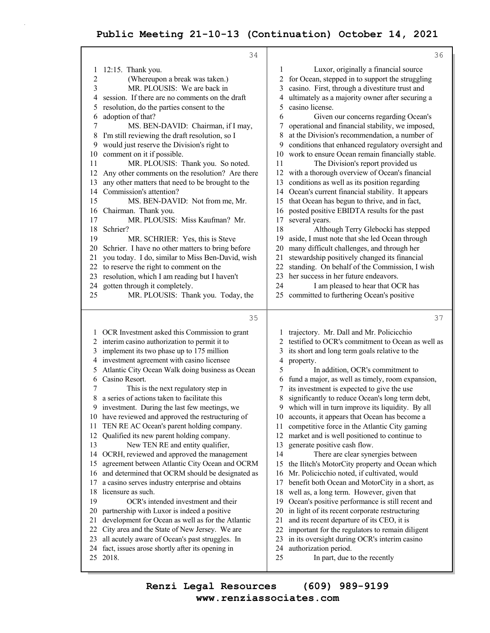|                | 34                                                                                           | 36                                                                                                      |
|----------------|----------------------------------------------------------------------------------------------|---------------------------------------------------------------------------------------------------------|
| 1              | 12:15. Thank you.                                                                            | Luxor, originally a financial source<br>1                                                               |
| $\overline{c}$ | (Whereupon a break was taken.)                                                               | for Ocean, stepped in to support the struggling<br>2                                                    |
| 3              | MR. PLOUSIS: We are back in                                                                  | casino. First, through a divestiture trust and<br>3                                                     |
| 4              | session. If there are no comments on the draft                                               | 4<br>ultimately as a majority owner after securing a                                                    |
| 5              | resolution, do the parties consent to the                                                    | casino license.<br>5                                                                                    |
| 6              | adoption of that?                                                                            | 6<br>Given our concerns regarding Ocean's                                                               |
| 7              | MS. BEN-DAVID: Chairman, if I may,                                                           | operational and financial stability, we imposed,<br>7                                                   |
| 8              | I'm still reviewing the draft resolution, so I                                               | at the Division's recommendation, a number of<br>8                                                      |
| 9              | would just reserve the Division's right to                                                   | conditions that enhanced regulatory oversight and<br>9                                                  |
| 10             | comment on it if possible.                                                                   | 10<br>work to ensure Ocean remain financially stable.                                                   |
| 11             | MR. PLOUSIS: Thank you. So noted.                                                            | 11<br>The Division's report provided us                                                                 |
| 12             | Any other comments on the resolution? Are there                                              | with a thorough overview of Ocean's financial<br>12                                                     |
| 13             | any other matters that need to be brought to the                                             | conditions as well as its position regarding<br>13                                                      |
| 14<br>15       | Commission's attention?                                                                      | Ocean's current financial stability. It appears<br>14                                                   |
| 16             | MS. BEN-DAVID: Not from me, Mr.<br>Chairman. Thank you.                                      | that Ocean has begun to thrive, and in fact,<br>15<br>posted positive EBIDTA results for the past<br>16 |
| 17             | MR. PLOUSIS: Miss Kaufman? Mr.                                                               | 17<br>several years.                                                                                    |
| 18             | Schrier?                                                                                     | 18<br>Although Terry Glebocki has stepped                                                               |
| 19             | MR. SCHRIER: Yes, this is Steve                                                              | aside, I must note that she led Ocean through<br>19                                                     |
| 20             | Schrier. I have no other matters to bring before                                             | 20<br>many difficult challenges, and through her                                                        |
| 21             | you today. I do, similar to Miss Ben-David, wish                                             | stewardship positively changed its financial<br>21                                                      |
| 22             | to reserve the right to comment on the                                                       | standing. On behalf of the Commission, I wish<br>22                                                     |
| 23             | resolution, which I am reading but I haven't                                                 | her success in her future endeavors.<br>23                                                              |
| 24             | gotten through it completely.                                                                | 24<br>I am pleased to hear that OCR has                                                                 |
| 25             | MR. PLOUSIS: Thank you. Today, the                                                           | committed to furthering Ocean's positive<br>25                                                          |
|                |                                                                                              |                                                                                                         |
|                |                                                                                              |                                                                                                         |
|                | 35                                                                                           | 37                                                                                                      |
|                | 1 OCR Investment asked this Commission to grant                                              | trajectory. Mr. Dall and Mr. Policicchio                                                                |
|                | 2 interim casino authorization to permit it to                                               | testified to OCR's commitment to Ocean as well as<br>2                                                  |
|                | 3 implement its two phase up to 175 million                                                  | 3<br>its short and long term goals relative to the                                                      |
| 4              | investment agreement with casino licensee                                                    | 4<br>property.                                                                                          |
| 5              | Atlantic City Ocean Walk doing business as Ocean                                             | 5<br>In addition, OCR's commitment to                                                                   |
| 6              | Casino Resort.                                                                               | fund a major, as well as timely, room expansion,<br>6                                                   |
| 7              | This is the next regulatory step in                                                          | its investment is expected to give the use<br>7                                                         |
| 8              | a series of actions taken to facilitate this                                                 | 8<br>significantly to reduce Ocean's long term debt,                                                    |
| 9.             | investment. During the last few meetings, we                                                 | 9 which will in turn improve its liquidity. By all                                                      |
| 10             | have reviewed and approved the restructuring of                                              | accounts, it appears that Ocean has become a<br>10                                                      |
| 11             | TEN RE AC Ocean's parent holding company.                                                    | competitive force in the Atlantic City gaming<br>11                                                     |
| 12             | Qualified its new parent holding company.                                                    | market and is well positioned to continue to<br>12                                                      |
| 13<br>14       | New TEN RE and entity qualifier,                                                             | generate positive cash flow.<br>13<br>14                                                                |
| 15             | OCRH, reviewed and approved the management<br>agreement between Atlantic City Ocean and OCRM | There are clear synergies between<br>15                                                                 |
| 16             | and determined that OCRM should be designated as                                             | the Ilitch's MotorCity property and Ocean which<br>Mr. Policicchio noted, if cultivated, would<br>16    |
| 17             | a casino serves industry enterprise and obtains                                              | benefit both Ocean and MotorCity in a short, as<br>17                                                   |
| 18             | licensure as such.                                                                           | well as, a long term. However, given that<br>18                                                         |
| 19             | OCR's intended investment and their                                                          | Ocean's positive performance is still recent and<br>19                                                  |
| 20             | partnership with Luxor is indeed a positive                                                  | in light of its recent corporate restructuring<br>20                                                    |
| 21             | development for Ocean as well as for the Atlantic                                            | and its recent departure of its CEO, it is<br>21                                                        |
| 22             | City area and the State of New Jersey. We are                                                | important for the regulators to remain diligent<br>22                                                   |
| 23             | all acutely aware of Ocean's past struggles. In                                              | 23<br>in its oversight during OCR's interim casino                                                      |
| 24<br>25       | fact, issues arose shortly after its opening in<br>2018.                                     | 24<br>authorization period.<br>25<br>In part, due to the recently                                       |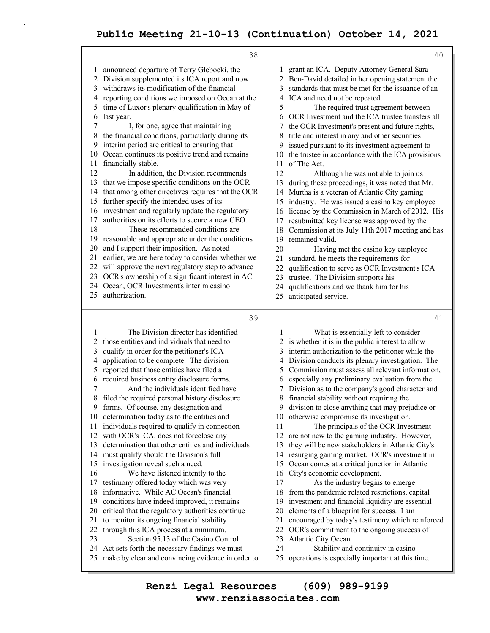|          | 38                                                                                              |          | 40                                                                                            |
|----------|-------------------------------------------------------------------------------------------------|----------|-----------------------------------------------------------------------------------------------|
| 1        | announced departure of Terry Glebocki, the                                                      | 1        | grant an ICA. Deputy Attorney General Sara                                                    |
| 2        | Division supplemented its ICA report and now                                                    | 2        | Ben-David detailed in her opening statement the                                               |
| 3        | withdraws its modification of the financial                                                     | 3        | standards that must be met for the issuance of an                                             |
| 4        | reporting conditions we imposed on Ocean at the                                                 | 4        | ICA and need not be repeated.                                                                 |
| 5        | time of Luxor's plenary qualification in May of                                                 | 5        | The required trust agreement between                                                          |
| 6        | last year.                                                                                      | 6        | OCR Investment and the ICA trustee transfers all                                              |
| 7        | I, for one, agree that maintaining                                                              | 7        | the OCR Investment's present and future rights,                                               |
| 8        | the financial conditions, particularly during its                                               | 8        | title and interest in any and other securities                                                |
| 9        | interim period are critical to ensuring that                                                    | 9        | issued pursuant to its investment agreement to                                                |
| 10       | Ocean continues its positive trend and remains                                                  | 10       | the trustee in accordance with the ICA provisions                                             |
| 11       | financially stable.                                                                             | 11       | of The Act.                                                                                   |
| 12       | In addition, the Division recommends                                                            | 12       | Although he was not able to join us                                                           |
| 13       | that we impose specific conditions on the OCR                                                   | 13       | during these proceedings, it was noted that Mr.                                               |
| 14       | that among other directives requires that the OCR                                               | 14       | Murtha is a veteran of Atlantic City gaming                                                   |
| 15       | further specify the intended uses of its                                                        | 15       | industry. He was issued a casino key employee                                                 |
| 16       | investment and regularly update the regulatory                                                  | 16       | license by the Commission in March of 2012. His                                               |
| 17       | authorities on its efforts to secure a new CEO.                                                 | 17       | resubmitted key license was approved by the                                                   |
| 18       | These recommended conditions are                                                                | 18       | Commission at its July 11th 2017 meeting and has                                              |
| 19       | reasonable and appropriate under the conditions                                                 | 19       | remained valid.                                                                               |
| 20       | and I support their imposition. As noted                                                        | 20       | Having met the casino key employee                                                            |
| 21       | earlier, we are here today to consider whether we                                               | 21       | standard, he meets the requirements for                                                       |
| 22       | will approve the next regulatory step to advance                                                | 22       | qualification to serve as OCR Investment's ICA                                                |
| 23       | OCR's ownership of a significant interest in AC                                                 | 23       | trustee. The Division supports his                                                            |
|          | 24 Ocean, OCR Investment's interim casino                                                       | 24       | qualifications and we thank him for his                                                       |
| 25       | authorization.                                                                                  | 25       | anticipated service.                                                                          |
|          |                                                                                                 |          |                                                                                               |
|          |                                                                                                 |          |                                                                                               |
|          | 39                                                                                              |          | 41                                                                                            |
| 1        | The Division director has identified                                                            | 1        | What is essentially left to consider                                                          |
| 2        | those entities and individuals that need to                                                     | 2        | is whether it is in the public interest to allow                                              |
| 3        | qualify in order for the petitioner's ICA                                                       | 3        | interim authorization to the petitioner while the                                             |
| 4        | application to be complete. The division                                                        | 4        | Division conducts its plenary investigation. The                                              |
| 5        | reported that those entities have filed a                                                       | 5        | Commission must assess all relevant information,                                              |
| 6        | required business entity disclosure forms.                                                      | 6        | especially any preliminary evaluation from the                                                |
| 7        | And the individuals identified have                                                             | 7        | Division as to the company's good character and                                               |
| 8        | filed the required personal history disclosure                                                  | 8        | financial stability without requiring the                                                     |
| 9        | forms. Of course, any designation and                                                           |          | 9 division to close anything that may prejudice or                                            |
| 10       | determination today as to the entities and                                                      |          | 10 otherwise compromise its investigation.                                                    |
| 11       | individuals required to qualify in connection                                                   | 11       | The principals of the OCR Investment                                                          |
| 12       | with OCR's ICA, does not foreclose any                                                          | 12       | are not new to the gaming industry. However,                                                  |
| 13       | determination that other entities and individuals                                               | 13       | they will be new stakeholders in Atlantic City's                                              |
| 14       | must qualify should the Division's full                                                         | 14       | resurging gaming market. OCR's investment in                                                  |
| 15       | investigation reveal such a need.                                                               | 15       | Ocean comes at a critical junction in Atlantic                                                |
| 16<br>17 | We have listened intently to the                                                                | 16<br>17 | City's economic development.                                                                  |
| 18       | testimony offered today which was very<br>informative. While AC Ocean's financial               | 18       | As the industry begins to emerge                                                              |
| 19       |                                                                                                 | 19       | from the pandemic related restrictions, capital                                               |
| 20       | conditions have indeed improved, it remains                                                     | 20       | investment and financial liquidity are essential<br>elements of a blueprint for success. I am |
| 21       | critical that the regulatory authorities continue<br>to monitor its ongoing financial stability | 21       | encouraged by today's testimony which reinforced                                              |
| 22       | through this ICA process at a minimum.                                                          | 22       | OCR's commitment to the ongoing success of                                                    |
| 23       | Section 95.13 of the Casino Control                                                             | 23       | Atlantic City Ocean.                                                                          |
| 24       | Act sets forth the necessary findings we must                                                   | 24       | Stability and continuity in casino                                                            |
| 25       | make by clear and convincing evidence in order to                                               | 25       | operations is especially important at this time.                                              |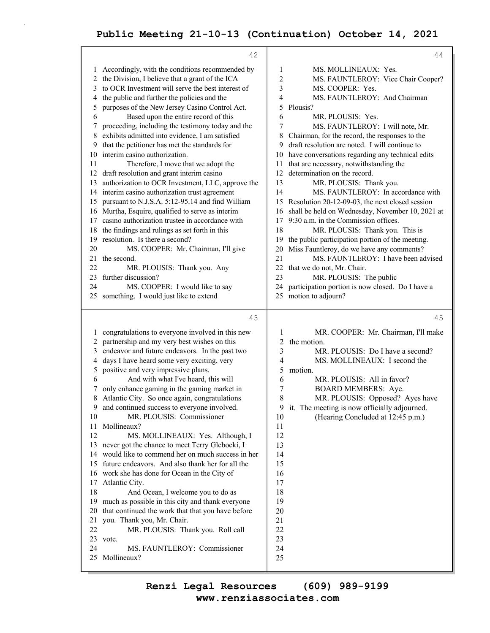|              | 42                                                                                              |                          | 44                                                                          |
|--------------|-------------------------------------------------------------------------------------------------|--------------------------|-----------------------------------------------------------------------------|
|              | 1 Accordingly, with the conditions recommended by                                               | 1                        | MS. MOLLINEAUX: Yes.                                                        |
|              | the Division, I believe that a grant of the ICA                                                 | 2                        | MS. FAUNTLEROY: Vice Chair Cooper?                                          |
| 3            | to OCR Investment will serve the best interest of                                               | 3                        | MS. COOPER: Yes.                                                            |
| 4            | the public and further the policies and the                                                     | 4                        | MS. FAUNTLEROY: And Chairman                                                |
| 5            | purposes of the New Jersey Casino Control Act.                                                  | 5<br>Plousis?            |                                                                             |
| 6            | Based upon the entire record of this                                                            | 6                        | MR. PLOUSIS: Yes.                                                           |
| 7            | proceeding, including the testimony today and the                                               | 7                        | MS. FAUNTLEROY: I will note, Mr.                                            |
| 8            | exhibits admitted into evidence, I am satisfied                                                 | 8                        | Chairman, for the record, the responses to the                              |
| 9            | that the petitioner has met the standards for                                                   | 9                        | draft resolution are noted. I will continue to                              |
| 10           | interim casino authorization.                                                                   | 10                       | have conversations regarding any technical edits                            |
| 11           | Therefore, I move that we adopt the                                                             | 11                       | that are necessary, notwithstanding the                                     |
| 12           | draft resolution and grant interim casino                                                       | 12                       | determination on the record.                                                |
| 13           | authorization to OCR Investment, LLC, approve the                                               | 13                       | MR. PLOUSIS: Thank you.                                                     |
|              | 14 interim casino authorization trust agreement                                                 | 14                       | MS. FAUNTLEROY: In accordance with                                          |
| 15           | pursuant to N.J.S.A. 5:12-95.14 and find William                                                | 15                       | Resolution 20-12-09-03, the next closed session                             |
|              | 16 Murtha, Esquire, qualified to serve as interim                                               | 16                       | shall be held on Wednesday, November 10, 2021 at                            |
| 17           | casino authorization trustee in accordance with                                                 | 17                       | 9:30 a.m. in the Commission offices.                                        |
| 18           | the findings and rulings as set forth in this                                                   | 18                       | MR. PLOUSIS: Thank you. This is                                             |
| 19           | resolution. Is there a second?                                                                  | 19                       | the public participation portion of the meeting.                            |
| 20           | MS. COOPER: Mr. Chairman, I'll give                                                             | 20                       | Miss Fauntleroy, do we have any comments?                                   |
|              | 21 the second.                                                                                  | 21                       | MS. FAUNTLEROY: I have been advised                                         |
| 22           | MR. PLOUSIS: Thank you. Any                                                                     | 22<br>23                 | that we do not, Mr. Chair.                                                  |
| 23<br>24     | further discussion?<br>MS. COOPER: I would like to say                                          | 24                       | MR. PLOUSIS: The public<br>participation portion is now closed. Do I have a |
| 25           | something. I would just like to extend                                                          | motion to adjourn?<br>25 |                                                                             |
|              |                                                                                                 |                          |                                                                             |
|              |                                                                                                 |                          |                                                                             |
|              | 43                                                                                              |                          | 45                                                                          |
| $\mathbf{I}$ |                                                                                                 | 1                        |                                                                             |
| 2            | congratulations to everyone involved in this new<br>partnership and my very best wishes on this | 2<br>the motion.         | MR. COOPER: Mr. Chairman, I'll make                                         |
| 3            | endeavor and future endeavors. In the past two                                                  | 3                        | MR. PLOUSIS: Do I have a second?                                            |
| 4            | days I have heard some very exciting, very                                                      | 4                        | MS. MOLLINEAUX: I second the                                                |
| 5            | positive and very impressive plans.                                                             | 5<br>motion.             |                                                                             |
| 6            | And with what I've heard, this will                                                             | 6                        | MR. PLOUSIS: All in favor?                                                  |
| 7            | only enhance gaming in the gaming market in                                                     | 7                        | <b>BOARD MEMBERS: Aye.</b>                                                  |
| 8            | Atlantic City. So once again, congratulations                                                   | 8                        | MR. PLOUSIS: Opposed? Ayes have                                             |
| 9            | and continued success to everyone involved.                                                     | 9                        | it. The meeting is now officially adjourned.                                |
| 10           | MR. PLOUSIS: Commissioner                                                                       | 10                       | (Hearing Concluded at 12:45 p.m.)                                           |
|              | 11 Mollineaux?                                                                                  | 11                       |                                                                             |
| 12           | MS. MOLLINEAUX: Yes. Although, I                                                                | 12                       |                                                                             |
|              | 13 never got the chance to meet Terry Glebocki, I                                               | 13                       |                                                                             |
| 14           | would like to commend her on much success in her                                                | 14                       |                                                                             |
| 15           | future endeavors. And also thank her for all the                                                | 15                       |                                                                             |
|              | 16 work she has done for Ocean in the City of                                                   | 16                       |                                                                             |
| 17           | Atlantic City.                                                                                  | 17                       |                                                                             |
| 18           | And Ocean, I welcome you to do as                                                               | 18                       |                                                                             |
| 19<br>20     | much as possible in this city and thank everyone                                                | 19                       |                                                                             |
| 21           | that continued the work that that you have before<br>you. Thank you, Mr. Chair.                 | 20<br>21                 |                                                                             |
| 22           | MR. PLOUSIS: Thank you. Roll call                                                               | 22                       |                                                                             |
|              | 23 vote.                                                                                        | 23                       |                                                                             |
| 24           | MS. FAUNTLEROY: Commissioner                                                                    | 24                       |                                                                             |
| 25           | Mollineaux?                                                                                     | 25                       |                                                                             |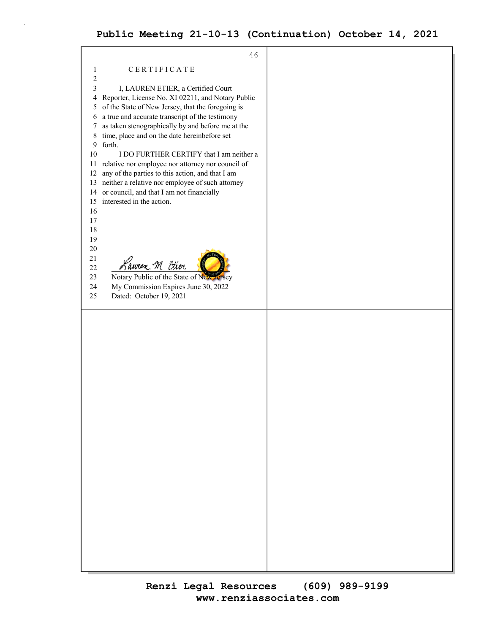46 1 CERTIFICATE 2 3 I, LAUREN ETIER, a Certified Court 4 Reporter, License No. XI 02211, and Notary Public 5 of the State of New Jersey, that the foregoing is 6 a true and accurate transcript of the testimony 7 as taken stenographically by and before me at the 8 time, place and on the date hereinbefore set 9 forth. 10 I DO FURTHER CERTIFY that I am neither a 11 relative nor employee nor attorney nor council of 12 any of the parties to this action, and that I am 13 neither a relative nor employee of such attorney 14 or council, and that I am not financially 15 interested in the action. 16 17 18 19 20 21  $\frac{21}{22}$  Lauren M. Etier 23 Notary Public of the State of New 24 My Commission Expires June 30, 2022 25 Dated: October 19, 2021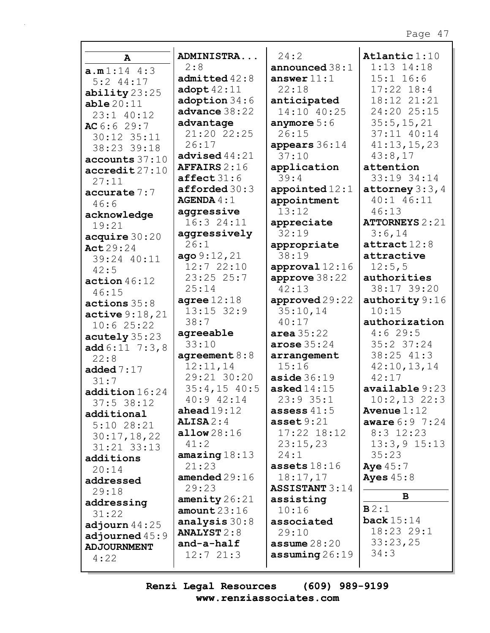| $\mathbf{A}$               | ADMINISTRA                      | 24:2                         | Atlantic $1:10$           |
|----------------------------|---------------------------------|------------------------------|---------------------------|
|                            | 2:8                             | announced $38:1$             | $1:13$ $14:18$            |
| a.m1:14 4:3<br>$5:2$ 44:17 | $admitted$ $42:8$               | answer $11:1$                | $15:1$ $16:6$             |
| ability $23:25$            | adopt $42:11$                   | 22:18                        | $17:22$ $18:4$            |
| able20:11                  | adoption 34:6                   | anticipated                  | 18:12 21:21               |
| $23:1$ $40:12$             | advance 38:22                   | 14:10 40:25                  | 24:20 25:15               |
| AC6:629:7                  | advantage                       | anymore $5:6$                | 35:5, 15, 21              |
| 30:12 35:11                | 21:20 22:25                     | 26:15                        | 37:11 40:14               |
| 38:23 39:18                | 26:17                           | appears 36:14                | 41:13,15,23               |
| accounts 37:10             | advised $44:21$                 | 37:10                        | 43:8,17                   |
| $\texttt{accredit27:10}$   | <b>AFFAIRS</b> $2:16$           | application                  | attention                 |
| 27:11                      | $\texttt{affect} 31:6$          | 39:4                         | 33:19 34:14               |
| accurate 7:7               | $\texttt{affordered}~30:3$      | appointed $12:1$             | attorney $3:3,4$          |
| 46:6                       | AGENDA 4:1                      | appointment                  | 40:1 46:11                |
| acknowledge                | aggressive                      | 13:12                        | 46:13                     |
| 19:21                      | 16:324:11                       | appreciate                   | <b>ATTORNEYS</b> 2:21     |
| acquire 30:20              | aggressively                    | 32:19                        | 3:6,14                    |
| Act 29:24                  | 26:1                            | appropriate                  | $\texttt{attract}$ 12:8   |
| 39:24 40:11                | ago 9:12, 21                    | 38:19                        | attractive                |
| 42:5                       | 12:722:10                       | approval $12:16$             | 12:5,5                    |
| action $46:12$             | 23:2525:7                       | approve $38:22$<br>42:13     | authorities               |
| 46:15                      | 25:14                           |                              | 38:17 39:20               |
| actions 35:8               | agree $12:18$<br>$13:15$ $32:9$ | approved 29:22<br>35:10,14   | authority $9:16$<br>10:15 |
| active 9:18,21             | 38:7                            | 40:17                        | authorization             |
| 10:625:22                  | agreeable                       | area 35:22                   | 4:629:5                   |
| acutely 35:23              | 33:10                           | arose $35:24$                | $35:2$ $37:24$            |
| add $6:11 \ 7:3,8$         | agreement $8:8$                 | arrangement                  | 38:25 41:3                |
| 22:8                       | 12:11,14                        | 15:16                        | 42:10,13,14               |
| added $7:17$<br>31:7       | 29:21 30:20                     | $\texttt{aside}~36:19$       | 42:17                     |
| addition16:24              | $35:4,15$ 40:5                  | asked $14:15$                | available 9:23            |
| $37:5$ 38:12               | 40:9 42:14                      | 23:9 35:1                    | $10:2,13$ 22:3            |
| additional                 | ahead $19:12$                   | assess $41:5$                | Avenue $1:12$             |
| $5:10$ 28:21               | $ALISA$ $2:4$                   | $\texttt{asset}9:21$         | <b>aware</b> $6:9$ 7:24   |
| 30:17,18,22                | allow28:16                      | 17:22 18:12                  | $8:3$ 12:23               |
| $31:21$ $33:13$            | 41:2                            | 23:15,23                     | $13:3,9$ $15:13$          |
| additions                  | amazing $18:13$                 | 24:1                         | 35:23                     |
| 20:14                      | 21:23                           | assets $18:16$               | Aye $45:7$                |
| addressed                  | amended $29:16$                 | 18:17,17                     | Ayes $45:8$               |
| 29:18                      | 29:23                           | <b>ASSISTANT 3:14</b>        |                           |
| addressing                 | amenity $26:21$                 | assisting                    | B                         |
| 31:22                      | amount23:16                     | 10:16                        | B2:1                      |
| adjourn $44:25$            | analysis $30:8$                 | associated                   | back $15:14$              |
| adjourned $45:9$           | <b>ANALYST 2:8</b>              | 29:10                        | 18:23 29:1                |
| <b>ADJOURNMENT</b>         | and-a-half                      | assume $28:20$               | 33:23,25<br>34:3          |
| 4:22                       | 12:721:3                        | $\texttt{assuming} \, 26:19$ |                           |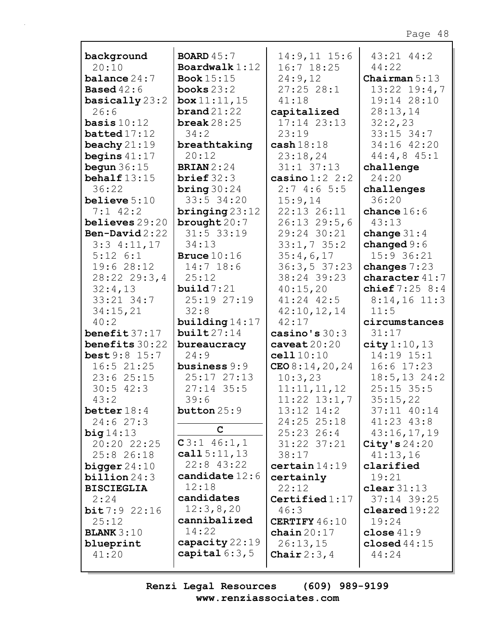| background                               | <b>BOARD</b> $45:7$                  | $14:9,11$ $15:6$            | $43:21$ $44:2$                     |
|------------------------------------------|--------------------------------------|-----------------------------|------------------------------------|
| 20:10                                    | Boardwalk $1:12$                     | $16:7$ $18:25$              | 44:22                              |
| balance 24:7                             | <b>Book</b> 15:15                    | 24:9,12                     | Chairman $5:13$                    |
| <b>Based</b> $42:6$                      | books $23:2$                         | 27:2528:1                   | $13:22$ $19:4,7$                   |
| basically $23:2$                         | box 11:11,15                         | 41:18                       | 19:14 28:10                        |
| 26:6                                     | $\boldsymbol{\texttt{brand}}\,21:22$ | capitalized                 | 28:13,14                           |
| basis $10:12$                            | break $28:25$                        | $17:14$ $23:13$             | 32:2,23                            |
| batted17:12                              | 34:2                                 | 23:19                       | $33:15$ $34:7$                     |
| beachy $21:19$                           | breathtaking                         | $\cosh 18:18$               | 34:16 42:20                        |
| begins $41:17$                           | 20:12                                | 23:18,24                    | $44:4,8$ $45:1$                    |
| begun $36:15$                            | <b>BRIAN</b> $2:24$                  | $31:1$ $37:13$              | challenge                          |
| behalf $13:15$                           | $brief 32:3$                         | casino $1:2$ 2:2            | 24:20                              |
| 36:22                                    | bring $30:24$                        | 2:74:65:5                   | challenges                         |
| believe $5:10$                           | 33:5 34:20                           | 15:9,14                     | 36:20                              |
| $7:1$ 42:2                               | $\frac{\text{bringing}}{23:12}$      | 22:13 26:11                 | chance $16:6$                      |
| believes 29:20                           | brought $20:7$                       | $26:13$ 29:5,6              | 43:13                              |
| Ben-David $2:22$                         | $31:5$ 33:19                         | 29:24 30:21                 | change $31:4$                      |
| $3:3$ 4:11,17                            | 34:13                                | 33:1,735:2                  | changed $9:6$                      |
| $5:12 \; 6:1$<br>19:6 28:12              | Bruce $10:16$                        | 35:4,6,17                   | $15:9$ 36:21                       |
| 28:22 29:3,4                             | $14:7$ 18:6<br>25:12                 | 36:3, 537:23<br>38:24 39:23 | changes $7:23$<br>character $41:7$ |
| 32:4,13                                  | build 7:21                           | 40:15,20                    | chief $7:25$ $8:4$                 |
| 33:21 34:7                               | 25:19 27:19                          | $41:24$ $42:5$              | $8:14,16$ 11:3                     |
| 34:15,21                                 | 32:8                                 | 42:10,12,14                 | 11:5                               |
| 40:2                                     | building $14:17$                     | 42:17                       | circumstances                      |
|                                          |                                      |                             |                                    |
|                                          |                                      |                             |                                    |
| benefit37:17                             | build27:14                           | casino's $30:3$             | 31:17                              |
| benefits 30:22<br><b>best</b> $9:8$ 15:7 | bureaucracy<br>24:9                  | caveat20:20<br>cell10:10    | city 1:10, 13<br>14:19 15:1        |
| $16:5$ 21:25                             | business $9:9$                       | CEO 8:14, 20, 24            | $16:6$ 17:23                       |
| $23:6$ $25:15$                           | 25:17 27:13                          | 10:3,23                     | $18:5, 13$ 24:2                    |
| $30:5$ 42:3                              | $27:14$ 35:5                         | 11:11,11,12                 | $25:15$ 35:5                       |
| 43:2                                     | 39:6                                 | $11:22$ $13:1,7$            | 35:15,22                           |
| better $18:4$                            | button 25:9                          | $13:12$ $14:2$              | 37:11 40:14                        |
| 24:627:3                                 |                                      | 24:25 25:18                 | $41:23$ $43:8$                     |
| big14:13                                 | $\mathbf C$                          | $25:23$ 26:4                | 43:16,17,19                        |
| 20:20 22:25                              | $C3:1$ 46:1,1                        | 31:22 37:21                 | City's $24:20$                     |
| 25:8 26:18                               | call $5:11,13$                       | 38:17                       | 41:13,16                           |
| bigger $24:10$                           | $22:8$ 43:22                         | certain14:19                | clarified                          |
| $billion 24:3$                           | candidate $12:6$                     | certainly                   | 19:21                              |
| <b>BISCIEGLIA</b>                        | 12:18                                | 22:12                       | clear $31:13$                      |
| 2:24                                     | candidates                           | Certified $1:17$            | 37:14 39:25                        |
| bit7:92:16                               | 12:3,8,20                            | 46:3                        | $cleaned 19:22$                    |
| 25:12                                    | cannibalized                         | CERTIFY 46:10               | 19:24                              |
| <b>BLANK</b> $3:10$                      | 14:22                                | chain $20:17$               | close $41:9$                       |
| blueprint<br>41:20                       | capacity 22:19<br>capital $6:3,5$    | 26:13,15<br>Chair $2:3,4$   | closed $44:15$<br>44:24            |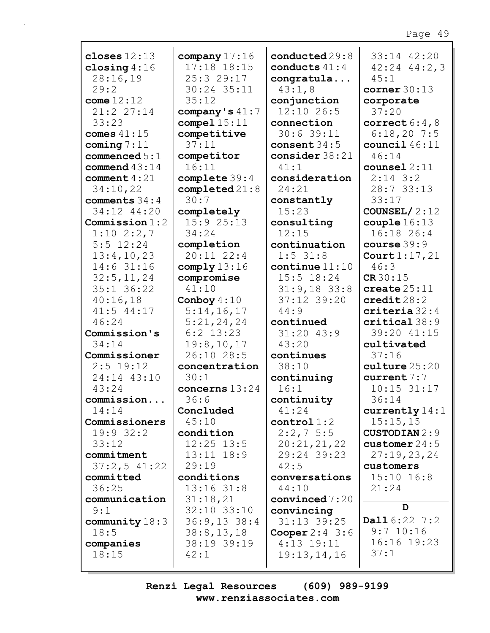| closes $12:13$   | company $17:16$            | conducted $29:8$         | 33:14 42:20             |
|------------------|----------------------------|--------------------------|-------------------------|
| closing $4:16$   | 17:18 18:15                | conducts $41:4$          | $42:24$ $44:2,3$        |
| 28:16,19         | 25:329:17                  | congratula               | 45:1                    |
| 29:2             | 30:24 35:11                | 43:1,8                   | corner $30:13$          |
| come $12:12$     | 35:12                      | conjunction              | corporate               |
| 21:2 27:14       | company's $41:7$           | 12:10 26:5               | 37:20                   |
| 33:23            | compel15:11                | connection               | correct $6:4,8$         |
| comes $41:15$    | competitive                | 30:639:11                | 6:18,207:5              |
| coming $7:11$    | 37:11                      | consent $34:5$           | council $46:11$         |
| commenced $5:1$  | competitor                 | consider $38:21$         | 46:14                   |
| commend $43:14$  | 16:11                      | 41:1                     | counsel $2:11$          |
| comment $4:21$   | complete 39:4              | consideration            | $2:14$ 3:2              |
| 34:10,22         | $\texttt{completed}\,21:8$ | 24:21                    | 28:7 33:13              |
| comments 34:4    | 30:7                       | constantly               | 33:17                   |
| 34:12 44:20      | completely                 | 15:23                    | COUNSEL/ $2:12$         |
| Commission $1:2$ | 15:925:13                  | consulting               | $\texttt{couple} 16:13$ |
| $1:10$ $2:2,7$   | 34:24                      | 12:15                    | 16:18 26:4              |
| $5:5$ 12:24      | completion                 | continuation             | course $39:9$           |
| 13:4,10,23       | $20:11$ $22:4$             | $1:5$ 31:8               | Court 1:17, 21          |
| $14:6$ 31:16     | comply $13:16$             | $\text{continue } 11:10$ | 46:3                    |
| 32:5, 11, 24     | compromise                 | $15:5$ $18:24$           | CR30:15                 |
| 35:1 36:22       | 41:10                      | $31:9,18$ 33:8           | create $25:11$          |
| 40:16,18         | Conboy $4:10$              | 37:12 39:20              | $\texttt{credit28:2}$   |
| 41:5 44:17       | 5:14,16,17                 | 44:9                     | $criteria$ 32:4         |
| 46:24            | 5:21,24,24                 | continued                | critical38:9            |
| Commission's     | $6:2$ 13:23                | $31:20$ 43:9             | 39:20 41:15             |
| 34:14            | 19:8, 10, 17               | 43:20                    | cultivated              |
| Commissioner     | 26:10 28:5                 | continues                | 37:16                   |
| $2:5$ 19:12      | concentration              | 38:10                    | culture25:20            |
| 24:14 43:10      | 30:1                       | continuing               | current7:7              |
| 43:24            | concerns $13:24$           | 16:1                     | $10:15$ 31:17           |
| commission       | 36:6                       | continuity               | 36:14                   |
| 14:14            | Concluded                  | 41:24                    | currently $14:1$        |
| Commissioners    | 45:10                      | control1:2               | 15:15,15                |
| 19:9 32:2        | condition                  | $2:2,7$ 5:5              | <b>CUSTODIAN 2:9</b>    |
| 33:12            | $12:25$ $13:5$             | 20:21,21,22              | customer $24:5$         |
| commitment       | $13:11$ $18:9$             | 29:24 39:23              | 27:19,23,24             |
| 37:2,541:22      | 29:19                      | 42:5                     | customers               |
| committed        | conditions                 | conversations            | $15:10$ $16:8$          |
| 36:25            | $13:16$ $31:8$             | 44:10                    | 21:24                   |
| communication    | 31:18,21                   | convinced $7:20$         |                         |
| 9:1              | 32:10 33:10                | convincing               | D                       |
| community $18:3$ | $36:9,13$ 38:4             | $31:13$ $39:25$          | Dall 6:22 7:2           |
| 18:5             | 38:8,13,18                 | Cooper $2:4$ 3:6         | $9:7$ 10:16             |
| companies        | 38:19 39:19                | $4:13$ 19:11             | 16:16 19:23             |
| 18:15            | 42:1                       | 19:13,14,16              | 37:1                    |
|                  |                            |                          |                         |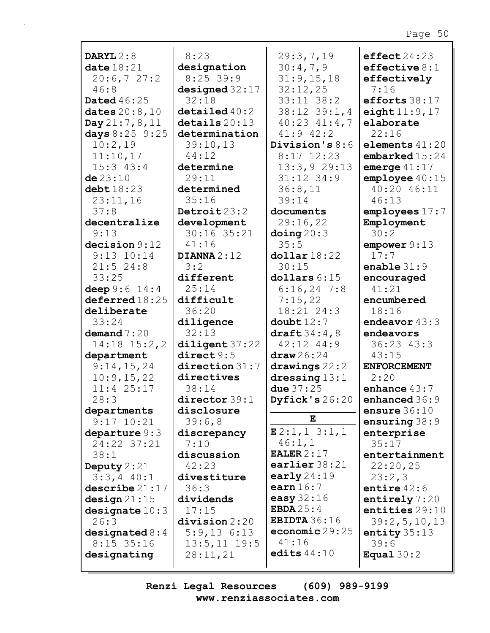| DARYL $2:8$        | 8:23                     | 29:3,7,19             | effect 24:23       |
|--------------------|--------------------------|-----------------------|--------------------|
| date $18:21$       | designation              | 30:4,7,9              | effective $8:1$    |
| 20:6,727:2         | $8:25$ 39:9              | 31:9,15,18            | effectively        |
| 46:8               | designed $32:17$         | 32:12,25              | 7:16               |
| <b>Dated</b> 46:25 | 32:18                    | $33:11$ $38:2$        | efforts 38:17      |
| dates $20:8,10$    | $\texttt{detailed}$ 40:2 | $38:12$ $39:1,4$      | eight $11:9,17$    |
| Day $21:7,8,11$    | details20:13             | 40:23 41:4,7          | elaborate          |
| days $8:25$ 9:25   | determination            | $41:9$ $42:2$         | 22:16              |
| 10:2,19            | 39:10,13                 | Division's $8:6$      | elements $41:20$   |
| 11:10,17           | 44:12                    | $8:17$ 12:23          | embarked15:24      |
| $15:3$ $43:4$      | determine                | 13:3,929:13           | emerge $41:17$     |
| de 23:10           | 29:11                    | $31:12$ $34:9$        | emplove40:15       |
|                    |                          |                       | 40:20 46:11        |
| $\text{debt}18:23$ | determined               | 36:8,11               |                    |
| 23:11,16           | 35:16                    | 39:14                 | 46:13              |
| 37:8               | Detroit $23:2$           | documents             | employes 17:7      |
| decentralize       | development              | 29:16,22              | Employment         |
| 9:13               | 30:16 35:21              | $\Delta$ doing 20:3   | 30:2               |
| decision 9:12      | 41:16                    | 35:5                  | empower 9:13       |
| $9:13$ $10:14$     | DIANNA $2:12$            | $\text{dollar} 18:22$ | 17:7               |
| $21:5$ 24:8        | 3:2                      | 30:15                 | enable $31:9$      |
| 33:25              | different                | dollars 6:15          | encouraged         |
| deep $9:6$ 14:4    | 25:14                    | $6:16,24$ 7:8         | 41:21              |
| deferred18:25      | difficult                | 7:15,22               | encumbered         |
| deliberate         | 36:20                    | 18:21 24:3            | 18:16              |
| 33:24              | diligence                | double12:7            | endeavor $43:3$    |
| demand $7:20$      | 32:13                    | draft $34:4,8$        | endeavors          |
| $14:18$ $15:2,2$   | diligent 37:22           | $42:12$ $44:9$        | $36:23$ 43:3       |
|                    | direct 9:5               | $\text{draw} 26:24$   | 43:15              |
| department         |                          |                       | <b>ENFORCEMENT</b> |
| 9:14,15,24         | $\text{direction } 31:7$ | drawings $22:2$       |                    |
| 10:9, 15, 22       | directives               | dressing $13:1$       | 2:20               |
| $11:4$ 25:17       | 38:14                    | due $37:25$           | enhance $43:7$     |
| 28:3               | director 39:1            | Dyfick's $26:20$      | enhanced 36:9      |
| departments        | disclosure               |                       | ensure $36:10$     |
| $9:17$ $10:21$     | 39:6,8                   | Е                     | ensuring $38:9$    |
| departure $9:3$    | discrepancy              | E2:1, 1 3:1, 1        | enterprise         |
| 24:22 37:21        | 7:10                     | 46:1,1                | 35:17              |
| 38:1               | discussion               | EALER $2:17$          | entertainment      |
| Deputy $2:21$      | 42:23                    | earlier 38:21         | 22:20,25           |
| $3:3,4$ 40:1       | divestiture              | early $24:19$         | 23:2,3             |
| describe21:17      | 36:3                     | earn $16:7$           | entire $42:6$      |
| design 21:15       | dividends                | easy $32:16$          | entirely $7:20$    |
| designate $10:3$   | 17:15                    | EBDA $25:4$           | entities 29:10     |
| 26:3               | division 2:20            | EBIDTA $36:16$        | 39:2, 5, 10, 13    |
|                    | $5:9,13$ $6:13$          | economic $29:25$      | entity $35:13$     |
| designated $8:4$   |                          | 41:16                 |                    |
| $8:15$ 35:16       | $13:5, 11$ 19:5          | edits $44:10$         | 39:6               |
| designating        | 28:11,21                 |                       | Equal $30:2$       |
|                    |                          |                       |                    |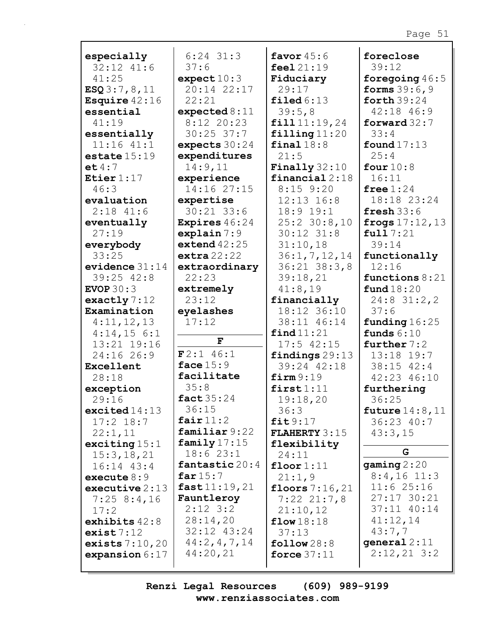| especially<br>$32:12$ $41:6$<br>41:25<br>ESQ3:7,8,11 | $6:24$ 31:3<br>37:6<br>expect $10:3$<br>20:14 22:17 | favor $45:6$<br>feel 21:19<br>Fiduciary<br>29:17 | foreclose<br>39:12<br>foregoing $46:5$<br><b>forms</b> $39:6,9$ |
|------------------------------------------------------|-----------------------------------------------------|--------------------------------------------------|-----------------------------------------------------------------|
| Esquire $42:16$                                      | 22:21                                               | $\texttt{filed} 6:13$                            | forth $39:24$                                                   |
| essential                                            | expected 8:11                                       | 39:5,8                                           | 42:18 46:9                                                      |
| 41:19                                                | 8:12 20:23                                          | fill11:19,24                                     | forward $32:7$                                                  |
| essentially                                          | $30:25$ 37:7                                        | $\texttt{filling}$ 11:20                         | 33:4                                                            |
| $11:16$ $41:1$                                       | expects $30:24$                                     | final $18:8$                                     | found $17:13$                                                   |
| estate $15:19$                                       | expenditures                                        | 21:5                                             | 25:4                                                            |
| et 4:7                                               | 14:9,11                                             | Finally $32:10$                                  | four $10:8$                                                     |
| Etier $1:17$                                         | experience                                          | financial $2:18$                                 | 16:11                                                           |
| 46:3                                                 | 14:16 27:15                                         | $8:15$ $9:20$                                    | free $1:24$                                                     |
| evaluation                                           | expertise                                           | $12:13$ $16:8$                                   | 18:18 23:24                                                     |
| $2:18$ 41:6                                          | $30:21$ 33:6                                        | $18:9$ $19:1$                                    | fresh $33:6$                                                    |
| eventually                                           | Expires 46:24                                       | $25:2$ 30:8,10                                   | frogs $17:12, 13$                                               |
| 27:19                                                | explain 7:9                                         | $30:12$ $31:8$                                   | full 7:21                                                       |
| everybody                                            | extend $42:25$                                      | 31:10,18                                         | 39:14                                                           |
| 33:25                                                | extra $22:22$                                       | 36:1, 7, 12, 14                                  | functionally                                                    |
| evidence $31:14$                                     | extraordinary                                       | $36:21$ $38:3,8$                                 | 12:16                                                           |
| $39:25$ $42:8$                                       | 22:23                                               | 39:18,21                                         | functions $8:21$                                                |
| EVOP $30:3$                                          | extremely                                           | 41:8,19                                          | fund18:20                                                       |
| exactly $7:12$                                       | 23:12                                               | financially                                      | $24:8$ 31:2,2                                                   |
| Examination                                          | eyelashes                                           | 18:12 36:10                                      | 37:6                                                            |
| 4:11,12,13                                           | 17:12                                               | 38:11 46:14                                      | funding $16:25$                                                 |
| $4:14,15$ 6:1                                        | $\mathbf F$                                         | find 11:21                                       | funds $6:10$                                                    |
| 13:21 19:16                                          |                                                     | $17:5$ $42:15$                                   | further $7:2$                                                   |
| 24:16 26:9                                           | $F2:1$ 46:1                                         | findings $29:13$                                 | 13:18 19:7                                                      |
| Excellent                                            | face $15:9$                                         | 39:24 42:18                                      | 38:15 42:4                                                      |
| 28:18                                                | facilitate                                          | firm 9:19                                        | 42:23 46:10                                                     |
| exception                                            | 35:8                                                | first1:11                                        | furthering                                                      |
| 29:16                                                | fact $35:24$                                        | 19:18,20                                         | 36:25                                                           |
| excited $14:13$                                      | 36:15                                               | 36:3                                             | future $14:8$ , $11$                                            |
| $17:2$ $18:7$                                        | fair $11:2$                                         | fit9:17                                          | 36:23 40:7                                                      |
| 22:1,11                                              | familiar 9:22                                       | <b>FLAHERTY</b> $3:15$                           | 43:3,15                                                         |
| exciting $15:1$                                      | family $17:15$                                      | flexibility                                      | G                                                               |
| 15:3, 18, 21                                         | 18:623:1                                            | 24:11                                            |                                                                 |
| $16:14$ $43:4$                                       | fantastic 20:4                                      | floor1:11                                        | gamma2:20                                                       |
| execute $8:9$                                        | far $15:7$                                          | 21:1,9                                           | $8:4,16$ 11:3                                                   |
| executive $2:13$                                     | fast11:19,21                                        | floors $7:16,21$                                 | 11:625:16                                                       |
| 7:258:4,16                                           | Fauntleroy                                          | $7:22$ $21:7,8$                                  | $27:17$ 30:21                                                   |
| 17:2                                                 | $2:12$ 3:2                                          | 21:10,12                                         | 37:11 40:14                                                     |
| exhibits $42:8$                                      | 28:14,20                                            | flow $18:18$                                     | 41:12,14                                                        |
| exist7:12                                            | 32:12 43:24                                         | 37:13                                            | 43:7,7                                                          |
| exists $7:10,20$                                     | 44:2, 4, 7, 14                                      | $\texttt{follow}28:8$                            | general $2:11$                                                  |
| expansion $6:17$                                     | 44:20,21                                            | force $37:11$                                    | $2:12,21$ 3:2                                                   |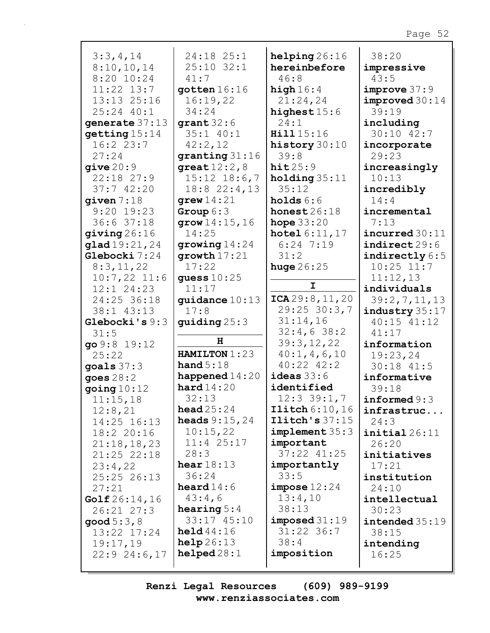| 3:3,4,14         | 24:18 25:1                        | helping26:16                  | 38:20                              |
|------------------|-----------------------------------|-------------------------------|------------------------------------|
| 8:10,10,14       | $25:10$ 32:1                      | hereinbefore                  | impressive                         |
| 8:20 10:24       | 41:7                              | 46:8                          | 43:5                               |
| $11:22$ $13:7$   | gotten 16:16                      | high $16:4$                   | improve 37:9                       |
| 13:13 25:16      | 16:19,22                          | 21:24,24                      | improved30:14                      |
| 25:24 40:1       | 34:24                             | highest $15:6$                | 39:19                              |
| generate 37:13   | grant $32:6$                      | 24:1                          | including                          |
| getting 15:14    | $35:1$ 40:1                       | Hill 15:16                    | 30:10 42:7                         |
| 16:223:7         | 42:2,12                           | history $30:10$               | incorporate                        |
| 27:24            | granting $31:16$                  | 39:8                          | 29:23                              |
| give 20:9        | great $12:2,8$                    | hit25:9                       | increasingly                       |
| $22:18$ $27:9$   | $15:12$ $18:6,7$                  | holding $35:11$               | 10:13                              |
| 37:742:20        | $18:8$ 22:4, 13                   | 35:12                         | incredibly                         |
| qiven 7:18       | grew $14:21$                      | holds $6:6$                   | 14:4                               |
| $9:20$ 19:23     | Group $6:3$                       | honest $26:18$                | incremental                        |
| 36:637:18        | grav14:15,16                      | hope $33:20$                  | 7:13                               |
| qiving 26:16     | 14:25                             | <b>hotel</b> $6:11,17$        | incurred 30:11                     |
| glad19:21,24     | growing $14:24$                   | $6:24$ 7:19                   | $\mathtt{indirect}\,29\mathtt{:}6$ |
| Glebocki 7:24    | growth $17:21$                    | 31:2                          | indirectly $6:5$                   |
| 8:3,11,22        | 17:22                             | huge $26:25$                  | $10:25$ $11:7$                     |
| $10:7,22$ 11:6   | guess $10:25$                     |                               | 11:12,13                           |
| $12:1$ $24:23$   | 11:17                             | I                             | individuals                        |
| 24:25 36:18      | guidance $10:13$                  | ICA29:8, 11, 20               | 39:2,7,11,13                       |
| 38:1 43:13       | 17:8                              | $29:25$ 30:3,7                | industry 35:17                     |
| Glebocki's 9:3   | guiding $25:3$                    | 31:14,16                      | 40:15 41:12                        |
| 31:5             |                                   | 32:4,638:2                    | 41:17                              |
| go 9:8 19:12     | H                                 | 39:3,12,22                    | information                        |
| 25:22            | HAMILTON 1:23                     | 40:1, 4, 6, 10                | 19:23,24                           |
| goals $37:3$     | hand $5:18$                       | $40:22$ $42:2$                | $30:18$ 41:5                       |
| goes $28:2$      | happened $14:20$                  | ideas $33:6$                  | informative                        |
| going $10:12$    | hard14:20                         | identified                    | 39:18                              |
| 11:15,18         | 32:13                             | $12:3$ 39:1,7                 | informed $9:3$                     |
| 12:8,21          | head $25:24$                      | Ilitch 6:10,16                | infrastruc                         |
| 14:25 16:13      | <b>heads</b> $9:15,24$            | $\texttt{Ilich's } 37:15$     | 24:3                               |
| 18:2 20:16       | 10:15,22                          | implement 35:3                | initial26:11                       |
| 21:18,18,23      | $11:4$ 25:17                      | important                     | 26:20                              |
| 21:25 22:18      | 28:3                              | 37:22 41:25                   | initiatives                        |
| 23:4,22          | hear $18:13$                      | importantly                   | 17:21                              |
| 25:25 26:13      | 36:24                             | 33:5                          | institution                        |
| 27:21            | heard $14:6$                      | impose 12:24                  | 24:10                              |
| Golf 26:14,16    | 43:4,6                            | 13:4,10                       | intellectual                       |
| $26:21$ $27:3$   | hearing $5:4$                     | 38:13                         | 30:23                              |
| good $5:3$ , $8$ | 33:17 45:10<br>$\text{held}44:16$ | imposed 31:19<br>$31:22$ 36:7 | intended 35:19                     |
| 13:22 17:24      | help26:13                         | 38:4                          | 38:15                              |
| 19:17,19         | helped28:1                        | imposition                    | intending                          |
| $22:9$ $24:6,17$ |                                   |                               | 16:25                              |
|                  |                                   |                               |                                    |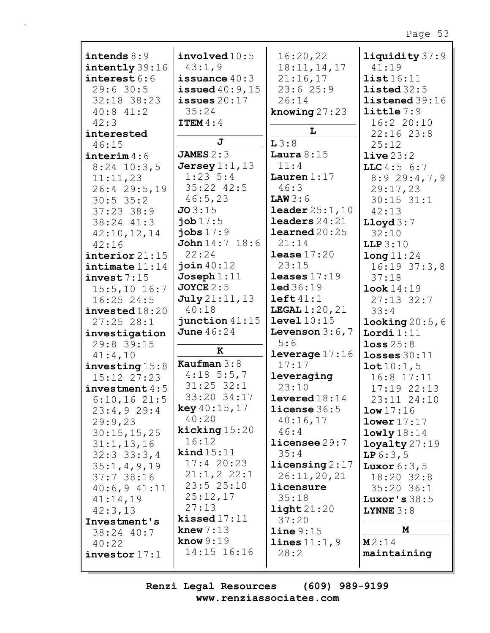| intends $8:9$                 | involved10:5              | 16:20,22                    | liquidity 37:9                 |
|-------------------------------|---------------------------|-----------------------------|--------------------------------|
| intently 39:16                | 43:1,9                    | 18:11, 14, 17               | 41:19                          |
| interest 6:6                  | issuance $40:3$           | 21:16,17                    | list16:11                      |
| 29:630:5                      | issued $40:9$ , $15$      | 23:625:9                    | listed 32:5                    |
| 32:18 38:23                   | issues $20:17$            | 26:14                       | listened39:16                  |
|                               |                           |                             |                                |
| $40:8$ $41:2$                 | 35:24                     | knowing $27:23$             | $l$ ittle $7:9$                |
| 42:3                          | $\texttt{ITEM}4:4$        | L                           | 16:2 20:10                     |
| interested                    |                           |                             | $22:16$ $23:8$                 |
| 46:15                         | J                         | L3:8                        | 25:12                          |
| $\texttt{interim}4:6$         | JAMES $2:3$               | Laura $8:15$                | $\text{live }23:2$             |
| $8:24$ 10:3,5                 | Jersey $1:1$ , $13$       | 11:4                        | LLC $4:5$ 6:7                  |
| 11:11,23                      | $1:23 \quad 5:4$          | Lauren $1:17$               | 8:929:4,7,9                    |
| 26:4 29:5,19                  | 35:22 42:5                | 46:3                        | 29:17,23                       |
| $30:5$ 35:2                   | 46:5,23                   | LAW3:6                      | $30:15$ $31:1$                 |
|                               | JO3:15                    | <b>leader</b> $25:1,10$     |                                |
| $37:23$ 38:9                  |                           |                             | 42:13                          |
| 38:24 41:3                    | job $17:5$                | $\texttt{leadss} 24:21$     | Lloyd $3:7$                    |
| 42:10,12,14                   | jobs $17:9$               | $\texttt{learned} \, 20:25$ | 32:10                          |
| 42:16                         | <b>John</b> $14:7$ $18:6$ | 21:14                       | LLP 3:10                       |
| interior 21:15                | 22:24                     | lease $17:20$               | long 11:24                     |
| intimate 11:14                | join40:12                 | 23:15                       | $16:19$ 37:3,8                 |
| invest7:15                    | Joseph 1:11               | leases $17:19$              | 37:18                          |
| $15:5, 10$ 16:7               | <b>JOYCE</b> $2:5$        | 1ed36:19                    | Look 14:19                     |
| $16:25$ 24:5                  | July 21:11, 13            | left 41:1                   | $27:13$ 32:7                   |
|                               | 40:18                     | <b>LEGAL</b> $1:20,21$      |                                |
| invested18:20                 |                           |                             | 33:4                           |
| $27:25$ 28:1                  | junction $41:15$          | level 10:15                 | $\texttt{looking} \, 20:5$ , 6 |
| investigation                 | <b>June</b> 46:24         | Levenson $3:6,7$            | Lordi $1:11$                   |
| 29:8 39:15                    | $\bf K$                   | 5:6                         | loss 25:8                      |
| 41:4,10                       |                           | <b>leverage</b> $17:16$     | losses $30:11$                 |
| investing $15:8$              | Kaufman $3:8$             | 17:17                       | 10t10:1,5                      |
| 15:12 27:23                   | $4:18$ 5:5,7              | leveraging                  | 16:8 17:11                     |
| investment $4:5$              | $31:25$ $32:1$            | 23:10                       | $17:19$ $22:13$                |
| $6:10,16$ 21:5                | 33:20 34:17               | $1$ evered $18:14$          | 23:11 24:10                    |
| 23:4,929:4                    | key 40:15,17              | $l$ icense $36:5$           | low17:16                       |
|                               | 40:20                     | 40:16,17                    |                                |
| 29:9,23                       | kicking $15:20$           | 46:4                        | lower17:17                     |
| 30:15,15,25                   | 16:12                     |                             | lowly18:14                     |
| 31:1, 13, 16                  |                           | licensee 29:7               | $\text{loyalty } 27:19$        |
| $32:3$ $33:3$ , 4             | $\text{kind } 15:11$      | 35:4                        | LP 6:3, 5                      |
| 35:1, 4, 9, 19                | 17:420:23                 | $licensing$ 2:17            | Luxor $6:3,5$                  |
| 37:738:16                     | 21:1,222:1                | 26:11,20,21                 | 18:20 32:8                     |
| $40:6,9$ $41:11$              | 23:525:10                 | licensure                   | 35:20 36:1                     |
| 41:14,19                      | 25:12,17                  | 35:18                       | Luxor's $38:5$                 |
| 42:3,13                       | 27:13                     | $\texttt{light21:20}$       | <b>LYNNE</b> $3:8$             |
| Investment's                  | kissed $17:11$            | 37:20                       |                                |
| 38:24 40:7                    | knew $7:13$               | line 9:15                   | M                              |
|                               | know $9:19$               | lines $11:1,9$              | M2:14                          |
| 40:22                         | 14:15 16:16               |                             |                                |
| $\frac{1}{2}$ investor $17:1$ |                           | 28:2                        | maintaining                    |
|                               |                           |                             |                                |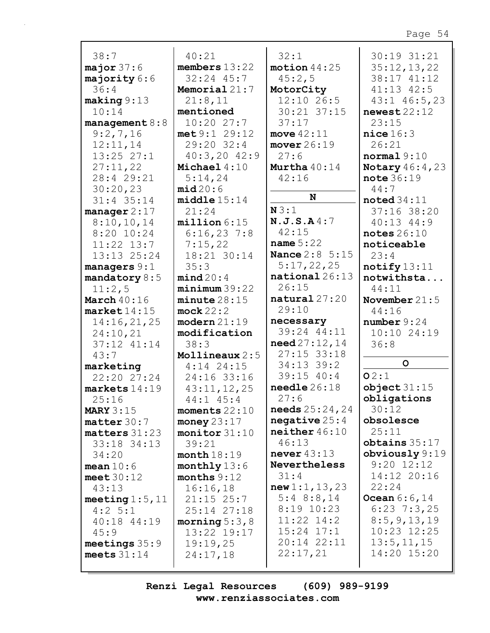| 38:7                    | 40:21                | 32:1                                         | 30:19 31:21                |
|-------------------------|----------------------|----------------------------------------------|----------------------------|
| major37:6               | members $13:22$      | motion $44:25$                               | 35:12,13,22                |
| majority 6:6            | $32:24$ $45:7$       | 45:2,5                                       | 38:17 41:12                |
| 36:4                    | Memorial 21:7        | MotorCity                                    | 41:13 42:5                 |
| $\texttt{making} 9:13$  | 21:8,11              | 12:10 26:5                                   | $43:1$ $46:5$ , 23         |
| 10:14                   | mentioned            | 30:21 37:15                                  | newest 22:12               |
| management $8:8$        | 10:2027:7            | 37:17                                        | 23:15                      |
| 9:2,7,16                | met 9:1 29:12        | move $42:11$                                 | nice 16:3                  |
| 12:11,14                | 29:20 32:4           | move r 26:19                                 | 26:21                      |
| $13:25$ $27:1$          | $40:3,20$ $42:9$     | 27:6                                         | normal 9:10                |
| 27:11,22                | Michael 4:10         | Murtha $40:14$                               | <b>Notary</b> $46:4,23$    |
| 28:4 29:21              | 5:14,24              | 42:16                                        | note 36:19                 |
| 30:20,23                | mid20:6              |                                              | 44:7                       |
| 31:4 35:14              | middle15:14          | N                                            | $\texttt{noted}34:11$      |
| manager $2:17$          | 21:24                | N3:1                                         | 37:16 38:20                |
| 8:10,10,14              | million 6:15         | N.J.S.A4:7                                   | $40:13$ $44:9$             |
| $8:20$ 10:24            | 6:16,237:8           | 42:15                                        | notes $26:10$              |
| $11:22$ $13:7$          | 7:15,22              | name $5:22$                                  | noticeable                 |
| 13:13 25:24             | 18:21 30:14          | <b>Nance 2:8 5:15</b>                        | 23:4                       |
| managers $9:1$          | 35:3                 | 5:17,22,25<br>$\mathtt{national}\,26\!:\!13$ | $\texttt{notify13:11}$     |
| mandatory $8:5$         | mind20:4             |                                              | notwithsta                 |
| 11:2,5                  | minimum39:22         | 26:15<br>$natural\ 27:20$                    | 44:11                      |
| March $40:16$           | minute28:15          | 29:10                                        | November $21:5$            |
| $\texttt{market}14:15$  | mock 22:2            | necessary                                    | 44:16                      |
| 14:16,21,25             | $modern$ $21:19$     | 39:24 44:11                                  | number 9:24<br>10:10 24:19 |
| 24:10,21<br>37:12 41:14 | modification<br>38:3 | $need\,27:12,14$                             | 36:8                       |
| 43:7                    | Mollineaux 2:5       | $27:15$ 33:18                                |                            |
| marketing               | $4:14$ 24:15         | 34:13 39:2                                   | $\circ$                    |
| 22:2027:24              | 24:16 33:16          | $39:15$ $40:4$                               | 02:1                       |
| $markets$ 14:19         | 43:11,12,25          | $\texttt{neededle} 26:18$                    | object31:15                |
| 25:16                   | 44:1 45:4            | 27:6                                         | obligations                |
| MARY $3:15$             | moments $22:10$      | <b>needs</b> $25:24,24$                      | 30:12                      |
| matter 30:7             | money $23:17$        | negative $25:4$                              | obsolesce                  |
| $matters$ 31:23         | monitor 31:10        | neither 46:10                                | 25:11                      |
| 33:18 34:13             | 39:21                | 46:13                                        | obtains $35:17$            |
| 34:20                   | month 18:19          | never $43:13$                                | obviously $9:19$           |
| mean $10:6$             | monthly $13:6$       | Nevertheless                                 | $9:20$ $12:12$             |
| meet $30:12$            | months $9:12$        | 31:4                                         | 14:12 20:16                |
| 43:13                   | 16:16,18             | new 1:1, 13, 23                              | 22:24                      |
| meeting $1:5$ , $11$    | $21:15$ $25:7$       | $5:4$ 8:8,14                                 | <b>Ocean</b> $6:6,14$      |
| $4:2 \; 5:1$            | 25:14 27:18          | $8:19$ 10:23                                 | $6:23$ 7:3,25              |
| 40:18 44:19             | morning $5:3$ , $8$  | $11:22$ $14:2$                               | 8:5, 9, 13, 19             |
| 45:9                    | 13:22 19:17          | $15:24$ $17:1$                               | 10:23 12:25                |
| meetings $35:9$         | 19:19,25             | 20:14 22:11                                  | 13:5, 11, 15               |
| meets $31:14$           | 24:17,18             | 22:17,21                                     | 14:20 15:20                |
|                         |                      |                                              |                            |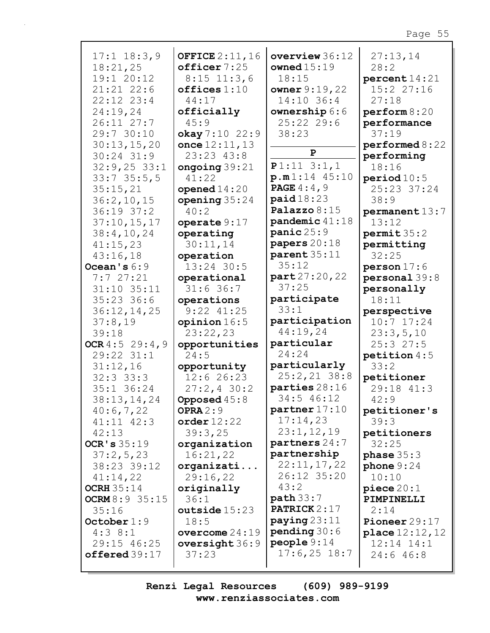| $17:1$ $18:3,9$       | <b>OFFICE 2:11,16</b>    | overview 36:12          | 27:13,14                 |
|-----------------------|--------------------------|-------------------------|--------------------------|
| 18:21,25              | officer 7:25             | owned $15:19$           | 28:2                     |
| 19:1 20:12            | $8:15$ 11:3,6            | 18:15                   | percent14:21             |
| $21:21$ $22:6$        | offices 1:10             | owner $9:19,22$         | 15:2 27:16               |
| $22:12$ $23:4$        | 44:17                    | 14:10 36:4              | 27:18                    |
| 24:19,24              | officially               | ownership 6:6           | perform 8:20             |
| 26:11 27:7            | 45:9                     | 25:22 29:6              | performance              |
| 29:7 30:10            | okay 7:10 22:9           | 38:23                   | 37:19                    |
| 30:13,15,20           | once $12:11, 13$         |                         | performed 8:22           |
| $30:24$ 31:9          | 23:23 43:8               | ${\bf P}$               | performing               |
| $32:9,25$ 33:1        | ongoing $39:21$          | $P1:11$ 3:1,1           | 18:16                    |
| 33:735:5,5            | 41:22                    | p.m1:14 45:10           | period 10:5              |
| 35:15,21              | opened $14:20$           | <b>PAGE</b> $4:4,9$     | 25:23 37:24              |
| 36:2,10,15            | opening $35:24$          | paid18:23               | 38:9                     |
| $36:19$ $37:2$        | 40:2                     | Palazzo 8:15            | permanent13:7            |
| 37:10, 15, 17         | operate $9:17$           | pandemic 41:18          | 13:12                    |
| 38:4,10,24            | operating                | panic25:9               | permit 35:2              |
| 41:15,23              | 30:11,14                 | papers 20:18            | permitting               |
| 43:16,18              | operation                | parent 35:11            | 32:25                    |
| Ocean's $6:9$         | 13:24 30:5               | 35:12                   | person17:6               |
| 7:727:21              | operational              | part 27:20, 22          | personal 39:8            |
| 31:10 35:11           | 31:636:7                 | 37:25                   | personally               |
| $35:23$ 36:6          | operations               | participate             | 18:11                    |
| 36:12,14,25           | $9:22$ $41:25$           | 33:1                    | perspective              |
| 37:8,19               | opinion 16:5             | participation           | $10:7$ 17:24             |
| 39:18                 | 23:22,23                 | 44:19,24                | 23:3,5,10                |
| OCR $4:5$ 29:4,9      | opportunities            | particular              | 25:327:5                 |
| 29:22 31:1            | 24:5                     | 24:24                   | petition $4:5$           |
| 31:12,16              |                          | particularly            | 33:2                     |
| $32:3$ $33:3$         | opportunity<br>12:626:23 | $25:2, 21$ 38:8         |                          |
| 35:1 36:24            |                          | parties 28:16           | petitioner<br>29:18 41:3 |
| 38:13,14,24           | $27:2, 4$ 30:2           | 34:5 46:12              |                          |
|                       | <b>Opposed</b> 45:8      | partner 17:10           | 42:9                     |
| 40:6,7,22             | OPRA $2:9$               | 17:14,23                | petitioner's             |
| $41:11$ $42:3$        | order $12:22$            | 23:1,12,19              | 39:3                     |
| 42:13                 | 39:3,25                  | partners 24:7           | petitioners              |
| OCR's $35:19$         | organization             | partnership             | 32:25                    |
| 37:2,5,23             | 16:21,22                 | 22:11,17,22             | phase $35:3$             |
| 38:23 39:12           | organizati               | 26:12 35:20             | phone $9:24$             |
| 41:14,22              | 29:16,22                 | 43:2                    | 10:10                    |
| OCRH $35:14$          | originally               |                         | piece 20:1               |
| <b>OCRM</b> 8:9 35:15 | 36:1                     | path 33:7               | PIMPINELLI               |
| 35:16                 | outside $15:23$          | <b>PATRICK</b> 2:17     | 2:14                     |
| October $1:9$         | 18:5                     | $\mathbf{paying}$ 23:11 | Pioneer $29:17$          |
| $4:3$ 8:1             | overcome $24:19$         | pending $30:6$          | <b>place</b> $12:12,12$  |
| 29:15 46:25           | oversight $36:9$         | people 9:14             | $12:14$ $14:1$           |
| offered39:17          | 37:23                    | $17:6,25$ 18:7          | 24:646:8                 |
|                       |                          |                         |                          |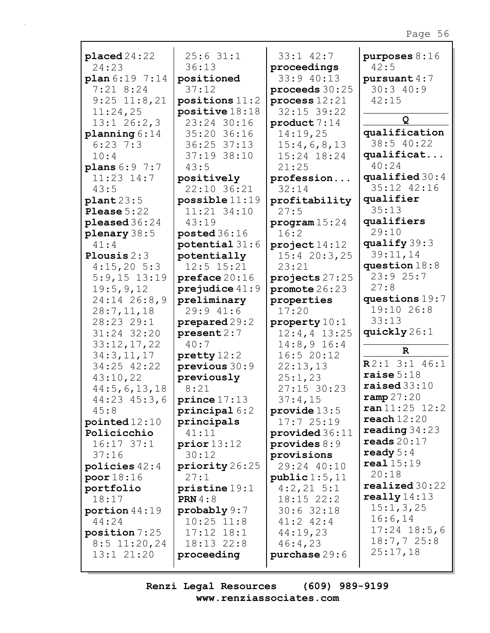| placed24:22          | 25:631:1                      | $33:1$ $42:7$       | purposes $8:16$  |
|----------------------|-------------------------------|---------------------|------------------|
| 24:23                | 36:13                         | proceedings         | 42:5             |
| plan 6:197:14        | positioned                    | 33:9 40:13          | pursuant $4:7$   |
| $7:21$ 8:24          | 37:12                         | proceeds 30:25      | 30:340:9         |
| $9:25$ 11:8,21       | positions $11:2$              | process $12:21$     | 42:15            |
| 11:24,25             | positive 18:18                | $32:15$ 39:22       |                  |
| $13:1$ 26:2,3        | 23:24 30:16                   | product 7:14        | Q                |
| planning $6:14$      | 35:20 36:16                   | 14:19,25            | qualification    |
| $6:23$ 7:3           | 36:25 37:13                   | 15:4,6,8,13         | 38:5 40:22       |
| 10:4                 | 37:19 38:10                   | 15:24 18:24         | qualificat       |
| plans $6:9$ 7:7      | 43:5                          | 21:25               | 40:24            |
| $11:23$ $14:7$       | positively                    | profession          | qualified $30:4$ |
| 43:5                 | 22:10 36:21                   | 32:14               | 35:12 42:16      |
| $\texttt{plant23:5}$ | $possible$ $11:19$            | profitability       | qualifier        |
| Please $5:22$        | 11:21 34:10                   | 27:5                | 35:13            |
| pleased $36:24$      | 43:19                         | program 15:24       | qualifiers       |
| plenary 38:5         | posted $36:16$                | 16:2                | 29:10            |
| 41:4                 | potential $31:6$              | project14:12        | qualify 39:3     |
| Plousis $2:3$        | potentially                   | 15:420:3,25         | 39:11,14         |
| 4:15,205:3           | $12:5$ $15:21$                | 23:21               | question $18:8$  |
| $5:9,15$ 13:19       | preface 20:16                 | projects 27:25      | 23:925:7         |
| 19:5,9,12            | prejudice $41:9$              | promote 26:23       | 27:8             |
| $24:14$ $26:8,9$     | preliminary                   | properties          | questions $19:7$ |
| 28:7,11,18           | 29:941:6                      | 17:20               | 19:10 26:8       |
| 28:23 29:1           | prepared 29:2                 | property $10:1$     | 33:13            |
| 31:24 32:20          | present 2:7                   | $12:4, 4$ 13:25     | quickly 26:1     |
| 33:12,17,22          | 40:7                          | $14:8,9$ 16:4       |                  |
| 34:3,11,17           | $\text{pretty} 12:2$          | 16:520:12           | $\mathbf{R}$     |
| 34:25 42:22          | previous 30:9                 | 22:13,13            | $R2:1$ 3:1 46:1  |
| 43:10,22             | previously                    | 25:1,23             | raise $5:18$     |
| 44:5,6,13,18         | 8:21                          | 27:15 30:23         | raiseed 33:10    |
| $44:23$ $45:3$ , 6   | prince 17:13                  | 37:4,15             | ramp27:20        |
| 45:8                 | $\texttt{principal}\,6\!:\!2$ | $\tt{provide} 13:5$ | ran 11:25 12:2   |
| pointed $12:10$      | principals                    | 17:725:19           | reach 12:20      |
| Policicchio          | 41:11                         | provided 36:11      | reading $34:23$  |
| $16:17$ 37:1         | prior13:12                    | provides $8:9$      | reads $20:17$    |
| 37:16                | 30:12                         | provisions          | ready $5:4$      |
| policies $42:4$      | priority 26:25                | 29:24 40:10         | real15:19        |
| poor 18:16           | 27:1                          | public 1:5, 11      | 20:18            |
| portfolio            | pristine 19:1                 | $4:2,21$ 5:1        | realized30:22    |
| 18:17                | <b>PRN</b> 4:8                | $18:15$ $22:2$      | really $14:13$   |
| portion $44:19$      | $\text{probability } 9:7$     | 30:632:18           | 15:1,3,25        |
| 44:24                | $10:25$ $11:8$                | $41:2$ $42:4$       | 16:6,14          |
| position 7:25        | $17:12$ $18:1$                | 44:19,23            | $17:24$ $18:5,6$ |
| $8:5$ 11:20,24       | 18:13 22:8                    | 46:4,23             | 18:7,725:8       |
| $13:1$ $21:20$       | proceeding                    | purchase 29:6       | 25:17,18         |
|                      |                               |                     |                  |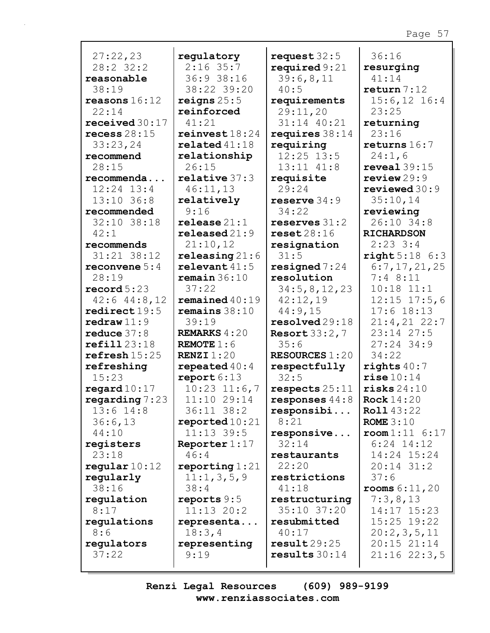| 27:22,23                 | regulatory               | request $32:5$        | 36:16                    |
|--------------------------|--------------------------|-----------------------|--------------------------|
| 28:2 32:2                | $2:16$ 35:7              | required $9:21$       | resurging                |
| reasonable               | 36:9 38:16               | 39:6,8,11             | 41:14                    |
| 38:19                    | 38:22 39:20              | 40:5                  | return 7:12              |
| reasons $16:12$          | reigns $25:5$            | requirements          | $15:6, 12$ 16:4          |
| 22:14                    | reinforced               | 29:11,20              | 23:25                    |
| received $30:17$         | 41:21                    | 31:14 40:21           | returning                |
| recess $28:15$           | reinvest18:24            | requires $38:14$      | 23:16                    |
| 33:23,24                 | related41:18             | requiring             | returns $16:7$           |
| recommend                | relationship             | $12:25$ $13:5$        | 24:1,6                   |
| 28:15                    | 26:15                    | 13:11 41:8            | reveal 39:15             |
| recommenda               | relative 37:3            | requisite             | review29:9               |
| $12:24$ $13:4$           | 46:11,13                 | 29:24                 | $revi$ ewed $30:9$       |
| $13:10$ 36:8             |                          | reserve $34:9$        | 35:10,14                 |
|                          | relatively               |                       |                          |
| recommended              | 9:16                     | 34:22                 | reviewing                |
| 32:10 38:18              | relesse21:1              | reserves $31:2$       | 26:10 34:8               |
| 42:1                     | released21:9             | reset28:16            | <b>RICHARDSON</b>        |
| recommends               | 21:10,12                 | resignation           | $2:23$ 3:4               |
| 31:21 38:12              | releasing $21:6$         | 31:5                  | right 5:18 6:3           |
| reconvene $5:4$          | relevent 41:5            | resigned $7:24$       | 6:7, 17, 21, 25          |
| 28:19                    | remain 36:10             | resolution            | 7:48:11                  |
| $\texttt{record} 5:23$   | 37:22                    | 34:5, 8, 12, 23       | $10:18$ $11:1$           |
| $42:6$ $44:8$ , 12       | remained $40:19$         | 42:12,19              | $12:15$ $17:5$ , 6       |
| $\texttt{redirect} 19:5$ | remains $38:10$          | 44:9,15               | $17:6$ 18:13             |
| $\texttt{redraw}11:9$    | 39:19                    | resolved29:18         | $21:4,21$ 22:7           |
| reduce $37:8$            | <b>REMARKS</b> $4:20$    | Resort $33:2,7$       | 23:14 27:5               |
| refill23:18              | <b>REMOTE</b> $1:6$      | 35:6                  | $27:24$ 34:9             |
| refresh 15:25            | RENZI $1:20$             | <b>RESOURCES 1:20</b> | 34:22                    |
| refreshing               | repeated $40:4$          | respectfully          | rights $40:7$            |
| 15:23                    | report $6:13$            | 32:5                  | rise10:14                |
| regard $10:17$           | $10:23$ $11:6,7$         | respects $25:11$      | risks 24:10              |
| regarding $7:23$         | 11:10 29:14              | responses $44:8$      | Rock $14:20$             |
| $13:6$ $14:8$            | 36:11 38:2               |                       | <b>Roll</b> 43:22        |
|                          |                          | responsibi            |                          |
| 36:6,13                  | $\texttt{reported}10:21$ | 8:21                  | ROME $3:10$              |
| 44:10                    | $11:13$ 39:5             | responsive            | $\texttt{room1:11}$ 6:17 |
| registers                | Reporter $1:17$          | 32:14                 | $6:24$ 14:12             |
| 23:18                    | 46:4                     | restaurants           | 14:24 15:24              |
| regular $10:12$          | reporting $1:21$         | 22:20                 | $20:14$ 31:2             |
| regularly                | 11:1,3,5,9               | restrictions          | 37:6                     |
| 38:16                    | 38:4                     | 41:18                 | <b>rooms</b> $6:11,20$   |
| regulation               | reports $9:5$            | restructuring         | 7:3,8,13                 |
| 8:17                     | $11:13$ $20:2$           | 35:10 37:20           | 14:17 15:23              |
| regulations              | representa               | resubmitted           | 15:25 19:22              |
| 8:6                      | 18:3,4                   | 40:17                 | 20:2,3,5,11              |
| regulators               | representing             | result29:25           | 20:15 21:14              |
| 37:22                    | 9:19                     | results 30:14         | $21:16$ $22:3,5$         |
|                          |                          |                       |                          |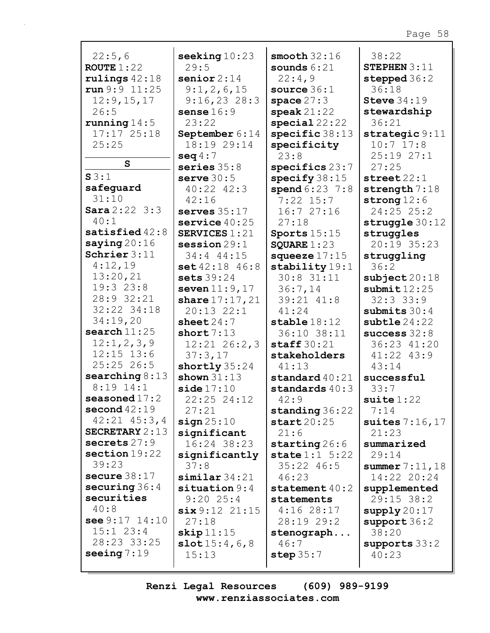| 22:5,6                        | seeking $10:23$      | smooth $32:16$           | 38:22                    |
|-------------------------------|----------------------|--------------------------|--------------------------|
| ROUTE $1:22$                  | 29:5                 | sounds $6:21$            | STEPHEN $3:11$           |
| rulings $42:18$               | senior $2:14$        | 22:4,9                   | stepped 36:2             |
| run 9:9 11:25                 | 9:1,2,6,15           | source $36:1$            | 36:18                    |
| 12:9, 15, 17                  | $9:16,23$ 28:3       | space $27:3$             | Steve $34:19$            |
| 26:5                          | sense $16:9$         | $\texttt{speak}21:22$    | stewardship              |
| running $14:5$                | 23:22                | special22:22             | 36:21                    |
| $17:17$ $25:18$               | September 6:14       | specific $38:13$         | strategic 9:11           |
| 25:25                         | 18:19 29:14          | specificity              | $10:7$ 17:8              |
|                               | seq 4:7              | 23:8                     | 25:1927:1                |
| S                             | series $35:8$        | specifics 23:7           | 27:25                    |
| S3:1                          | serve $30:5$         | specify $38:15$          | $\texttt{street}\,22:1$  |
| safeguard                     | $40:22$ $42:3$       | spend $6:23$ 7:8         | strength $7:18$          |
| 31:10                         | 42:16                | $7:22$ 15:7              | strong $12:6$            |
| Sara 2:22 3:3                 | serves $35:17$       | 16:727:16                | 24:25 25:2               |
| 40:1                          | service $40:25$      | 27:18                    | struggle $30:12$         |
| satisfied $42:8$              | <b>SERVICES 1:21</b> | Sports $15:15$           | struggles                |
| saying $20:16$                | $s$ ession $29:1$    | SQUARE $1:23$            | 20:19 35:23              |
| Schrier $3:11$                | 34:4 44:15           | squeeze $17:15$          | struggling               |
| 4:12,19                       | set 42:18 46:8       | stability $19:1$         | 36:2                     |
| 13:20,21                      | sets $39:24$         | $30:8$ 31:11             | $\texttt{subject} 20:18$ |
| 19:323:8                      | seven $11:9,17$      | 36:7,14                  | submit 12:25             |
| 28:9 32:21                    | share $17:17,21$     | 39:21 41:8               | 32:333:9                 |
| 32:22 34:18                   | $20:13$ $22:1$       | 41:24                    | submits $30:4$           |
| 34:19,20                      | sheet $24:7$         | $stable$ 18:12           | $subtle$ $24:22$         |
| search $11:25$                | short $7:13$         | 36:10 38:11              | success $32:8$           |
| 12:1,2,3,9                    | $12:21$ $26:2,3$     | staff $30:21$            | 36:23 41:20              |
| $12:15$ $13:6$                | 37:3,17              | stakeholders             | 41:22 43:9               |
| 25:2526:5                     | shortly 35:24        | 41:13                    | 43:14                    |
| searching $8:13$              | shown $31:13$        | standard $40:21$         | successful               |
| $8:19$ 14:1                   | side17:10            | standards $40:3$         | 33:7                     |
| seasoned $17:2$               | 22:25 24:12          | 42:9                     | suite $1:22$             |
| second $42:19$                | 27:21                | standing 36:22           | 7:14                     |
| $42:21$ $45:3$ , 4            | sign 25:10           | start20:25               | suites $7:16,17$         |
| SECRETARY $2:13$              | significant          | 21:6                     | 21:23                    |
| secrets $27:9$                | 16:24 38:23          | $\texttt{starting} 26:6$ | summarized               |
| section 19:22                 | significantly        | state 1:1 5:22           | 29:14                    |
| 39:23                         | 37:8                 | $35:22$ 46:5             | summer $7:11$ , $18$     |
| secure $38:17$                | $\sinilar$ 34:21     | 46:23                    | 14:22 20:24              |
| securing $36:4$<br>securities | situation $9:4$      | statement $40:2$         | supplemented             |
|                               | $9:20$ 25:4          | statements               | $29:15$ 38:2             |
| 40:8<br>see $9:17$ $14:10$    | six 9:12 21:15       | $4:16$ 28:17             | $\text{supply} 20:17$    |
| $15:1$ $23:4$                 | 27:18                | 28:19 29:2               | support 36:2             |
| 28:23 33:25                   | skip 11:15           | stenograph               | 38:20                    |
| seeing $7:19$                 | slot 15:4,6,8        | 46:7                     | supports $33:2$          |
|                               | 15:13                | step 35:7                | 40:23                    |
|                               |                      |                          |                          |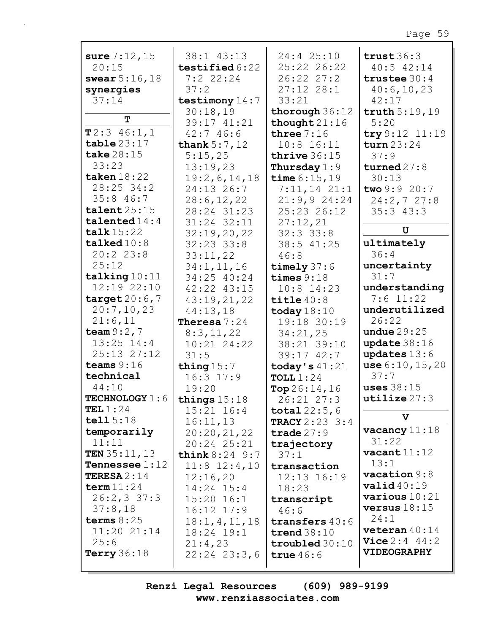| sure $7:12,15$          | 38:1 43:13                | 24:4 25:10            | trust $36:3$            |
|-------------------------|---------------------------|-----------------------|-------------------------|
| 20:15                   | testified 6:22            | 25:22 26:22           | $40:5$ $42:14$          |
| swear $5:16,18$         | 7:22:24                   | $26:22$ $27:2$        | trustee $30:4$          |
| synergies               | 37:2                      | $27:12$ $28:1$        | 40:6,10,23              |
| 37:14                   | testimony $14:7$          | 33:21                 | 42:17                   |
|                         | 30:18,19                  | thorough $36:12$      | truth 5:19,19           |
| T                       | 39:17 41:21               | thought $21:16$       | 5:20                    |
| T2:346:1,1              | 42:746:6                  | three $7:16$          | try 9:12 11:19          |
| table23:17              | thank $5:7,12$            | $10:8$ 16:11          | turn 23:24              |
| take $28:15$            | 5:15,25                   | thrive $36:15$        | 37:9                    |
| 33:23                   | 13:19,23                  | Thursday $1:9$        | turned $27:8$           |
| taken $18:22$           | 19:2,6,14,18              | time $6:15,19$        | 30:13                   |
| $28:25$ 34:2            | 24:13 26:7                | $7:11,14$ $21:1$      | two 9:9 20:7            |
| 35:846:7                |                           |                       |                         |
| talent 25:15            | 28:6, 12, 22              | 21:9,924:24           | 24:2,727:8              |
|                         | 28:24 31:23               | 25:23 26:12           | 35:343:3                |
| talented $14:4$         | 31:24 32:11               | 27:12,21              | $\mathbf U$             |
| talk $15:22$            | 32:19,20,22               | $32:3$ $33:8$         |                         |
| talked10:8              | $32:23$ $33:8$            | 38:5 41:25            | ultimately              |
| 20:223:8                | 33:11,22                  | 46:8                  | 36:4                    |
| 25:12                   | 34:1, 11, 16              | timely $37:6$         | uncertainty             |
| talking 10:11           | 34:25 40:24               | times $9:18$          | 31:7                    |
| 12:19 22:10             | 42:22 43:15               | $10:8$ 14:23          | understanding           |
| target $20:6,7$         | 43:19,21,22               | title $40:8$          | $7:6$ 11:22             |
| 20:7,10,23              | 44:13,18                  | today $18:10$         | underutilized           |
| 21:6,11                 | Theresa $7:24$            | 19:18 30:19           | 26:22                   |
| team $9:2,7$            | 8:3,11,22                 | 34:21,25              | undue $29:25$           |
| $13:25$ $14:4$          | 10:21 24:22               | 38:21 39:10           | update $38:16$          |
| 25:13 27:12             | 31:5                      | $39:17$ $42:7$        | updates $13:6$          |
| teams $9:16$            | thing $15:7$              | today's $41:21$       | use 6:10, 15, 20        |
| technical               | $16:3$ $17:9$             | TOLL $1:24$           | 37:7                    |
| 44:10                   | 19:20                     | Top $26:14,16$        | uses $38:15$            |
| TECHNOLOGY 1:6          |                           |                       | utilize27:3             |
| TEL $1:24$              | things $15:18$            | 26:21 27:3            |                         |
| tell15:18               | $15:21$ $16:4$            | <b>total</b> $22:5,6$ | V                       |
| temporarily             | 16:11,13                  | <b>TRACY</b> 2:23 3:4 | vacancy $11:18$         |
|                         | 20:20,21,22               | trade $27:9$          | 31:22                   |
| 11:11                   | 20:24 25:21               | trajectory            | $\texttt{vacant}$ 11:12 |
| TEN $35:11,13$          | <b>think</b> $8:24$ $9:7$ | 37:1                  |                         |
| <b>Tennessee</b> $1:12$ | $11:8$ $12:4,10$          | transaction           | 13:1                    |
| <b>TERESA</b> $2:14$    | 12:16,20                  | 12:13 16:19           | $\texttt{vacation} 9:8$ |
| term $11:24$            | $14:24$ 15:4              | 18:23                 | $\texttt{valid40:19}$   |
| $26:2,3$ 37:3           | $15:20$ $16:1$            | transcript            | various $10:21$         |
| 37:8,18                 | $16:12$ $17:9$            | 46:6                  | versus $18:15$          |
| terms $8:25$            | 18:1, 4, 11, 18           | transfers $40:6$      | 24:1                    |
| $11:20$ $21:14$         | 18:24 19:1                | trend $38:10$         | veteran $40:14$         |
| 25:6                    | 21:4,23                   | troubled 30:10        | <b>Vice</b> $2:4$ 44:2  |
| Terry $36:18$           | $22:24$ $23:3,6$          | true $46:6$           | <b>VIDEOGRAPHY</b>      |
|                         |                           |                       |                         |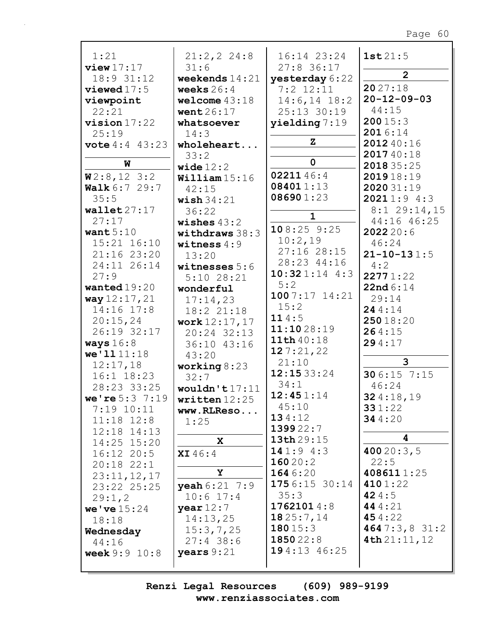| 1:21                               | 21:2, 22:3               | 16:14 23:24             | 1st21:5                    |
|------------------------------------|--------------------------|-------------------------|----------------------------|
| view17:17                          | 31:6                     | $27:8$ 36:17            |                            |
| 18:9 31:12                         | weekends $14:21$         | yesterday 6:22          | $\overline{2}$             |
| viewed $17:5$                      | weeks $26:4$             | $7:2$ 12:11             | 2027:18                    |
| viewpoint                          | welcome $43:18$          | $14:6, 14$ 18:2         | $20 - 12 - 09 - 03$        |
| 22:21                              | went $26:17$             | 25:13 30:19             | 44:15                      |
| $vision 17:22$                     | whatsoever               | $y$ ielding $7:19$      | 20015:3                    |
| 25:19                              | 14:3                     |                         | 2016:14                    |
| <b>vote</b> 4:4 43:23              | wholeheart               | $\mathbf{z}$            | 2012 40:16                 |
| W                                  | 33:2                     | $\mathbf 0$             | 201740:18                  |
|                                    | wide $12:2$              | 0221146:4               | 201835:25                  |
| W2:8,123:2                         | William 15:16            | 084011:13               | 201918:19                  |
| <b>Walk</b> $6:7$ 29:7             | 42:15                    | 086901:23               | 202031:19                  |
| 35:5                               | wish $34:21$             |                         | 20211:94:3                 |
| wallet27:17                        | 36:22                    | $\mathbf 1$             | $8:1$ 29:14,15             |
| 27:17                              | wishes $43:2$            | 108:259:25              | 44:16 46:25                |
| want $5:10$                        | withdraws $38:3$         | 10:2,19                 | 2022 20:6                  |
| $15:21$ $16:10$<br>$21:16$ $23:20$ | witness $4:9$            | 27:16 28:15             | 46:24<br>$21 - 10 - 131:5$ |
| 24:11 26:14                        | 13:20                    | 28:23 44:16             | 4:2                        |
| 27:9                               | witnesses $5:6$          | $10:321:14$ 4:3         | 22771:22                   |
| wanted $19:20$                     | $5:10$ 28:21             | 5:2                     | 22nd 6:14                  |
| way 12:17, 21                      | wonderful                | $1007:17$ 14:21         | 29:14                      |
| 14:16 17:8                         | 17:14,23<br>18:2 21:18   | 15:2                    | 244:14                     |
| 20:15,24                           | work $12:17,17$          | 114:5                   | 25018:20                   |
| 26:19 32:17                        | 20:24 32:13              | 11:1028:19              | 264:15                     |
| ways $16:8$                        | 36:10 43:16              | 11th 40:18              | 294:17                     |
| we'11111:18                        | 43:20                    | 127:21,22               |                            |
| 12:17,18                           | working $8:23$           | 21:10                   | 3                          |
| 16:1 18:23                         | 32:7                     | 12:1533:24              | 306:15 7:15                |
| 28:23 33:25                        | wouldn't $17:11$         | 34:1                    | 46:24                      |
| we're $5:3$ 7:19                   | written $12:25$          | 12:451:14               | 324:18,19                  |
| 7:19 10:11                         | www.RLReso               | 45:10                   | 331:22                     |
| $11:18$ $12:8$                     | 1:25                     | 134:12                  | 344:20                     |
| $12:18$ $14:13$                    |                          | 139922:7                | 4                          |
| 14:25 15:20                        | X                        | 13th 29:15              |                            |
| $16:12$ $20:5$                     | <b>XI</b> $46:4$         | 141:94:3                | 400 $20:3,5$               |
| 20:18 22:1                         |                          | 16020:2                 | 22:5                       |
| 23:11,12,17                        | Y                        | 1646:20<br>1756:1530:14 | 4086111:25<br>4101:22      |
| 23:22 25:25                        | <b>yeah</b> $6:21$ 7:9   |                         |                            |
| 29:1,2                             | $10:6$ 17:4              | 35:3<br>17621014:8      | 424:5<br>444:21            |
| we've15:24                         | year $12:7$              | 1825:7,14               | 454:22                     |
| 18:18                              | 14:13,25                 | 18015:3                 | 4647:3,831:2               |
| Wednesday                          | 15:3,7,25<br>$27:4$ 38:6 | 185022:8                | 4th21:11,12                |
| 44:16                              | years $9:21$             | $194:13$ 46:25          |                            |
| <b>week</b> $9:9$ $10:8$           |                          |                         |                            |
|                                    |                          |                         |                            |